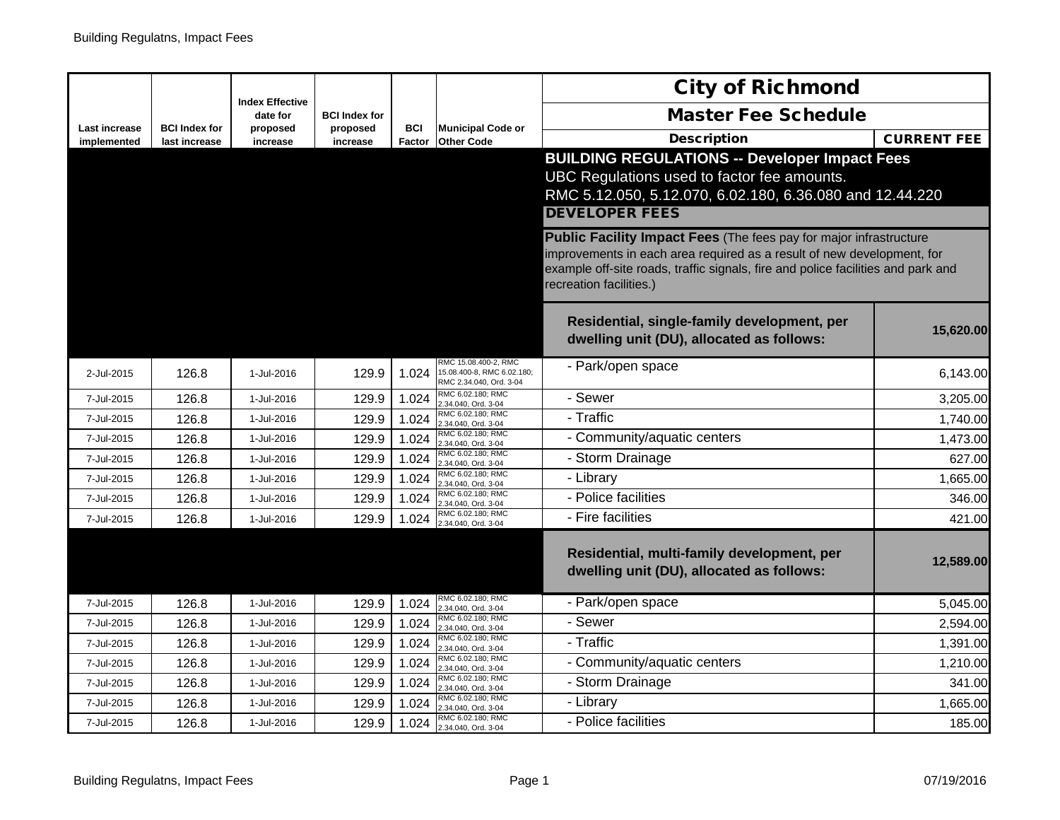|                              |                                       | <b>Index Effective</b> |                      |                      |                                                                               | <b>City of Richmond</b>                                                                                                                                                                                                                                            |                    |
|------------------------------|---------------------------------------|------------------------|----------------------|----------------------|-------------------------------------------------------------------------------|--------------------------------------------------------------------------------------------------------------------------------------------------------------------------------------------------------------------------------------------------------------------|--------------------|
|                              |                                       | date for               | <b>BCI Index for</b> |                      |                                                                               | <b>Master Fee Schedule</b>                                                                                                                                                                                                                                         |                    |
| Last increase<br>implemented | <b>BCI Index for</b><br>last increase | proposed<br>increase   | proposed<br>increase | <b>BCI</b><br>Factor | <b>Municipal Code or</b><br><b>Other Code</b>                                 | <b>Description</b>                                                                                                                                                                                                                                                 | <b>CURRENT FEE</b> |
|                              |                                       |                        |                      |                      |                                                                               | <b>BUILDING REGULATIONS -- Developer Impact Fees</b>                                                                                                                                                                                                               |                    |
|                              |                                       |                        |                      |                      |                                                                               | UBC Regulations used to factor fee amounts.                                                                                                                                                                                                                        |                    |
|                              |                                       |                        |                      |                      |                                                                               | RMC 5.12.050, 5.12.070, 6.02.180, 6.36.080 and 12.44.220                                                                                                                                                                                                           |                    |
|                              |                                       |                        |                      |                      |                                                                               | <b>DEVELOPER FEES</b>                                                                                                                                                                                                                                              |                    |
|                              |                                       |                        |                      |                      |                                                                               | <b>Public Facility Impact Fees (The fees pay for major infrastructure</b><br>improvements in each area required as a result of new development, for<br>example off-site roads, traffic signals, fire and police facilities and park and<br>recreation facilities.) |                    |
|                              |                                       |                        |                      |                      |                                                                               | Residential, single-family development, per<br>dwelling unit (DU), allocated as follows:                                                                                                                                                                           | 15,620.00          |
| 2-Jul-2015                   | 126.8                                 | 1-Jul-2016             | 129.9                | 1.024                | RMC 15.08.400-2, RMC<br>15.08.400-8, RMC 6.02.180;<br>RMC 2.34.040, Ord. 3-04 | - Park/open space                                                                                                                                                                                                                                                  | 6,143.00           |
| 7-Jul-2015                   | 126.8                                 | 1-Jul-2016             | 129.9                | 1.024                | RMC 6.02.180; RMC<br>2.34.040, Ord. 3-04                                      | - Sewer                                                                                                                                                                                                                                                            | 3,205.00           |
| 7-Jul-2015                   | 126.8                                 | 1-Jul-2016             | 129.9                | 1.024                | RMC 6.02.180; RMC<br>2.34.040, Ord. 3-04                                      | - Traffic                                                                                                                                                                                                                                                          | 1,740.00           |
| 7-Jul-2015                   | 126.8                                 | 1-Jul-2016             | 129.9                | 1.024                | RMC 6.02.180; RMC<br>2.34.040, Ord. 3-04                                      | - Community/aquatic centers                                                                                                                                                                                                                                        | 1,473.00           |
| 7-Jul-2015                   | 126.8                                 | 1-Jul-2016             | 129.9                | 1.024                | RMC 6.02.180; RMC<br>2.34.040, Ord. 3-04                                      | - Storm Drainage                                                                                                                                                                                                                                                   | 627.00             |
| 7-Jul-2015                   | 126.8                                 | 1-Jul-2016             | 129.9                | 1.024                | RMC 6.02.180; RMC<br>2.34.040, Ord. 3-04                                      | - Library                                                                                                                                                                                                                                                          | 1,665.00           |
| 7-Jul-2015                   | 126.8                                 | 1-Jul-2016             | 129.9                | 1.024                | RMC 6.02.180: RMC<br>2.34.040, Ord. 3-04                                      | - Police facilities                                                                                                                                                                                                                                                | 346.00             |
| 7-Jul-2015                   | 126.8                                 | 1-Jul-2016             | 129.9                | 1.024                | RMC 6.02.180; RMC<br>2.34.040, Ord. 3-04                                      | - Fire facilities                                                                                                                                                                                                                                                  | 421.00             |
|                              |                                       |                        |                      |                      |                                                                               | Residential, multi-family development, per<br>dwelling unit (DU), allocated as follows:                                                                                                                                                                            | 12,589.00          |
| 7-Jul-2015                   | 126.8                                 | 1-Jul-2016             | 129.9                | 1.024                | RMC 6.02.180; RMC<br>2.34.040, Ord. 3-04                                      | - Park/open space                                                                                                                                                                                                                                                  | 5,045.00           |
| 7-Jul-2015                   | 126.8                                 | 1-Jul-2016             | 129.9                | 1.024                | RMC 6.02.180; RMC<br>2.34.040, Ord. 3-04                                      | - Sewer                                                                                                                                                                                                                                                            | 2,594.00           |
| 7-Jul-2015                   | 126.8                                 | 1-Jul-2016             | 129.9                | 1.024                | RMC 6.02.180; RMC<br>2.34.040, Ord. 3-04                                      | - Traffic                                                                                                                                                                                                                                                          | 1,391.00           |
| 7-Jul-2015                   | 126.8                                 | 1-Jul-2016             | 129.9                | 1.024                | RMC 6.02.180; RMC<br>2.34.040, Ord. 3-04                                      | - Community/aquatic centers                                                                                                                                                                                                                                        | 1,210.00           |
| 7-Jul-2015                   | 126.8                                 | 1-Jul-2016             | 129.9                | 1.024                | RMC 6.02.180; RMC<br>2.34.040, Ord. 3-04                                      | - Storm Drainage                                                                                                                                                                                                                                                   | 341.00             |
| 7-Jul-2015                   | 126.8                                 | 1-Jul-2016             | 129.9                | 1.024                | RMC 6.02.180; RMC<br>2.34.040, Ord. 3-04                                      | - Library                                                                                                                                                                                                                                                          | 1.665.00           |
| 7-Jul-2015                   | 126.8                                 | 1-Jul-2016             | 129.9                | 1.024                | RMC 6.02.180; RMC<br>2.34.040, Ord. 3-04                                      | - Police facilities                                                                                                                                                                                                                                                | 185.00             |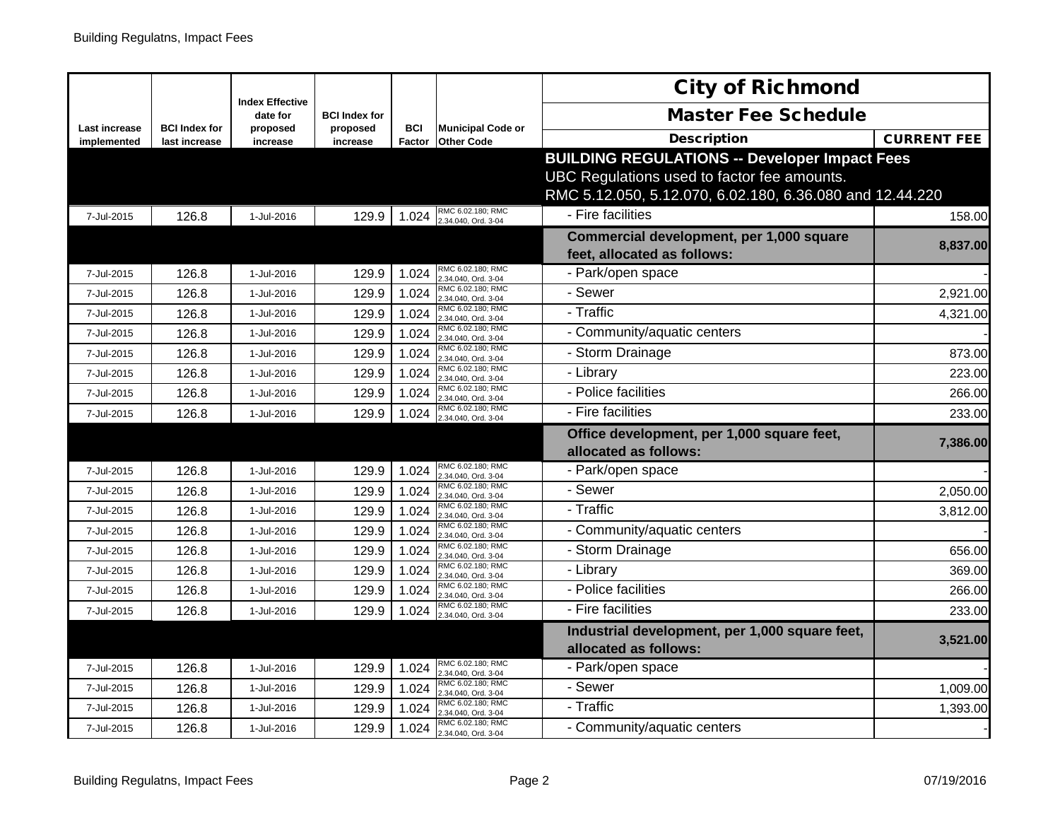|                                     |                                       |                                    |                      |                      |                                               | <b>City of Richmond</b>                                                                                                                                         |                    |
|-------------------------------------|---------------------------------------|------------------------------------|----------------------|----------------------|-----------------------------------------------|-----------------------------------------------------------------------------------------------------------------------------------------------------------------|--------------------|
|                                     |                                       | <b>Index Effective</b><br>date for | <b>BCI</b> Index for |                      |                                               | <b>Master Fee Schedule</b>                                                                                                                                      |                    |
| <b>Last increase</b><br>implemented | <b>BCI Index for</b><br>last increase | proposed<br>increase               | proposed<br>increase | <b>BCI</b><br>Factor | <b>Municipal Code or</b><br><b>Other Code</b> | <b>Description</b>                                                                                                                                              | <b>CURRENT FEE</b> |
|                                     |                                       |                                    |                      |                      |                                               | <b>BUILDING REGULATIONS -- Developer Impact Fees</b><br>UBC Regulations used to factor fee amounts.<br>RMC 5.12.050, 5.12.070, 6.02.180, 6.36.080 and 12.44.220 |                    |
| 7-Jul-2015                          | 126.8                                 | 1-Jul-2016                         | 129.9                | 1.024                | RMC 6.02.180; RMC<br>2.34.040, Ord. 3-04      | - Fire facilities                                                                                                                                               | 158.00             |
|                                     |                                       |                                    |                      |                      |                                               | Commercial development, per 1,000 square<br>feet, allocated as follows:                                                                                         | 8,837.00           |
| 7-Jul-2015                          | 126.8                                 | 1-Jul-2016                         | 129.9                | 1.024                | RMC 6.02.180; RMC<br>2.34.040, Ord. 3-04      | - Park/open space                                                                                                                                               |                    |
| 7-Jul-2015                          | 126.8                                 | 1-Jul-2016                         | 129.9                | 1.024                | RMC 6.02.180; RMC<br>2.34.040, Ord. 3-04      | - Sewer                                                                                                                                                         | 2,921.00           |
| 7-Jul-2015                          | 126.8                                 | 1-Jul-2016                         | 129.9                | 1.024                | RMC 6.02.180; RMC<br>2.34.040, Ord. 3-04      | - Traffic                                                                                                                                                       | 4,321.00           |
| 7-Jul-2015                          | 126.8                                 | 1-Jul-2016                         | 129.9                | 1.024                | RMC 6.02.180; RMC<br>2.34.040, Ord. 3-04      | - Community/aquatic centers                                                                                                                                     |                    |
| 7-Jul-2015                          | 126.8                                 | 1-Jul-2016                         | 129.9                | 1.024                | RMC 6.02.180; RMC<br>2.34.040, Ord. 3-04      | - Storm Drainage                                                                                                                                                | 873.00             |
| 7-Jul-2015                          | 126.8                                 | 1-Jul-2016                         | 129.9                | 1.024                | RMC 6.02.180; RMC<br>2.34.040, Ord. 3-04      | - Library                                                                                                                                                       | 223.00             |
| 7-Jul-2015                          | 126.8                                 | 1-Jul-2016                         | 129.9                | 1.024                | RMC 6.02.180; RMC<br>2.34.040, Ord. 3-04      | - Police facilities                                                                                                                                             | 266.00             |
| 7-Jul-2015                          | 126.8                                 | 1-Jul-2016                         | 129.9                | 1.024                | RMC 6.02.180; RMC<br>2.34.040, Ord. 3-04      | - Fire facilities                                                                                                                                               | 233.00             |
|                                     |                                       |                                    |                      |                      |                                               | Office development, per 1,000 square feet,<br>allocated as follows:                                                                                             | 7,386.00           |
| 7-Jul-2015                          | 126.8                                 | 1-Jul-2016                         | 129.9                | 1.024                | RMC 6.02.180; RMC<br>2.34.040, Ord. 3-04      | - Park/open space                                                                                                                                               |                    |
| 7-Jul-2015                          | 126.8                                 | 1-Jul-2016                         | 129.9                | 1.024                | RMC 6.02.180; RMC<br>2.34.040, Ord. 3-04      | - Sewer                                                                                                                                                         | 2,050.00           |
| 7-Jul-2015                          | 126.8                                 | 1-Jul-2016                         | 129.9                | 1.024                | RMC 6.02.180; RMC<br>2.34.040, Ord. 3-04      | - Traffic                                                                                                                                                       | 3,812.00           |
| 7-Jul-2015                          | 126.8                                 | 1-Jul-2016                         | 129.9                | 1.024                | RMC 6.02.180; RMC<br>2.34.040, Ord. 3-04      | - Community/aquatic centers                                                                                                                                     |                    |
| 7-Jul-2015                          | 126.8                                 | 1-Jul-2016                         | 129.9                | 1.024                | RMC 6.02.180; RMC<br>2.34.040, Ord. 3-04      | - Storm Drainage                                                                                                                                                | 656.00             |
| 7-Jul-2015                          | 126.8                                 | 1-Jul-2016                         | 129.9                | 1.024                | RMC 6.02.180; RMC<br>2.34.040, Ord. 3-04      | - Library                                                                                                                                                       | 369.00             |
| 7-Jul-2015                          | 126.8                                 | 1-Jul-2016                         | 129.9                | 1.024                | RMC 6.02.180; RMC<br>2.34.040, Ord. 3-04      | - Police facilities                                                                                                                                             | 266.00             |
| 7-Jul-2015                          | 126.8                                 | 1-Jul-2016                         | 129.9                | 1.024                | RMC 6.02.180; RMC<br>2.34.040, Ord. 3-04      | - Fire facilities                                                                                                                                               | 233.00             |
|                                     |                                       |                                    |                      |                      |                                               | Industrial development, per 1,000 square feet,<br>allocated as follows:                                                                                         | 3,521.00           |
| 7-Jul-2015                          | 126.8                                 | 1-Jul-2016                         | 129.9                | 1.024                | RMC 6.02.180; RMC<br>2.34.040, Ord. 3-04      | - Park/open space                                                                                                                                               |                    |
| 7-Jul-2015                          | 126.8                                 | 1-Jul-2016                         | 129.9                | 1.024                | RMC 6.02.180; RMC<br>2.34.040, Ord. 3-04      | - Sewer                                                                                                                                                         | 1,009.00           |
| 7-Jul-2015                          | 126.8                                 | 1-Jul-2016                         | 129.9                | 1.024                | RMC 6.02.180; RMC<br>2.34.040, Ord. 3-04      | - Traffic                                                                                                                                                       | 1,393.00           |
| 7-Jul-2015                          | 126.8                                 | 1-Jul-2016                         | 129.9                | 1.024                | RMC 6.02.180; RMC<br>2.34.040, Ord. 3-04      | - Community/aquatic centers                                                                                                                                     |                    |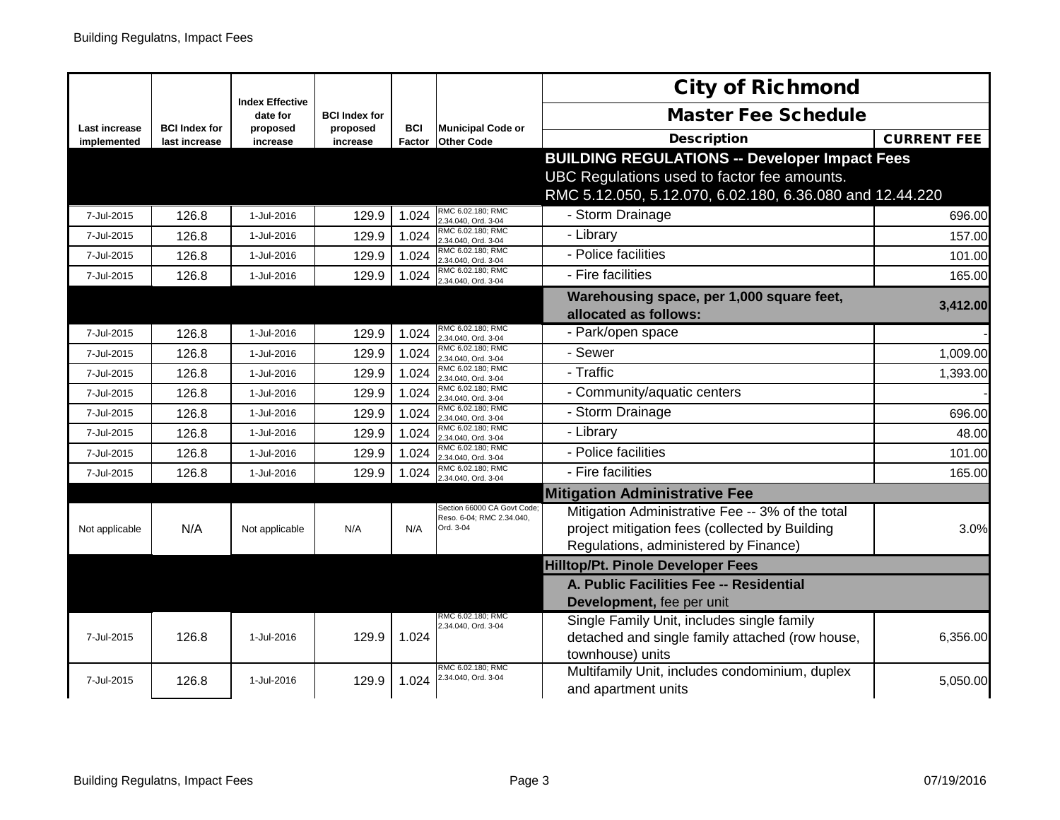|                              |                                       |                                    |                      |                      |                                                         | <b>City of Richmond</b>                                                                       |                    |
|------------------------------|---------------------------------------|------------------------------------|----------------------|----------------------|---------------------------------------------------------|-----------------------------------------------------------------------------------------------|--------------------|
|                              |                                       | <b>Index Effective</b><br>date for | <b>BCI Index for</b> |                      |                                                         | <b>Master Fee Schedule</b>                                                                    |                    |
| Last increase<br>implemented | <b>BCI Index for</b><br>last increase | proposed<br>increase               | proposed<br>increase | <b>BCI</b><br>Factor | <b>Municipal Code or</b><br><b>Other Code</b>           | <b>Description</b>                                                                            | <b>CURRENT FEE</b> |
|                              |                                       |                                    |                      |                      |                                                         | <b>BUILDING REGULATIONS -- Developer Impact Fees</b>                                          |                    |
|                              |                                       |                                    |                      |                      |                                                         | UBC Regulations used to factor fee amounts.                                                   |                    |
|                              |                                       |                                    |                      |                      |                                                         | RMC 5.12.050, 5.12.070, 6.02.180, 6.36.080 and 12.44.220                                      |                    |
| 7-Jul-2015                   | 126.8                                 | 1-Jul-2016                         | 129.9                | 1.024                | RMC 6.02.180; RMC<br>2.34.040, Ord. 3-04                | - Storm Drainage                                                                              | 696.00             |
| 7-Jul-2015                   | 126.8                                 | 1-Jul-2016                         | 129.9                | 1.024                | RMC 6.02.180; RMC<br>2.34.040, Ord. 3-04                | - Library                                                                                     | 157.00             |
| 7-Jul-2015                   | 126.8                                 | 1-Jul-2016                         | 129.9                | 1.024                | RMC 6.02.180; RMC<br>2.34.040, Ord. 3-04                | - Police facilities                                                                           | 101.00             |
| 7-Jul-2015                   | 126.8                                 | 1-Jul-2016                         | 129.9                | 1.024                | RMC 6.02.180; RMC<br>2.34.040, Ord. 3-04                | - Fire facilities                                                                             | 165.00             |
|                              |                                       |                                    |                      |                      |                                                         | Warehousing space, per 1,000 square feet,                                                     |                    |
|                              |                                       |                                    |                      |                      |                                                         | allocated as follows:                                                                         | 3,412.00           |
| 7-Jul-2015                   | 126.8                                 | 1-Jul-2016                         | 129.9                | 1.024                | RMC 6.02.180; RMC<br>2.34.040, Ord. 3-04                | - Park/open space                                                                             |                    |
| 7-Jul-2015                   | 126.8                                 | 1-Jul-2016                         | 129.9                | 1.024                | RMC 6.02.180; RMC<br>2.34.040, Ord. 3-04                | - Sewer                                                                                       | 1,009.00           |
| 7-Jul-2015                   | 126.8                                 | 1-Jul-2016                         | 129.9                | 1.024                | RMC 6.02.180; RMC<br>2.34.040, Ord. 3-04                | - Traffic                                                                                     | 1,393.00           |
| 7-Jul-2015                   | 126.8                                 | 1-Jul-2016                         | 129.9                | 1.024                | RMC 6.02.180; RMC<br>2.34.040, Ord. 3-04                | - Community/aquatic centers                                                                   |                    |
| 7-Jul-2015                   | 126.8                                 | 1-Jul-2016                         | 129.9                | 1.024                | RMC 6.02.180; RMC<br>2.34.040, Ord. 3-04                | - Storm Drainage                                                                              | 696.00             |
| 7-Jul-2015                   | 126.8                                 | 1-Jul-2016                         | 129.9                | 1.024                | RMC 6.02.180; RMC<br>2.34.040, Ord. 3-04                | - Library                                                                                     | 48.00              |
| 7-Jul-2015                   | 126.8                                 | 1-Jul-2016                         | 129.9                | 1.024                | RMC 6.02.180; RMC<br>2.34.040, Ord. 3-04                | - Police facilities                                                                           | 101.00             |
| 7-Jul-2015                   | 126.8                                 | 1-Jul-2016                         | 129.9                | 1.024                | RMC 6.02.180; RMC<br>.34.040, Ord. 3-04                 | - Fire facilities                                                                             | 165.00             |
|                              |                                       |                                    |                      |                      |                                                         | <b>Mitigation Administrative Fee</b>                                                          |                    |
|                              |                                       |                                    |                      |                      | Section 66000 CA Govt Code<br>Reso. 6-04; RMC 2.34.040, | Mitigation Administrative Fee -- 3% of the total                                              |                    |
| Not applicable               | N/A                                   | Not applicable                     | N/A                  | N/A                  | Ord. 3-04                                               | project mitigation fees (collected by Building                                                | 3.0%               |
|                              |                                       |                                    |                      |                      |                                                         | Regulations, administered by Finance)                                                         |                    |
|                              |                                       |                                    |                      |                      |                                                         | <b>Hilltop/Pt. Pinole Developer Fees</b>                                                      |                    |
|                              |                                       |                                    |                      |                      |                                                         | A. Public Facilities Fee -- Residential                                                       |                    |
|                              |                                       |                                    |                      |                      | RMC 6.02.180; RMC                                       | Development, fee per unit                                                                     |                    |
| 7-Jul-2015                   | 126.8                                 | 1-Jul-2016                         | 129.9                | 1.024                | 2.34.040, Ord. 3-04                                     | Single Family Unit, includes single family<br>detached and single family attached (row house, | 6,356.00           |
|                              |                                       |                                    |                      |                      |                                                         | townhouse) units                                                                              |                    |
|                              |                                       |                                    |                      |                      | RMC 6.02.180; RMC                                       | Multifamily Unit, includes condominium, duplex                                                |                    |
| 7-Jul-2015                   | 126.8                                 | 1-Jul-2016                         | 129.9                | 1.024                | 2.34.040, Ord. 3-04                                     | and apartment units                                                                           | 5,050.00           |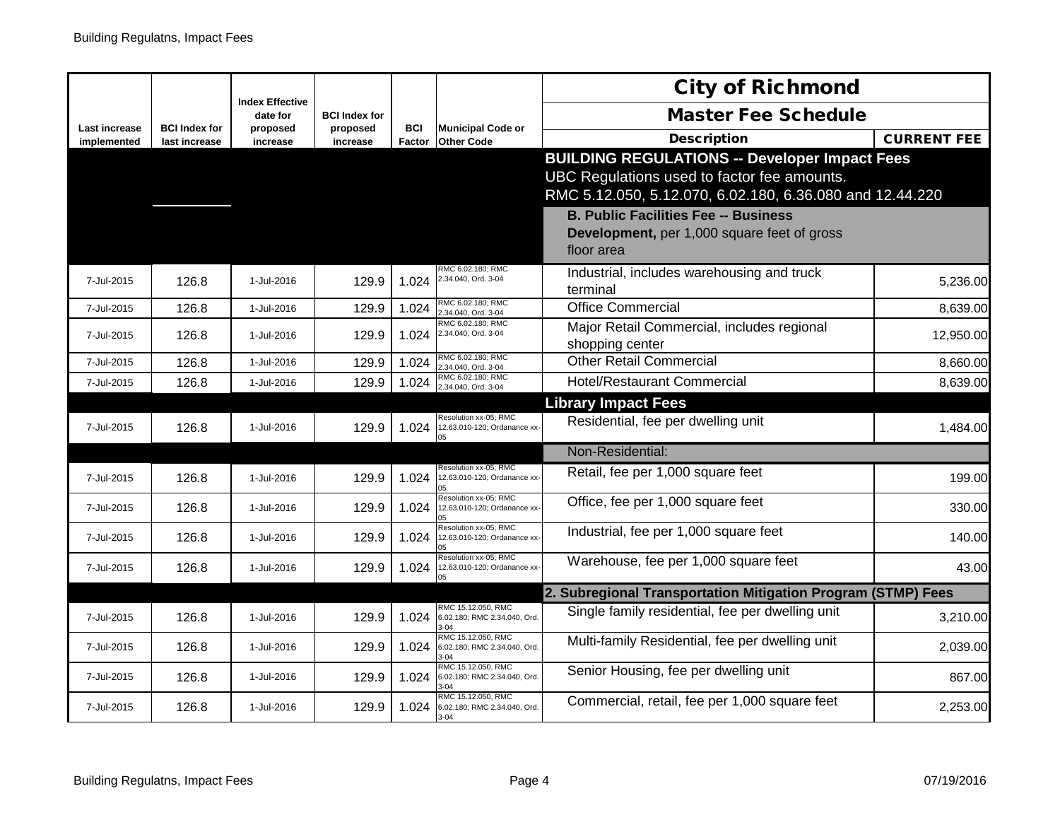|                                     | <b>Index Effective</b>                |                      |                      |                      | <b>City of Richmond</b>                                              |                                                                  |                    |
|-------------------------------------|---------------------------------------|----------------------|----------------------|----------------------|----------------------------------------------------------------------|------------------------------------------------------------------|--------------------|
|                                     |                                       | date for             | <b>BCI Index for</b> |                      |                                                                      | <b>Master Fee Schedule</b>                                       |                    |
| <b>Last increase</b><br>implemented | <b>BCI Index for</b><br>last increase | proposed<br>increase | proposed<br>increase | <b>BCI</b><br>Factor | <b>Municipal Code or</b><br><b>Other Code</b>                        | <b>Description</b>                                               | <b>CURRENT FEE</b> |
|                                     |                                       |                      |                      |                      |                                                                      | <b>BUILDING REGULATIONS -- Developer Impact Fees</b>             |                    |
|                                     |                                       |                      |                      |                      |                                                                      | UBC Regulations used to factor fee amounts.                      |                    |
|                                     |                                       |                      |                      |                      |                                                                      | RMC 5.12.050, 5.12.070, 6.02.180, 6.36.080 and 12.44.220         |                    |
|                                     |                                       |                      |                      |                      |                                                                      | <b>B. Public Facilities Fee -- Business</b>                      |                    |
|                                     |                                       |                      |                      |                      |                                                                      | Development, per 1,000 square feet of gross                      |                    |
|                                     |                                       |                      |                      |                      |                                                                      | floor area                                                       |                    |
| 7-Jul-2015                          | 126.8                                 | 1-Jul-2016           | 129.9                | 1.024                | RMC 6.02.180: RMC<br>2.34.040, Ord. 3-04                             | Industrial, includes warehousing and truck                       | 5,236.00           |
|                                     |                                       |                      |                      |                      | RMC 6.02.180; RMC                                                    | terminal                                                         |                    |
| 7-Jul-2015                          | 126.8                                 | 1-Jul-2016           | 129.9                | 1.024                | 2.34.040, Ord. 3-04<br>RMC 6.02.180: RMC                             | <b>Office Commercial</b>                                         | 8,639.00           |
| 7-Jul-2015                          | 126.8                                 | 1-Jul-2016           | 129.9                | 1.024                | 2.34.040, Ord. 3-04                                                  | Major Retail Commercial, includes regional                       | 12,950.00          |
| 7-Jul-2015                          | 126.8                                 | 1-Jul-2016           | 129.9                | 1.024                | RMC 6.02.180; RMC                                                    | shopping center<br><b>Other Retail Commercial</b>                | 8,660.00           |
|                                     | 126.8                                 |                      |                      |                      | 2.34.040, Ord. 3-04<br>RMC 6.02.180; RMC                             | <b>Hotel/Restaurant Commercial</b>                               |                    |
| 7-Jul-2015                          |                                       | 1-Jul-2016           | 129.9                | 1.024                | 2.34.040, Ord. 3-04                                                  |                                                                  | 8,639.00           |
|                                     |                                       |                      |                      |                      | Resolution xx-05; RMC                                                | <b>Library Impact Fees</b><br>Residential, fee per dwelling unit |                    |
| 7-Jul-2015                          | 126.8                                 | 1-Jul-2016           | 129.9                | 1.024                | 12.63.010-120; Ordanance xx-<br>05                                   |                                                                  | 1,484.00           |
|                                     |                                       |                      |                      |                      |                                                                      | Non-Residential:                                                 |                    |
| 7-Jul-2015                          | 126.8                                 | 1-Jul-2016           | 129.9                | 1.024                | Resolution xx-05; RMC<br>12.63.010-120; Ordanance xx-                | Retail, fee per 1,000 square feet                                | 199.00             |
|                                     |                                       |                      |                      |                      | Resolution xx-05; RMC                                                |                                                                  |                    |
| 7-Jul-2015                          | 126.8                                 | 1-Jul-2016           | 129.9                | 1.024                | 12.63.010-120; Ordanance xx-                                         | Office, fee per 1,000 square feet                                | 330.00             |
| 7-Jul-2015                          | 126.8                                 | 1-Jul-2016           | 129.9                | 1.024                | Resolution xx-05; RMC<br>12.63.010-120; Ordanance xx-                | Industrial, fee per 1,000 square feet                            | 140.00             |
|                                     |                                       |                      |                      |                      | Resolution xx-05; RMC                                                |                                                                  |                    |
| 7-Jul-2015                          | 126.8                                 | 1-Jul-2016           | 129.9                | 1.024                | 12.63.010-120; Ordanance xx-<br>05                                   | Warehouse, fee per 1,000 square feet                             | 43.00              |
|                                     |                                       |                      |                      |                      |                                                                      | 2. Subregional Transportation Mitigation Program (STMP) Fees     |                    |
| 7-Jul-2015                          | 126.8                                 | 1-Jul-2016           | 129.9                | 1.024                | RMC 15.12.050, RMC<br>6.02.180; RMC 2.34.040, Ord.<br>$3 - 04$       | Single family residential, fee per dwelling unit                 | 3,210.00           |
| 7-Jul-2015                          | 126.8                                 | 1-Jul-2016           | 129.9                | 1.024                | RMC 15.12.050, RMC<br>6.02.180; RMC 2.34.040, Ord.<br>$3-04$         | Multi-family Residential, fee per dwelling unit                  | 2,039.00           |
| 7-Jul-2015                          | 126.8                                 | 1-Jul-2016           | 129.9                | 1.024                | RMC 15.12.050, RMC<br>6.02.180; RMC 2.34.040, Ord.<br>$3-04$         | Senior Housing, fee per dwelling unit                            | 867.00             |
| 7-Jul-2015                          | 126.8                                 | 1-Jul-2016           | 129.9                |                      | RMC 15.12.050, RMC<br>1.024 6.02.180; RMC 2.34.040, Ord.<br>$3 - 04$ | Commercial, retail, fee per 1,000 square feet                    | 2,253.00           |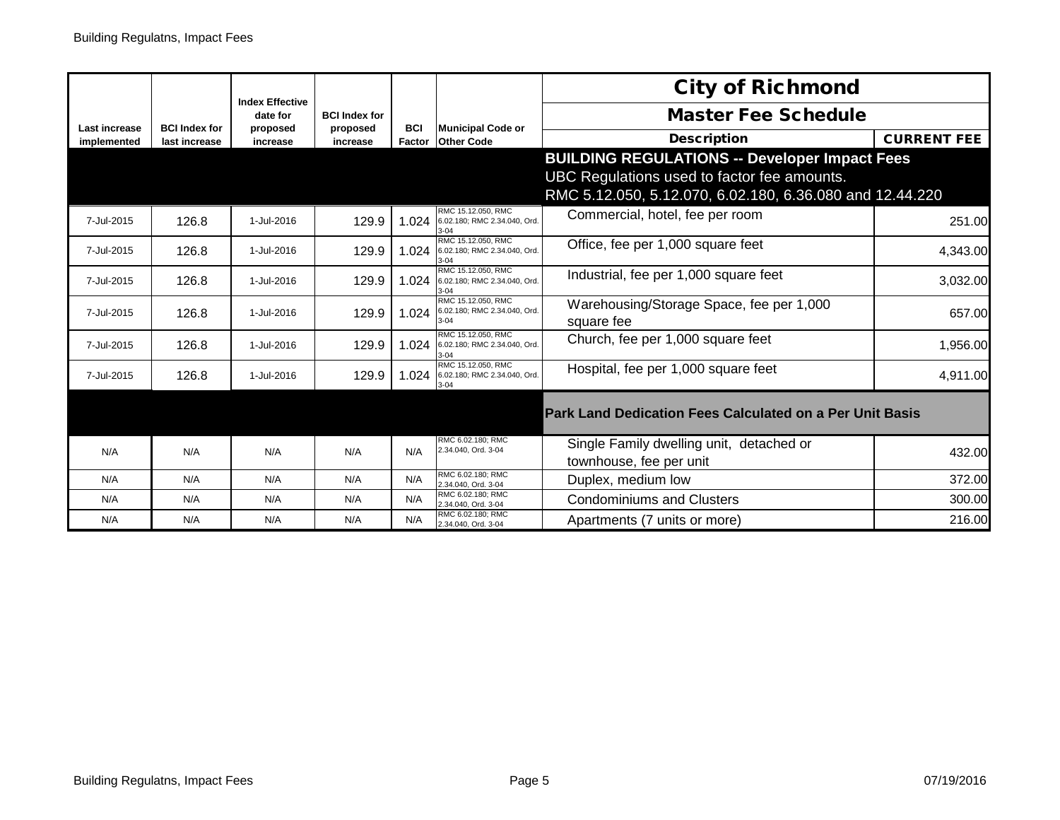|                              |                                       | <b>Index Effective</b> |                      |                      |                                                                | <b>City of Richmond</b>                                             |                    |
|------------------------------|---------------------------------------|------------------------|----------------------|----------------------|----------------------------------------------------------------|---------------------------------------------------------------------|--------------------|
|                              |                                       | date for               | <b>BCI Index for</b> |                      |                                                                | <b>Master Fee Schedule</b>                                          |                    |
| Last increase<br>implemented | <b>BCI Index for</b><br>last increase | proposed<br>increase   | proposed<br>increase | <b>BCI</b><br>Factor | <b>Municipal Code or</b><br><b>Other Code</b>                  | <b>Description</b>                                                  | <b>CURRENT FEE</b> |
|                              |                                       |                        |                      |                      |                                                                | <b>BUILDING REGULATIONS -- Developer Impact Fees</b>                |                    |
|                              |                                       |                        |                      |                      |                                                                | UBC Regulations used to factor fee amounts.                         |                    |
|                              |                                       |                        |                      |                      |                                                                | RMC 5.12.050, 5.12.070, 6.02.180, 6.36.080 and 12.44.220            |                    |
| 7-Jul-2015                   | 126.8                                 | 1-Jul-2016             | 129.9                | 1.024                | RMC 15.12.050, RMC<br>6.02.180: RMC 2.34.040. Ord.<br>$3 - 04$ | Commercial, hotel, fee per room                                     | 251.00             |
| 7-Jul-2015                   | 126.8                                 | 1-Jul-2016             | 129.9                | 1.024                | RMC 15.12.050, RMC<br>6.02.180; RMC 2.34.040, Ord.<br>$3 - 04$ | Office, fee per 1,000 square feet                                   | 4,343.00           |
| 7-Jul-2015                   | 126.8                                 | 1-Jul-2016             | 129.9                | 1.024                | RMC 15.12.050, RMC<br>6.02.180; RMC 2.34.040, Ord.<br>$3 - 04$ | Industrial, fee per 1,000 square feet                               | 3,032.00           |
| 7-Jul-2015                   | 126.8                                 | 1-Jul-2016             | 129.9                | 1.024                | RMC 15.12.050, RMC<br>6.02.180; RMC 2.34.040, Ord.<br>$3 - 04$ | Warehousing/Storage Space, fee per 1,000<br>square fee              | 657.00             |
| 7-Jul-2015                   | 126.8                                 | 1-Jul-2016             | 129.9                | 1.024                | RMC 15.12.050, RMC<br>6.02.180; RMC 2.34.040, Ord.<br>3-04     | Church, fee per 1,000 square feet                                   | 1,956.00           |
| 7-Jul-2015                   | 126.8                                 | 1-Jul-2016             | 129.9                | 1.024                | RMC 15.12.050, RMC<br>6.02.180; RMC 2.34.040, Ord.<br>$3 - 04$ | Hospital, fee per 1,000 square feet                                 | 4,911.00           |
|                              |                                       |                        |                      |                      |                                                                | <b>Park Land Dedication Fees Calculated on a Per Unit Basis</b>     |                    |
| N/A                          | N/A                                   | N/A                    | N/A                  | N/A                  | RMC 6.02.180: RMC<br>2.34.040, Ord. 3-04                       | Single Family dwelling unit, detached or<br>townhouse, fee per unit | 432.00             |
| N/A                          | N/A                                   | N/A                    | N/A                  | N/A                  | RMC 6.02.180; RMC<br>2.34.040, Ord. 3-04                       | Duplex, medium low                                                  | 372.00             |
| N/A                          | N/A                                   | N/A                    | N/A                  | N/A                  | RMC 6.02.180; RMC<br>2.34.040, Ord. 3-04                       | <b>Condominiums and Clusters</b>                                    | 300.00             |
| N/A                          | N/A                                   | N/A                    | N/A                  | N/A                  | RMC 6.02.180: RMC<br>2.34.040, Ord. 3-04                       | Apartments (7 units or more)                                        | 216.00             |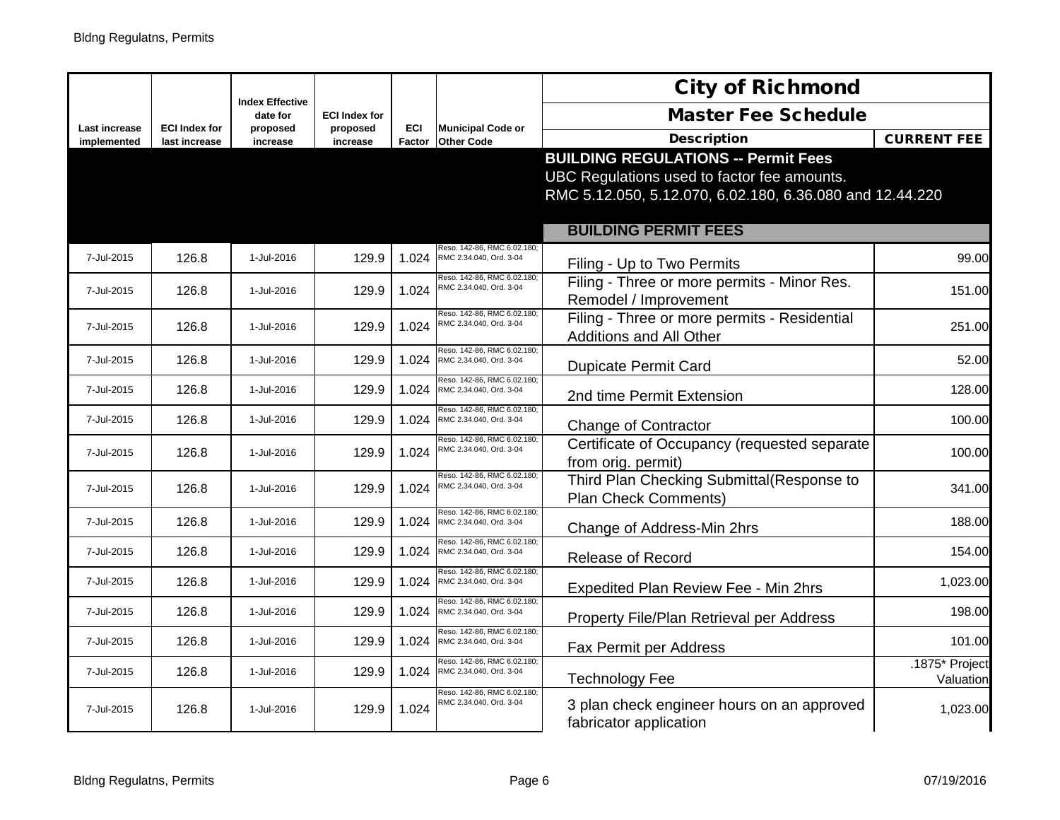|                      |                      | <b>Index Effective</b> |                                  |            |                                                        | <b>City of Richmond</b>                                         |                    |
|----------------------|----------------------|------------------------|----------------------------------|------------|--------------------------------------------------------|-----------------------------------------------------------------|--------------------|
| <b>Last increase</b> | <b>ECI Index for</b> | date for<br>proposed   | <b>ECI Index for</b><br>proposed | <b>ECI</b> | <b>Municipal Code or</b>                               | <b>Master Fee Schedule</b>                                      |                    |
| implemented          | last increase        | increase               | increase                         | Factor     | <b>Other Code</b>                                      | <b>Description</b>                                              | <b>CURRENT FEE</b> |
|                      |                      |                        |                                  |            |                                                        | <b>BUILDING REGULATIONS -- Permit Fees</b>                      |                    |
|                      |                      |                        |                                  |            |                                                        | UBC Regulations used to factor fee amounts.                     |                    |
|                      |                      |                        |                                  |            |                                                        | RMC 5.12.050, 5.12.070, 6.02.180, 6.36.080 and 12.44.220        |                    |
|                      |                      |                        |                                  |            |                                                        |                                                                 |                    |
|                      |                      |                        |                                  |            |                                                        | <b>BUILDING PERMIT FEES</b>                                     |                    |
| 7-Jul-2015           | 126.8                | 1-Jul-2016             | 129.9                            | 1.024      | Reso, 142-86, RMC 6.02.180;<br>RMC 2.34.040, Ord. 3-04 |                                                                 | 99.00              |
|                      |                      |                        |                                  |            |                                                        | Filing - Up to Two Permits                                      |                    |
| 7-Jul-2015           | 126.8                | 1-Jul-2016             | 129.9                            | 1.024      | Reso. 142-86, RMC 6.02.180;<br>RMC 2.34.040, Ord. 3-04 | Filing - Three or more permits - Minor Res.                     | 151.00             |
|                      |                      |                        |                                  |            | Reso. 142-86, RMC 6.02.180;                            | Remodel / Improvement                                           |                    |
| 7-Jul-2015           | 126.8                | 1-Jul-2016             | 129.9                            | 1.024      | RMC 2.34.040, Ord. 3-04                                | Filing - Three or more permits - Residential                    | 251.00             |
|                      |                      |                        |                                  |            |                                                        | <b>Additions and All Other</b>                                  |                    |
| 7-Jul-2015           | 126.8                | 1-Jul-2016             | 129.9                            | 1.024      | Reso. 142-86, RMC 6.02.180<br>RMC 2.34.040, Ord. 3-04  | <b>Dupicate Permit Card</b>                                     | 52.00              |
|                      |                      |                        |                                  |            | Reso. 142-86, RMC 6.02.180                             |                                                                 |                    |
| 7-Jul-2015           | 126.8                | 1-Jul-2016             | 129.9                            | 1.024      | RMC 2.34.040, Ord. 3-04                                | 2nd time Permit Extension                                       | 128.00             |
| 7-Jul-2015           | 126.8                | 1-Jul-2016             | 129.9                            | 1.024      | Reso. 142-86, RMC 6.02.180<br>RMC 2.34.040, Ord. 3-04  |                                                                 | 100.00             |
|                      |                      |                        |                                  |            | Reso. 142-86, RMC 6.02.180:                            | <b>Change of Contractor</b>                                     |                    |
| 7-Jul-2015           | 126.8                | 1-Jul-2016             | 129.9                            | 1.024      | RMC 2.34.040, Ord. 3-04                                | Certificate of Occupancy (requested separate                    | 100.00             |
|                      |                      |                        |                                  |            | Reso. 142-86, RMC 6.02.180:                            | from orig. permit)<br>Third Plan Checking Submittal(Response to |                    |
| 7-Jul-2015           | 126.8                | 1-Jul-2016             | 129.9                            | 1.024      | RMC 2.34.040, Ord. 3-04                                | Plan Check Comments)                                            | 341.00             |
|                      |                      |                        |                                  |            | Reso. 142-86, RMC 6.02.180                             |                                                                 |                    |
| 7-Jul-2015           | 126.8                | 1-Jul-2016             | 129.9                            | 1.024      | RMC 2.34.040, Ord. 3-04                                | Change of Address-Min 2hrs                                      | 188.00             |
| 7-Jul-2015           | 126.8                | 1-Jul-2016             | 129.9                            | 1.024      | Reso. 142-86, RMC 6.02.180<br>RMC 2.34.040, Ord. 3-04  |                                                                 | 154.00             |
|                      |                      |                        |                                  |            | Reso. 142-86, RMC 6.02.180                             | <b>Release of Record</b>                                        |                    |
| 7-Jul-2015           | 126.8                | 1-Jul-2016             | 129.9                            | 1.024      | RMC 2.34.040, Ord. 3-04                                | Expedited Plan Review Fee - Min 2hrs                            | 1,023.00           |
|                      |                      |                        |                                  |            | Reso. 142-86, RMC 6.02.180:                            |                                                                 |                    |
| 7-Jul-2015           | 126.8                | 1-Jul-2016             | 129.9                            | 1.024      | RMC 2.34.040, Ord. 3-04                                | Property File/Plan Retrieval per Address                        | 198.00             |
| 7-Jul-2015           | 126.8                | 1-Jul-2016             | 129.9                            | 1.024      | Reso. 142-86, RMC 6.02.180;<br>RMC 2.34.040, Ord. 3-04 |                                                                 | 101.00             |
|                      |                      |                        |                                  |            | Reso. 142-86, RMC 6.02.180:                            | Fax Permit per Address                                          | .1875* Project     |
| 7-Jul-2015           | 126.8                | 1-Jul-2016             | 129.9                            | 1.024      | RMC 2.34.040, Ord. 3-04                                | <b>Technology Fee</b>                                           | Valuation          |
|                      |                      |                        |                                  |            | Reso. 142-86, RMC 6.02.180;<br>RMC 2.34.040, Ord. 3-04 |                                                                 |                    |
| 7-Jul-2015           | 126.8                | 1-Jul-2016             | 129.9                            | 1.024      |                                                        | 3 plan check engineer hours on an approved                      | 1,023.00           |
|                      |                      |                        |                                  |            |                                                        | fabricator application                                          |                    |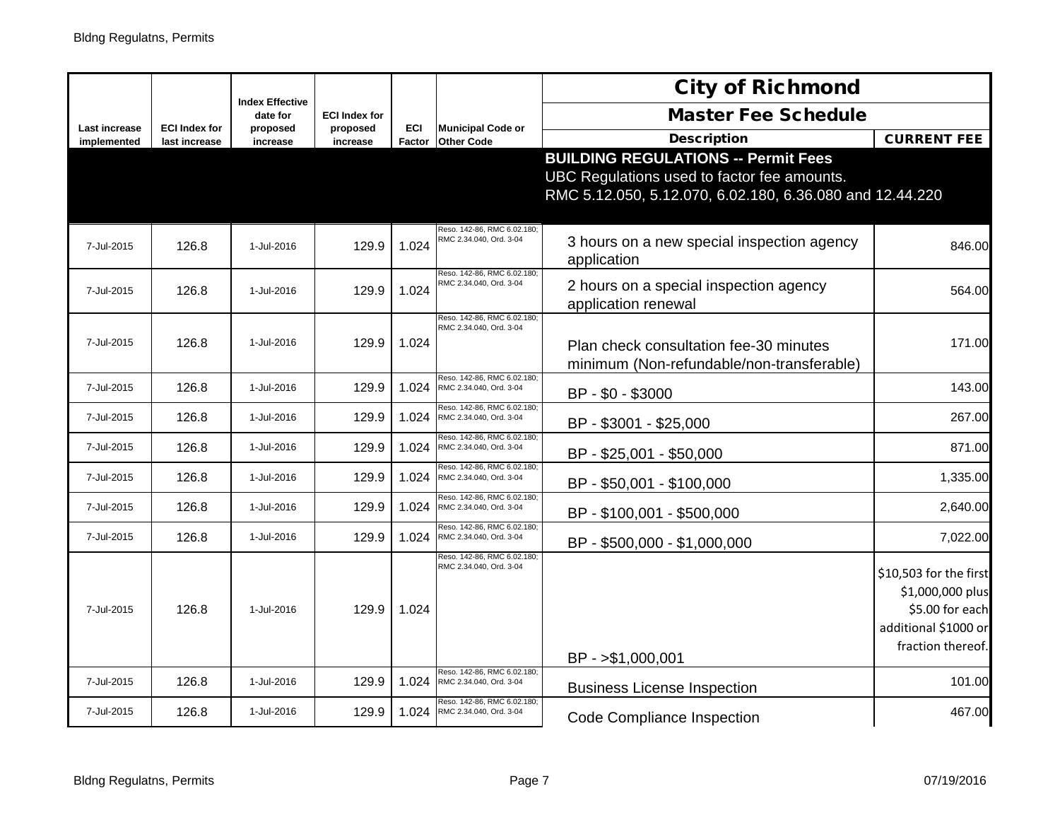|                              |                                       |                                    |                      |                      |                                                        | <b>City of Richmond</b>                                  |                                     |
|------------------------------|---------------------------------------|------------------------------------|----------------------|----------------------|--------------------------------------------------------|----------------------------------------------------------|-------------------------------------|
|                              |                                       | <b>Index Effective</b><br>date for | <b>ECI Index for</b> |                      |                                                        | <b>Master Fee Schedule</b>                               |                                     |
| Last increase<br>implemented | <b>ECI Index for</b><br>last increase | proposed<br>increase               | proposed<br>increase | <b>ECI</b><br>Factor | <b>Municipal Code or</b><br><b>Other Code</b>          | <b>Description</b>                                       | <b>CURRENT FEE</b>                  |
|                              |                                       |                                    |                      |                      |                                                        | <b>BUILDING REGULATIONS -- Permit Fees</b>               |                                     |
|                              |                                       |                                    |                      |                      |                                                        | UBC Regulations used to factor fee amounts.              |                                     |
|                              |                                       |                                    |                      |                      |                                                        | RMC 5.12.050, 5.12.070, 6.02.180, 6.36.080 and 12.44.220 |                                     |
|                              |                                       |                                    |                      |                      | Reso. 142-86, RMC 6.02.180;                            |                                                          |                                     |
| 7-Jul-2015                   | 126.8                                 | 1-Jul-2016                         | 129.9                | 1.024                | RMC 2.34.040, Ord. 3-04                                | 3 hours on a new special inspection agency               | 846.00                              |
|                              |                                       |                                    |                      |                      | Reso. 142-86, RMC 6.02.180:                            | application                                              |                                     |
| 7-Jul-2015                   | 126.8                                 | 1-Jul-2016                         | 129.9                | 1.024                | RMC 2.34.040, Ord. 3-04                                | 2 hours on a special inspection agency                   | 564.00                              |
|                              |                                       |                                    |                      |                      |                                                        | application renewal                                      |                                     |
|                              |                                       |                                    |                      |                      | Reso. 142-86, RMC 6.02.180<br>RMC 2.34.040, Ord. 3-04  |                                                          |                                     |
| 7-Jul-2015                   | 126.8                                 | 1-Jul-2016                         | 129.9                | 1.024                |                                                        | Plan check consultation fee-30 minutes                   | 171.00                              |
|                              |                                       |                                    |                      |                      |                                                        | minimum (Non-refundable/non-transferable)                |                                     |
| 7-Jul-2015                   | 126.8                                 | 1-Jul-2016                         | 129.9                | 1.024                | Reso. 142-86, RMC 6.02.180<br>RMC 2.34.040, Ord. 3-04  | BP - \$0 - \$3000                                        | 143.00                              |
| 7-Jul-2015                   | 126.8                                 | 1-Jul-2016                         | 129.9                | 1.024                | Reso. 142-86, RMC 6.02.180;<br>RMC 2.34.040, Ord. 3-04 |                                                          | 267.00                              |
|                              |                                       |                                    |                      |                      | Reso, 142-86, RMC 6.02.180                             | BP - \$3001 - \$25,000                                   |                                     |
| 7-Jul-2015                   | 126.8                                 | 1-Jul-2016                         | 129.9                | 1.024                | RMC 2.34.040, Ord. 3-04                                | BP - \$25,001 - \$50,000                                 | 871.00                              |
| 7-Jul-2015                   | 126.8                                 | 1-Jul-2016                         | 129.9                | 1.024                | Reso, 142-86, RMC 6.02.180<br>RMC 2.34.040, Ord. 3-04  | BP - \$50,001 - \$100,000                                | 1,335.00                            |
| 7-Jul-2015                   | 126.8                                 | 1-Jul-2016                         | 129.9                |                      | Reso. 142-86, RMC 6.02.180:                            |                                                          |                                     |
|                              |                                       |                                    |                      | 1.024                | RMC 2.34.040, Ord. 3-04<br>Reso. 142-86, RMC 6.02.180: | BP - \$100,001 - \$500,000                               | 2,640.00                            |
| 7-Jul-2015                   | 126.8                                 | 1-Jul-2016                         | 129.9                | 1.024                | RMC 2.34.040, Ord. 3-04                                | BP - \$500,000 - \$1,000,000                             | 7,022.00                            |
|                              |                                       |                                    |                      |                      | Reso. 142-86, RMC 6.02.180<br>RMC 2.34.040, Ord. 3-04  |                                                          |                                     |
|                              |                                       |                                    |                      |                      |                                                        |                                                          | \$10,503 for the first              |
| 7-Jul-2015                   | 126.8                                 | 1-Jul-2016                         | 129.9                |                      |                                                        |                                                          | \$1,000,000 plus<br>\$5.00 for each |
|                              |                                       |                                    |                      | 1.024                |                                                        |                                                          | additional \$1000 or                |
|                              |                                       |                                    |                      |                      |                                                        |                                                          | fraction thereof.                   |
|                              |                                       |                                    |                      |                      |                                                        | BP - > \$1,000,001                                       |                                     |
| 7-Jul-2015                   | 126.8                                 | 1-Jul-2016                         | 129.9                | 1.024                | Reso. 142-86, RMC 6.02.180<br>RMC 2.34.040, Ord. 3-04  | <b>Business License Inspection</b>                       | 101.00                              |
| 7-Jul-2015                   | 126.8                                 | 1-Jul-2016                         | 129.9                | 1.024                | Reso. 142-86, RMC 6.02.180:<br>RMC 2.34.040, Ord. 3-04 |                                                          | 467.00                              |
|                              |                                       |                                    |                      |                      |                                                        | <b>Code Compliance Inspection</b>                        |                                     |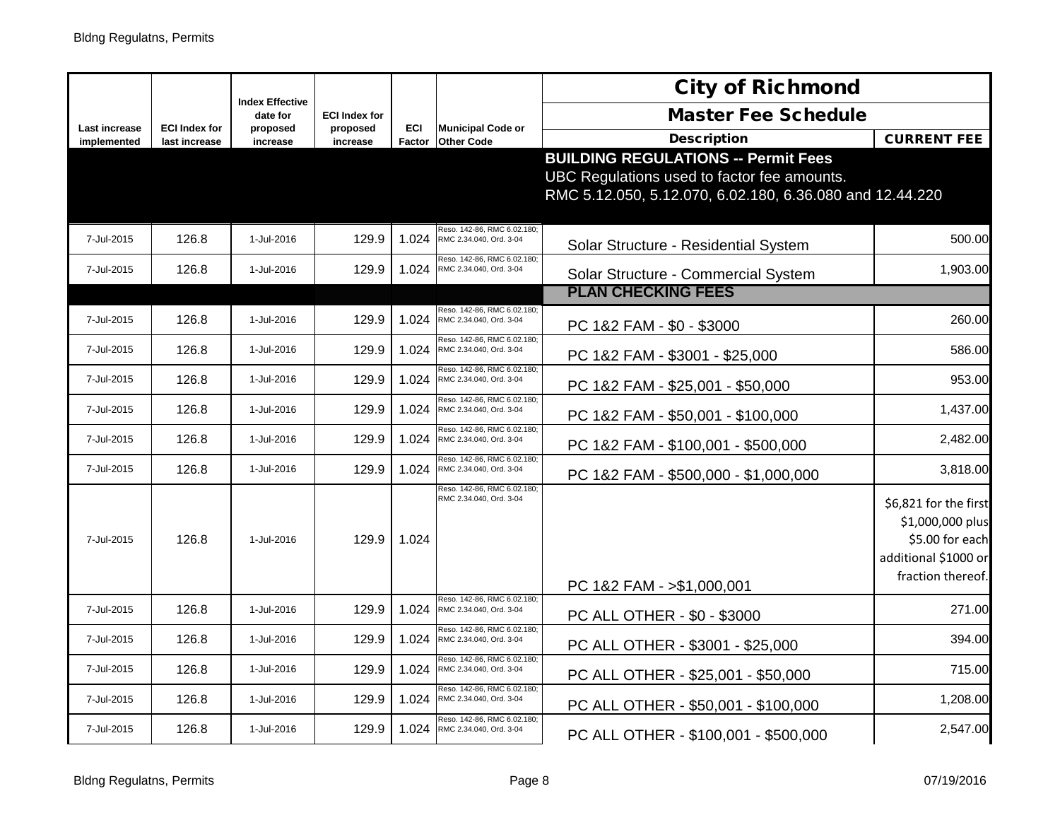|                              |                                       |                                    |                      |                      |                                                        | <b>City of Richmond</b>                                                                                                                               |                                                                                                           |
|------------------------------|---------------------------------------|------------------------------------|----------------------|----------------------|--------------------------------------------------------|-------------------------------------------------------------------------------------------------------------------------------------------------------|-----------------------------------------------------------------------------------------------------------|
|                              |                                       | <b>Index Effective</b><br>date for | <b>ECI Index for</b> |                      |                                                        | <b>Master Fee Schedule</b>                                                                                                                            |                                                                                                           |
| Last increase<br>implemented | <b>ECI Index for</b><br>last increase | proposed<br>increase               | proposed<br>increase | <b>ECI</b><br>Factor | <b>Municipal Code or</b><br><b>Other Code</b>          | <b>Description</b>                                                                                                                                    | <b>CURRENT FEE</b>                                                                                        |
|                              |                                       |                                    |                      |                      |                                                        | <b>BUILDING REGULATIONS -- Permit Fees</b><br>UBC Regulations used to factor fee amounts.<br>RMC 5.12.050, 5.12.070, 6.02.180, 6.36.080 and 12.44.220 |                                                                                                           |
| 7-Jul-2015                   | 126.8                                 | 1-Jul-2016                         | 129.9                | 1.024                | Reso. 142-86, RMC 6.02.180;<br>RMC 2.34.040, Ord. 3-04 | Solar Structure - Residential System                                                                                                                  | 500.00                                                                                                    |
| 7-Jul-2015                   | 126.8                                 | 1-Jul-2016                         | 129.9                | 1.024                | Reso. 142-86, RMC 6.02.180:<br>RMC 2.34.040, Ord. 3-04 | Solar Structure - Commercial System                                                                                                                   | 1,903.00                                                                                                  |
|                              |                                       |                                    |                      |                      |                                                        | <b>PLAN CHECKING FEES</b>                                                                                                                             |                                                                                                           |
| 7-Jul-2015                   | 126.8                                 | 1-Jul-2016                         | 129.9                | 1.024                | Reso. 142-86, RMC 6.02.180;<br>RMC 2.34.040, Ord. 3-04 | PC 1&2 FAM - \$0 - \$3000                                                                                                                             | 260.00                                                                                                    |
| 7-Jul-2015                   | 126.8                                 | 1-Jul-2016                         | 129.9                | 1.024                | Reso. 142-86, RMC 6.02.180:<br>RMC 2.34.040, Ord. 3-04 | PC 1&2 FAM - \$3001 - \$25,000                                                                                                                        | 586.00                                                                                                    |
| 7-Jul-2015                   | 126.8                                 | 1-Jul-2016                         | 129.9                | 1.024                | Reso. 142-86, RMC 6.02.180:<br>RMC 2.34.040, Ord. 3-04 | PC 1&2 FAM - \$25,001 - \$50,000                                                                                                                      | 953.00                                                                                                    |
| 7-Jul-2015                   | 126.8                                 | 1-Jul-2016                         | 129.9                | 1.024                | Reso. 142-86, RMC 6.02.180<br>RMC 2.34.040, Ord. 3-04  | PC 1&2 FAM - \$50,001 - \$100,000                                                                                                                     | 1,437.00                                                                                                  |
| 7-Jul-2015                   | 126.8                                 | 1-Jul-2016                         | 129.9                | 1.024                | Reso. 142-86, RMC 6.02.180;<br>RMC 2.34.040, Ord. 3-04 | PC 1&2 FAM - \$100,001 - \$500,000                                                                                                                    | 2,482.00                                                                                                  |
| 7-Jul-2015                   | 126.8                                 | 1-Jul-2016                         | 129.9                | 1.024                | Reso. 142-86, RMC 6.02.180<br>RMC 2.34.040, Ord. 3-04  | PC 1&2 FAM - \$500,000 - \$1,000,000                                                                                                                  | 3,818.00                                                                                                  |
| 7-Jul-2015                   | 126.8                                 | 1-Jul-2016                         | 129.9                | 1.024                | Reso. 142-86, RMC 6.02.180;<br>RMC 2.34.040, Ord. 3-04 | PC 1&2 FAM - >\$1,000,001                                                                                                                             | \$6,821 for the first<br>\$1,000,000 plus<br>\$5.00 for each<br>additional \$1000 or<br>fraction thereof. |
| 7-Jul-2015                   | 126.8                                 | 1-Jul-2016                         | 129.9                | 1.024                | Reso. 142-86, RMC 6.02.180;<br>RMC 2.34.040, Ord. 3-04 | PC ALL OTHER - \$0 - \$3000                                                                                                                           | 271.00                                                                                                    |
| 7-Jul-2015                   | 126.8                                 | 1-Jul-2016                         | 129.9                | 1.024                | Reso. 142-86, RMC 6.02.180;<br>RMC 2.34.040, Ord. 3-04 | PC ALL OTHER - \$3001 - \$25,000                                                                                                                      | 394.00                                                                                                    |
| 7-Jul-2015                   | 126.8                                 | 1-Jul-2016                         | 129.9                | 1.024                | Reso. 142-86, RMC 6.02.180<br>RMC 2.34.040, Ord. 3-04  | PC ALL OTHER - \$25,001 - \$50,000                                                                                                                    | 715.00                                                                                                    |
| 7-Jul-2015                   | 126.8                                 | 1-Jul-2016                         | 129.9                | 1.024                | Reso. 142-86, RMC 6.02.180;<br>RMC 2.34.040, Ord. 3-04 | PC ALL OTHER - \$50,001 - \$100,000                                                                                                                   | 1,208.00                                                                                                  |
| 7-Jul-2015                   | 126.8                                 | 1-Jul-2016                         | 129.9                | 1.024                | Reso, 142-86, RMC 6.02.180;<br>RMC 2.34.040, Ord. 3-04 | PC ALL OTHER - \$100,001 - \$500,000                                                                                                                  | 2,547.00                                                                                                  |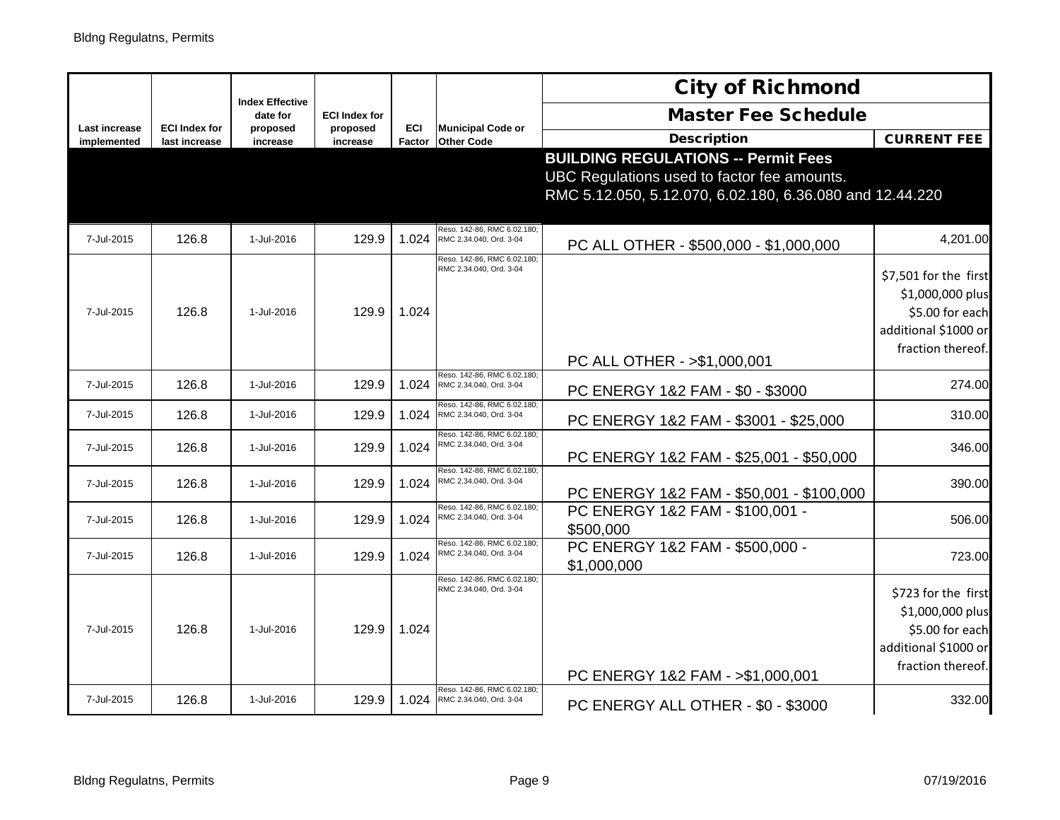|                                     |                                       | <b>Index Effective</b> |                      |               |                                                        | <b>City of Richmond</b>                                  |                       |
|-------------------------------------|---------------------------------------|------------------------|----------------------|---------------|--------------------------------------------------------|----------------------------------------------------------|-----------------------|
|                                     |                                       | date for               | <b>ECI Index for</b> |               |                                                        | <b>Master Fee Schedule</b>                               |                       |
| <b>Last increase</b><br>implemented | <b>ECI Index for</b><br>last increase | proposed<br>increase   | proposed<br>increase | ECI<br>Factor | <b>Municipal Code or</b><br><b>Other Code</b>          | <b>Description</b>                                       | <b>CURRENT FEE</b>    |
|                                     |                                       |                        |                      |               |                                                        | <b>BUILDING REGULATIONS -- Permit Fees</b>               |                       |
|                                     |                                       |                        |                      |               |                                                        | UBC Regulations used to factor fee amounts.              |                       |
|                                     |                                       |                        |                      |               |                                                        | RMC 5.12.050, 5.12.070, 6.02.180, 6.36.080 and 12.44.220 |                       |
|                                     |                                       |                        |                      |               |                                                        |                                                          |                       |
| 7-Jul-2015                          | 126.8                                 | 1-Jul-2016             | 129.9                | 1.024         | Reso. 142-86, RMC 6.02.180;<br>RMC 2.34.040, Ord. 3-04 |                                                          | 4,201.00              |
|                                     |                                       |                        |                      |               | Reso. 142-86, RMC 6.02.180;                            | PC ALL OTHER - \$500,000 - \$1,000,000                   |                       |
|                                     |                                       |                        |                      |               | RMC 2.34.040, Ord. 3-04                                |                                                          | \$7,501 for the first |
|                                     |                                       |                        |                      |               |                                                        |                                                          | \$1,000,000 plus      |
| 7-Jul-2015                          | 126.8                                 | 1-Jul-2016             | 129.9                | 1.024         |                                                        |                                                          | \$5.00 for each       |
|                                     |                                       |                        |                      |               |                                                        |                                                          | additional \$1000 or  |
|                                     |                                       |                        |                      |               |                                                        |                                                          | fraction thereof.     |
|                                     |                                       |                        |                      |               |                                                        | PC ALL OTHER - > \$1,000,001                             |                       |
| 7-Jul-2015                          | 126.8                                 | 1-Jul-2016             | 129.9                | 1.024         | Reso. 142-86, RMC 6.02.180;<br>RMC 2.34.040, Ord. 3-04 | PC ENERGY 1&2 FAM - \$0 - \$3000                         | 274.00                |
|                                     |                                       | 1-Jul-2016             | 129.9                |               | Reso. 142-86, RMC 6.02.180:                            |                                                          |                       |
| 7-Jul-2015                          | 126.8                                 |                        |                      | 1.024         | RMC 2.34.040, Ord. 3-04                                | PC ENERGY 1&2 FAM - \$3001 - \$25,000                    | 310.00                |
| 7-Jul-2015                          | 126.8                                 | 1-Jul-2016             | 129.9                | 1.024         | Reso, 142-86, RMC 6.02.180<br>RMC 2.34.040, Ord. 3-04  |                                                          | 346.00                |
|                                     |                                       |                        |                      |               | Reso. 142-86, RMC 6.02.180;                            | PC ENERGY 1&2 FAM - \$25,001 - \$50,000                  |                       |
| 7-Jul-2015                          | 126.8                                 | 1-Jul-2016             | 129.9                | 1.024         | RMC 2.34.040, Ord. 3-04                                |                                                          | 390.00                |
|                                     |                                       |                        |                      |               | Reso. 142-86, RMC 6.02.180;                            | PC ENERGY 1&2 FAM - \$50,001 - \$100,000                 |                       |
| 7-Jul-2015                          | 126.8                                 | 1-Jul-2016             | 129.9                | 1.024         | RMC 2.34.040, Ord. 3-04                                | PC ENERGY 1&2 FAM - \$100,001 -                          | 506.00                |
|                                     |                                       |                        |                      |               | Reso, 142-86, RMC 6.02.180:                            | \$500,000<br>PC ENERGY 1&2 FAM - \$500,000 -             |                       |
| 7-Jul-2015                          | 126.8                                 | 1-Jul-2016             | 129.9                | 1.024         | RMC 2.34.040, Ord. 3-04                                | \$1,000,000                                              | 723.00                |
|                                     |                                       |                        |                      |               | Reso. 142-86, RMC 6.02.180                             |                                                          |                       |
|                                     |                                       |                        |                      |               | RMC 2.34.040, Ord. 3-04                                |                                                          | \$723 for the first   |
|                                     |                                       |                        |                      |               |                                                        |                                                          | \$1,000,000 plus      |
| 7-Jul-2015                          | 126.8                                 | 1-Jul-2016             | 129.9                | 1.024         |                                                        |                                                          | \$5.00 for each       |
|                                     |                                       |                        |                      |               |                                                        |                                                          | additional \$1000 or  |
|                                     |                                       |                        |                      |               |                                                        | PC ENERGY 1&2 FAM - > \$1,000,001                        | fraction thereof.     |
| 7-Jul-2015                          | 126.8                                 | 1-Jul-2016             | 129.9                | 1.024         | Reso. 142-86, RMC 6.02.180;<br>RMC 2.34.040, Ord. 3-04 |                                                          | 332.00                |
|                                     |                                       |                        |                      |               |                                                        | PC ENERGY ALL OTHER - \$0 - \$3000                       |                       |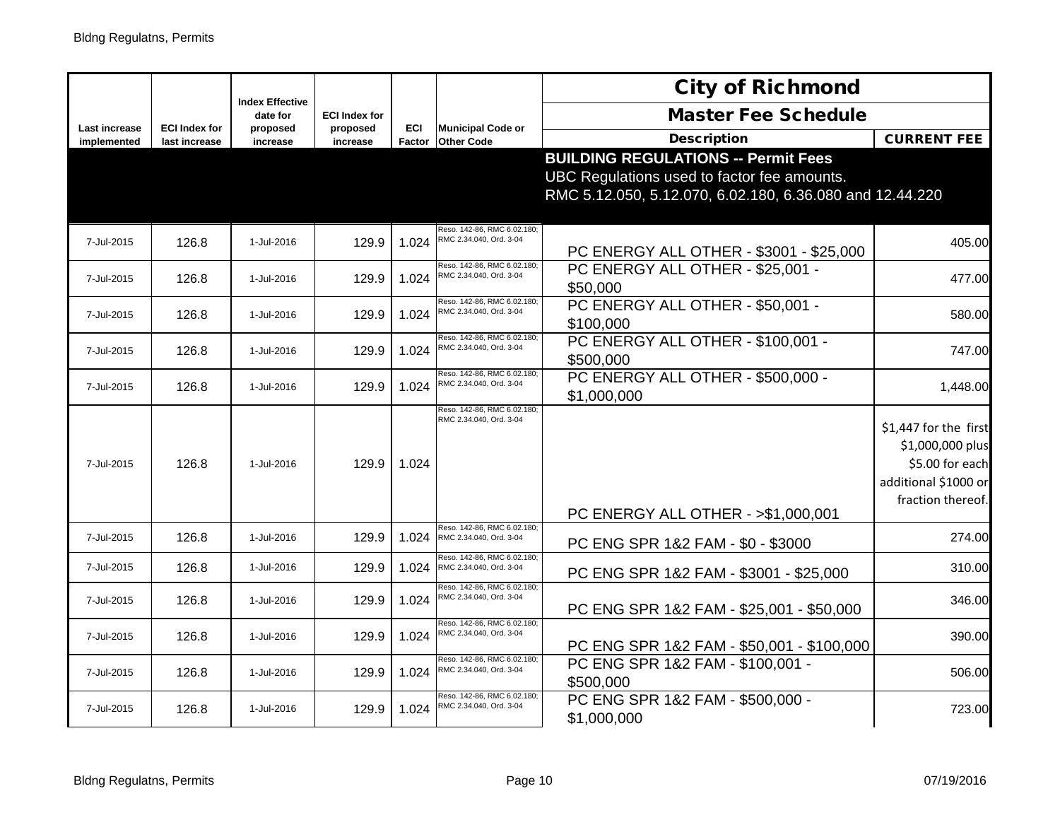|                              |                                       |                                    |                      |                      |                                                        | <b>City of Richmond</b>                                                                                                                               |                                                                                                           |
|------------------------------|---------------------------------------|------------------------------------|----------------------|----------------------|--------------------------------------------------------|-------------------------------------------------------------------------------------------------------------------------------------------------------|-----------------------------------------------------------------------------------------------------------|
|                              |                                       | <b>Index Effective</b><br>date for | <b>ECI Index for</b> |                      |                                                        | <b>Master Fee Schedule</b>                                                                                                                            |                                                                                                           |
| Last increase<br>implemented | <b>ECI Index for</b><br>last increase | proposed<br>increase               | proposed<br>increase | <b>ECI</b><br>Factor | <b>Municipal Code or</b><br><b>Other Code</b>          | <b>Description</b>                                                                                                                                    | <b>CURRENT FEE</b>                                                                                        |
|                              |                                       |                                    |                      |                      |                                                        | <b>BUILDING REGULATIONS -- Permit Fees</b><br>UBC Regulations used to factor fee amounts.<br>RMC 5.12.050, 5.12.070, 6.02.180, 6.36.080 and 12.44.220 |                                                                                                           |
| 7-Jul-2015                   | 126.8                                 | 1-Jul-2016                         | 129.9                | 1.024                | Reso. 142-86, RMC 6.02.180;<br>RMC 2.34.040, Ord. 3-04 | PC ENERGY ALL OTHER - \$3001 - \$25,000                                                                                                               | 405.00                                                                                                    |
| 7-Jul-2015                   | 126.8                                 | 1-Jul-2016                         | 129.9                | 1.024                | Reso. 142-86, RMC 6.02.180:<br>RMC 2.34.040, Ord. 3-04 | PC ENERGY ALL OTHER - \$25,001 -<br>\$50,000                                                                                                          | 477.00                                                                                                    |
| 7-Jul-2015                   | 126.8                                 | 1-Jul-2016                         | 129.9                | 1.024                | Reso. 142-86, RMC 6.02.180;<br>RMC 2.34.040, Ord. 3-04 | PC ENERGY ALL OTHER - \$50,001 -<br>\$100,000                                                                                                         | 580.00                                                                                                    |
| 7-Jul-2015                   | 126.8                                 | 1-Jul-2016                         | 129.9                | 1.024                | Reso. 142-86, RMC 6.02.180:<br>RMC 2.34.040, Ord. 3-04 | PC ENERGY ALL OTHER - \$100,001 -<br>\$500,000                                                                                                        | 747.00                                                                                                    |
| 7-Jul-2015                   | 126.8                                 | 1-Jul-2016                         | 129.9                | 1.024                | Reso. 142-86, RMC 6.02.180;<br>RMC 2.34.040, Ord. 3-04 | PC ENERGY ALL OTHER - \$500,000 -<br>\$1,000,000                                                                                                      | 1,448.00                                                                                                  |
| 7-Jul-2015                   | 126.8                                 | 1-Jul-2016                         | 129.9                | 1.024                | Reso. 142-86, RMC 6.02.180;<br>RMC 2.34.040, Ord. 3-04 | PC ENERGY ALL OTHER - >\$1,000,001                                                                                                                    | \$1,447 for the first<br>\$1,000,000 plus<br>\$5.00 for each<br>additional \$1000 or<br>fraction thereof. |
| 7-Jul-2015                   | 126.8                                 | 1-Jul-2016                         | 129.9                | 1.024                | Reso. 142-86, RMC 6.02.180;<br>RMC 2.34.040, Ord. 3-04 | PC ENG SPR 1&2 FAM - \$0 - \$3000                                                                                                                     | 274.00                                                                                                    |
| 7-Jul-2015                   | 126.8                                 | 1-Jul-2016                         | 129.9                | 1.024                | Reso. 142-86, RMC 6.02.180<br>RMC 2.34.040, Ord. 3-04  | PC ENG SPR 1&2 FAM - \$3001 - \$25,000                                                                                                                | 310.00                                                                                                    |
| 7-Jul-2015                   | 126.8                                 | 1-Jul-2016                         | 129.9                | 1.024                | Reso. 142-86, RMC 6.02.180;<br>RMC 2.34.040, Ord. 3-04 | PC ENG SPR 1&2 FAM - \$25,001 - \$50,000                                                                                                              | 346.00                                                                                                    |
| 7-Jul-2015                   | 126.8                                 | 1-Jul-2016                         | 129.9                | 1.024                | Reso. 142-86, RMC 6.02.180:<br>RMC 2.34.040, Ord. 3-04 | PC ENG SPR 1&2 FAM - \$50,001 - \$100,000                                                                                                             | 390.00                                                                                                    |
| 7-Jul-2015                   | 126.8                                 | 1-Jul-2016                         | 129.9                | 1.024                | Reso, 142-86, RMC 6.02.180<br>RMC 2.34.040, Ord. 3-04  | PC ENG SPR 1&2 FAM - \$100,001 -<br>\$500,000                                                                                                         | 506.00                                                                                                    |
| 7-Jul-2015                   | 126.8                                 | 1-Jul-2016                         | 129.9                | 1.024                | Reso. 142-86, RMC 6.02.180:<br>RMC 2.34.040, Ord. 3-04 | PC ENG SPR 1&2 FAM - \$500,000 -<br>\$1,000,000                                                                                                       | 723.00                                                                                                    |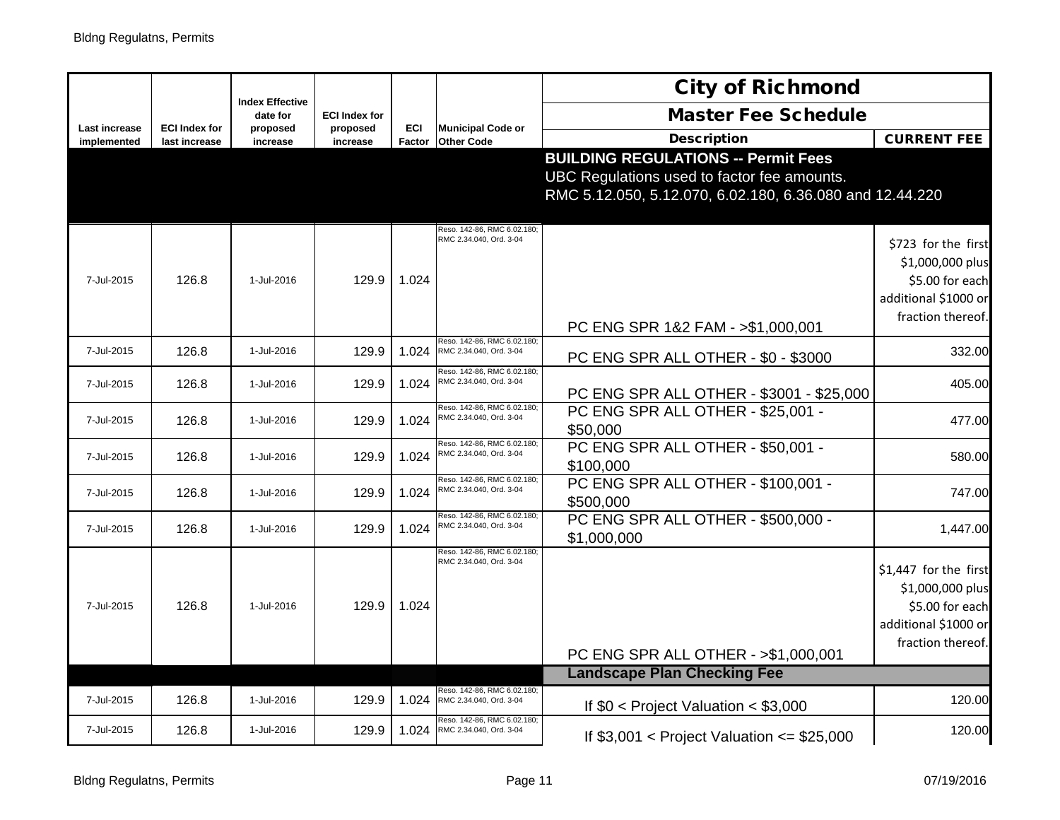|                                     |                                       |                                    |                      |               |                                                        | <b>City of Richmond</b>                                                                                                                               |                                                                                                           |
|-------------------------------------|---------------------------------------|------------------------------------|----------------------|---------------|--------------------------------------------------------|-------------------------------------------------------------------------------------------------------------------------------------------------------|-----------------------------------------------------------------------------------------------------------|
|                                     |                                       | <b>Index Effective</b><br>date for | <b>ECI Index for</b> |               |                                                        | <b>Master Fee Schedule</b>                                                                                                                            |                                                                                                           |
| <b>Last increase</b><br>implemented | <b>ECI Index for</b><br>last increase | proposed<br>increase               | proposed<br>increase | ECI<br>Factor | <b>Municipal Code or</b><br><b>Other Code</b>          | <b>Description</b>                                                                                                                                    | <b>CURRENT FEE</b>                                                                                        |
|                                     |                                       |                                    |                      |               |                                                        | <b>BUILDING REGULATIONS -- Permit Fees</b><br>UBC Regulations used to factor fee amounts.<br>RMC 5.12.050, 5.12.070, 6.02.180, 6.36.080 and 12.44.220 |                                                                                                           |
| 7-Jul-2015                          | 126.8                                 | 1-Jul-2016                         | 129.9                | 1.024         | Reso. 142-86, RMC 6.02.180;<br>RMC 2.34.040, Ord. 3-04 | PC ENG SPR 1&2 FAM - >\$1,000,001                                                                                                                     | \$723 for the first<br>\$1,000,000 plus<br>\$5.00 for each<br>additional \$1000 or<br>fraction thereof.   |
| 7-Jul-2015                          | 126.8                                 | 1-Jul-2016                         | 129.9                | 1.024         | Reso, 142-86, RMC 6.02.180;<br>RMC 2.34.040, Ord. 3-04 | PC ENG SPR ALL OTHER - \$0 - \$3000                                                                                                                   | 332.00                                                                                                    |
| 7-Jul-2015                          | 126.8                                 | 1-Jul-2016                         | 129.9                | 1.024         | Reso. 142-86, RMC 6.02.180;<br>RMC 2.34.040, Ord. 3-04 | PC ENG SPR ALL OTHER - \$3001 - \$25,000                                                                                                              | 405.00                                                                                                    |
| 7-Jul-2015                          | 126.8                                 | 1-Jul-2016                         | 129.9                | 1.024         | Reso. 142-86, RMC 6.02.180;<br>RMC 2.34.040, Ord. 3-04 | PC ENG SPR ALL OTHER - \$25,001 -<br>\$50,000                                                                                                         | 477.00                                                                                                    |
| 7-Jul-2015                          | 126.8                                 | 1-Jul-2016                         | 129.9                | 1.024         | Reso. 142-86, RMC 6.02.180;<br>RMC 2.34.040, Ord. 3-04 | PC ENG SPR ALL OTHER - \$50,001 -<br>\$100,000                                                                                                        | 580.00                                                                                                    |
| 7-Jul-2015                          | 126.8                                 | 1-Jul-2016                         | 129.9                | 1.024         | Reso. 142-86, RMC 6.02.180;<br>RMC 2.34.040, Ord. 3-04 | PC ENG SPR ALL OTHER - \$100,001 -<br>\$500,000                                                                                                       | 747.00                                                                                                    |
| 7-Jul-2015                          | 126.8                                 | 1-Jul-2016                         | 129.9                | 1.024         | Reso. 142-86, RMC 6.02.180<br>RMC 2.34.040, Ord. 3-04  | PC ENG SPR ALL OTHER - \$500,000 -<br>\$1,000,000                                                                                                     | 1,447.00                                                                                                  |
| 7-Jul-2015                          | 126.8                                 | 1-Jul-2016                         | 129.9                | 1.024         | Reso. 142-86, RMC 6.02.180:<br>RMC 2.34.040, Ord. 3-04 |                                                                                                                                                       | \$1,447 for the first<br>\$1,000,000 plus<br>\$5.00 for each<br>additional \$1000 or<br>fraction thereof. |
|                                     |                                       |                                    |                      |               |                                                        | PC ENG SPR ALL OTHER - > \$1,000,001                                                                                                                  |                                                                                                           |
|                                     |                                       |                                    |                      |               | Reso. 142-86, RMC 6.02.180;                            | <b>Landscape Plan Checking Fee</b>                                                                                                                    |                                                                                                           |
| 7-Jul-2015                          | 126.8                                 | 1-Jul-2016                         | 129.9                | 1.024         | RMC 2.34.040, Ord. 3-04                                | If $$0 <$ Project Valuation $< $3,000$                                                                                                                | 120.00                                                                                                    |
| 7-Jul-2015                          | 126.8                                 | 1-Jul-2016                         | 129.9                | 1.024         | Reso. 142-86, RMC 6.02.180:<br>RMC 2.34.040, Ord. 3-04 | If $$3,001$ < Project Valuation <= \$25,000                                                                                                           | 120.00                                                                                                    |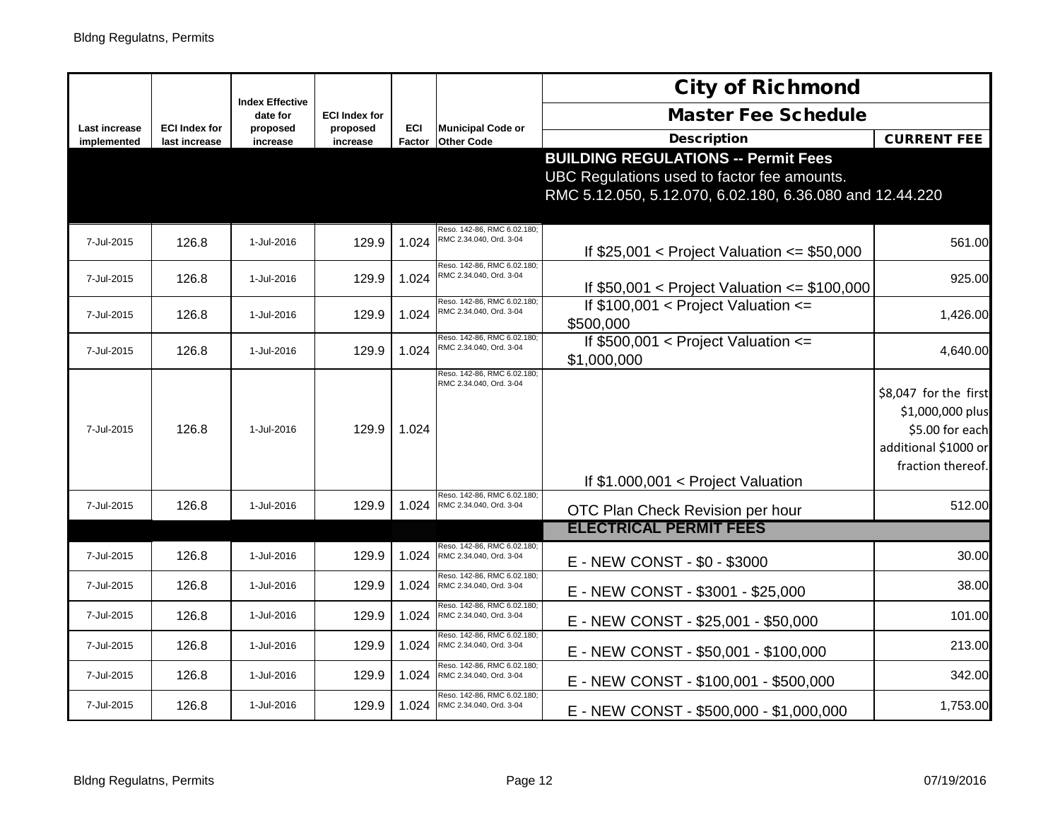|                              |                                       |                                    |                      |               |                                                                                     | <b>City of Richmond</b>                                                                                                                               |                                                                                                           |
|------------------------------|---------------------------------------|------------------------------------|----------------------|---------------|-------------------------------------------------------------------------------------|-------------------------------------------------------------------------------------------------------------------------------------------------------|-----------------------------------------------------------------------------------------------------------|
|                              |                                       | <b>Index Effective</b><br>date for | <b>ECI Index for</b> |               |                                                                                     | <b>Master Fee Schedule</b>                                                                                                                            |                                                                                                           |
| Last increase<br>implemented | <b>ECI Index for</b><br>last increase | proposed<br>increase               | proposed<br>increase | ECI<br>Factor | <b>Municipal Code or</b><br><b>Other Code</b>                                       | <b>Description</b>                                                                                                                                    | <b>CURRENT FEE</b>                                                                                        |
|                              |                                       |                                    |                      |               |                                                                                     | <b>BUILDING REGULATIONS -- Permit Fees</b><br>UBC Regulations used to factor fee amounts.<br>RMC 5.12.050, 5.12.070, 6.02.180, 6.36.080 and 12.44.220 |                                                                                                           |
| 7-Jul-2015                   | 126.8                                 | 1-Jul-2016                         | 129.9                | 1.024         | Reso. 142-86, RMC 6.02.180<br>RMC 2.34.040, Ord. 3-04                               | If $$25,001$ < Project Valuation <= \$50,000                                                                                                          | 561.00                                                                                                    |
| 7-Jul-2015                   | 126.8                                 | 1-Jul-2016                         | 129.9                | 1.024         | Reso. 142-86, RMC 6.02.180:<br>RMC 2.34.040, Ord. 3-04                              | If $$50,001$ < Project Valuation <= \$100,000                                                                                                         | 925.00                                                                                                    |
| 7-Jul-2015                   | 126.8                                 | 1-Jul-2016                         | 129.9                | 1.024         | Reso. 142-86, RMC 6.02.180:<br>RMC 2.34.040, Ord. 3-04                              | If $$100,001 <$ Project Valuation $\le$<br>\$500,000                                                                                                  | 1,426.00                                                                                                  |
| 7-Jul-2015                   | 126.8                                 | 1-Jul-2016                         | 129.9                | 1.024         | Reso. 142-86, RMC 6.02.180:<br>RMC 2.34.040, Ord. 3-04                              | If $$500,001$ < Project Valuation <=<br>\$1,000,000                                                                                                   | 4,640.00                                                                                                  |
| 7-Jul-2015                   | 126.8                                 | 1-Jul-2016                         | 129.9                | 1.024         | Reso. 142-86, RMC 6.02.180<br>RMC 2.34.040, Ord. 3-04                               | If $$1.000,001 <$ Project Valuation                                                                                                                   | \$8,047 for the first<br>\$1,000,000 plus<br>\$5.00 for each<br>additional \$1000 or<br>fraction thereof. |
| 7-Jul-2015                   | 126.8                                 | 1-Jul-2016                         | 129.9                | 1.024         | Reso. 142-86, RMC 6.02.180<br>RMC 2.34.040, Ord. 3-04                               | OTC Plan Check Revision per hour                                                                                                                      | 512.00                                                                                                    |
|                              |                                       |                                    |                      |               |                                                                                     | <b>ELECTRICAL PERMIT FEES</b>                                                                                                                         |                                                                                                           |
| 7-Jul-2015                   | 126.8                                 | 1-Jul-2016                         | 129.9                | 1.024         | Reso. 142-86, RMC 6.02.180<br>RMC 2.34.040, Ord. 3-04                               | E - NEW CONST - \$0 - \$3000                                                                                                                          | 30.00                                                                                                     |
| 7-Jul-2015                   | 126.8                                 | 1-Jul-2016                         | 129.9                | 1.024         | Reso. 142-86, RMC 6.02.180<br>RMC 2.34.040, Ord. 3-04<br>Reso. 142-86, RMC 6.02.180 | E - NEW CONST - \$3001 - \$25,000                                                                                                                     | 38.00                                                                                                     |
| 7-Jul-2015                   | 126.8                                 | 1-Jul-2016                         | 129.9                | 1.024         | RMC 2.34.040, Ord. 3-04                                                             | E - NEW CONST - \$25,001 - \$50,000                                                                                                                   | 101.00                                                                                                    |
| 7-Jul-2015                   | 126.8                                 | 1-Jul-2016                         | 129.9                | 1.024         | Reso. 142-86, RMC 6.02.180<br>RMC 2.34.040, Ord. 3-04                               | E - NEW CONST - \$50,001 - \$100,000                                                                                                                  | 213.00                                                                                                    |
| 7-Jul-2015                   | 126.8                                 | 1-Jul-2016                         | 129.9                | 1.024         | Reso. 142-86, RMC 6.02.180;<br>RMC 2.34.040, Ord. 3-04                              | E - NEW CONST - \$100,001 - \$500,000                                                                                                                 | 342.00                                                                                                    |
| 7-Jul-2015                   | 126.8                                 | 1-Jul-2016                         | 129.9                |               | Reso. 142-86, RMC 6.02.180<br>1.024 RMC 2.34.040, Ord. 3-04                         | E - NEW CONST - \$500,000 - \$1,000,000                                                                                                               | 1,753.00                                                                                                  |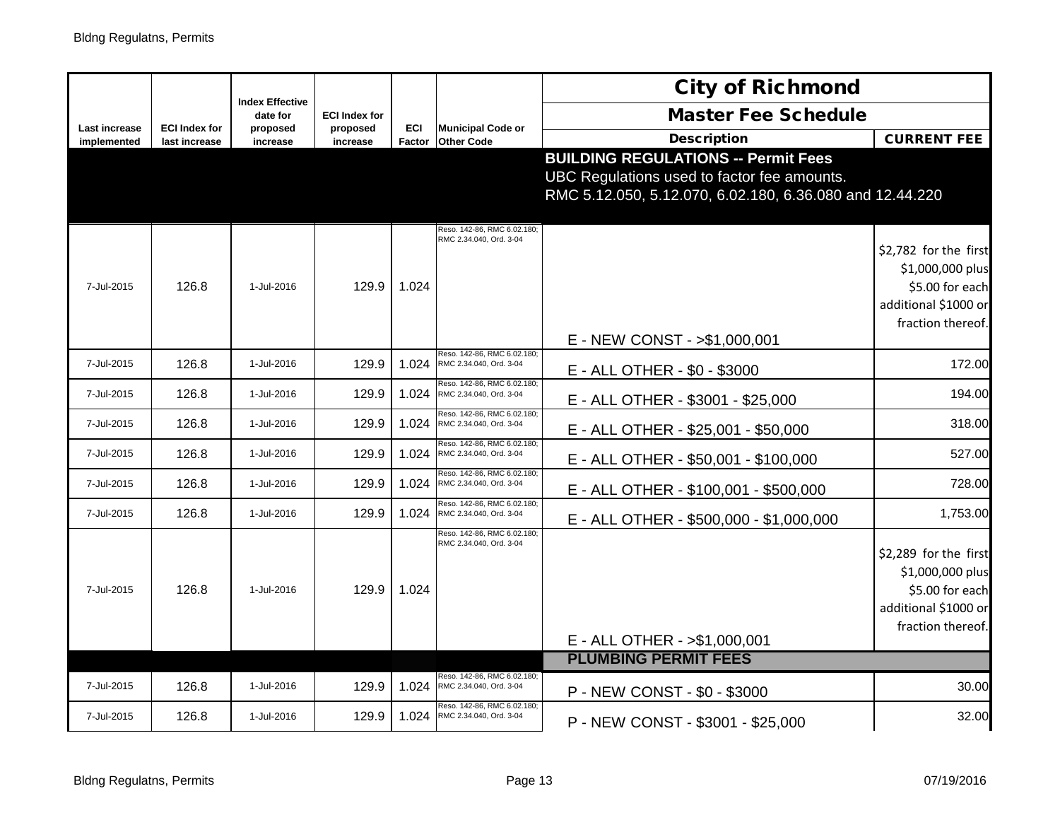|                              |                                       |                                    |                      |               |                                                        | <b>City of Richmond</b>                                                                                                                               |                                                                                                           |
|------------------------------|---------------------------------------|------------------------------------|----------------------|---------------|--------------------------------------------------------|-------------------------------------------------------------------------------------------------------------------------------------------------------|-----------------------------------------------------------------------------------------------------------|
|                              |                                       | <b>Index Effective</b><br>date for | <b>ECI Index for</b> |               |                                                        | <b>Master Fee Schedule</b>                                                                                                                            |                                                                                                           |
| Last increase<br>implemented | <b>ECI Index for</b><br>last increase | proposed<br>increase               | proposed<br>increase | ECI<br>Factor | <b>Municipal Code or</b><br><b>Other Code</b>          | <b>Description</b>                                                                                                                                    | <b>CURRENT FEE</b>                                                                                        |
|                              |                                       |                                    |                      |               |                                                        | <b>BUILDING REGULATIONS -- Permit Fees</b><br>UBC Regulations used to factor fee amounts.<br>RMC 5.12.050, 5.12.070, 6.02.180, 6.36.080 and 12.44.220 |                                                                                                           |
| 7-Jul-2015                   | 126.8                                 | 1-Jul-2016                         | 129.9                | 1.024         | Reso. 142-86, RMC 6.02.180;<br>RMC 2.34.040, Ord. 3-04 | E - NEW CONST - >\$1,000,001                                                                                                                          | \$2,782 for the first<br>\$1,000,000 plus<br>\$5.00 for each<br>additional \$1000 or<br>fraction thereof. |
| 7-Jul-2015                   | 126.8                                 | 1-Jul-2016                         | 129.9                | 1.024         | Reso. 142-86, RMC 6.02.180;<br>RMC 2.34.040, Ord. 3-04 | E - ALL OTHER - \$0 - \$3000                                                                                                                          | 172.00                                                                                                    |
| 7-Jul-2015                   | 126.8                                 | 1-Jul-2016                         | 129.9                | 1.024         | Reso. 142-86, RMC 6.02.180:<br>RMC 2.34.040, Ord. 3-04 | E - ALL OTHER - \$3001 - \$25,000                                                                                                                     | 194.00                                                                                                    |
| 7-Jul-2015                   | 126.8                                 | 1-Jul-2016                         | 129.9                | 1.024         | Reso. 142-86, RMC 6.02.180;<br>RMC 2.34.040, Ord. 3-04 | E - ALL OTHER - \$25,001 - \$50,000                                                                                                                   | 318.00                                                                                                    |
| 7-Jul-2015                   | 126.8                                 | 1-Jul-2016                         | 129.9                | 1.024         | Reso. 142-86, RMC 6.02.180;<br>RMC 2.34.040, Ord. 3-04 | E - ALL OTHER - \$50,001 - \$100,000                                                                                                                  | 527.00                                                                                                    |
| 7-Jul-2015                   | 126.8                                 | 1-Jul-2016                         | 129.9                | 1.024         | Reso. 142-86, RMC 6.02.180<br>RMC 2.34.040, Ord. 3-04  | E - ALL OTHER - \$100,001 - \$500,000                                                                                                                 | 728.00                                                                                                    |
| 7-Jul-2015                   | 126.8                                 | 1-Jul-2016                         | 129.9                | 1.024         | Reso. 142-86, RMC 6.02.180;<br>RMC 2.34.040, Ord. 3-04 | E - ALL OTHER - \$500,000 - \$1,000,000                                                                                                               | 1,753.00                                                                                                  |
| 7-Jul-2015                   | 126.8                                 | 1-Jul-2016                         | 129.9                | 1.024         | Reso. 142-86, RMC 6.02.180:<br>RMC 2.34.040, Ord. 3-04 | E - ALL OTHER - > \$1,000,001                                                                                                                         | \$2,289 for the first<br>\$1,000,000 plus<br>\$5.00 for each<br>additional \$1000 or<br>fraction thereof. |
|                              |                                       |                                    |                      |               |                                                        | <b>PLUMBING PERMIT FEES</b>                                                                                                                           |                                                                                                           |
| 7-Jul-2015                   | 126.8                                 | 1-Jul-2016                         | 129.9                | 1.024         | Reso. 142-86, RMC 6.02.180;<br>RMC 2.34.040, Ord. 3-04 | P - NEW CONST - \$0 - \$3000                                                                                                                          | 30.00                                                                                                     |
| 7-Jul-2015                   | 126.8                                 | 1-Jul-2016                         | 129.9                | 1.024         | Reso. 142-86, RMC 6.02.180;<br>RMC 2.34.040, Ord. 3-04 | P - NEW CONST - \$3001 - \$25,000                                                                                                                     | 32.00                                                                                                     |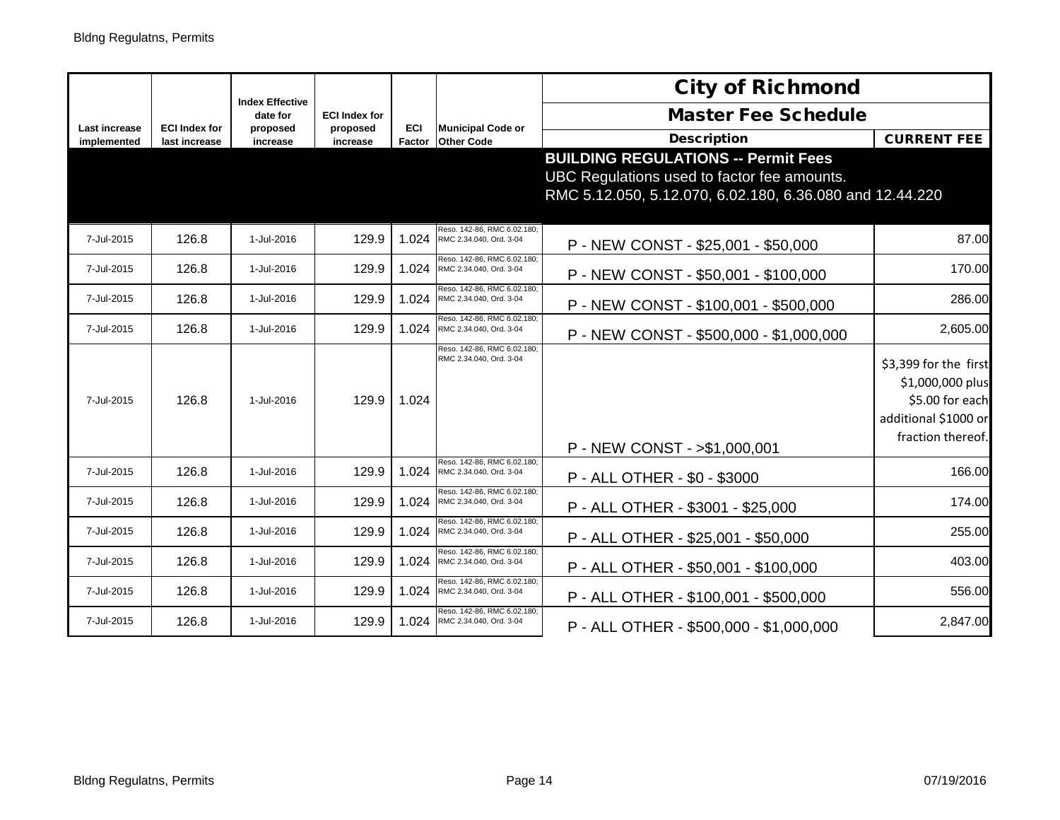|                              |                                       | <b>Index Effective</b> |                      |                      |                                                              | <b>City of Richmond</b>                                                                                                                               |                                                                                                           |
|------------------------------|---------------------------------------|------------------------|----------------------|----------------------|--------------------------------------------------------------|-------------------------------------------------------------------------------------------------------------------------------------------------------|-----------------------------------------------------------------------------------------------------------|
|                              |                                       | date for               | <b>ECI Index for</b> |                      |                                                              | <b>Master Fee Schedule</b>                                                                                                                            |                                                                                                           |
| Last increase<br>implemented | <b>ECI Index for</b><br>last increase | proposed<br>increase   | proposed<br>increase | <b>ECI</b><br>Factor | <b>Municipal Code or</b><br><b>Other Code</b>                | <b>Description</b>                                                                                                                                    | <b>CURRENT FEE</b>                                                                                        |
|                              |                                       |                        |                      |                      |                                                              | <b>BUILDING REGULATIONS -- Permit Fees</b><br>UBC Regulations used to factor fee amounts.<br>RMC 5.12.050, 5.12.070, 6.02.180, 6.36.080 and 12.44.220 |                                                                                                           |
| 7-Jul-2015                   | 126.8                                 | 1-Jul-2016             | 129.9                | 1.024                | Reso. 142-86, RMC 6.02.180;<br>RMC 2.34.040, Ord. 3-04       | P - NEW CONST - \$25,001 - \$50,000                                                                                                                   | 87.00                                                                                                     |
| 7-Jul-2015                   | 126.8                                 | 1-Jul-2016             | 129.9                | 1.024                | Reso. 142-86, RMC 6.02.180;<br>RMC 2.34.040, Ord. 3-04       | P - NEW CONST - \$50,001 - \$100,000                                                                                                                  | 170.00                                                                                                    |
| 7-Jul-2015                   | 126.8                                 | 1-Jul-2016             | 129.9                | 1.024                | Reso. 142-86, RMC 6.02.180;<br>RMC 2.34.040, Ord. 3-04       | P - NEW CONST - \$100,001 - \$500,000                                                                                                                 | 286.00                                                                                                    |
| 7-Jul-2015                   | 126.8                                 | 1-Jul-2016             | 129.9                | 1.024                | Reso. 142-86, RMC 6.02.180;<br>RMC 2.34.040, Ord. 3-04       | P - NEW CONST - \$500,000 - \$1,000,000                                                                                                               | 2,605.00                                                                                                  |
| 7-Jul-2015                   | 126.8                                 | 1-Jul-2016             | 129.9                | 1.024                | Reso, 142-86, RMC 6.02.180:<br>RMC 2.34.040, Ord. 3-04       |                                                                                                                                                       | \$3,399 for the first<br>\$1,000,000 plus<br>\$5.00 for each<br>additional \$1000 or<br>fraction thereof. |
|                              |                                       |                        |                      |                      | Reso. 142-86, RMC 6.02.180;                                  | P - NEW CONST - >\$1,000,001                                                                                                                          |                                                                                                           |
| 7-Jul-2015                   | 126.8                                 | 1-Jul-2016             | 129.9                | 1.024                | RMC 2.34.040, Ord. 3-04                                      | P - ALL OTHER - \$0 - \$3000                                                                                                                          | 166.00                                                                                                    |
| 7-Jul-2015                   | 126.8                                 | 1-Jul-2016             | 129.9                | 1.024                | Reso, 142-86, RMC 6.02.180:<br>RMC 2.34.040, Ord. 3-04       | P - ALL OTHER - \$3001 - \$25,000                                                                                                                     | 174.00                                                                                                    |
| 7-Jul-2015                   | 126.8                                 | 1-Jul-2016             | 129.9                |                      | Reso, 142-86, RMC 6.02.180:<br>1.024 RMC 2.34.040, Ord. 3-04 | P - ALL OTHER - \$25,001 - \$50,000                                                                                                                   | 255.00                                                                                                    |
| 7-Jul-2015                   | 126.8                                 | 1-Jul-2016             | 129.9                | 1.024                | Reso. 142-86, RMC 6.02.180;<br>RMC 2.34.040, Ord. 3-04       | P - ALL OTHER - \$50,001 - \$100,000                                                                                                                  | 403.00                                                                                                    |
| 7-Jul-2015                   | 126.8                                 | 1-Jul-2016             | 129.9                | 1.024                | Reso, 142-86, RMC 6.02.180:<br>RMC 2.34.040, Ord. 3-04       | P - ALL OTHER - \$100,001 - \$500,000                                                                                                                 | 556.00                                                                                                    |
| 7-Jul-2015                   | 126.8                                 | 1-Jul-2016             | 129.9                | 1.024                | Reso. 142-86, RMC 6.02.180;<br>RMC 2.34.040, Ord. 3-04       | P - ALL OTHER - \$500,000 - \$1,000,000                                                                                                               | 2,847.00                                                                                                  |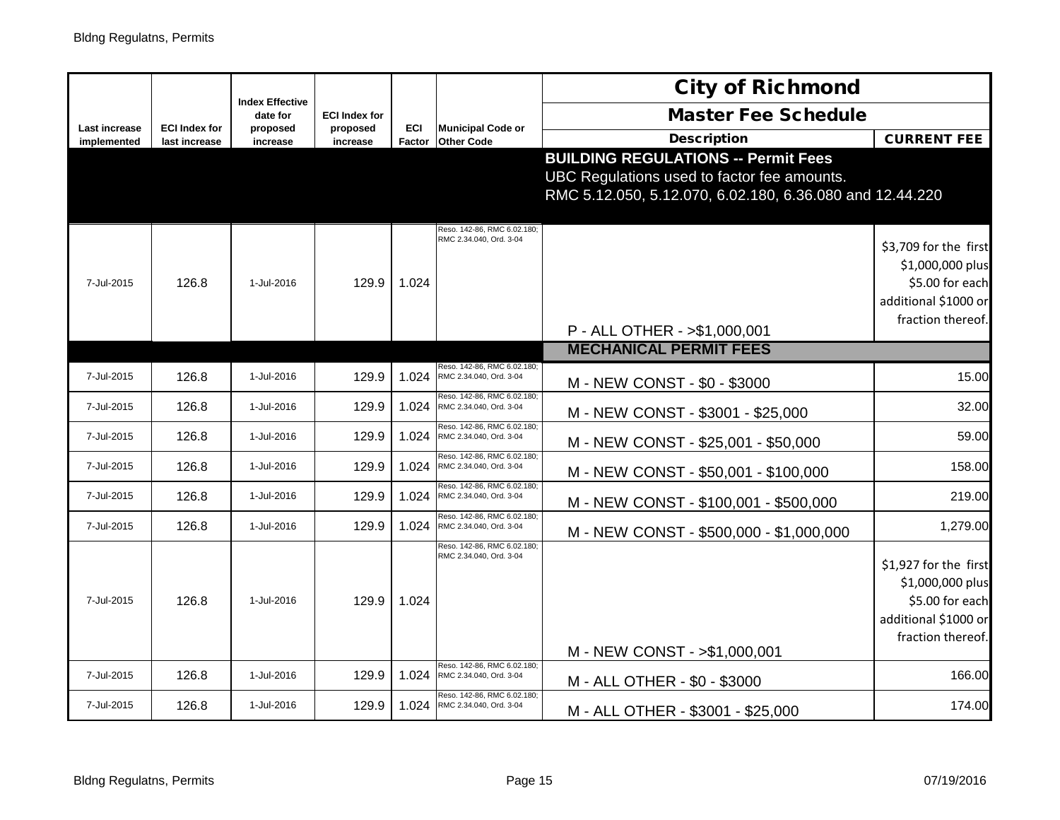|                                     |                                       |                                    |                      |                      |                                                        | <b>City of Richmond</b>                                                                                                                               |                                                                                                           |
|-------------------------------------|---------------------------------------|------------------------------------|----------------------|----------------------|--------------------------------------------------------|-------------------------------------------------------------------------------------------------------------------------------------------------------|-----------------------------------------------------------------------------------------------------------|
|                                     |                                       | <b>Index Effective</b><br>date for | <b>ECI Index for</b> |                      |                                                        | <b>Master Fee Schedule</b>                                                                                                                            |                                                                                                           |
| <b>Last increase</b><br>implemented | <b>ECI Index for</b><br>last increase | proposed<br>increase               | proposed<br>increase | <b>ECI</b><br>Factor | <b>Municipal Code or</b><br><b>Other Code</b>          | <b>Description</b>                                                                                                                                    | <b>CURRENT FEE</b>                                                                                        |
|                                     |                                       |                                    |                      |                      |                                                        | <b>BUILDING REGULATIONS -- Permit Fees</b><br>UBC Regulations used to factor fee amounts.<br>RMC 5.12.050, 5.12.070, 6.02.180, 6.36.080 and 12.44.220 |                                                                                                           |
| 7-Jul-2015                          | 126.8                                 | 1-Jul-2016                         | 129.9                | 1.024                | Reso. 142-86, RMC 6.02.180;<br>RMC 2.34.040, Ord. 3-04 | P - ALL OTHER - > \$1,000,001                                                                                                                         | \$3,709 for the first<br>\$1,000,000 plus<br>\$5.00 for each<br>additional \$1000 or<br>fraction thereof. |
|                                     |                                       |                                    |                      |                      |                                                        | <b>MECHANICAL PERMIT FEES</b>                                                                                                                         |                                                                                                           |
| 7-Jul-2015                          | 126.8                                 | 1-Jul-2016                         | 129.9                | 1.024                | Reso. 142-86, RMC 6.02.180<br>RMC 2.34.040, Ord. 3-04  | M - NEW CONST - \$0 - \$3000                                                                                                                          | 15.00                                                                                                     |
| 7-Jul-2015                          | 126.8                                 | 1-Jul-2016                         | 129.9                | 1.024                | Reso. 142-86, RMC 6.02.180<br>RMC 2.34.040, Ord. 3-04  | M - NEW CONST - \$3001 - \$25,000                                                                                                                     | 32.00                                                                                                     |
| 7-Jul-2015                          | 126.8                                 | 1-Jul-2016                         | 129.9                | 1.024                | Reso, 142-86, RMC 6.02.180<br>RMC 2.34.040, Ord. 3-04  | M - NEW CONST - \$25,001 - \$50,000                                                                                                                   | 59.00                                                                                                     |
| 7-Jul-2015                          | 126.8                                 | 1-Jul-2016                         | 129.9                | 1.024                | Reso. 142-86, RMC 6.02.180;<br>RMC 2.34.040, Ord. 3-04 | M - NEW CONST - \$50,001 - \$100,000                                                                                                                  | 158.00                                                                                                    |
| 7-Jul-2015                          | 126.8                                 | 1-Jul-2016                         | 129.9                | 1.024                | Reso. 142-86, RMC 6.02.180;<br>RMC 2.34.040, Ord. 3-04 | M - NEW CONST - \$100,001 - \$500,000                                                                                                                 | 219.00                                                                                                    |
| 7-Jul-2015                          | 126.8                                 | 1-Jul-2016                         | 129.9                | 1.024                | Reso, 142-86, RMC 6.02.180<br>RMC 2.34.040, Ord. 3-04  | M - NEW CONST - \$500,000 - \$1,000,000                                                                                                               | 1,279.00                                                                                                  |
| 7-Jul-2015                          | 126.8                                 | 1-Jul-2016                         | 129.9                | 1.024                | Reso. 142-86, RMC 6.02.180<br>RMC 2.34.040, Ord. 3-04  | M - NEW CONST - > \$1,000,001                                                                                                                         | \$1,927 for the first<br>\$1,000,000 plus<br>\$5.00 for each<br>additional \$1000 or<br>fraction thereof. |
| 7-Jul-2015                          | 126.8                                 | 1-Jul-2016                         | 129.9                | 1.024                | Reso. 142-86, RMC 6.02.180;<br>RMC 2.34.040, Ord. 3-04 | M - ALL OTHER - \$0 - \$3000                                                                                                                          | 166.00                                                                                                    |
| 7-Jul-2015                          | 126.8                                 | 1-Jul-2016                         | 129.9                | 1.024                | Reso. 142-86, RMC 6.02.180;<br>RMC 2.34.040, Ord. 3-04 | M - ALL OTHER - \$3001 - \$25,000                                                                                                                     | 174.00                                                                                                    |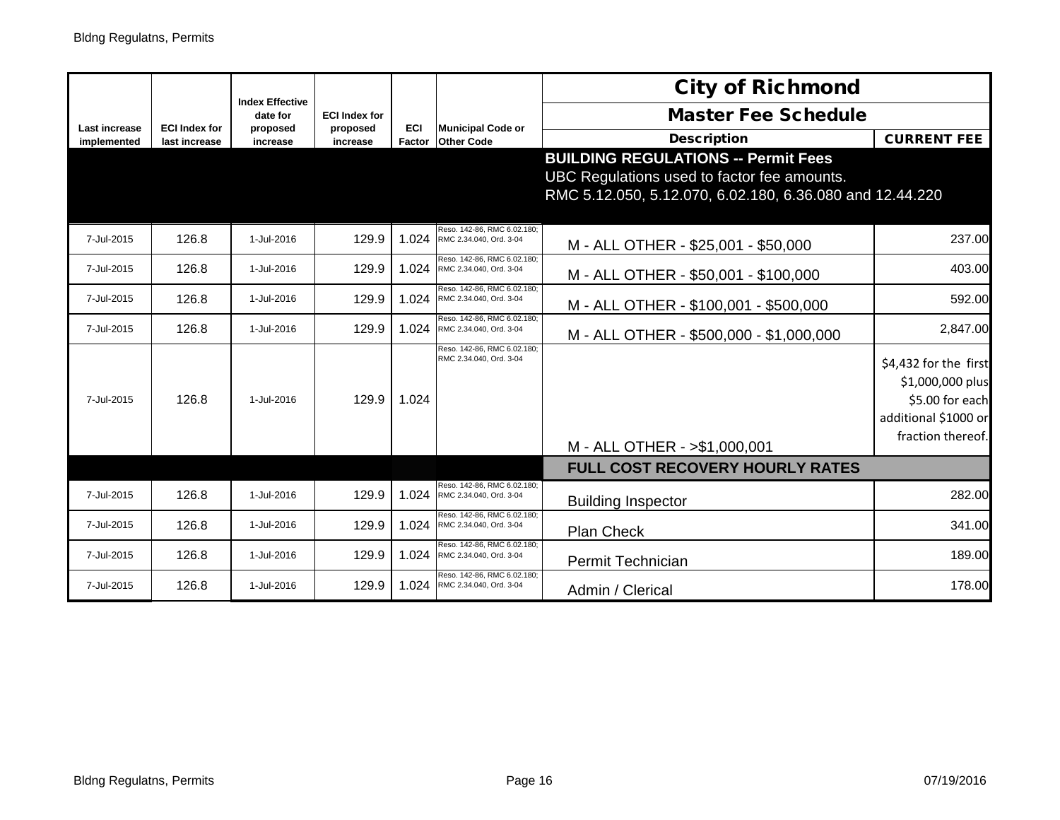|                                     |                                       | <b>Index Effective</b> |                      |               |                                                        | <b>City of Richmond</b>                                                                                                                               |                                                                                                           |
|-------------------------------------|---------------------------------------|------------------------|----------------------|---------------|--------------------------------------------------------|-------------------------------------------------------------------------------------------------------------------------------------------------------|-----------------------------------------------------------------------------------------------------------|
|                                     |                                       | date for               | <b>ECI Index for</b> |               |                                                        | <b>Master Fee Schedule</b>                                                                                                                            |                                                                                                           |
| <b>Last increase</b><br>implemented | <b>ECI Index for</b><br>last increase | proposed<br>increase   | proposed<br>increase | ECI<br>Factor | <b>Municipal Code or</b><br><b>Other Code</b>          | <b>Description</b>                                                                                                                                    | <b>CURRENT FEE</b>                                                                                        |
|                                     |                                       |                        |                      |               |                                                        | <b>BUILDING REGULATIONS -- Permit Fees</b><br>UBC Regulations used to factor fee amounts.<br>RMC 5.12.050, 5.12.070, 6.02.180, 6.36.080 and 12.44.220 |                                                                                                           |
| 7-Jul-2015                          | 126.8                                 | 1-Jul-2016             | 129.9                | 1.024         | Reso. 142-86, RMC 6.02.180;<br>RMC 2.34.040, Ord. 3-04 | M - ALL OTHER - \$25,001 - \$50,000                                                                                                                   | 237.00                                                                                                    |
| 7-Jul-2015                          | 126.8                                 | 1-Jul-2016             | 129.9                | 1.024         | Reso, 142-86, RMC 6.02.180;<br>RMC 2.34.040, Ord. 3-04 | M - ALL OTHER - \$50,001 - \$100,000                                                                                                                  | 403.00                                                                                                    |
| 7-Jul-2015                          | 126.8                                 | 1-Jul-2016             | 129.9                | 1.024         | Reso, 142-86, RMC 6.02.180<br>RMC 2.34.040, Ord. 3-04  | M - ALL OTHER - \$100,001 - \$500,000                                                                                                                 | 592.00                                                                                                    |
| 7-Jul-2015                          | 126.8                                 | 1-Jul-2016             | 129.9                | 1.024         | Reso, 142-86, RMC 6.02.180<br>RMC 2.34.040, Ord. 3-04  | M - ALL OTHER - \$500,000 - \$1,000,000                                                                                                               | 2,847.00                                                                                                  |
| 7-Jul-2015                          | 126.8                                 | 1-Jul-2016             | 129.9                | 1.024         | Reso. 142-86, RMC 6.02.180:<br>RMC 2.34.040, Ord. 3-04 | M - ALL OTHER - > \$1,000,001                                                                                                                         | \$4,432 for the first<br>\$1,000,000 plus<br>\$5.00 for each<br>additional \$1000 or<br>fraction thereof. |
|                                     |                                       |                        |                      |               |                                                        | <b>FULL COST RECOVERY HOURLY RATES</b>                                                                                                                |                                                                                                           |
| 7-Jul-2015                          | 126.8                                 | 1-Jul-2016             | 129.9                | 1.024         | Reso. 142-86, RMC 6.02.180;<br>RMC 2.34.040, Ord. 3-04 | <b>Building Inspector</b>                                                                                                                             | 282.00                                                                                                    |
| 7-Jul-2015                          | 126.8                                 | 1-Jul-2016             | 129.9                | 1.024         | Reso. 142-86, RMC 6.02.180<br>RMC 2.34.040, Ord. 3-04  | <b>Plan Check</b>                                                                                                                                     | 341.00                                                                                                    |
| 7-Jul-2015                          | 126.8                                 | 1-Jul-2016             | 129.9                | 1.024         | Reso. 142-86, RMC 6.02.180<br>RMC 2.34.040, Ord. 3-04  | Permit Technician                                                                                                                                     | 189.00                                                                                                    |
| 7-Jul-2015                          | 126.8                                 | 1-Jul-2016             | 129.9                | 1.024         | Reso. 142-86, RMC 6.02.180:<br>RMC 2.34.040, Ord. 3-04 | Admin / Clerical                                                                                                                                      | 178.00                                                                                                    |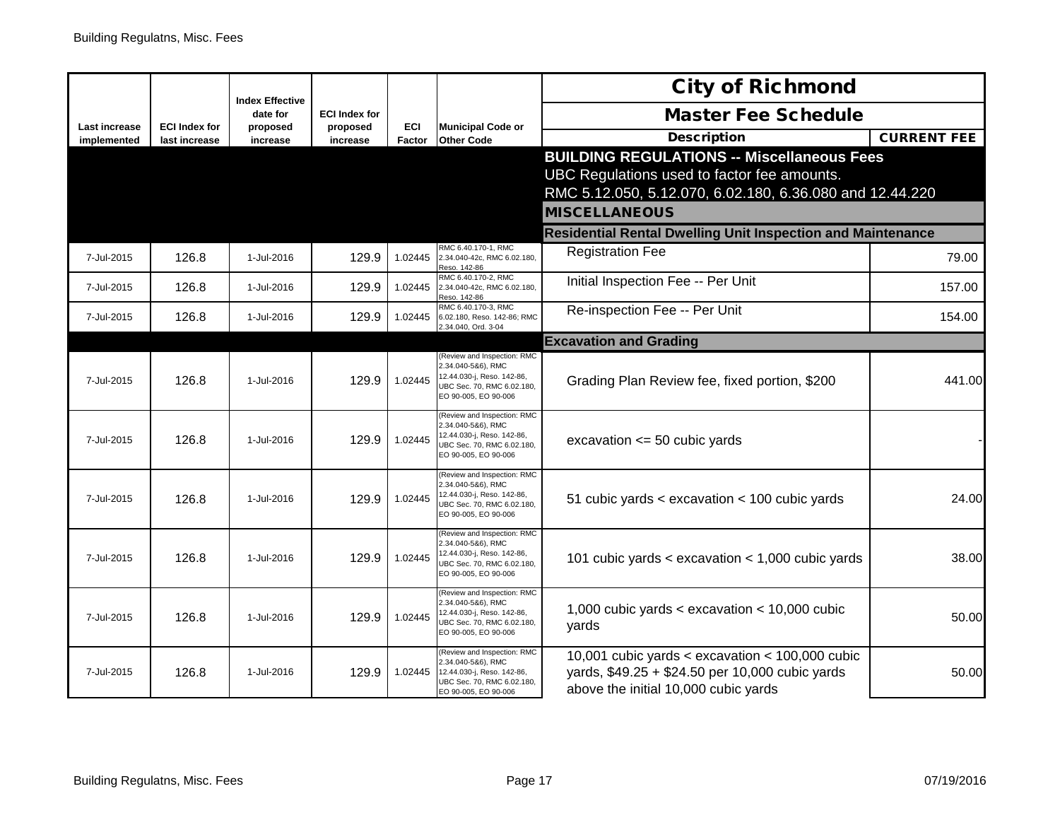|                              |                                       |                                    |                      |               |                                                          | <b>City of Richmond</b>                                            |                    |
|------------------------------|---------------------------------------|------------------------------------|----------------------|---------------|----------------------------------------------------------|--------------------------------------------------------------------|--------------------|
|                              |                                       | <b>Index Effective</b><br>date for | <b>ECI Index for</b> |               |                                                          | <b>Master Fee Schedule</b>                                         |                    |
| Last increase<br>implemented | <b>ECI Index for</b><br>last increase | proposed<br>increase               | proposed<br>increase | ECI<br>Factor | <b>Municipal Code or</b><br><b>Other Code</b>            | <b>Description</b>                                                 | <b>CURRENT FEE</b> |
|                              |                                       |                                    |                      |               |                                                          | <b>BUILDING REGULATIONS -- Miscellaneous Fees</b>                  |                    |
|                              |                                       |                                    |                      |               |                                                          | UBC Regulations used to factor fee amounts.                        |                    |
|                              |                                       |                                    |                      |               |                                                          | RMC 5.12.050, 5.12.070, 6.02.180, 6.36.080 and 12.44.220           |                    |
|                              |                                       |                                    |                      |               |                                                          | <b>MISCELLANEOUS</b>                                               |                    |
|                              |                                       |                                    |                      |               |                                                          | <b>Residential Rental Dwelling Unit Inspection and Maintenance</b> |                    |
| 7-Jul-2015                   | 126.8                                 | 1-Jul-2016                         | 129.9                | 1.02445       | RMC 6.40.170-1, RMC<br>2.34.040-42c, RMC 6.02.180,       | <b>Registration Fee</b>                                            | 79.00              |
|                              |                                       |                                    |                      |               | Reso. 142-86<br>RMC 6.40.170-2, RMC                      | Initial Inspection Fee -- Per Unit                                 |                    |
| 7-Jul-2015                   | 126.8                                 | 1-Jul-2016                         | 129.9                | 1.02445       | 2.34.040-42c, RMC 6.02.180,<br>Reso. 142-86              |                                                                    | 157.00             |
| 7-Jul-2015                   | 126.8                                 | 1-Jul-2016                         | 129.9                | 1.02445       | RMC 6.40.170-3, RMC<br>6.02.180, Reso. 142-86; RMC       | Re-inspection Fee -- Per Unit                                      | 154.00             |
|                              |                                       |                                    |                      |               | 2.34.040, Ord. 3-04                                      | <b>Excavation and Grading</b>                                      |                    |
|                              |                                       |                                    |                      |               | (Review and Inspection: RMC                              |                                                                    |                    |
| 7-Jul-2015                   | 126.8                                 | 1-Jul-2016                         | 129.9                | 1.02445       | 2.34.040-5&6), RMC<br>12.44.030-j, Reso. 142-86,         | Grading Plan Review fee, fixed portion, \$200                      | 441.00             |
|                              |                                       |                                    |                      |               | UBC Sec. 70, RMC 6.02.180,<br>EO 90-005, EO 90-006       |                                                                    |                    |
|                              |                                       |                                    |                      |               | Review and Inspection: RMC<br>2.34.040-5&6), RMC         |                                                                    |                    |
| 7-Jul-2015                   | 126.8                                 | 1-Jul-2016                         | 129.9                | 1.02445       | 12.44.030-j, Reso. 142-86,<br>UBC Sec. 70, RMC 6.02.180, | excavation $\leq$ 50 cubic yards                                   |                    |
|                              |                                       |                                    |                      |               | EO 90-005, EO 90-006                                     |                                                                    |                    |
|                              |                                       |                                    |                      |               | (Review and Inspection: RMC<br>2.34.040-5&6), RMC        |                                                                    |                    |
| 7-Jul-2015                   | 126.8                                 | 1-Jul-2016                         | 129.9                | 1.02445       | 12.44.030-j, Reso. 142-86,<br>UBC Sec. 70, RMC 6.02.180, | 51 cubic yards < excavation < 100 cubic yards                      | 24.00              |
|                              |                                       |                                    |                      |               | EO 90-005, EO 90-006                                     |                                                                    |                    |
|                              |                                       |                                    |                      |               | (Review and Inspection: RMC<br>2.34.040-5&6), RMC        |                                                                    |                    |
| 7-Jul-2015                   | 126.8                                 | 1-Jul-2016                         | 129.9                | 1.02445       | 12.44.030-j, Reso. 142-86,<br>JBC Sec. 70, RMC 6.02.180, | 101 cubic yards $\lt$ excavation $\lt$ 1,000 cubic yards           | 38.00              |
|                              |                                       |                                    |                      |               | EO 90-005, EO 90-006                                     |                                                                    |                    |
|                              |                                       |                                    |                      |               | (Review and Inspection: RMC<br>2.34.040-5&6), RMC        |                                                                    |                    |
| 7-Jul-2015                   | 126.8                                 | 1-Jul-2016                         | 129.9                | 1.02445       | 12.44.030-j, Reso. 142-86,<br>UBC Sec. 70, RMC 6.02.180, | 1,000 cubic yards < excavation < $10,000$ cubic<br>yards           | 50.00              |
|                              |                                       |                                    |                      |               | EO 90-005, EO 90-006                                     |                                                                    |                    |
|                              |                                       |                                    |                      |               | (Review and Inspection: RMC<br>2.34.040-5&6), RMC        | 10,001 cubic yards < excavation < $100,000$ cubic                  |                    |
| 7-Jul-2015                   | 126.8                                 | 1-Jul-2016                         | 129.9                | 1.02445       | 12.44.030-j, Reso. 142-86,<br>UBC Sec. 70, RMC 6.02.180, | yards, \$49.25 + \$24.50 per 10,000 cubic yards                    | 50.00              |
|                              |                                       |                                    |                      |               | EO 90-005, EO 90-006                                     | above the initial 10,000 cubic yards                               |                    |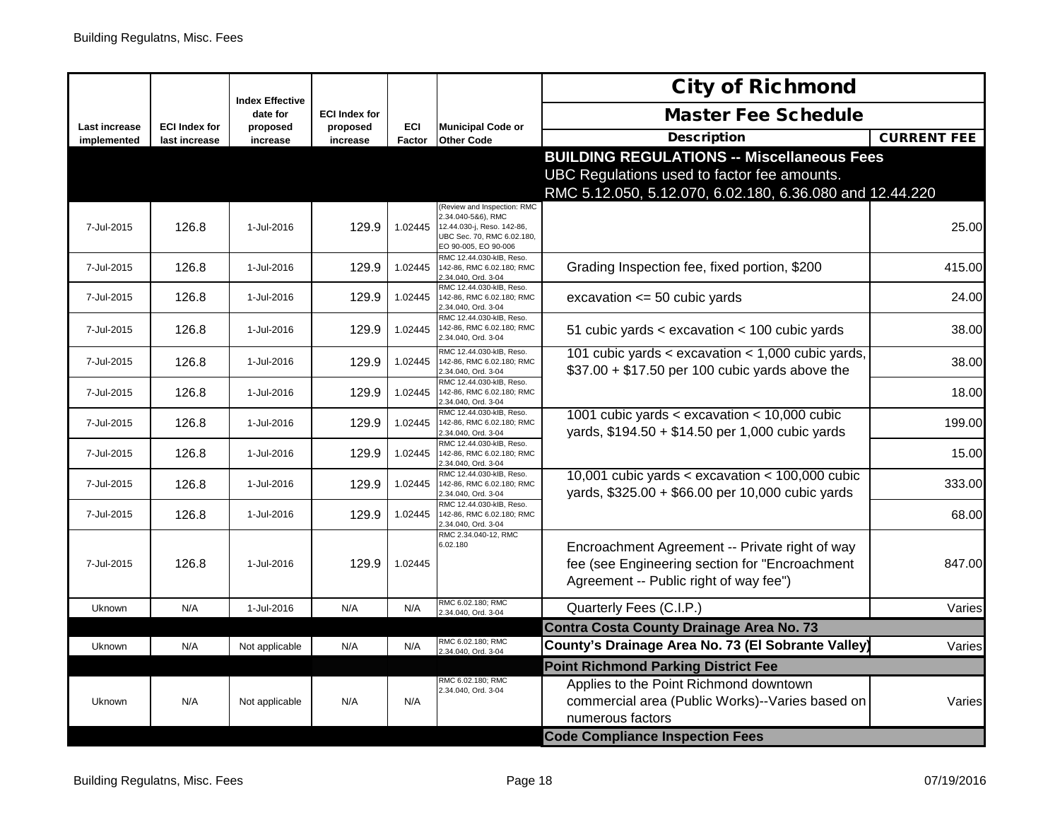| <b>Master Fee Schedule</b><br>date for<br><b>ECI Index for</b><br>ECI<br>Last increase<br><b>ECI Index for</b><br><b>Municipal Code or</b><br>proposed<br>proposed<br><b>Description</b><br>Factor<br><b>Other Code</b><br>implemented<br>last increase<br>increase<br>increase<br><b>BUILDING REGULATIONS -- Miscellaneous Fees</b><br>UBC Regulations used to factor fee amounts.<br>RMC 5.12.050, 5.12.070, 6.02.180, 6.36.080 and 12.44.220<br>(Review and Inspection: RMC<br>2.34.040-5&6), RMC<br>129.9<br>7-Jul-2015<br>126.8<br>1-Jul-2016<br>1.02445<br>12.44.030-j, Reso. 142-86,<br>UBC Sec. 70, RMC 6.02.180,<br>EO 90-005, EO 90-006<br>RMC 12.44.030-kIB, Reso.<br>126.8<br>1-Jul-2016<br>129.9<br>Grading Inspection fee, fixed portion, \$200<br>7-Jul-2015<br>1.02445<br>142-86, RMC 6.02.180; RMC<br>.34.040, Ord. 3-04<br>RMC 12.44.030-klB, Reso.<br>126.8<br>1-Jul-2016<br>129.9<br>1.02445<br>142-86, RMC 6.02.180; RMC<br>excavation $\leq$ 50 cubic yards<br>7-Jul-2015<br>.34.040, Ord. 3-04<br>RMC 12.44.030-kIB, Reso.<br>142-86, RMC 6.02.180; RMC<br>126.8<br>129.9<br>51 cubic yards < excavation < 100 cubic yards<br>1-Jul-2016<br>1.02445<br>7-Jul-2015<br>2.34.040, Ord. 3-04<br>RMC 12.44.030-kIB, Reso.<br>101 cubic yards < excavation < 1,000 cubic yards,<br>126.8<br>1-Jul-2016<br>129.9<br>7-Jul-2015<br>1.02445<br>142-86, RMC 6.02.180; RMC<br>$$37.00 + $17.50$ per 100 cubic yards above the<br>2.34.040, Ord. 3-04<br>RMC 12.44.030-kIB, Reso.<br>126.8<br>129.9<br>1-Jul-2016<br>7-Jul-2015<br>1.02445<br>142-86, RMC 6.02.180; RMC<br>2.34.040, Ord. 3-04<br>RMC 12.44.030-kIB, Reso.<br>1001 cubic yards < excavation < $10,000$ cubic<br>126.8<br>129.9<br>1.02445<br>7-Jul-2015<br>1-Jul-2016<br>142-86, RMC 6.02.180; RMC<br>yards, \$194.50 + \$14.50 per 1,000 cubic yards<br>2.34.040, Ord. 3-04<br>RMC 12.44.030-kIB, Reso.<br>126.8<br>129.9<br>7-Jul-2015<br>1-Jul-2016<br>1.02445<br>142-86, RMC 6.02.180; RMC<br>2.34.040, Ord. 3-04<br>RMC 12.44.030-klB, Reso.<br>10,001 cubic yards < excavation < $100,000$ cubic<br>126.8<br>129.9<br>7-Jul-2015<br>1-Jul-2016<br>1.02445<br>142-86, RMC 6.02.180; RMC<br>yards, \$325.00 + \$66.00 per 10,000 cubic yards<br>2.34.040, Ord. 3-04<br>RMC 12.44.030-kIB, Reso.<br>126.8<br>129.9<br>1.02445<br>7-Jul-2015<br>1-Jul-2016<br>142-86, RMC 6.02.180; RMC<br>.34.040, Ord. 3-04<br>RMC 2.34.040-12, RMC<br>6.02.180<br>Encroachment Agreement -- Private right of way<br>fee (see Engineering section for "Encroachment<br>129.9<br>7-Jul-2015<br>126.8<br>1-Jul-2016<br>1.02445<br>Agreement -- Public right of way fee")<br>RMC 6.02.180; RMC<br>Quarterly Fees (C.I.P.)<br>N/A<br>1-Jul-2016<br>N/A<br>N/A<br>Uknown<br>2.34.040, Ord. 3-04<br><b>Contra Costa County Drainage Area No. 73</b><br>RMC 6.02.180; RMC<br>County's Drainage Area No. 73 (El Sobrante Valley)<br>Uknown<br>N/A<br>Not applicable<br>N/A<br>N/A<br>.34.040, Ord. 3-04<br><b>Point Richmond Parking District Fee</b><br>RMC 6.02.180; RMC<br>Applies to the Point Richmond downtown<br>2.34.040, Ord. 3-04<br>commercial area (Public Works)--Varies based on<br>N/A<br>N/A<br>N/A<br>Uknown<br>Not applicable |  |                        |  | <b>City of Richmond</b> |                    |
|--------------------------------------------------------------------------------------------------------------------------------------------------------------------------------------------------------------------------------------------------------------------------------------------------------------------------------------------------------------------------------------------------------------------------------------------------------------------------------------------------------------------------------------------------------------------------------------------------------------------------------------------------------------------------------------------------------------------------------------------------------------------------------------------------------------------------------------------------------------------------------------------------------------------------------------------------------------------------------------------------------------------------------------------------------------------------------------------------------------------------------------------------------------------------------------------------------------------------------------------------------------------------------------------------------------------------------------------------------------------------------------------------------------------------------------------------------------------------------------------------------------------------------------------------------------------------------------------------------------------------------------------------------------------------------------------------------------------------------------------------------------------------------------------------------------------------------------------------------------------------------------------------------------------------------------------------------------------------------------------------------------------------------------------------------------------------------------------------------------------------------------------------------------------------------------------------------------------------------------------------------------------------------------------------------------------------------------------------------------------------------------------------------------------------------------------------------------------------------------------------------------------------------------------------------------------------------------------------------------------------------------------------------------------------------------------------------------------------------------------------------------------------------------------------------------------------------------------------------------------------------------------------------------------------------------------------------------------------------------------------------------------------------------------------------------------------------------------------------------------------------------------------------------------------------------------------------|--|------------------------|--|-------------------------|--------------------|
|                                                                                                                                                                                                                                                                                                                                                                                                                                                                                                                                                                                                                                                                                                                                                                                                                                                                                                                                                                                                                                                                                                                                                                                                                                                                                                                                                                                                                                                                                                                                                                                                                                                                                                                                                                                                                                                                                                                                                                                                                                                                                                                                                                                                                                                                                                                                                                                                                                                                                                                                                                                                                                                                                                                                                                                                                                                                                                                                                                                                                                                                                                                                                                                                        |  | <b>Index Effective</b> |  |                         |                    |
|                                                                                                                                                                                                                                                                                                                                                                                                                                                                                                                                                                                                                                                                                                                                                                                                                                                                                                                                                                                                                                                                                                                                                                                                                                                                                                                                                                                                                                                                                                                                                                                                                                                                                                                                                                                                                                                                                                                                                                                                                                                                                                                                                                                                                                                                                                                                                                                                                                                                                                                                                                                                                                                                                                                                                                                                                                                                                                                                                                                                                                                                                                                                                                                                        |  |                        |  |                         | <b>CURRENT FEE</b> |
|                                                                                                                                                                                                                                                                                                                                                                                                                                                                                                                                                                                                                                                                                                                                                                                                                                                                                                                                                                                                                                                                                                                                                                                                                                                                                                                                                                                                                                                                                                                                                                                                                                                                                                                                                                                                                                                                                                                                                                                                                                                                                                                                                                                                                                                                                                                                                                                                                                                                                                                                                                                                                                                                                                                                                                                                                                                                                                                                                                                                                                                                                                                                                                                                        |  |                        |  |                         |                    |
|                                                                                                                                                                                                                                                                                                                                                                                                                                                                                                                                                                                                                                                                                                                                                                                                                                                                                                                                                                                                                                                                                                                                                                                                                                                                                                                                                                                                                                                                                                                                                                                                                                                                                                                                                                                                                                                                                                                                                                                                                                                                                                                                                                                                                                                                                                                                                                                                                                                                                                                                                                                                                                                                                                                                                                                                                                                                                                                                                                                                                                                                                                                                                                                                        |  |                        |  |                         | 25.00              |
|                                                                                                                                                                                                                                                                                                                                                                                                                                                                                                                                                                                                                                                                                                                                                                                                                                                                                                                                                                                                                                                                                                                                                                                                                                                                                                                                                                                                                                                                                                                                                                                                                                                                                                                                                                                                                                                                                                                                                                                                                                                                                                                                                                                                                                                                                                                                                                                                                                                                                                                                                                                                                                                                                                                                                                                                                                                                                                                                                                                                                                                                                                                                                                                                        |  |                        |  |                         | 415.00             |
|                                                                                                                                                                                                                                                                                                                                                                                                                                                                                                                                                                                                                                                                                                                                                                                                                                                                                                                                                                                                                                                                                                                                                                                                                                                                                                                                                                                                                                                                                                                                                                                                                                                                                                                                                                                                                                                                                                                                                                                                                                                                                                                                                                                                                                                                                                                                                                                                                                                                                                                                                                                                                                                                                                                                                                                                                                                                                                                                                                                                                                                                                                                                                                                                        |  |                        |  |                         | 24.00              |
|                                                                                                                                                                                                                                                                                                                                                                                                                                                                                                                                                                                                                                                                                                                                                                                                                                                                                                                                                                                                                                                                                                                                                                                                                                                                                                                                                                                                                                                                                                                                                                                                                                                                                                                                                                                                                                                                                                                                                                                                                                                                                                                                                                                                                                                                                                                                                                                                                                                                                                                                                                                                                                                                                                                                                                                                                                                                                                                                                                                                                                                                                                                                                                                                        |  |                        |  |                         | 38.00              |
|                                                                                                                                                                                                                                                                                                                                                                                                                                                                                                                                                                                                                                                                                                                                                                                                                                                                                                                                                                                                                                                                                                                                                                                                                                                                                                                                                                                                                                                                                                                                                                                                                                                                                                                                                                                                                                                                                                                                                                                                                                                                                                                                                                                                                                                                                                                                                                                                                                                                                                                                                                                                                                                                                                                                                                                                                                                                                                                                                                                                                                                                                                                                                                                                        |  |                        |  |                         | 38.00              |
|                                                                                                                                                                                                                                                                                                                                                                                                                                                                                                                                                                                                                                                                                                                                                                                                                                                                                                                                                                                                                                                                                                                                                                                                                                                                                                                                                                                                                                                                                                                                                                                                                                                                                                                                                                                                                                                                                                                                                                                                                                                                                                                                                                                                                                                                                                                                                                                                                                                                                                                                                                                                                                                                                                                                                                                                                                                                                                                                                                                                                                                                                                                                                                                                        |  |                        |  |                         | 18.00              |
|                                                                                                                                                                                                                                                                                                                                                                                                                                                                                                                                                                                                                                                                                                                                                                                                                                                                                                                                                                                                                                                                                                                                                                                                                                                                                                                                                                                                                                                                                                                                                                                                                                                                                                                                                                                                                                                                                                                                                                                                                                                                                                                                                                                                                                                                                                                                                                                                                                                                                                                                                                                                                                                                                                                                                                                                                                                                                                                                                                                                                                                                                                                                                                                                        |  |                        |  |                         | 199.00             |
|                                                                                                                                                                                                                                                                                                                                                                                                                                                                                                                                                                                                                                                                                                                                                                                                                                                                                                                                                                                                                                                                                                                                                                                                                                                                                                                                                                                                                                                                                                                                                                                                                                                                                                                                                                                                                                                                                                                                                                                                                                                                                                                                                                                                                                                                                                                                                                                                                                                                                                                                                                                                                                                                                                                                                                                                                                                                                                                                                                                                                                                                                                                                                                                                        |  |                        |  |                         | 15.00              |
|                                                                                                                                                                                                                                                                                                                                                                                                                                                                                                                                                                                                                                                                                                                                                                                                                                                                                                                                                                                                                                                                                                                                                                                                                                                                                                                                                                                                                                                                                                                                                                                                                                                                                                                                                                                                                                                                                                                                                                                                                                                                                                                                                                                                                                                                                                                                                                                                                                                                                                                                                                                                                                                                                                                                                                                                                                                                                                                                                                                                                                                                                                                                                                                                        |  |                        |  |                         | 333.00             |
|                                                                                                                                                                                                                                                                                                                                                                                                                                                                                                                                                                                                                                                                                                                                                                                                                                                                                                                                                                                                                                                                                                                                                                                                                                                                                                                                                                                                                                                                                                                                                                                                                                                                                                                                                                                                                                                                                                                                                                                                                                                                                                                                                                                                                                                                                                                                                                                                                                                                                                                                                                                                                                                                                                                                                                                                                                                                                                                                                                                                                                                                                                                                                                                                        |  |                        |  |                         | 68.00              |
|                                                                                                                                                                                                                                                                                                                                                                                                                                                                                                                                                                                                                                                                                                                                                                                                                                                                                                                                                                                                                                                                                                                                                                                                                                                                                                                                                                                                                                                                                                                                                                                                                                                                                                                                                                                                                                                                                                                                                                                                                                                                                                                                                                                                                                                                                                                                                                                                                                                                                                                                                                                                                                                                                                                                                                                                                                                                                                                                                                                                                                                                                                                                                                                                        |  |                        |  |                         | 847.00             |
|                                                                                                                                                                                                                                                                                                                                                                                                                                                                                                                                                                                                                                                                                                                                                                                                                                                                                                                                                                                                                                                                                                                                                                                                                                                                                                                                                                                                                                                                                                                                                                                                                                                                                                                                                                                                                                                                                                                                                                                                                                                                                                                                                                                                                                                                                                                                                                                                                                                                                                                                                                                                                                                                                                                                                                                                                                                                                                                                                                                                                                                                                                                                                                                                        |  |                        |  |                         | Varies             |
|                                                                                                                                                                                                                                                                                                                                                                                                                                                                                                                                                                                                                                                                                                                                                                                                                                                                                                                                                                                                                                                                                                                                                                                                                                                                                                                                                                                                                                                                                                                                                                                                                                                                                                                                                                                                                                                                                                                                                                                                                                                                                                                                                                                                                                                                                                                                                                                                                                                                                                                                                                                                                                                                                                                                                                                                                                                                                                                                                                                                                                                                                                                                                                                                        |  |                        |  |                         |                    |
|                                                                                                                                                                                                                                                                                                                                                                                                                                                                                                                                                                                                                                                                                                                                                                                                                                                                                                                                                                                                                                                                                                                                                                                                                                                                                                                                                                                                                                                                                                                                                                                                                                                                                                                                                                                                                                                                                                                                                                                                                                                                                                                                                                                                                                                                                                                                                                                                                                                                                                                                                                                                                                                                                                                                                                                                                                                                                                                                                                                                                                                                                                                                                                                                        |  |                        |  |                         | Varies             |
| <b>Code Compliance Inspection Fees</b>                                                                                                                                                                                                                                                                                                                                                                                                                                                                                                                                                                                                                                                                                                                                                                                                                                                                                                                                                                                                                                                                                                                                                                                                                                                                                                                                                                                                                                                                                                                                                                                                                                                                                                                                                                                                                                                                                                                                                                                                                                                                                                                                                                                                                                                                                                                                                                                                                                                                                                                                                                                                                                                                                                                                                                                                                                                                                                                                                                                                                                                                                                                                                                 |  |                        |  | numerous factors        | Varies             |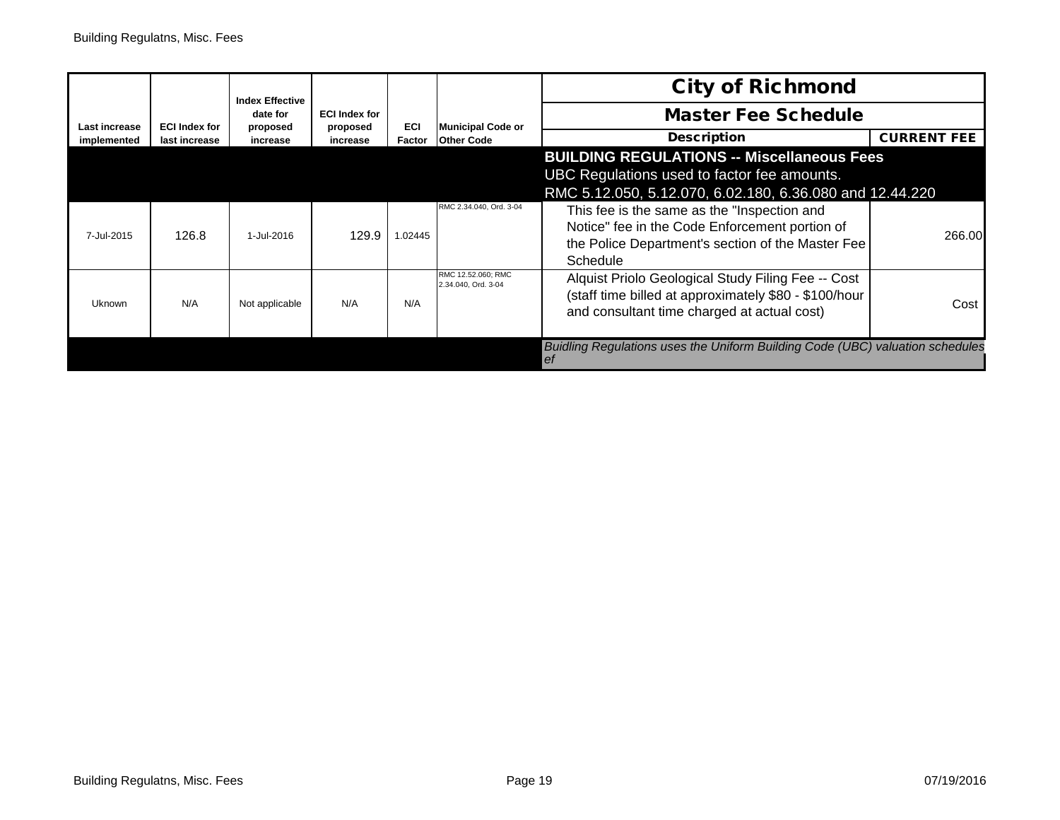|               |                      | <b>Index Effective</b> |                                  |            |                                           | <b>City of Richmond</b>                                                                                                                                        |                    |
|---------------|----------------------|------------------------|----------------------------------|------------|-------------------------------------------|----------------------------------------------------------------------------------------------------------------------------------------------------------------|--------------------|
| Last increase | <b>ECI Index for</b> | date for<br>proposed   | <b>ECI Index for</b><br>proposed | <b>ECI</b> | <b>Municipal Code or</b>                  | <b>Master Fee Schedule</b>                                                                                                                                     |                    |
| implemented   | last increase        | increase               | increase                         | Factor     | <b>Other Code</b>                         | <b>Description</b>                                                                                                                                             | <b>CURRENT FEE</b> |
|               |                      |                        |                                  |            |                                           | <b>BUILDING REGULATIONS -- Miscellaneous Fees</b><br>UBC Regulations used to factor fee amounts.<br>RMC 5.12.050, 5.12.070, 6.02.180, 6.36.080 and 12.44.220   |                    |
| 7-Jul-2015    | 126.8                | 1-Jul-2016             | 129.9                            | 1.02445    | RMC 2.34.040, Ord. 3-04                   | This fee is the same as the "Inspection and<br>Notice" fee in the Code Enforcement portion of<br>the Police Department's section of the Master Fee<br>Schedule | 266.00             |
| Uknown        | N/A                  | Not applicable         | N/A                              | N/A        | RMC 12.52.060: RMC<br>2.34.040, Ord. 3-04 | Alquist Priolo Geological Study Filing Fee -- Cost<br>(staff time billed at approximately \$80 - \$100/hour<br>and consultant time charged at actual cost)     | Cost               |
|               |                      |                        |                                  |            |                                           | Buidling Regulations uses the Uniform Building Code (UBC) valuation schedules<br>et                                                                            |                    |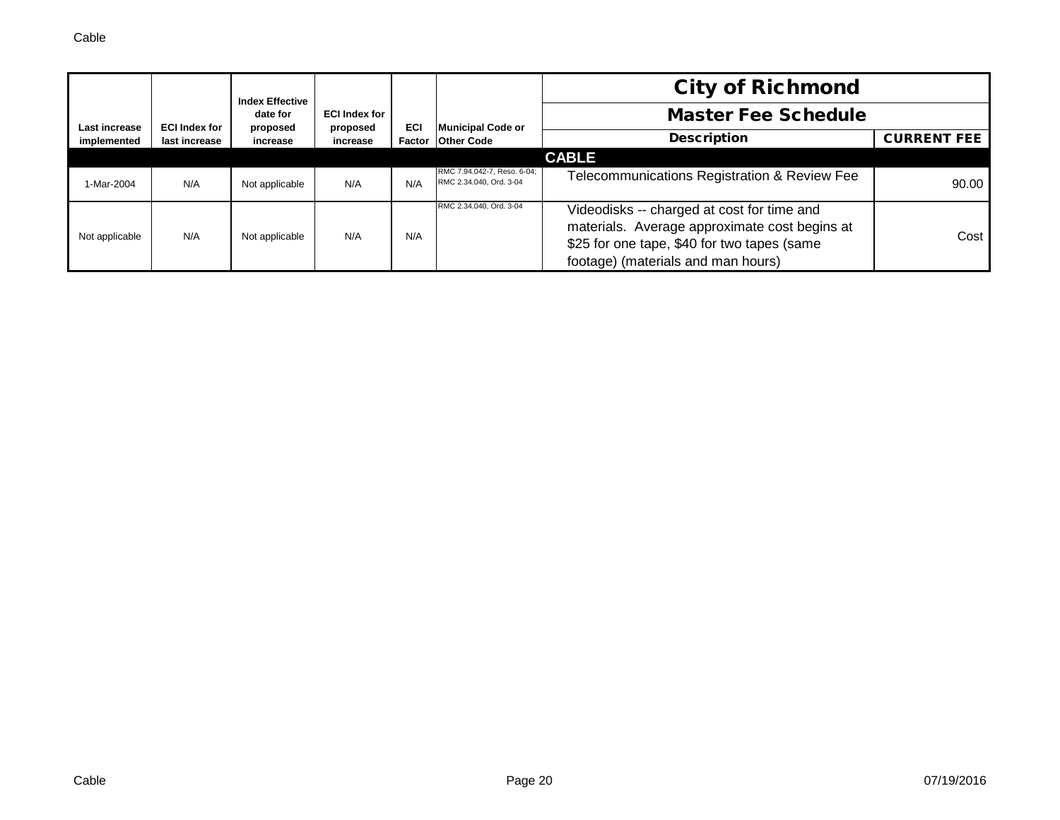|                |                      | <b>Index Effective</b><br>date for | <b>ECI Index for</b> |     |                                                        | <b>City of Richmond</b>                                                                                                                                                          |                    |
|----------------|----------------------|------------------------------------|----------------------|-----|--------------------------------------------------------|----------------------------------------------------------------------------------------------------------------------------------------------------------------------------------|--------------------|
| Last increase  | <b>ECI Index for</b> |                                    |                      |     | Municipal Code or                                      | <b>Master Fee Schedule</b>                                                                                                                                                       |                    |
| implemented    | last increase        | proposed<br>increase               | proposed<br>increase | ECI | Factor Other Code                                      | <b>Description</b>                                                                                                                                                               | <b>CURRENT FEE</b> |
|                |                      |                                    |                      |     |                                                        | <b>CABLE</b>                                                                                                                                                                     |                    |
| 1-Mar-2004     | N/A                  | Not applicable                     | N/A                  | N/A | RMC 7.94.042-7, Reso. 6-04;<br>RMC 2.34.040, Ord. 3-04 | Telecommunications Registration & Review Fee                                                                                                                                     | 90.00              |
| Not applicable | N/A                  | Not applicable                     | N/A                  | N/A | RMC 2.34.040, Ord. 3-04                                | Videodisks -- charged at cost for time and<br>materials. Average approximate cost begins at<br>\$25 for one tape, \$40 for two tapes (same<br>footage) (materials and man hours) | Cost               |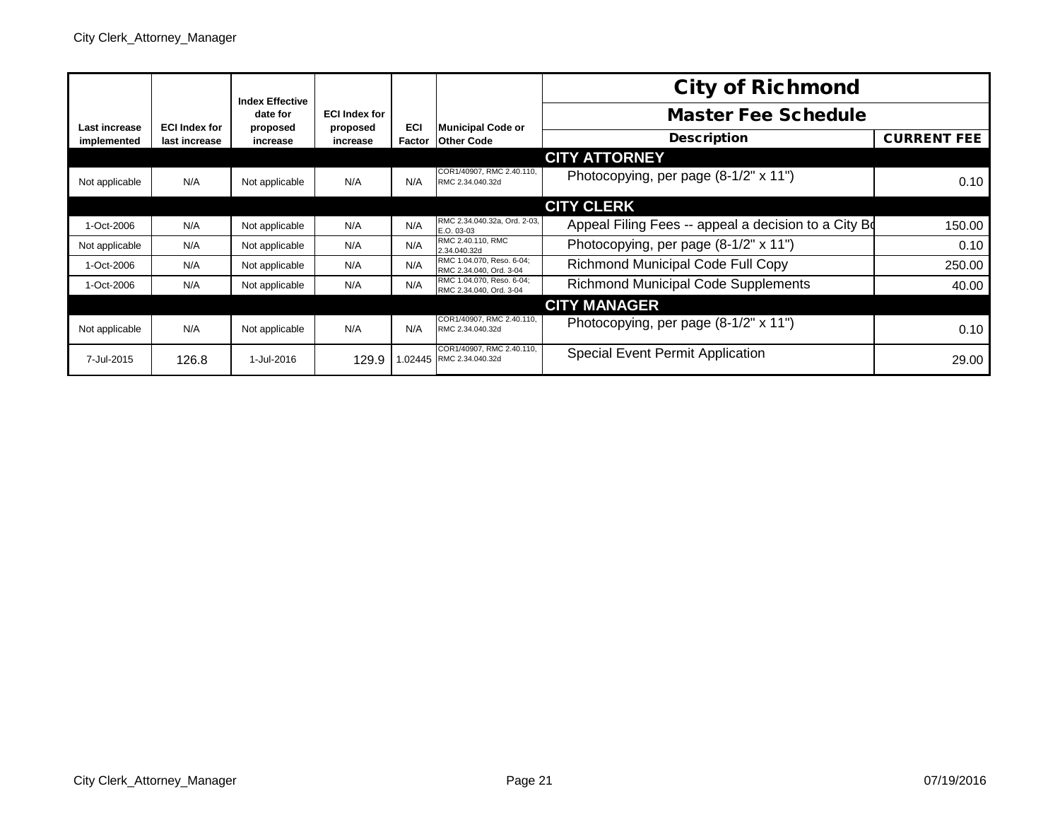|                |                      | <b>Index Effective</b> |                                  |            |                                                       | <b>City of Richmond</b>                              |                    |
|----------------|----------------------|------------------------|----------------------------------|------------|-------------------------------------------------------|------------------------------------------------------|--------------------|
| Last increase  | <b>ECI Index for</b> | date for<br>proposed   | <b>ECI Index for</b><br>proposed | <b>ECI</b> | <b>Municipal Code or</b>                              | <b>Master Fee Schedule</b>                           |                    |
| implemented    | last increase        | increase               | increase                         | Factor     | <b>Other Code</b>                                     | <b>Description</b>                                   | <b>CURRENT FEE</b> |
|                |                      |                        |                                  |            |                                                       | <b>CITY ATTORNEY</b>                                 |                    |
| Not applicable | N/A                  | Not applicable         | N/A                              | N/A        | COR1/40907, RMC 2.40.110,<br>RMC 2.34.040.32d         | Photocopying, per page (8-1/2" x 11")                | 0.10               |
|                |                      |                        |                                  |            |                                                       | <b>CITY CLERK</b>                                    |                    |
| 1-Oct-2006     | N/A                  | Not applicable         | N/A                              | N/A        | RMC 2.34.040.32a, Ord. 2-03,<br>E.O. 03-03            | Appeal Filing Fees -- appeal a decision to a City Bo | 150.00             |
| Not applicable | N/A                  | Not applicable         | N/A                              | N/A        | RMC 2.40.110, RMC<br>2.34.040.32d                     | Photocopying, per page (8-1/2" x 11")                | 0.10               |
| 1-Oct-2006     | N/A                  | Not applicable         | N/A                              | N/A        | RMC 1.04.070, Reso. 6-04;<br>RMC 2.34.040, Ord. 3-04  | Richmond Municipal Code Full Copy                    | 250.00             |
| 1-Oct-2006     | N/A                  | Not applicable         | N/A                              | N/A        | RMC 1.04.070, Reso, 6-04:<br>RMC 2.34.040, Ord. 3-04  | <b>Richmond Municipal Code Supplements</b>           | 40.00              |
|                |                      |                        |                                  |            |                                                       | <b>CITY MANAGER</b>                                  |                    |
| Not applicable | N/A                  | Not applicable         | N/A                              | N/A        | COR1/40907, RMC 2.40.110.<br>RMC 2.34.040.32d         | Photocopying, per page (8-1/2" x 11")                | 0.10               |
| 7-Jul-2015     | 126.8                | 1-Jul-2016             | 129.9                            |            | COR1/40907, RMC 2,40,110.<br>1.02445 RMC 2.34.040.32d | <b>Special Event Permit Application</b>              | 29.00              |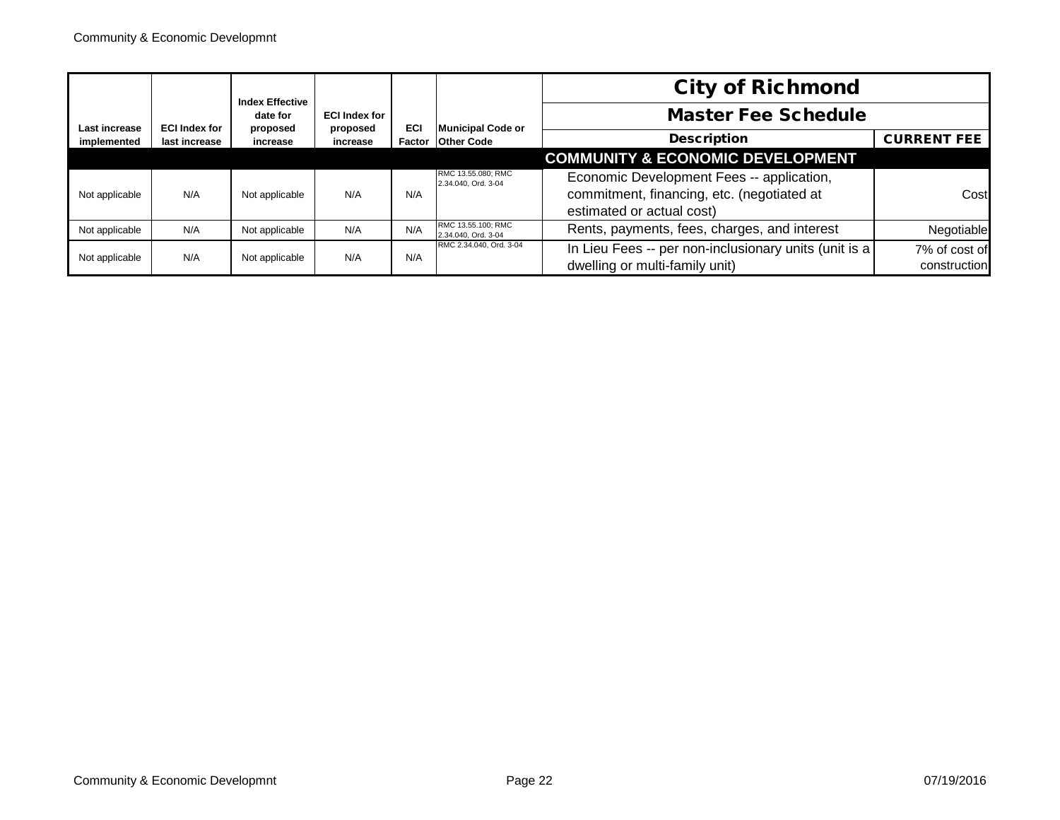|                              |                                                               | <b>Index Effective</b><br>date for |                      |                                               |                                           | <b>City of Richmond</b>                                                                                              |                               |
|------------------------------|---------------------------------------------------------------|------------------------------------|----------------------|-----------------------------------------------|-------------------------------------------|----------------------------------------------------------------------------------------------------------------------|-------------------------------|
|                              |                                                               |                                    | <b>ECI Index for</b> |                                               |                                           | <b>Master Fee Schedule</b>                                                                                           |                               |
| Last increase<br>implemented | <b>ECI Index for</b><br>proposed<br>last increase<br>increase | proposed<br>increase               | ECI<br>Factor        | <b>Municipal Code or</b><br><b>Other Code</b> | <b>Description</b>                        | <b>CURRENT FEE</b>                                                                                                   |                               |
|                              |                                                               |                                    |                      |                                               |                                           | <b>COMMUNITY &amp; ECONOMIC DEVELOPMENT</b>                                                                          |                               |
| Not applicable               | N/A                                                           | Not applicable                     | N/A                  | N/A                                           | RMC 13.55.080; RMC<br>2.34.040, Ord. 3-04 | Economic Development Fees -- application,<br>commitment, financing, etc. (negotiated at<br>estimated or actual cost) | Cost                          |
| Not applicable               | N/A                                                           | Not applicable                     | N/A                  | N/A                                           | RMC 13.55.100; RMC<br>2.34.040, Ord. 3-04 | Rents, payments, fees, charges, and interest                                                                         | Negotiable                    |
| Not applicable               | N/A                                                           | Not applicable                     | N/A                  | N/A                                           | RMC 2.34.040, Ord. 3-04                   | In Lieu Fees -- per non-inclusionary units (unit is a<br>dwelling or multi-family unit)                              | 7% of cost of<br>construction |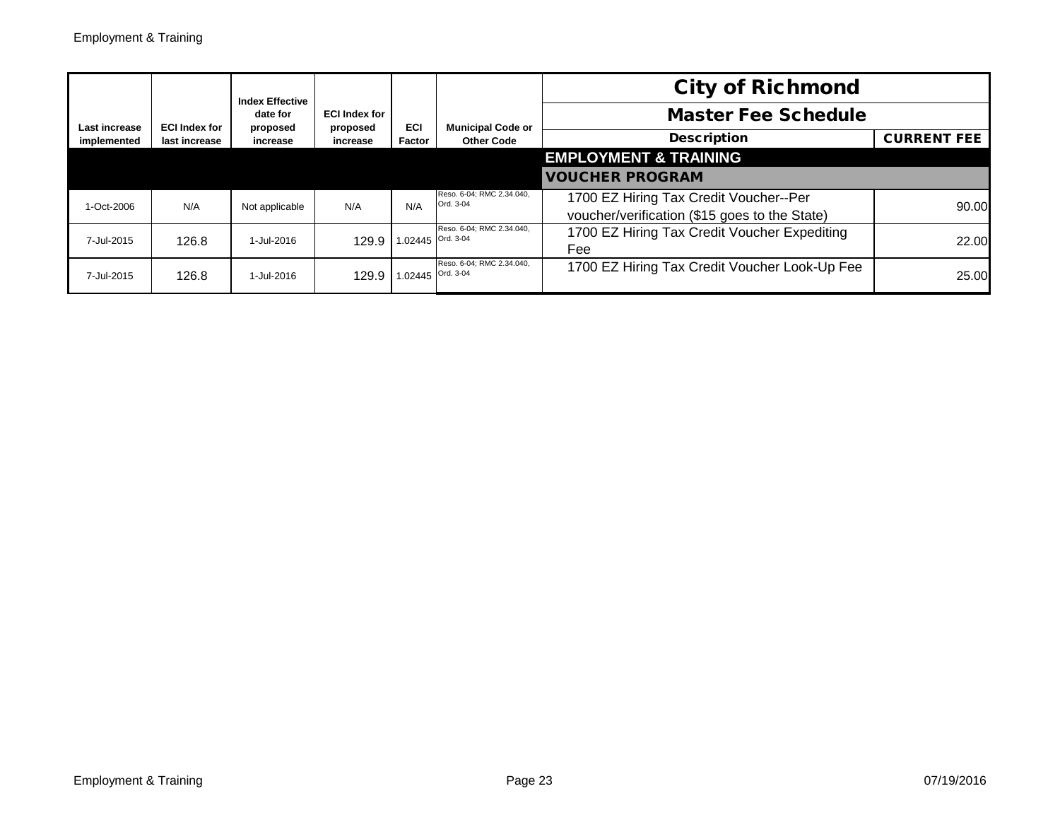|               |                      | <b>Index Effective</b> |                                  |                   |                                        | <b>City of Richmond</b>                                                                 |                    |
|---------------|----------------------|------------------------|----------------------------------|-------------------|----------------------------------------|-----------------------------------------------------------------------------------------|--------------------|
| Last increase | <b>ECI Index for</b> | date for<br>proposed   | <b>ECI Index for</b><br>proposed | <b>ECI</b>        | <b>Municipal Code or</b>               | <b>Master Fee Schedule</b>                                                              |                    |
| implemented   | last increase        | increase               | increase                         | Factor            | <b>Other Code</b>                      | <b>Description</b>                                                                      | <b>CURRENT FEE</b> |
|               |                      |                        |                                  |                   |                                        | <b>EMPLOYMENT &amp; TRAINING</b>                                                        |                    |
|               |                      |                        |                                  |                   |                                        | <b>VOUCHER PROGRAM</b>                                                                  |                    |
| 1-Oct-2006    | N/A                  | Not applicable         | N/A                              | N/A               | Reso. 6-04; RMC 2.34.040,<br>Ord. 3-04 | 1700 EZ Hiring Tax Credit Voucher--Per<br>voucher/verification (\$15 goes to the State) | 90.00              |
| 7-Jul-2015    | 126.8                | 1-Jul-2016             | 129.9                            | 1.02445 Ord. 3-04 | Reso. 6-04; RMC 2.34.040,              | 1700 EZ Hiring Tax Credit Voucher Expediting<br>Fee                                     | 22.00              |
| 7-Jul-2015    | 126.8                | 1-Jul-2016             | 129.9                            | 1.02445 Ord. 3-04 | Reso. 6-04; RMC 2.34.040,              | 1700 EZ Hiring Tax Credit Voucher Look-Up Fee                                           | 25.00              |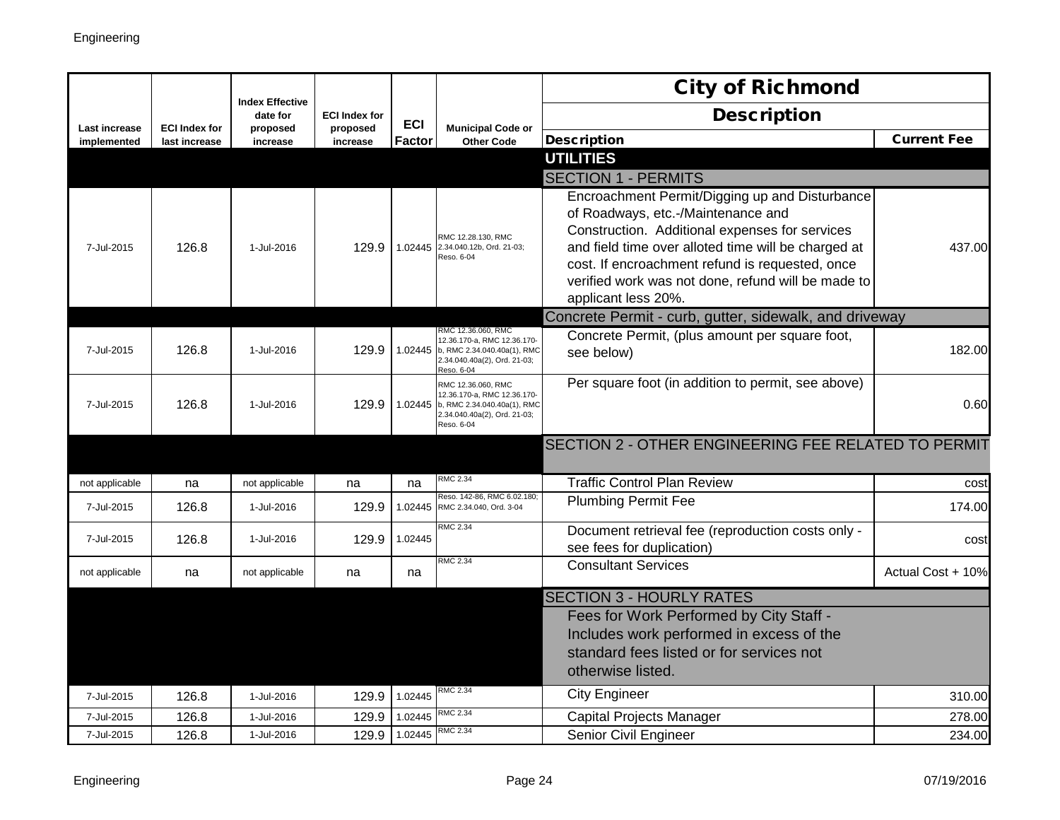|                      |                      |                                    |                      |            |                                                                                                                                        | <b>City of Richmond</b>                                                                                                                                                                                                                                                                                                       |                    |
|----------------------|----------------------|------------------------------------|----------------------|------------|----------------------------------------------------------------------------------------------------------------------------------------|-------------------------------------------------------------------------------------------------------------------------------------------------------------------------------------------------------------------------------------------------------------------------------------------------------------------------------|--------------------|
| <b>Last increase</b> | <b>ECI Index for</b> | <b>Index Effective</b><br>date for | <b>ECI Index for</b> | <b>ECI</b> | <b>Municipal Code or</b>                                                                                                               | <b>Description</b>                                                                                                                                                                                                                                                                                                            |                    |
| implemented          | last increase        | proposed<br>increase               | proposed<br>increase | Factor     | <b>Other Code</b>                                                                                                                      | <b>Description</b>                                                                                                                                                                                                                                                                                                            | <b>Current Fee</b> |
|                      |                      |                                    |                      |            |                                                                                                                                        | <b>UTILITIES</b>                                                                                                                                                                                                                                                                                                              |                    |
|                      |                      |                                    |                      |            |                                                                                                                                        | <b>SECTION 1 - PERMITS</b>                                                                                                                                                                                                                                                                                                    |                    |
| 7-Jul-2015           | 126.8                | 1-Jul-2016                         |                      |            | RMC 12.28.130, RMC<br>129.9 1.02445 2.34.040.12b, Ord. 21-03;<br>Reso. 6-04                                                            | Encroachment Permit/Digging up and Disturbance<br>of Roadways, etc.-/Maintenance and<br>Construction. Additional expenses for services<br>and field time over alloted time will be charged at<br>cost. If encroachment refund is requested, once<br>verified work was not done, refund will be made to<br>applicant less 20%. | 437.00             |
|                      |                      |                                    |                      |            |                                                                                                                                        | Concrete Permit - curb, gutter, sidewalk, and driveway                                                                                                                                                                                                                                                                        |                    |
| 7-Jul-2015           | 126.8                | 1-Jul-2016                         | 129.9                |            | RMC 12.36.060, RMC<br>12.36.170-a, RMC 12.36.170-<br>1.02445 b, RMC 2.34.040.40a(1), RMC<br>2.34.040.40a(2), Ord. 21-03;<br>Reso. 6-04 | Concrete Permit, (plus amount per square foot,<br>see below)                                                                                                                                                                                                                                                                  | 182.00             |
| 7-Jul-2015           | 126.8                | 1-Jul-2016                         | 129.9                |            | RMC 12.36.060, RMC<br>12.36.170-a. RMC 12.36.170-<br>1.02445 b, RMC 2.34.040.40a(1), RMC<br>2.34.040.40a(2), Ord. 21-03;<br>Reso. 6-04 | Per square foot (in addition to permit, see above)                                                                                                                                                                                                                                                                            | 0.60               |
|                      |                      |                                    |                      |            |                                                                                                                                        | SECTION 2 - OTHER ENGINEERING FEE RELATED TO PERMIT                                                                                                                                                                                                                                                                           |                    |
| not applicable       | na                   | not applicable                     | na                   | na         | <b>RMC 2.34</b>                                                                                                                        | <b>Traffic Control Plan Review</b>                                                                                                                                                                                                                                                                                            | cost               |
| 7-Jul-2015           | 126.8                | 1-Jul-2016                         | 129.9                | 1.02445    | Reso. 142-86, RMC 6.02.180;<br>RMC 2.34.040, Ord. 3-04                                                                                 | <b>Plumbing Permit Fee</b>                                                                                                                                                                                                                                                                                                    | 174.00             |
| 7-Jul-2015           | 126.8                | 1-Jul-2016                         | 129.9                | 1.02445    | <b>RMC 2.34</b>                                                                                                                        | Document retrieval fee (reproduction costs only -<br>see fees for duplication)                                                                                                                                                                                                                                                | cost               |
| not applicable       | na                   | not applicable                     | na                   | na         | RMC 2.34                                                                                                                               | <b>Consultant Services</b>                                                                                                                                                                                                                                                                                                    | Actual Cost + 10%  |
|                      |                      |                                    |                      |            |                                                                                                                                        | <b>SECTION 3 - HOURLY RATES</b>                                                                                                                                                                                                                                                                                               |                    |
|                      |                      |                                    |                      |            |                                                                                                                                        | Fees for Work Performed by City Staff -                                                                                                                                                                                                                                                                                       |                    |
|                      |                      |                                    |                      |            |                                                                                                                                        | Includes work performed in excess of the                                                                                                                                                                                                                                                                                      |                    |
|                      |                      |                                    |                      |            |                                                                                                                                        | standard fees listed or for services not                                                                                                                                                                                                                                                                                      |                    |
|                      |                      |                                    |                      |            |                                                                                                                                        | otherwise listed.                                                                                                                                                                                                                                                                                                             |                    |
| 7-Jul-2015           | 126.8                | 1-Jul-2016                         | 129.9                | 1.02445    | RMC 2.34                                                                                                                               | <b>City Engineer</b>                                                                                                                                                                                                                                                                                                          | 310.00             |
| 7-Jul-2015           | 126.8                | 1-Jul-2016                         | 129.9                | 1.02445    | <b>RMC 2.34</b>                                                                                                                        | Capital Projects Manager                                                                                                                                                                                                                                                                                                      | 278.00             |
| 7-Jul-2015           | 126.8                | 1-Jul-2016                         | 129.9                | 1.02445    | RMC 2.34                                                                                                                               | <b>Senior Civil Engineer</b>                                                                                                                                                                                                                                                                                                  | 234.00             |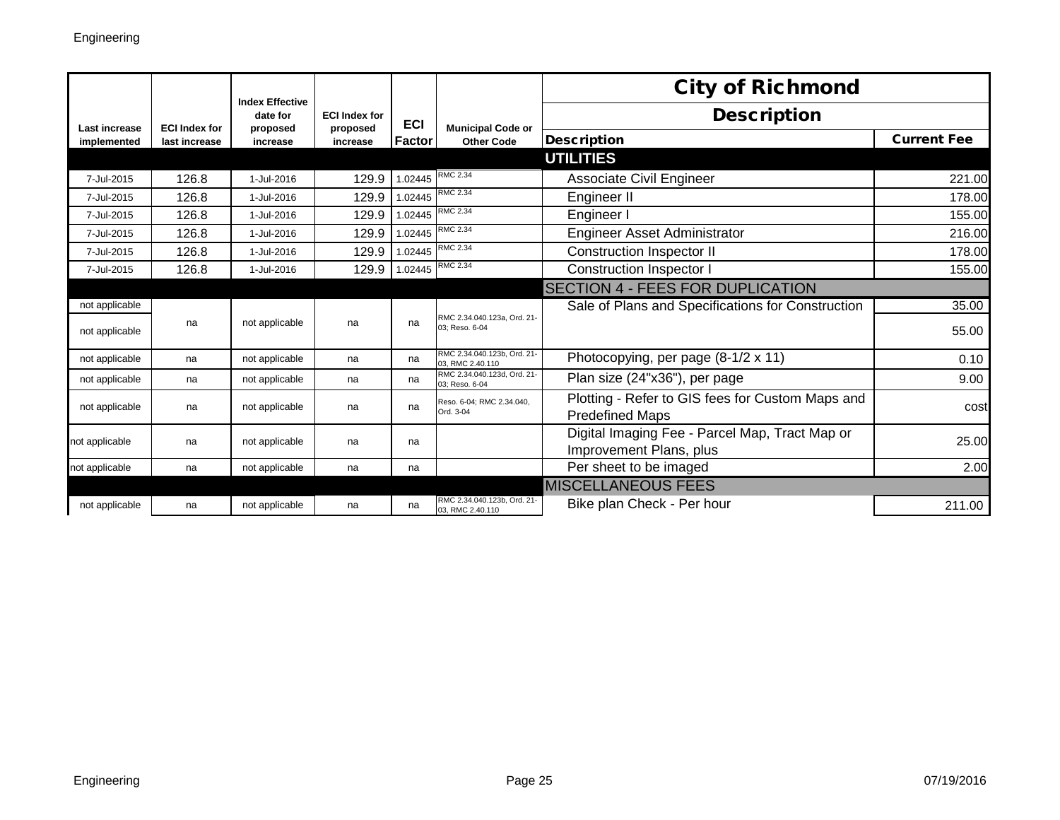|                      |                      | <b>Index Effective</b> |                                  |                  |                                                 | <b>City of Richmond</b>                                                    |                    |
|----------------------|----------------------|------------------------|----------------------------------|------------------|-------------------------------------------------|----------------------------------------------------------------------------|--------------------|
| <b>Last increase</b> | <b>ECI Index for</b> | date for<br>proposed   | <b>ECI Index for</b><br>proposed | <b>ECI</b>       | <b>Municipal Code or</b>                        | <b>Description</b>                                                         |                    |
| implemented          | last increase        | increase               | increase                         | <b>Factor</b>    | <b>Other Code</b>                               | <b>Description</b>                                                         | <b>Current Fee</b> |
|                      |                      |                        |                                  |                  |                                                 | <b>UTILITIES</b>                                                           |                    |
| 7-Jul-2015           | 126.8                | 1-Jul-2016             | 129.9                            | 1.02445          | RMC 2.34                                        | Associate Civil Engineer                                                   | 221.00             |
| 7-Jul-2015           | 126.8                | 1-Jul-2016             | 129.9                            | 1.02445          | RMC 2.34                                        | Engineer II                                                                | 178.00             |
| 7-Jul-2015           | 126.8                | 1-Jul-2016             | 129.9                            | 1.02445          | <b>RMC 2.34</b>                                 | Engineer I                                                                 | 155.00             |
| 7-Jul-2015           | 126.8                | 1-Jul-2016             | 129.9                            |                  | 1.02445 RMC 2.34                                | <b>Engineer Asset Administrator</b>                                        | 216.00             |
| 7-Jul-2015           | 126.8                | 1-Jul-2016             | 129.9                            | 1.02445 RMC 2.34 |                                                 | <b>Construction Inspector II</b>                                           | 178.00             |
| 7-Jul-2015           | 126.8                | 1-Jul-2016             | 129.9                            | 1.02445 RMC 2.34 |                                                 | <b>Construction Inspector I</b>                                            | 155.00             |
|                      |                      |                        |                                  |                  |                                                 | <b>SECTION 4 - FEES FOR DUPLICATION</b>                                    |                    |
| not applicable       |                      |                        |                                  |                  |                                                 | Sale of Plans and Specifications for Construction                          | 35.00              |
| not applicable       | na                   | not applicable         | na                               | na               | RMC 2.34.040.123a, Ord. 21-<br>03: Reso, 6-04   |                                                                            | 55.00              |
| not applicable       | na                   | not applicable         | na                               | na               | RMC 2.34.040.123b. Ord. 21-<br>03, RMC 2.40.110 | Photocopying, per page (8-1/2 x 11)                                        | 0.10               |
| not applicable       | na                   | not applicable         | na                               | na               | RMC 2.34.040.123d, Ord. 21-<br>03: Reso, 6-04   | Plan size (24"x36"), per page                                              | 9.00               |
| not applicable       | na                   | not applicable         | na                               | na               | Reso. 6-04; RMC 2.34.040,<br>Ord. 3-04          | Plotting - Refer to GIS fees for Custom Maps and<br><b>Predefined Maps</b> | cost               |
| not applicable       | na                   | not applicable         | na                               | na               |                                                 | Digital Imaging Fee - Parcel Map, Tract Map or<br>Improvement Plans, plus  | 25.00              |
| not applicable       | na                   | not applicable         | na                               | na               |                                                 | Per sheet to be imaged                                                     | 2.00               |
|                      |                      |                        |                                  |                  |                                                 | <b>MISCELLANEOUS FEES</b>                                                  |                    |
| not applicable       | na                   | not applicable         | na                               | na               | RMC 2.34.040.123b, Ord. 21-<br>03, RMC 2.40.110 | Bike plan Check - Per hour                                                 | 211.00             |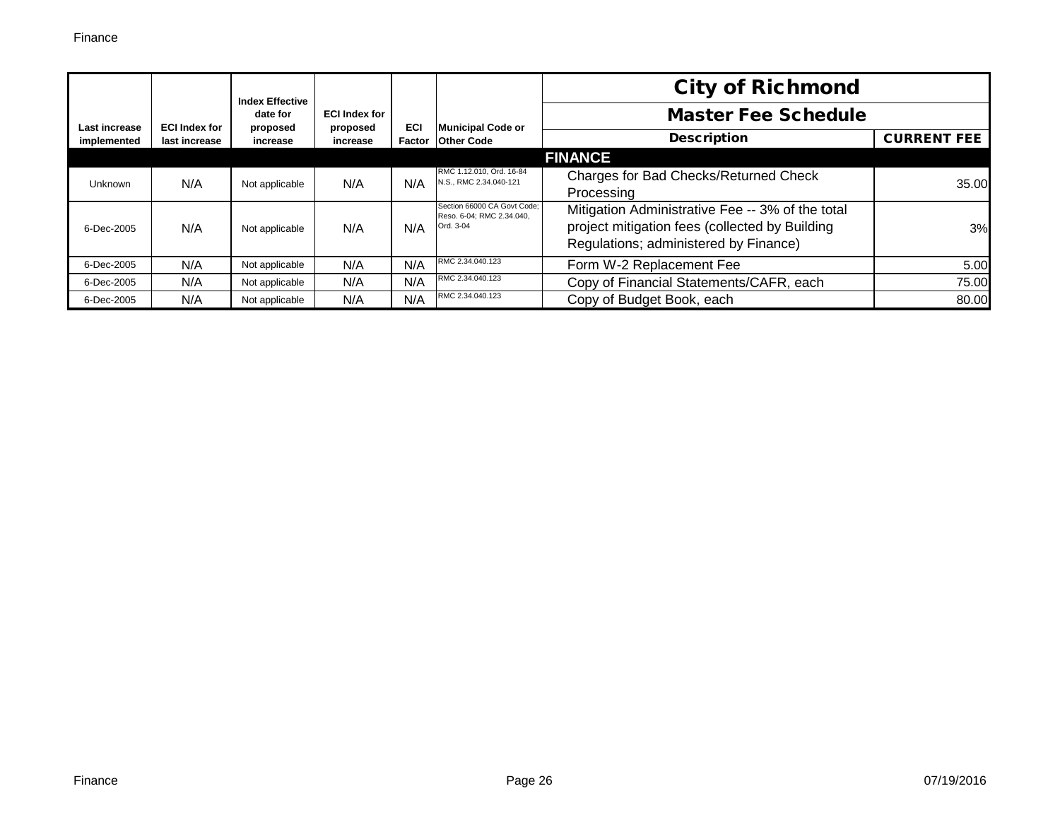|                              |                                       | <b>Index Effective</b> |                      |                      |                                                                       | <b>City of Richmond</b>                                                                                                                     |                    |
|------------------------------|---------------------------------------|------------------------|----------------------|----------------------|-----------------------------------------------------------------------|---------------------------------------------------------------------------------------------------------------------------------------------|--------------------|
|                              |                                       | date for               | <b>ECI Index for</b> |                      | <b>Municipal Code or</b>                                              | <b>Master Fee Schedule</b>                                                                                                                  |                    |
| Last increase<br>implemented | <b>ECI Index for</b><br>last increase | proposed<br>increase   | proposed<br>increase | <b>ECI</b><br>Factor | <b>Other Code</b>                                                     | <b>Description</b>                                                                                                                          | <b>CURRENT FEE</b> |
|                              |                                       |                        |                      |                      |                                                                       | <b>FINANCE</b>                                                                                                                              |                    |
| <b>Unknown</b>               | N/A                                   | Not applicable         | N/A                  | N/A                  | RMC 1.12.010, Ord. 16-84<br>N.S., RMC 2.34.040-121                    | Charges for Bad Checks/Returned Check<br>Processing                                                                                         | 35.00              |
| 6-Dec-2005                   | N/A                                   | Not applicable         | N/A                  | N/A                  | Section 66000 CA Govt Code;<br>Reso. 6-04; RMC 2.34.040,<br>Ord. 3-04 | Mitigation Administrative Fee -- 3% of the total<br>project mitigation fees (collected by Building<br>Regulations; administered by Finance) | 3%                 |
| 6-Dec-2005                   | N/A                                   | Not applicable         | N/A                  | N/A                  | RMC 2.34.040.123                                                      | Form W-2 Replacement Fee                                                                                                                    | 5.00               |
| 6-Dec-2005                   | N/A                                   | Not applicable         | N/A                  | N/A                  | RMC 2.34.040.123                                                      | Copy of Financial Statements/CAFR, each                                                                                                     | 75.00              |
| 6-Dec-2005                   | N/A                                   | Not applicable         | N/A                  | N/A                  | RMC 2.34.040.123                                                      | Copy of Budget Book, each                                                                                                                   | 80.00              |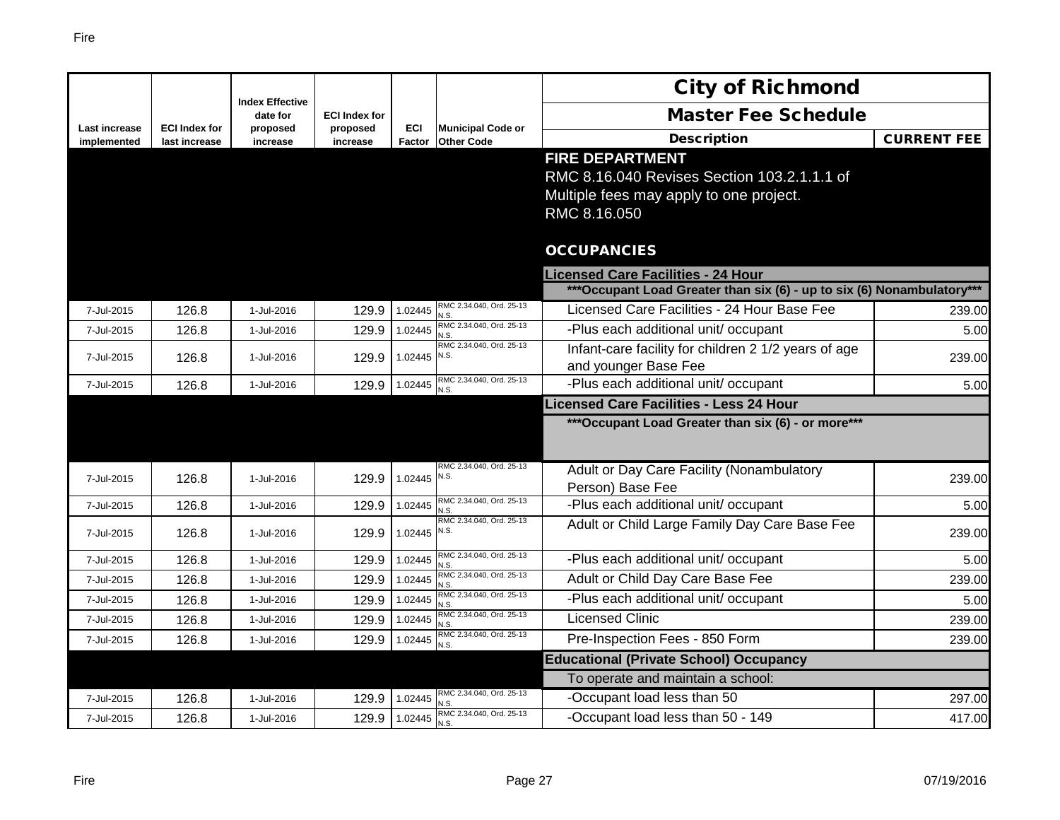|                                     |                                       |                                    |                      |               |                                               | <b>City of Richmond</b>                                                                                                          |                    |
|-------------------------------------|---------------------------------------|------------------------------------|----------------------|---------------|-----------------------------------------------|----------------------------------------------------------------------------------------------------------------------------------|--------------------|
|                                     |                                       | <b>Index Effective</b><br>date for | <b>ECI Index for</b> |               |                                               | <b>Master Fee Schedule</b>                                                                                                       |                    |
| <b>Last increase</b><br>implemented | <b>ECI Index for</b><br>last increase | proposed<br>increase               | proposed<br>increase | ECI<br>Factor | <b>Municipal Code or</b><br><b>Other Code</b> | <b>Description</b>                                                                                                               | <b>CURRENT FEE</b> |
|                                     |                                       |                                    |                      |               |                                               | <b>FIRE DEPARTMENT</b><br>RMC 8.16.040 Revises Section 103.2.1.1.1 of<br>Multiple fees may apply to one project.<br>RMC 8.16.050 |                    |
|                                     |                                       |                                    |                      |               |                                               | <b>OCCUPANCIES</b>                                                                                                               |                    |
|                                     |                                       |                                    |                      |               |                                               | <b>Licensed Care Facilities - 24 Hour</b>                                                                                        |                    |
|                                     |                                       |                                    |                      |               |                                               | ***Occupant Load Greater than six (6) - up to six (6) Nonambulatory***                                                           |                    |
| 7-Jul-2015                          | 126.8                                 | 1-Jul-2016                         | 129.9                | 1.02445       | RMC 2.34.040, Ord. 25-13<br>N.S               | Licensed Care Facilities - 24 Hour Base Fee                                                                                      | 239.00             |
| 7-Jul-2015                          | 126.8                                 | 1-Jul-2016                         | 129.9                | 1.02445       | RMC 2.34.040, Ord. 25-13<br>N.S.              | -Plus each additional unit/ occupant                                                                                             | 5.00               |
| 7-Jul-2015                          | 126.8                                 | 1-Jul-2016                         | 129.9                | 1.02445 N.S.  | RMC 2.34.040, Ord. 25-13                      | Infant-care facility for children 2 1/2 years of age<br>and younger Base Fee                                                     | 239.00             |
| 7-Jul-2015                          | 126.8                                 | 1-Jul-2016                         | 129.9                | 1.02445       | RMC 2.34.040, Ord. 25-13                      | -Plus each additional unit/ occupant                                                                                             | 5.00               |
|                                     |                                       |                                    |                      |               |                                               | Licensed Care Facilities - Less 24 Hour                                                                                          |                    |
|                                     |                                       |                                    |                      |               |                                               | *** Occupant Load Greater than six (6) - or more***                                                                              |                    |
| 7-Jul-2015                          | 126.8                                 | 1-Jul-2016                         | 129.9                | 1.02445 N.S.  | RMC 2.34.040, Ord. 25-13                      | Adult or Day Care Facility (Nonambulatory<br>Person) Base Fee                                                                    | 239.00             |
| 7-Jul-2015                          | 126.8                                 | 1-Jul-2016                         | 129.9                | 1.02445       | RMC 2.34.040, Ord. 25-13<br>N.S.              | -Plus each additional unit/ occupant                                                                                             | 5.00               |
| 7-Jul-2015                          | 126.8                                 | 1-Jul-2016                         | 129.9                | 1.02445 N.S.  | RMC 2.34.040, Ord. 25-13                      | Adult or Child Large Family Day Care Base Fee                                                                                    | 239.00             |
| 7-Jul-2015                          | 126.8                                 | 1-Jul-2016                         | 129.9                | 1.02445       | RMC 2.34.040, Ord. 25-13<br>N.S.              | -Plus each additional unit/ occupant                                                                                             | 5.00               |
| 7-Jul-2015                          | 126.8                                 | 1-Jul-2016                         | 129.9                | 1.02445       | RMC 2.34.040, Ord. 25-13<br>N.S.              | Adult or Child Day Care Base Fee                                                                                                 | 239.00             |
| 7-Jul-2015                          | 126.8                                 | 1-Jul-2016                         | 129.9                | 1.02445       | RMC 2.34.040, Ord. 25-13<br>N.S.              | -Plus each additional unit/ occupant                                                                                             | 5.00               |
| 7-Jul-2015                          | 126.8                                 | 1-Jul-2016                         | 129.9                | 1.02445       | RMC 2.34.040, Ord. 25-13<br>N.S.              | <b>Licensed Clinic</b>                                                                                                           | 239.00             |
| 7-Jul-2015                          | 126.8                                 | 1-Jul-2016                         | 129.9                | 1.02445       | RMC 2.34.040, Ord. 25-13<br>N.S.              | Pre-Inspection Fees - 850 Form                                                                                                   | 239.00             |
|                                     |                                       |                                    |                      |               |                                               | <b>Educational (Private School) Occupancy</b>                                                                                    |                    |
|                                     |                                       |                                    |                      |               |                                               | To operate and maintain a school:                                                                                                |                    |
| 7-Jul-2015                          | 126.8                                 | 1-Jul-2016                         | 129.9                | 1.02445       | RMC 2.34.040, Ord. 25-13<br>N.S.              | -Occupant load less than 50                                                                                                      | 297.00             |
| 7-Jul-2015                          | 126.8                                 | 1-Jul-2016                         | 129.9                | 1.02445       | RMC 2.34.040, Ord. 25-13<br>N.S.              | -Occupant load less than 50 - 149                                                                                                | 417.00             |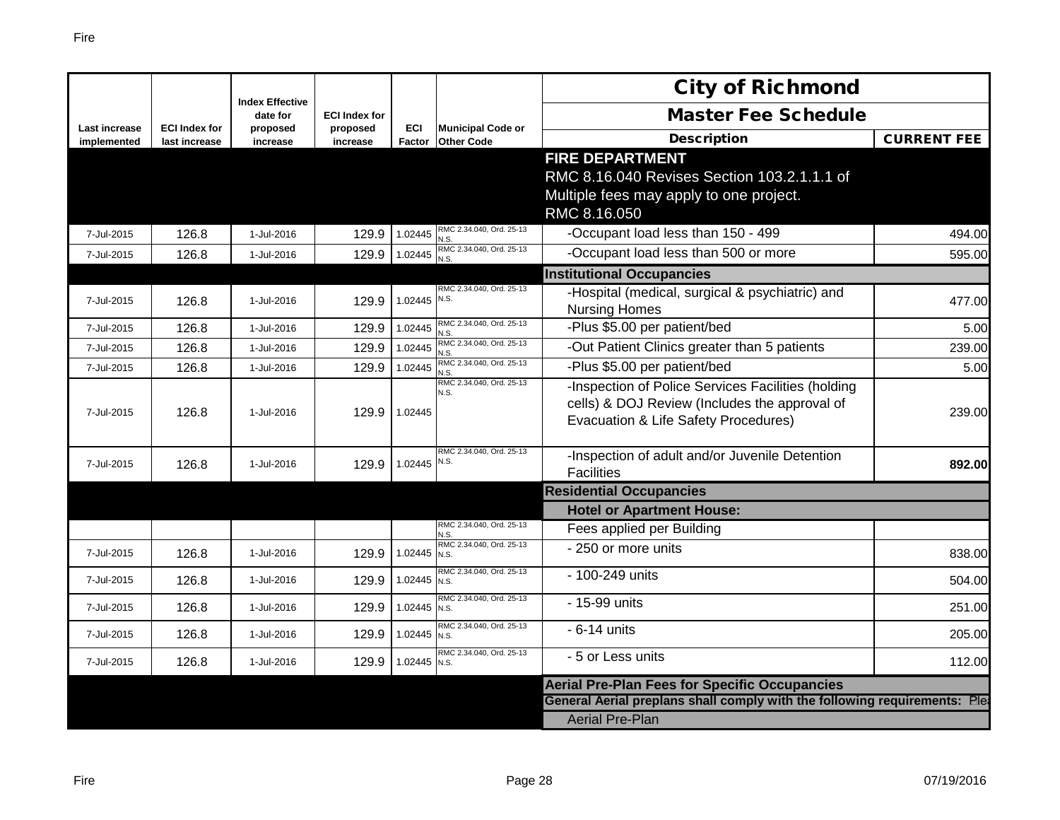|                                     |                                       |                                    |                      |                      |                                               | <b>City of Richmond</b>                                                                                                                     |                    |
|-------------------------------------|---------------------------------------|------------------------------------|----------------------|----------------------|-----------------------------------------------|---------------------------------------------------------------------------------------------------------------------------------------------|--------------------|
|                                     |                                       | <b>Index Effective</b><br>date for | <b>ECI Index for</b> |                      |                                               | <b>Master Fee Schedule</b>                                                                                                                  |                    |
| <b>Last increase</b><br>implemented | <b>ECI Index for</b><br>last increase | proposed<br>increase               | proposed<br>increase | <b>ECI</b><br>Factor | <b>Municipal Code or</b><br><b>Other Code</b> | <b>Description</b>                                                                                                                          | <b>CURRENT FEE</b> |
|                                     |                                       |                                    |                      |                      |                                               | <b>FIRE DEPARTMENT</b>                                                                                                                      |                    |
|                                     |                                       |                                    |                      |                      |                                               | RMC 8.16.040 Revises Section 103.2.1.1.1 of                                                                                                 |                    |
|                                     |                                       |                                    |                      |                      |                                               | Multiple fees may apply to one project.                                                                                                     |                    |
|                                     |                                       |                                    |                      |                      |                                               | RMC 8.16.050                                                                                                                                |                    |
| 7-Jul-2015                          | 126.8                                 | 1-Jul-2016                         | 129.9                | 1.02445              | RMC 2.34.040, Ord. 25-13<br>N.S               | -Occupant load less than 150 - 499                                                                                                          | 494.00             |
| 7-Jul-2015                          | 126.8                                 | 1-Jul-2016                         | 129.9                | 1.02445              | RMC 2.34.040, Ord. 25-13<br>N.S.              | -Occupant load less than 500 or more                                                                                                        | 595.00             |
|                                     |                                       |                                    |                      |                      |                                               | <b>Institutional Occupancies</b>                                                                                                            |                    |
| 7-Jul-2015                          | 126.8                                 | 1-Jul-2016                         | 129.9                | 1.02445 N.S.         | RMC 2.34.040, Ord, 25-13                      | -Hospital (medical, surgical & psychiatric) and<br><b>Nursing Homes</b>                                                                     | 477.00             |
| 7-Jul-2015                          | 126.8                                 | 1-Jul-2016                         | 129.9                | 1.02445              | RMC 2.34.040, Ord. 25-13<br>u s               | -Plus \$5.00 per patient/bed                                                                                                                | 5.00               |
| 7-Jul-2015                          | 126.8                                 | 1-Jul-2016                         | 129.9                | 1.02445              | RMC 2.34.040, Ord. 25-13<br>N.S.              | -Out Patient Clinics greater than 5 patients                                                                                                | 239.00             |
| 7-Jul-2015                          | 126.8                                 | 1-Jul-2016                         | 129.9                | 1.02445              | RMC 2.34.040, Ord. 25-13                      | -Plus \$5.00 per patient/bed                                                                                                                | 5.00               |
| 7-Jul-2015                          | 126.8                                 | 1-Jul-2016                         | 129.9                | 1.02445              | RMC 2.34.040, Ord. 25-13<br>N.S.              | -Inspection of Police Services Facilities (holding<br>cells) & DOJ Review (Includes the approval of<br>Evacuation & Life Safety Procedures) | 239.00             |
| 7-Jul-2015                          | 126.8                                 | 1-Jul-2016                         | 129.9                | 1.02445              | RMC 2.34.040, Ord. 25-13<br>N.S.              | -Inspection of adult and/or Juvenile Detention<br><b>Facilities</b>                                                                         | 892.00             |
|                                     |                                       |                                    |                      |                      |                                               | <b>Residential Occupancies</b>                                                                                                              |                    |
|                                     |                                       |                                    |                      |                      |                                               | <b>Hotel or Apartment House:</b>                                                                                                            |                    |
|                                     |                                       |                                    |                      |                      | RMC 2.34.040, Ord. 25-13<br>N.S.              | Fees applied per Building                                                                                                                   |                    |
| 7-Jul-2015                          | 126.8                                 | 1-Jul-2016                         | 129.9                | 1.02445 N.S.         | RMC 2.34.040, Ord. 25-13                      | $-250$ or more units                                                                                                                        | 838.00             |
| 7-Jul-2015                          | 126.8                                 | 1-Jul-2016                         | 129.9                | 1.02445              | RMC 2.34.040, Ord. 25-13<br>N.S.              | - 100-249 units                                                                                                                             | 504.00             |
| 7-Jul-2015                          | 126.8                                 | 1-Jul-2016                         | 129.9                | 1.02445              | RMC 2.34.040, Ord. 25-13<br>N.S.              | - 15-99 units                                                                                                                               | 251.00             |
| 7-Jul-2015                          | 126.8                                 | 1-Jul-2016                         | 129.9                | 1.02445              | RMC 2.34.040, Ord. 25-13<br>N.S.              | $-6-14$ units                                                                                                                               | 205.00             |
| 7-Jul-2015                          | 126.8                                 | 1-Jul-2016                         | 129.9                | 1.02445 N.S.         | RMC 2.34.040, Ord. 25-13                      | - 5 or Less units                                                                                                                           | 112.00             |
|                                     |                                       |                                    |                      |                      |                                               | <b>Aerial Pre-Plan Fees for Specific Occupancies</b>                                                                                        |                    |
|                                     |                                       |                                    |                      |                      |                                               | General Aerial preplans shall comply with the following requirements: Plea                                                                  |                    |
|                                     |                                       |                                    |                      |                      |                                               | <b>Aerial Pre-Plan</b>                                                                                                                      |                    |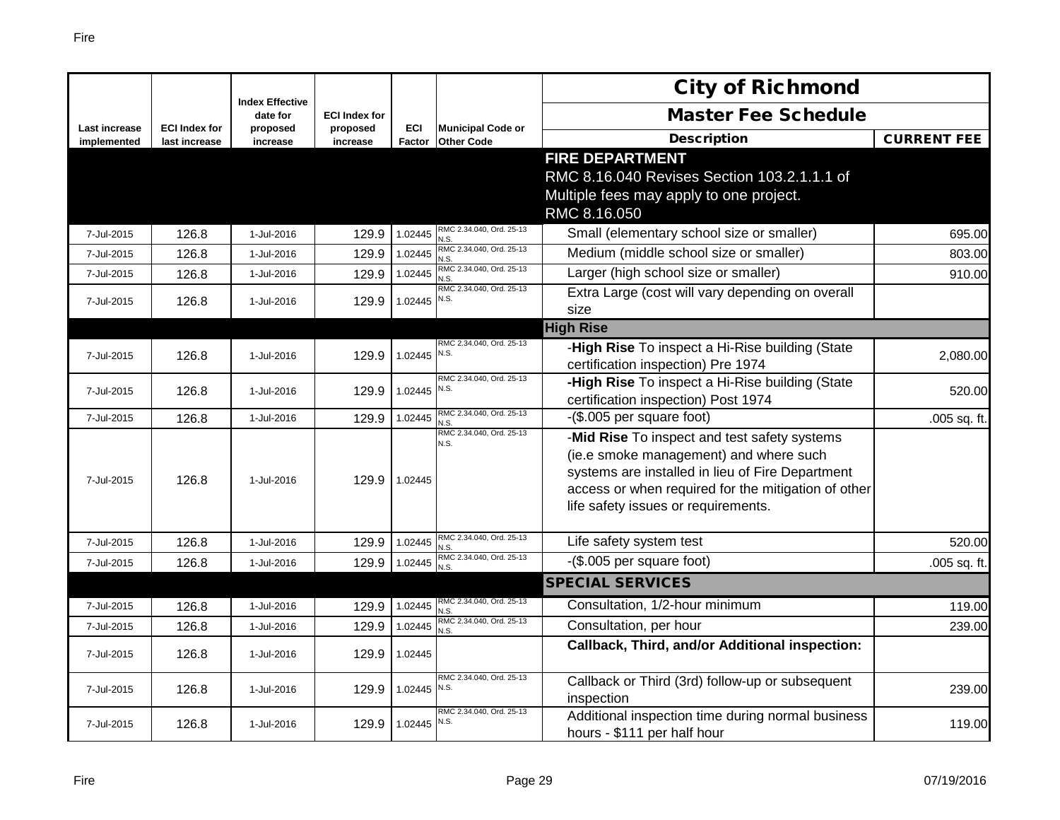|                              |                                       |                                    |                      |                      |                                               | <b>City of Richmond</b>                                                                                                                                                                                                                  |                    |
|------------------------------|---------------------------------------|------------------------------------|----------------------|----------------------|-----------------------------------------------|------------------------------------------------------------------------------------------------------------------------------------------------------------------------------------------------------------------------------------------|--------------------|
|                              |                                       | <b>Index Effective</b><br>date for | <b>ECI Index for</b> |                      |                                               | <b>Master Fee Schedule</b>                                                                                                                                                                                                               |                    |
| Last increase<br>implemented | <b>ECI Index for</b><br>last increase | proposed<br>increase               | proposed<br>increase | <b>ECI</b><br>Factor | <b>Municipal Code or</b><br><b>Other Code</b> | <b>Description</b>                                                                                                                                                                                                                       | <b>CURRENT FEE</b> |
|                              |                                       |                                    |                      |                      |                                               | <b>FIRE DEPARTMENT</b><br>RMC 8.16.040 Revises Section 103.2.1.1.1 of<br>Multiple fees may apply to one project.<br>RMC 8.16.050                                                                                                         |                    |
| 7-Jul-2015                   | 126.8                                 | 1-Jul-2016                         | 129.9                | 1.02445              | RMC 2.34.040, Ord. 25-13<br>N.S               | Small (elementary school size or smaller)                                                                                                                                                                                                | 695.00             |
| 7-Jul-2015                   | 126.8                                 | 1-Jul-2016                         | 129.9                | 1.02445              | RMC 2.34.040, Ord. 25-13<br>N.S.              | Medium (middle school size or smaller)                                                                                                                                                                                                   | 803.00             |
| 7-Jul-2015                   | 126.8                                 | 1-Jul-2016                         | 129.9                | 1.02445              | RMC 2.34.040, Ord. 25-13<br>N.S.              | Larger (high school size or smaller)                                                                                                                                                                                                     | 910.00             |
| 7-Jul-2015                   | 126.8                                 | 1-Jul-2016                         | 129.9                | 1.02445              | RMC 2.34.040, Ord. 25-13<br>N.S.              | Extra Large (cost will vary depending on overall<br>size                                                                                                                                                                                 |                    |
|                              |                                       |                                    |                      |                      |                                               | <b>High Rise</b>                                                                                                                                                                                                                         |                    |
| 7-Jul-2015                   | 126.8                                 | 1-Jul-2016                         | 129.9                | 1.02445              | RMC 2.34.040, Ord. 25-13<br>N.S.              | -High Rise To inspect a Hi-Rise building (State<br>certification inspection) Pre 1974                                                                                                                                                    | 2,080.00           |
| 7-Jul-2015                   | 126.8                                 | 1-Jul-2016                         | 129.9                | 1.02445              | RMC 2.34.040, Ord. 25-13<br>N.S.              | -High Rise To inspect a Hi-Rise building (State<br>certification inspection) Post 1974                                                                                                                                                   | 520.00             |
| 7-Jul-2015                   | 126.8                                 | 1-Jul-2016                         | 129.9                | 1.02445              | RMC 2.34.040, Ord. 25-13<br>N.S.              | -(\$.005 per square foot)                                                                                                                                                                                                                | .005 sq. ft.       |
| 7-Jul-2015                   | 126.8                                 | 1-Jul-2016                         | 129.9                | 1.02445              | RMC 2.34.040, Ord. 25-13<br>N.S.              | -Mid Rise To inspect and test safety systems<br>(ie.e smoke management) and where such<br>systems are installed in lieu of Fire Department<br>access or when required for the mitigation of other<br>life safety issues or requirements. |                    |
| 7-Jul-2015                   | 126.8                                 | 1-Jul-2016                         | 129.9                | 1.02445              | RMC 2.34.040, Ord. 25-13<br>N.S               | Life safety system test                                                                                                                                                                                                                  | 520.00             |
| 7-Jul-2015                   | 126.8                                 | 1-Jul-2016                         | 129.9                | 1.02445              | RMC 2.34.040, Ord. 25-13<br>N.S               | -(\$.005 per square foot)                                                                                                                                                                                                                | .005 sq. ft.       |
|                              |                                       |                                    |                      |                      |                                               | <b>SPECIAL SERVICES</b>                                                                                                                                                                                                                  |                    |
| 7-Jul-2015                   | 126.8                                 | 1-Jul-2016                         | 129.9                | 1.02445              | RMC 2.34.040, Ord. 25-13<br>N.S               | Consultation, 1/2-hour minimum                                                                                                                                                                                                           | 119.00             |
| 7-Jul-2015                   | 126.8                                 | 1-Jul-2016                         | 129.9                | 1.02445              | RMC 2.34.040, Ord. 25-13<br>J.S.              | Consultation, per hour                                                                                                                                                                                                                   | 239.00             |
| 7-Jul-2015                   | 126.8                                 | 1-Jul-2016                         | 129.9                | 1.02445              |                                               | <b>Callback, Third, and/or Additional inspection:</b>                                                                                                                                                                                    |                    |
| 7-Jul-2015                   | 126.8                                 | 1-Jul-2016                         | 129.9                | 1.02445              | RMC 2.34.040, Ord. 25-13<br>N.S.              | Callback or Third (3rd) follow-up or subsequent<br>inspection                                                                                                                                                                            | 239.00             |
| 7-Jul-2015                   | 126.8                                 | 1-Jul-2016                         | 129.9                | 1.02445              | RMC 2.34.040, Ord. 25-13<br>N.S.              | Additional inspection time during normal business<br>hours - \$111 per half hour                                                                                                                                                         | 119.00             |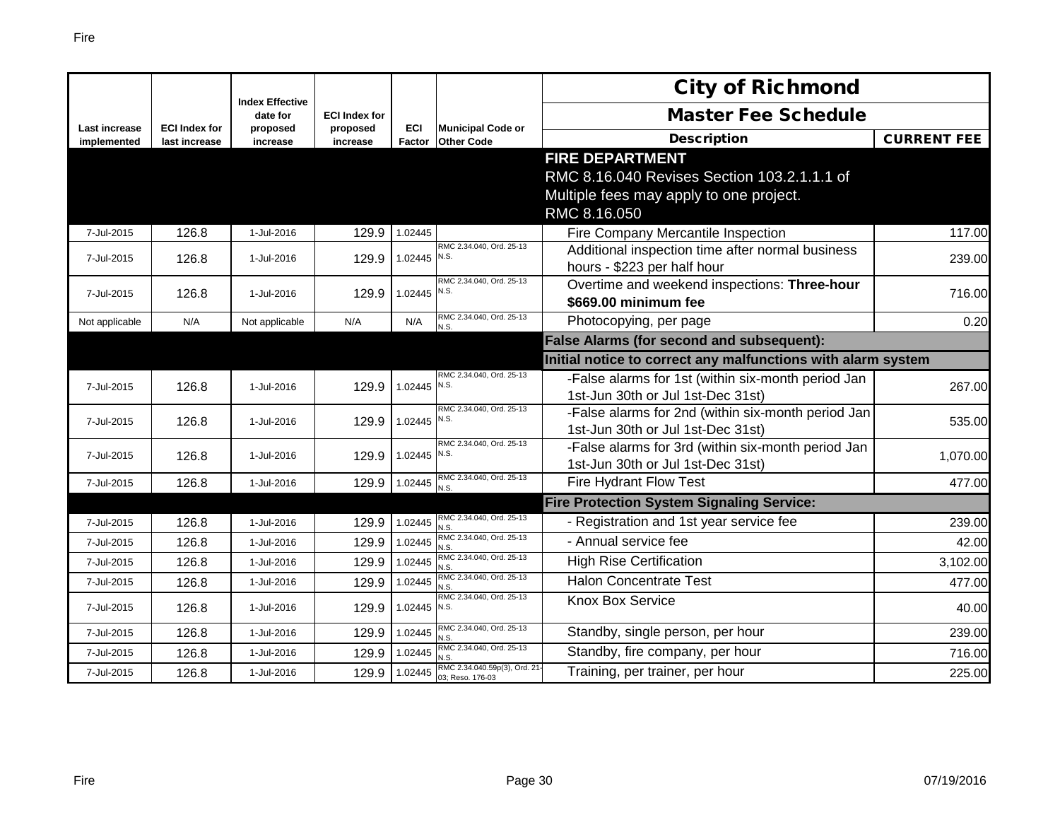|                                     |                                       | <b>Index Effective</b> |                      |                      |                                                  | <b>City of Richmond</b>                                      |                    |
|-------------------------------------|---------------------------------------|------------------------|----------------------|----------------------|--------------------------------------------------|--------------------------------------------------------------|--------------------|
|                                     |                                       | date for               | <b>ECI Index for</b> |                      |                                                  | <b>Master Fee Schedule</b>                                   |                    |
| <b>Last increase</b><br>implemented | <b>ECI Index for</b><br>last increase | proposed<br>increase   | proposed<br>increase | <b>ECI</b><br>Factor | <b>Municipal Code or</b><br><b>Other Code</b>    | <b>Description</b>                                           | <b>CURRENT FEE</b> |
|                                     |                                       |                        |                      |                      |                                                  | <b>FIRE DEPARTMENT</b>                                       |                    |
|                                     |                                       |                        |                      |                      |                                                  | RMC 8.16.040 Revises Section 103.2.1.1.1 of                  |                    |
|                                     |                                       |                        |                      |                      |                                                  | Multiple fees may apply to one project.                      |                    |
|                                     |                                       |                        |                      |                      |                                                  | RMC 8.16.050                                                 |                    |
| 7-Jul-2015                          | 126.8                                 | 1-Jul-2016             | 129.9                | 1.02445              |                                                  | Fire Company Mercantile Inspection                           | 117.00             |
| 7-Jul-2015                          | 126.8                                 | 1-Jul-2016             | 129.9                | 1.02445 N.S.         | RMC 2.34.040, Ord. 25-13                         | Additional inspection time after normal business             | 239.00             |
|                                     |                                       |                        |                      |                      |                                                  | hours - \$223 per half hour                                  |                    |
| 7-Jul-2015                          | 126.8                                 | 1-Jul-2016             | 129.9                | 1.02445              | RMC 2.34.040, Ord. 25-13<br>N.S.                 | Overtime and weekend inspections: Three-hour                 | 716.00             |
|                                     |                                       |                        |                      |                      |                                                  | \$669.00 minimum fee                                         |                    |
| Not applicable                      | N/A                                   | Not applicable         | N/A                  | N/A                  | RMC 2.34.040, Ord. 25-13                         | Photocopying, per page                                       | 0.20               |
|                                     |                                       |                        |                      |                      |                                                  | False Alarms (for second and subsequent):                    |                    |
|                                     |                                       |                        |                      |                      |                                                  | Initial notice to correct any malfunctions with alarm system |                    |
| 7-Jul-2015                          | 126.8                                 | 1-Jul-2016             | 129.9                | 1.02445 N.S.         | RMC 2.34.040, Ord. 25-13                         | -False alarms for 1st (within six-month period Jan           | 267.00             |
|                                     |                                       |                        |                      |                      |                                                  | 1st-Jun 30th or Jul 1st-Dec 31st)                            |                    |
| 7-Jul-2015                          | 126.8                                 | 1-Jul-2016             | 129.9                | 1.02445 N.S.         | RMC 2.34.040, Ord. 25-13                         | -False alarms for 2nd (within six-month period Jan           | 535.00             |
|                                     |                                       |                        |                      |                      |                                                  | 1st-Jun 30th or Jul 1st-Dec 31st)                            |                    |
| 7-Jul-2015                          | 126.8                                 | 1-Jul-2016             | 129.9                | 1.02445              | RMC 2.34.040, Ord. 25-13<br>N.S.                 | -False alarms for 3rd (within six-month period Jan           | 1,070.00           |
|                                     |                                       |                        |                      |                      |                                                  | 1st-Jun 30th or Jul 1st-Dec 31st)                            |                    |
| 7-Jul-2015                          | 126.8                                 | 1-Jul-2016             | 129.9                | 1.02445              | RMC 2.34.040, Ord. 25-13<br>N.S.                 | Fire Hydrant Flow Test                                       | 477.00             |
|                                     |                                       |                        |                      |                      |                                                  | <b>Fire Protection System Signaling Service:</b>             |                    |
| 7-Jul-2015                          | 126.8                                 | 1-Jul-2016             | 129.9                | 1.02445              | RMC 2.34.040, Ord. 25-13<br>N.S.                 | - Registration and 1st year service fee                      | 239.00             |
| 7-Jul-2015                          | 126.8                                 | 1-Jul-2016             | 129.9                | 1.02445              | RMC 2.34.040, Ord. 25-13<br>N.S.                 | - Annual service fee                                         | 42.00              |
| 7-Jul-2015                          | 126.8                                 | 1-Jul-2016             | 129.9                | 1.02445              | RMC 2.34.040, Ord. 25-13<br>N.S.                 | <b>High Rise Certification</b>                               | 3,102.00           |
| 7-Jul-2015                          | 126.8                                 | 1-Jul-2016             | 129.9                | 1.02445              | RMC 2.34.040, Ord. 25-13<br>N.S.                 | <b>Halon Concentrate Test</b>                                | 477.00             |
| 7-Jul-2015                          | 126.8                                 | 1-Jul-2016             | 129.9                | 1.02445 N.S.         | RMC 2.34.040, Ord. 25-13                         | <b>Knox Box Service</b>                                      | 40.00              |
| 7-Jul-2015                          | 126.8                                 | 1-Jul-2016             | 129.9                | 1.02445              | RMC 2.34.040, Ord. 25-13<br>N.S.                 | Standby, single person, per hour                             | 239.00             |
| 7-Jul-2015                          | 126.8                                 | 1-Jul-2016             | 129.9                | 1.02445              | RMC 2.34.040, Ord. 25-13                         | Standby, fire company, per hour                              | 716.00             |
| 7-Jul-2015                          | 126.8                                 | 1-Jul-2016             | 129.9                | 1.02445              | RMC 2.34.040.59p(3), Ord. 21<br>03; Reso. 176-03 | Training, per trainer, per hour                              | 225.00             |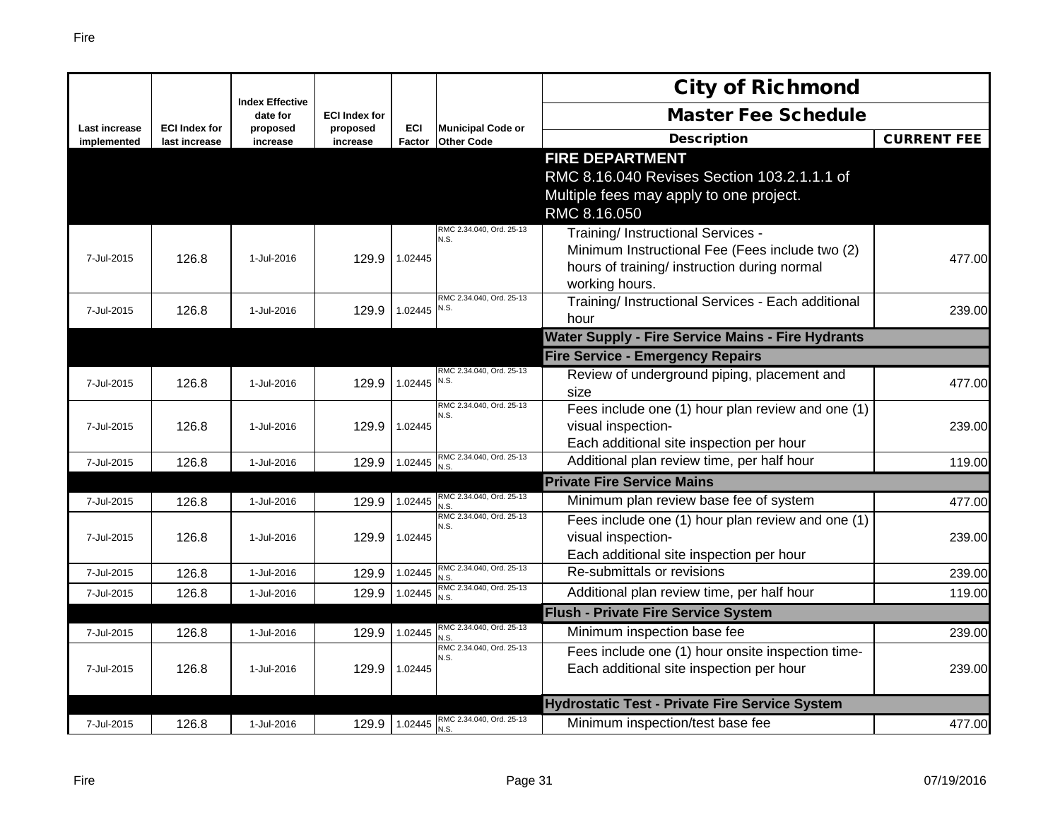|                              |                                       |                                    |                      |                |                                        | <b>City of Richmond</b>                                                |                    |
|------------------------------|---------------------------------------|------------------------------------|----------------------|----------------|----------------------------------------|------------------------------------------------------------------------|--------------------|
|                              |                                       | <b>Index Effective</b><br>date for | <b>ECI Index for</b> |                |                                        | <b>Master Fee Schedule</b>                                             |                    |
| Last increase<br>implemented | <b>ECI Index for</b><br>last increase | proposed<br>increase               | proposed<br>increase | ECI<br>Factor  | Municipal Code or<br><b>Other Code</b> | <b>Description</b>                                                     | <b>CURRENT FEE</b> |
|                              |                                       |                                    |                      |                |                                        | <b>FIRE DEPARTMENT</b>                                                 |                    |
|                              |                                       |                                    |                      |                |                                        | RMC 8.16.040 Revises Section 103.2.1.1.1 of                            |                    |
|                              |                                       |                                    |                      |                |                                        | Multiple fees may apply to one project.                                |                    |
|                              |                                       |                                    |                      |                |                                        | RMC 8.16.050                                                           |                    |
|                              |                                       |                                    |                      |                | RMC 2.34.040, Ord. 25-13<br>N.S.       | Training/ Instructional Services -                                     |                    |
| 7-Jul-2015                   | 126.8                                 | 1-Jul-2016                         | 129.9                | 1.02445        |                                        | Minimum Instructional Fee (Fees include two (2)                        | 477.00             |
|                              |                                       |                                    |                      |                |                                        | hours of training/ instruction during normal                           |                    |
|                              |                                       |                                    |                      |                |                                        | working hours.                                                         |                    |
| 7-Jul-2015                   | 126.8                                 | 1-Jul-2016                         | 129.9                | $1.02445$ N.S. | RMC 2.34.040, Ord. 25-13               | Training/ Instructional Services - Each additional                     | 239.00             |
|                              |                                       |                                    |                      |                |                                        | hour                                                                   |                    |
|                              |                                       |                                    |                      |                |                                        | <b>Water Supply - Fire Service Mains - Fire Hydrants</b>               |                    |
|                              |                                       |                                    |                      |                |                                        | <b>Fire Service - Emergency Repairs</b>                                |                    |
| 7-Jul-2015                   | 126.8                                 | 1-Jul-2016                         | 129.9                | 1.02445        | RMC 2.34.040, Ord. 25-13<br>N.S.       | Review of underground piping, placement and                            | 477.00             |
|                              |                                       |                                    |                      |                | RMC 2.34.040, Ord. 25-13               | size                                                                   |                    |
|                              |                                       |                                    |                      |                | N.S.                                   | Fees include one (1) hour plan review and one (1)                      |                    |
| 7-Jul-2015                   | 126.8                                 | 1-Jul-2016                         | 129.9                | 1.02445        |                                        | visual inspection-<br>Each additional site inspection per hour         | 239.00             |
| 7-Jul-2015                   | 126.8                                 | 1-Jul-2016                         | 129.9                | 1.02445        | RMC 2.34.040, Ord. 25-13               | Additional plan review time, per half hour                             | 119.00             |
|                              |                                       |                                    |                      |                | N.S.                                   | <b>Private Fire Service Mains</b>                                      |                    |
|                              |                                       |                                    |                      |                | RMC 2.34.040, Ord. 25-13               |                                                                        |                    |
| 7-Jul-2015                   | 126.8                                 | 1-Jul-2016                         | 129.9                | 1.02445        | N.S.<br>RMC 2.34.040, Ord. 25-13       | Minimum plan review base fee of system                                 | 477.00             |
|                              |                                       |                                    |                      |                | N.S.                                   | Fees include one (1) hour plan review and one (1)                      |                    |
| 7-Jul-2015                   | 126.8                                 | 1-Jul-2016                         | 129.9                | 1.02445        |                                        | visual inspection-                                                     | 239.00             |
|                              |                                       |                                    |                      | 1.02445        | RMC 2.34.040, Ord. 25-13               | Each additional site inspection per hour<br>Re-submittals or revisions |                    |
| 7-Jul-2015                   | 126.8                                 | 1-Jul-2016                         | 129.9                |                | N.S.<br>RMC 2.34.040, Ord. 25-13       |                                                                        | 239.00             |
| 7-Jul-2015                   | 126.8                                 | 1-Jul-2016                         | 129.9                | 1.02445        | N.S.                                   | Additional plan review time, per half hour                             | 119.00             |
|                              |                                       |                                    |                      |                | RMC 2.34.040, Ord. 25-13               | <b>Flush - Private Fire Service System</b>                             |                    |
| 7-Jul-2015                   | 126.8                                 | 1-Jul-2016                         | 129.9                | 1.02445        | N.S.                                   | Minimum inspection base fee                                            | 239.00             |
|                              |                                       |                                    |                      |                | RMC 2.34.040, Ord. 25-13<br>N.S.       | Fees include one (1) hour onsite inspection time-                      |                    |
| 7-Jul-2015                   | 126.8                                 | 1-Jul-2016                         | 129.9                | 1.02445        |                                        | Each additional site inspection per hour                               | 239.00             |
|                              |                                       |                                    |                      |                |                                        |                                                                        |                    |
|                              |                                       |                                    |                      |                | RMC 2.34.040, Ord. 25-13               | <b>Hydrostatic Test - Private Fire Service System</b>                  |                    |
| 7-Jul-2015                   | 126.8                                 | 1-Jul-2016                         | 129.9                | 1.02445        | N.S.                                   | Minimum inspection/test base fee                                       | 477.00             |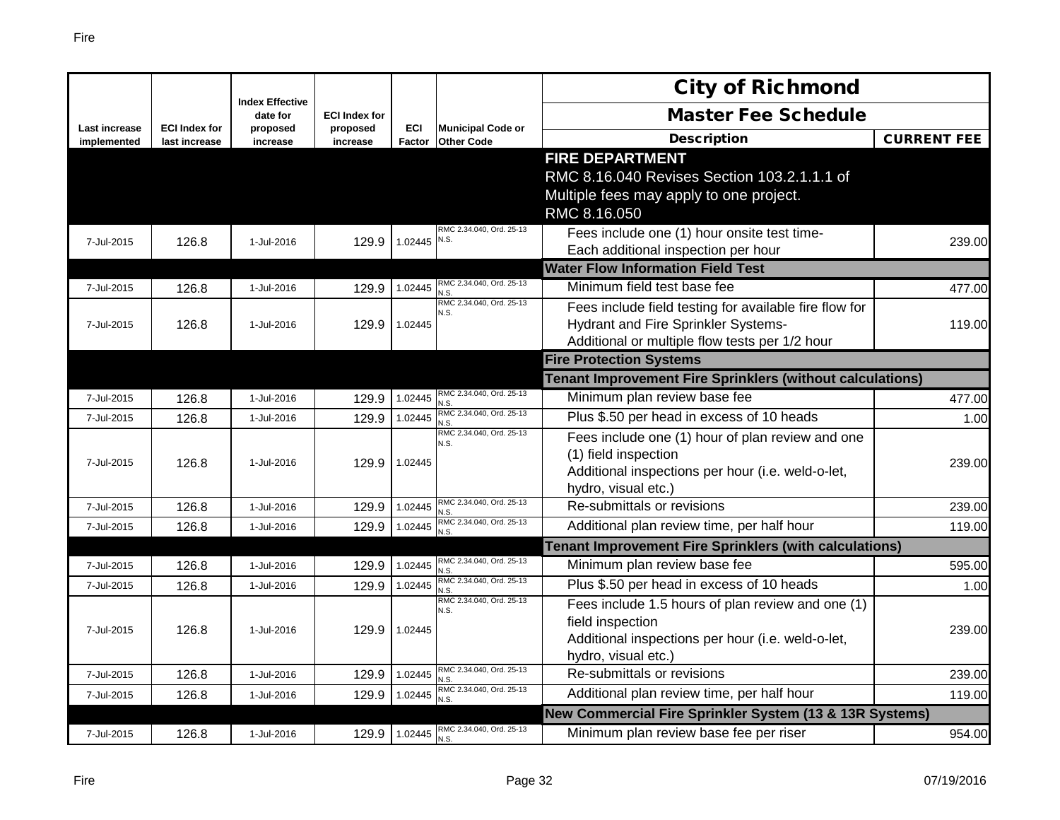|                              |                                       | <b>Index Effective</b> |                      |               |                                               | <b>City of Richmond</b>                                                  |                    |
|------------------------------|---------------------------------------|------------------------|----------------------|---------------|-----------------------------------------------|--------------------------------------------------------------------------|--------------------|
|                              |                                       | date for               | <b>ECI Index for</b> |               |                                               | <b>Master Fee Schedule</b>                                               |                    |
| Last increase<br>implemented | <b>ECI Index for</b><br>last increase | proposed<br>increase   | proposed<br>increase | ECI<br>Factor | <b>Municipal Code or</b><br><b>Other Code</b> | <b>Description</b>                                                       | <b>CURRENT FEE</b> |
|                              |                                       |                        |                      |               |                                               | <b>FIRE DEPARTMENT</b>                                                   |                    |
|                              |                                       |                        |                      |               |                                               | RMC 8.16.040 Revises Section 103.2.1.1.1 of                              |                    |
|                              |                                       |                        |                      |               |                                               | Multiple fees may apply to one project.                                  |                    |
|                              |                                       |                        |                      |               |                                               | RMC 8.16.050                                                             |                    |
| 7-Jul-2015                   | 126.8                                 | 1-Jul-2016             | 129.9                | 1.02445       | RMC 2.34.040, Ord. 25-13<br>N.S.              | Fees include one (1) hour onsite test time-                              | 239.00             |
|                              |                                       |                        |                      |               |                                               | Each additional inspection per hour                                      |                    |
|                              |                                       |                        |                      |               |                                               | <b>Water Flow Information Field Test</b>                                 |                    |
| 7-Jul-2015                   | 126.8                                 | 1-Jul-2016             | 129.9                | 1.02445       | RMC 2.34.040, Ord. 25-13<br>J.S               | Minimum field test base fee                                              | 477.00             |
|                              |                                       |                        |                      |               | RMC 2.34.040, Ord. 25-13<br>N.S.              | Fees include field testing for available fire flow for                   |                    |
| 7-Jul-2015                   | 126.8                                 | 1-Jul-2016             | 129.9                | 1.02445       |                                               | Hydrant and Fire Sprinkler Systems-                                      | 119.00             |
|                              |                                       |                        |                      |               |                                               | Additional or multiple flow tests per 1/2 hour                           |                    |
|                              |                                       |                        |                      |               |                                               | <b>Fire Protection Systems</b>                                           |                    |
|                              |                                       |                        |                      |               |                                               | <b>Tenant Improvement Fire Sprinklers (without calculations)</b>         |                    |
| 7-Jul-2015                   | 126.8                                 | 1-Jul-2016             | 129.9                | 1.02445       | RMC 2.34.040, Ord. 25-13<br>N.S               | Minimum plan review base fee                                             | 477.00             |
| 7-Jul-2015                   | 126.8                                 | 1-Jul-2016             | 129.9                | 1.02445       | RMC 2.34.040, Ord. 25-13<br>N.S.              | Plus \$.50 per head in excess of 10 heads                                | 1.00               |
|                              |                                       |                        |                      |               | RMC 2.34.040, Ord, 25-13<br>N S               | Fees include one (1) hour of plan review and one<br>(1) field inspection |                    |
| 7-Jul-2015                   | 126.8                                 | 1-Jul-2016             | 129.9                | 1.02445       |                                               | Additional inspections per hour (i.e. weld-o-let,                        | 239.00             |
|                              |                                       |                        |                      |               | RMC 2.34.040, Ord. 25-13                      | hydro, visual etc.)<br>Re-submittals or revisions                        |                    |
| 7-Jul-2015                   | 126.8                                 | 1-Jul-2016             | 129.9                | 1.02445       | N.S.<br>RMC 2.34.040, Ord. 25-13              |                                                                          | 239.00             |
| 7-Jul-2015                   | 126.8                                 | 1-Jul-2016             | 129.9                | 1.02445       | N.S                                           | Additional plan review time, per half hour                               | 119.00             |
|                              |                                       |                        |                      |               | RMC 2.34.040, Ord. 25-13                      | <b>Tenant Improvement Fire Sprinklers (with calculations)</b>            |                    |
| 7-Jul-2015                   | 126.8                                 | 1-Jul-2016             | 129.9                | 1.02445       | N.S.                                          | Minimum plan review base fee                                             | 595.00             |
| 7-Jul-2015                   | 126.8                                 | 1-Jul-2016             | 129.9                | 1.02445       | RMC 2.34.040, Ord. 25-13<br>N.S.              | Plus \$.50 per head in excess of 10 heads                                | 1.00               |
|                              |                                       |                        |                      |               | RMC 2.34.040, Ord. 25-13<br>N.S.              | Fees include 1.5 hours of plan review and one (1)                        |                    |
| 7-Jul-2015                   | 126.8                                 | 1-Jul-2016             | 129.9                | 1.02445       |                                               | field inspection                                                         | 239.00             |
|                              |                                       |                        |                      |               |                                               | Additional inspections per hour (i.e. weld-o-let,                        |                    |
|                              |                                       |                        |                      |               | RMC 2.34.040, Ord. 25-13                      | hydro, visual etc.)                                                      |                    |
| 7-Jul-2015                   | 126.8                                 | 1-Jul-2016             | 129.9                | 1.02445       | √.S.<br>RMC 2.34.040, Ord. 25-13              | Re-submittals or revisions                                               | 239.00             |
| 7-Jul-2015                   | 126.8                                 | 1-Jul-2016             | 129.9                | 1.02445       | N.S.                                          | Additional plan review time, per half hour                               | 119.00             |
|                              |                                       |                        |                      |               |                                               | New Commercial Fire Sprinkler System (13 & 13R Systems)                  |                    |
| 7-Jul-2015                   | 126.8                                 | 1-Jul-2016             | 129.9                | 1.02445       | RMC 2.34.040, Ord. 25-13<br>N.S               | Minimum plan review base fee per riser                                   | 954.00             |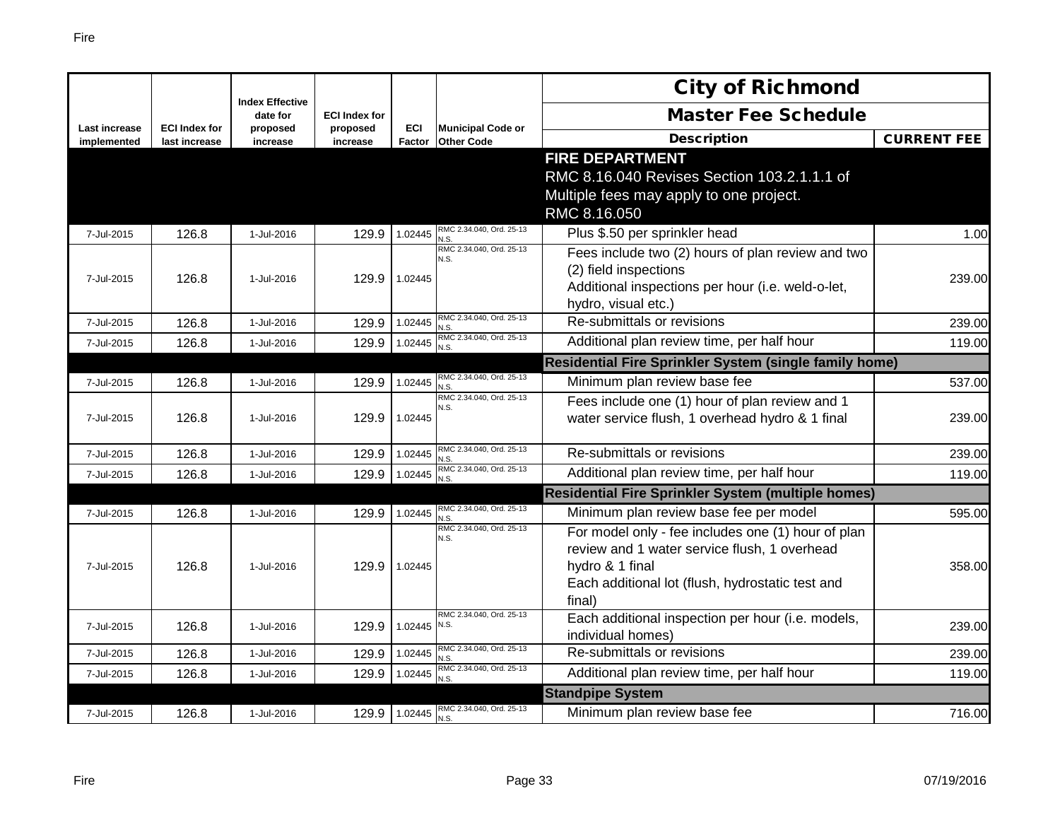|                                     |                                       |                                    |                      |                      |                                               | <b>City of Richmond</b>                                                |                    |
|-------------------------------------|---------------------------------------|------------------------------------|----------------------|----------------------|-----------------------------------------------|------------------------------------------------------------------------|--------------------|
|                                     |                                       | <b>Index Effective</b><br>date for | <b>ECI Index for</b> |                      |                                               | <b>Master Fee Schedule</b>                                             |                    |
| <b>Last increase</b><br>implemented | <b>ECI Index for</b><br>last increase | proposed<br>increase               | proposed<br>increase | <b>ECI</b><br>Factor | <b>Municipal Code or</b><br><b>Other Code</b> | <b>Description</b>                                                     | <b>CURRENT FEE</b> |
|                                     |                                       |                                    |                      |                      |                                               | <b>FIRE DEPARTMENT</b>                                                 |                    |
|                                     |                                       |                                    |                      |                      |                                               | RMC 8.16.040 Revises Section 103.2.1.1.1 of                            |                    |
|                                     |                                       |                                    |                      |                      |                                               | Multiple fees may apply to one project.                                |                    |
|                                     |                                       |                                    |                      |                      |                                               | RMC 8.16.050                                                           |                    |
| 7-Jul-2015                          | 126.8                                 | 1-Jul-2016                         | 129.9                | 1.02445              | RMC 2.34.040, Ord. 25-13<br>N.S               | Plus \$.50 per sprinkler head                                          | 1.00               |
|                                     |                                       |                                    |                      |                      | RMC 2.34.040, Ord. 25-13<br>N.S.              | Fees include two (2) hours of plan review and two                      |                    |
| 7-Jul-2015                          | 126.8                                 | 1-Jul-2016                         | 129.9                | 1.02445              |                                               | (2) field inspections                                                  | 239.00             |
|                                     |                                       |                                    |                      |                      |                                               | Additional inspections per hour (i.e. weld-o-let,                      |                    |
|                                     |                                       |                                    |                      |                      | RMC 2.34.040, Ord. 25-13                      | hydro, visual etc.)<br>Re-submittals or revisions                      |                    |
| 7-Jul-2015                          | 126.8                                 | 1-Jul-2016                         | 129.9                | 1.02445              | N.S.<br>RMC 2.34.040, Ord. 25-13              |                                                                        | 239.00             |
| 7-Jul-2015                          | 126.8                                 | 1-Jul-2016                         | 129.9                | 1.02445              | N.S.                                          | Additional plan review time, per half hour                             | 119.00             |
|                                     |                                       |                                    |                      |                      | RMC 2.34.040, Ord. 25-13                      | Residential Fire Sprinkler System (single family home)                 |                    |
| 7-Jul-2015                          | 126.8                                 | 1-Jul-2016                         | 129.9                | 1.02445              | N.S<br>RMC 2.34.040, Ord. 25-13               | Minimum plan review base fee                                           | 537.00             |
|                                     |                                       |                                    |                      |                      | N.S.                                          | Fees include one (1) hour of plan review and 1                         |                    |
| 7-Jul-2015                          | 126.8                                 | 1-Jul-2016                         | 129.9                | 1.02445              |                                               | water service flush, 1 overhead hydro & 1 final                        | 239.00             |
| 7-Jul-2015                          | 126.8                                 | 1-Jul-2016                         | 129.9                | 1.02445              | RMC 2.34.040, Ord. 25-13<br>N.S               | Re-submittals or revisions                                             | 239.00             |
| 7-Jul-2015                          | 126.8                                 | 1-Jul-2016                         | 129.9                | 1.02445              | RMC 2.34.040, Ord. 25-13<br>N.S.              | Additional plan review time, per half hour                             | 119.00             |
|                                     |                                       |                                    |                      |                      |                                               | Residential Fire Sprinkler System (multiple homes)                     |                    |
| 7-Jul-2015                          | 126.8                                 | 1-Jul-2016                         | 129.9                | 1.02445              | RMC 2.34.040, Ord. 25-13<br>N.S               | Minimum plan review base fee per model                                 | 595.00             |
|                                     |                                       |                                    |                      |                      | RMC 2.34.040, Ord. 25-13<br>N.S.              | For model only - fee includes one (1) hour of plan                     |                    |
|                                     |                                       |                                    |                      |                      |                                               | review and 1 water service flush, 1 overhead                           |                    |
| 7-Jul-2015                          | 126.8                                 | 1-Jul-2016                         | 129.9                | 1.02445              |                                               | hydro & 1 final                                                        | 358.00             |
|                                     |                                       |                                    |                      |                      |                                               | Each additional lot (flush, hydrostatic test and                       |                    |
|                                     |                                       |                                    |                      |                      | RMC 2.34.040, Ord. 25-13                      | final)                                                                 |                    |
| 7-Jul-2015                          | 126.8                                 | 1-Jul-2016                         | 129.9                | 1.02445              | N.S.                                          | Each additional inspection per hour (i.e. models,<br>individual homes) | 239.00             |
| 7-Jul-2015                          | 126.8                                 | 1-Jul-2016                         | 129.9                | 1.02445              | RMC 2.34.040, Ord. 25-13                      | Re-submittals or revisions                                             | 239.00             |
| 7-Jul-2015                          | 126.8                                 | 1-Jul-2016                         | 129.9                | 1.02445              | N.S.<br>RMC 2.34.040, Ord. 25-13              | Additional plan review time, per half hour                             | 119.00             |
|                                     |                                       |                                    |                      |                      | N.S.                                          | <b>Standpipe System</b>                                                |                    |
| 7-Jul-2015                          | 126.8                                 | 1-Jul-2016                         | 129.9                | 1.02445              | RMC 2.34.040, Ord. 25-13                      | Minimum plan review base fee                                           | 716.00             |
|                                     |                                       |                                    |                      |                      | N.S.                                          |                                                                        |                    |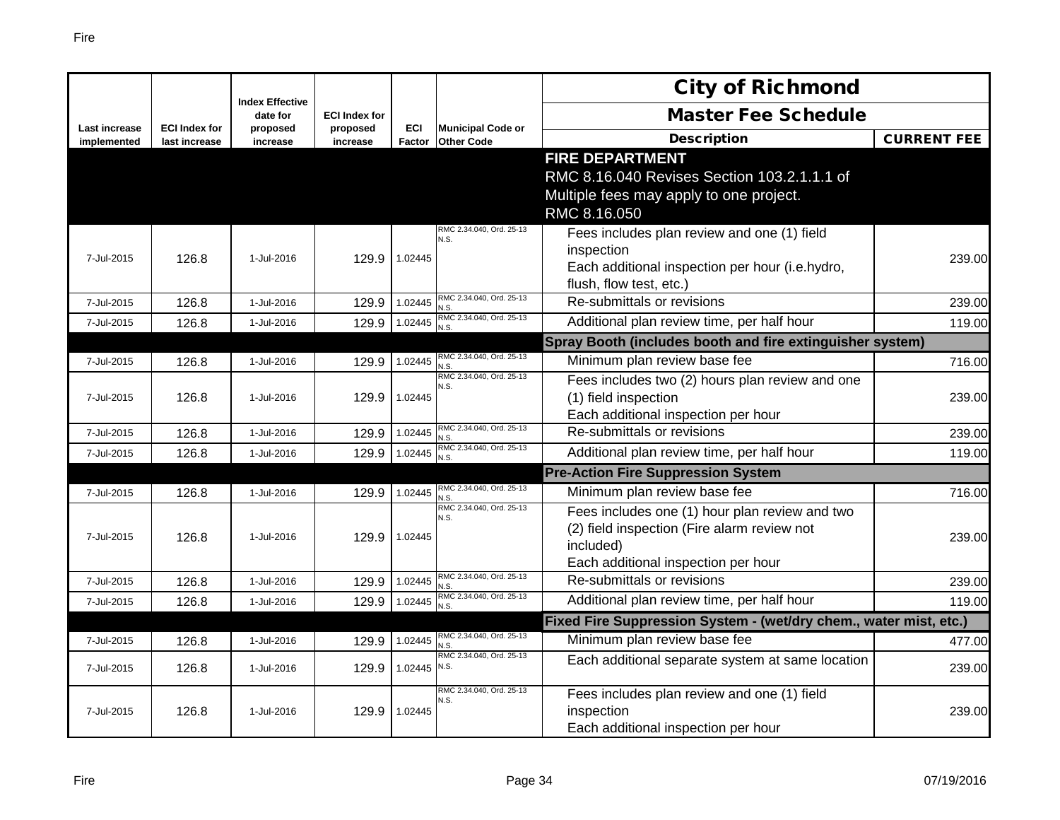|                              |                                       | <b>Index Effective</b> |                      |                      |                                               | <b>City of Richmond</b>                                           |                    |
|------------------------------|---------------------------------------|------------------------|----------------------|----------------------|-----------------------------------------------|-------------------------------------------------------------------|--------------------|
|                              |                                       | date for               | <b>ECI Index for</b> |                      |                                               | <b>Master Fee Schedule</b>                                        |                    |
| Last increase<br>implemented | <b>ECI Index for</b><br>last increase | proposed<br>increase   | proposed<br>increase | <b>ECI</b><br>Factor | <b>Municipal Code or</b><br><b>Other Code</b> | <b>Description</b>                                                | <b>CURRENT FEE</b> |
|                              |                                       |                        |                      |                      |                                               | <b>FIRE DEPARTMENT</b>                                            |                    |
|                              |                                       |                        |                      |                      |                                               | RMC 8.16.040 Revises Section 103.2.1.1.1 of                       |                    |
|                              |                                       |                        |                      |                      |                                               | Multiple fees may apply to one project.                           |                    |
|                              |                                       |                        |                      |                      |                                               | RMC 8.16.050                                                      |                    |
|                              |                                       |                        |                      |                      | RMC 2.34.040, Ord. 25-13<br>N.S.              | Fees includes plan review and one (1) field                       |                    |
| 7-Jul-2015                   | 126.8                                 | 1-Jul-2016             | 129.9                | 1.02445              |                                               | inspection                                                        | 239.00             |
|                              |                                       |                        |                      |                      |                                               | Each additional inspection per hour (i.e.hydro,                   |                    |
|                              |                                       |                        |                      |                      |                                               | flush, flow test, etc.)                                           |                    |
| 7-Jul-2015                   | 126.8                                 | 1-Jul-2016             | 129.9                | 1.02445              | RMC 2.34.040, Ord. 25-13<br>N.S.              | Re-submittals or revisions                                        | 239.00             |
| 7-Jul-2015                   | 126.8                                 | 1-Jul-2016             | 129.9                | 1.02445              | RMC 2.34.040, Ord. 25-13<br>N.S.              | Additional plan review time, per half hour                        | 119.00             |
|                              |                                       |                        |                      |                      |                                               | Spray Booth (includes booth and fire extinguisher system)         |                    |
| 7-Jul-2015                   | 126.8                                 | 1-Jul-2016             | 129.9                | 1.02445              | RMC 2.34.040, Ord. 25-13<br>N.S.              | Minimum plan review base fee                                      | 716.00             |
|                              |                                       |                        |                      |                      | RMC 2.34.040, Ord. 25-13<br>N.S.              | Fees includes two (2) hours plan review and one                   |                    |
| 7-Jul-2015                   | 126.8                                 | 1-Jul-2016             | 129.9                | 1.02445              |                                               | (1) field inspection                                              | 239.00             |
|                              |                                       |                        |                      |                      |                                               | Each additional inspection per hour                               |                    |
| 7-Jul-2015                   | 126.8                                 | 1-Jul-2016             | 129.9                | 1.02445              | RMC 2.34.040, Ord. 25-13<br>N.S.              | Re-submittals or revisions                                        | 239.00             |
| 7-Jul-2015                   | 126.8                                 | 1-Jul-2016             | 129.9                | 1.02445              | RMC 2.34.040, Ord. 25-13                      | Additional plan review time, per half hour                        | 119.00             |
|                              |                                       |                        |                      |                      |                                               | <b>Pre-Action Fire Suppression System</b>                         |                    |
| 7-Jul-2015                   | 126.8                                 | 1-Jul-2016             | 129.9                | 1.02445              | RMC 2.34.040, Ord. 25-13                      | Minimum plan review base fee                                      | 716.00             |
|                              |                                       |                        |                      |                      | RMC 2.34.040, Ord. 25-13<br>N.S.              | Fees includes one (1) hour plan review and two                    |                    |
| 7-Jul-2015                   | 126.8                                 | 1-Jul-2016             | 129.9                | 1.02445              |                                               | (2) field inspection (Fire alarm review not                       | 239.00             |
|                              |                                       |                        |                      |                      |                                               | included)                                                         |                    |
|                              |                                       |                        |                      |                      |                                               | Each additional inspection per hour                               |                    |
| 7-Jul-2015                   | 126.8                                 | 1-Jul-2016             | 129.9                | 1.02445              | RMC 2.34.040, Ord. 25-13<br>N.S.              | Re-submittals or revisions                                        | 239.00             |
| 7-Jul-2015                   | 126.8                                 | 1-Jul-2016             | 129.9                | 1.02445              | RMC 2.34.040, Ord. 25-13<br>N.S.              | Additional plan review time, per half hour                        | 119.00             |
|                              |                                       |                        |                      |                      |                                               | Fixed Fire Suppression System - (wet/dry chem., water mist, etc.) |                    |
| 7-Jul-2015                   | 126.8                                 | 1-Jul-2016             | 129.9                | 1.02445              | RMC 2.34.040, Ord. 25-13<br>N.S.              | Minimum plan review base fee                                      | 477.00             |
| 7-Jul-2015                   | 126.8                                 | 1-Jul-2016             | 129.9                | 1.02445              | RMC 2.34.040, Ord. 25-13<br>N.S.              | Each additional separate system at same location                  | 239.00             |
|                              |                                       |                        |                      |                      | RMC 2.34.040, Ord. 25-13<br>N.S.              | Fees includes plan review and one (1) field                       |                    |
| 7-Jul-2015                   | 126.8                                 | 1-Jul-2016             | 129.9                | 1.02445              |                                               | inspection                                                        | 239.00             |
|                              |                                       |                        |                      |                      |                                               | Each additional inspection per hour                               |                    |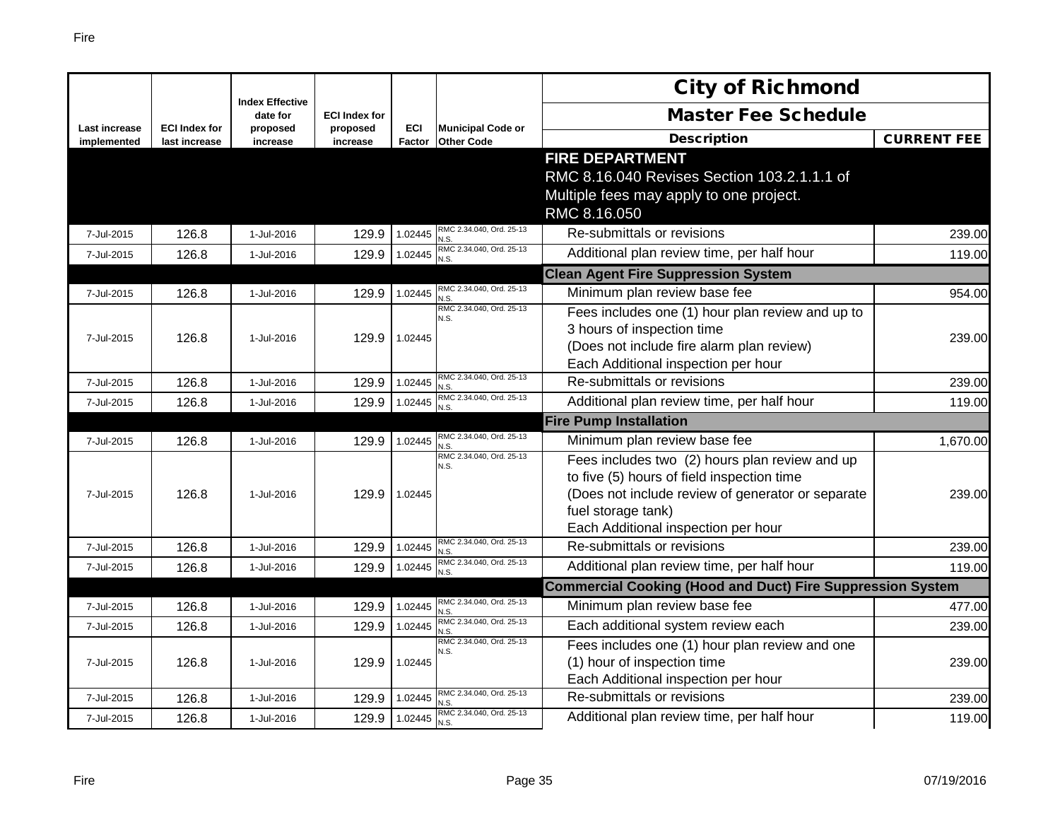|                                     |                                       |                                    |                      |                      |                                               | <b>City of Richmond</b>                                           |                    |
|-------------------------------------|---------------------------------------|------------------------------------|----------------------|----------------------|-----------------------------------------------|-------------------------------------------------------------------|--------------------|
|                                     |                                       | <b>Index Effective</b><br>date for | <b>ECI Index for</b> |                      |                                               | <b>Master Fee Schedule</b>                                        |                    |
| <b>Last increase</b><br>implemented | <b>ECI Index for</b><br>last increase | proposed<br>increase               | proposed<br>increase | <b>ECI</b><br>Factor | <b>Municipal Code or</b><br><b>Other Code</b> | <b>Description</b>                                                | <b>CURRENT FEE</b> |
|                                     |                                       |                                    |                      |                      |                                               | <b>FIRE DEPARTMENT</b>                                            |                    |
|                                     |                                       |                                    |                      |                      |                                               | RMC 8.16.040 Revises Section 103.2.1.1.1 of                       |                    |
|                                     |                                       |                                    |                      |                      |                                               | Multiple fees may apply to one project.                           |                    |
|                                     |                                       |                                    |                      |                      |                                               | RMC 8.16.050                                                      |                    |
| 7-Jul-2015                          | 126.8                                 | 1-Jul-2016                         | 129.9                | 1.02445              | RMC 2.34.040, Ord. 25-13<br>N.S               | Re-submittals or revisions                                        | 239.00             |
| 7-Jul-2015                          | 126.8                                 | 1-Jul-2016                         | 129.9                | 1.02445              | RMC 2.34.040, Ord. 25-13<br>N.S.              | Additional plan review time, per half hour                        | 119.00             |
|                                     |                                       |                                    |                      |                      |                                               | <b>Clean Agent Fire Suppression System</b>                        |                    |
| 7-Jul-2015                          | 126.8                                 | 1-Jul-2016                         | 129.9                | 1.02445              | RMC 2.34.040, Ord. 25-13<br>N.S               | Minimum plan review base fee                                      | 954.00             |
|                                     |                                       |                                    |                      |                      | RMC 2.34.040, Ord. 25-13<br>N.S.              | Fees includes one (1) hour plan review and up to                  |                    |
| 7-Jul-2015                          | 126.8                                 | 1-Jul-2016                         | 129.9                | 1.02445              |                                               | 3 hours of inspection time                                        | 239.00             |
|                                     |                                       |                                    |                      |                      |                                               | (Does not include fire alarm plan review)                         |                    |
|                                     |                                       |                                    |                      |                      |                                               | Each Additional inspection per hour                               |                    |
| 7-Jul-2015                          | 126.8                                 | 1-Jul-2016                         | 129.9                | 1.02445              | RMC 2.34.040, Ord. 25-13<br>N.S.              | Re-submittals or revisions                                        | 239.00             |
| 7-Jul-2015                          | 126.8                                 | 1-Jul-2016                         | 129.9                | 1.02445              | RMC 2.34.040, Ord. 25-13                      | Additional plan review time, per half hour                        | 119.00             |
|                                     |                                       |                                    |                      |                      |                                               | <b>Fire Pump Installation</b>                                     |                    |
| 7-Jul-2015                          | 126.8                                 | 1-Jul-2016                         | 129.9                | 1.02445              | RMC 2.34.040, Ord. 25-13<br>N.S               | Minimum plan review base fee                                      | 1,670.00           |
|                                     |                                       |                                    |                      |                      | RMC 2.34.040, Ord. 25-13<br>N.S.              | Fees includes two (2) hours plan review and up                    |                    |
|                                     |                                       |                                    |                      |                      |                                               | to five (5) hours of field inspection time                        |                    |
| 7-Jul-2015                          | 126.8                                 | 1-Jul-2016                         | 129.9                | 1.02445              |                                               | (Does not include review of generator or separate                 | 239.00             |
|                                     |                                       |                                    |                      |                      |                                               | fuel storage tank)                                                |                    |
|                                     |                                       |                                    |                      |                      |                                               | Each Additional inspection per hour                               |                    |
| 7-Jul-2015                          | 126.8                                 | 1-Jul-2016                         | 129.9                | 1.02445              | RMC 2.34.040, Ord. 25-13<br>N.S.              | Re-submittals or revisions                                        | 239.00             |
| 7-Jul-2015                          | 126.8                                 | 1-Jul-2016                         | 129.9                | 1.02445              | RMC 2.34.040, Ord. 25-13<br>N.S.              | Additional plan review time, per half hour                        | 119.00             |
|                                     |                                       |                                    |                      |                      |                                               | <b>Commercial Cooking (Hood and Duct) Fire Suppression System</b> |                    |
| 7-Jul-2015                          | 126.8                                 | 1-Jul-2016                         | 129.9                | 1.02445              | RMC 2.34.040, Ord. 25-13<br>N.S               | Minimum plan review base fee                                      | 477.00             |
| 7-Jul-2015                          | 126.8                                 | 1-Jul-2016                         | 129.9                | 1.02445              | RMC 2.34.040, Ord. 25-13<br>N.S.              | Each additional system review each                                | 239.00             |
|                                     |                                       |                                    |                      |                      | RMC 2.34.040, Ord. 25-13<br>N.S.              | Fees includes one (1) hour plan review and one                    |                    |
| 7-Jul-2015                          | 126.8                                 | 1-Jul-2016                         | 129.9                | 1.02445              |                                               | (1) hour of inspection time                                       | 239.00             |
|                                     |                                       |                                    |                      |                      |                                               | Each Additional inspection per hour                               |                    |
| 7-Jul-2015                          | 126.8                                 | 1-Jul-2016                         | 129.9                | 1.02445              | RMC 2.34.040, Ord. 25-13<br>N.S.              | Re-submittals or revisions                                        | 239.00             |
| 7-Jul-2015                          | 126.8                                 | 1-Jul-2016                         | 129.9                | 1.02445              | RMC 2.34.040, Ord. 25-13<br>N.S.              | Additional plan review time, per half hour                        | 119.00             |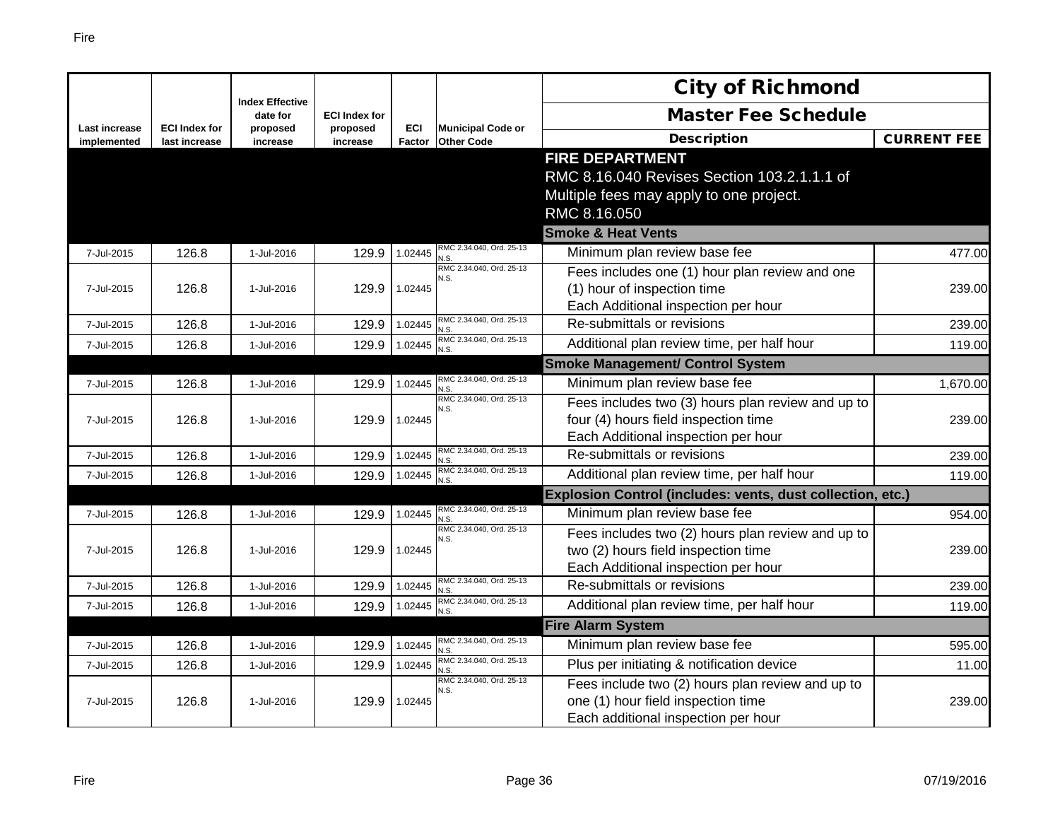|                                     |                                       |                                    |                      |                      |                                               | <b>City of Richmond</b>                                    |                    |
|-------------------------------------|---------------------------------------|------------------------------------|----------------------|----------------------|-----------------------------------------------|------------------------------------------------------------|--------------------|
|                                     |                                       | <b>Index Effective</b><br>date for | <b>ECI Index for</b> |                      |                                               | <b>Master Fee Schedule</b>                                 |                    |
| <b>Last increase</b><br>implemented | <b>ECI Index for</b><br>last increase | proposed<br>increase               | proposed<br>increase | <b>ECI</b><br>Factor | <b>Municipal Code or</b><br><b>Other Code</b> | <b>Description</b>                                         | <b>CURRENT FEE</b> |
|                                     |                                       |                                    |                      |                      |                                               | <b>FIRE DEPARTMENT</b>                                     |                    |
|                                     |                                       |                                    |                      |                      |                                               | RMC 8.16.040 Revises Section 103.2.1.1.1 of                |                    |
|                                     |                                       |                                    |                      |                      |                                               | Multiple fees may apply to one project.                    |                    |
|                                     |                                       |                                    |                      |                      |                                               | RMC 8.16.050                                               |                    |
|                                     |                                       |                                    |                      |                      |                                               | <b>Smoke &amp; Heat Vents</b>                              |                    |
| 7-Jul-2015                          | 126.8                                 | 1-Jul-2016                         | 129.9                | 1.02445              | RMC 2.34.040, Ord. 25-13<br>N.S.              | Minimum plan review base fee                               | 477.00             |
|                                     |                                       |                                    |                      |                      | RMC 2.34.040, Ord. 25-13<br>N.S.              | Fees includes one (1) hour plan review and one             |                    |
| 7-Jul-2015                          | 126.8                                 | 1-Jul-2016                         | 129.9                | 1.02445              |                                               | (1) hour of inspection time                                | 239.00             |
|                                     |                                       |                                    |                      |                      |                                               | Each Additional inspection per hour                        |                    |
| 7-Jul-2015                          | 126.8                                 | 1-Jul-2016                         | 129.9                | 1.02445              | RMC 2.34.040, Ord. 25-13<br>N.S.              | Re-submittals or revisions                                 | 239.00             |
| 7-Jul-2015                          | 126.8                                 | 1-Jul-2016                         | 129.9                | 1.02445              | RMC 2.34.040, Ord. 25-13<br>N.S.              | Additional plan review time, per half hour                 | 119.00             |
|                                     |                                       |                                    |                      |                      |                                               | <b>Smoke Management/ Control System</b>                    |                    |
| 7-Jul-2015                          | 126.8                                 | 1-Jul-2016                         | 129.9                | 1.02445              | RMC 2.34.040, Ord. 25-13<br>N.S.              | Minimum plan review base fee                               | 1,670.00           |
|                                     |                                       |                                    |                      |                      | RMC 2.34.040, Ord. 25-13<br>N.S.              | Fees includes two (3) hours plan review and up to          |                    |
| 7-Jul-2015                          | 126.8                                 | 1-Jul-2016                         | 129.9                | 1.02445              |                                               | four (4) hours field inspection time                       | 239.00             |
|                                     |                                       |                                    |                      |                      |                                               | Each Additional inspection per hour                        |                    |
| 7-Jul-2015                          | 126.8                                 | 1-Jul-2016                         | 129.9                | 1.02445              | RMC 2.34.040, Ord. 25-13<br>N.S.              | Re-submittals or revisions                                 | 239.00             |
| 7-Jul-2015                          | 126.8                                 | 1-Jul-2016                         | 129.9                | 1.02445              | RMC 2.34.040, Ord. 25-13<br>N.S.              | Additional plan review time, per half hour                 | 119.00             |
|                                     |                                       |                                    |                      |                      |                                               | Explosion Control (includes: vents, dust collection, etc.) |                    |
| 7-Jul-2015                          | 126.8                                 | 1-Jul-2016                         | 129.9                | 1.02445              | RMC 2.34.040, Ord. 25-13<br>N.S.              | Minimum plan review base fee                               | 954.00             |
|                                     |                                       |                                    |                      |                      | RMC 2.34.040, Ord. 25-13<br>N.S.              | Fees includes two (2) hours plan review and up to          |                    |
| 7-Jul-2015                          | 126.8                                 | 1-Jul-2016                         | 129.9                | 1.02445              |                                               | two (2) hours field inspection time                        | 239.00             |
|                                     |                                       |                                    |                      |                      |                                               | Each Additional inspection per hour                        |                    |
| 7-Jul-2015                          | 126.8                                 | 1-Jul-2016                         | 129.9                | 1.02445              | RMC 2.34.040, Ord. 25-13<br>N.S.              | Re-submittals or revisions                                 | 239.00             |
| 7-Jul-2015                          | 126.8                                 | 1-Jul-2016                         | 129.9                | 1.02445              | RMC 2.34.040, Ord. 25-13<br>N.S.              | Additional plan review time, per half hour                 | 119.00             |
|                                     |                                       |                                    |                      |                      |                                               | <b>Fire Alarm System</b>                                   |                    |
| 7-Jul-2015                          | 126.8                                 | 1-Jul-2016                         | 129.9                | 1.02445              | RMC 2.34.040, Ord. 25-13<br>N.S.              | Minimum plan review base fee                               | 595.00             |
| 7-Jul-2015                          | 126.8                                 | 1-Jul-2016                         | 129.9                | 1.02445              | RMC 2.34.040, Ord. 25-13                      | Plus per initiating & notification device                  | 11.00              |
|                                     |                                       |                                    |                      |                      | RMC 2.34.040, Ord. 25-13<br>N.S.              | Fees include two (2) hours plan review and up to           |                    |
| 7-Jul-2015                          | 126.8                                 | 1-Jul-2016                         | 129.9                | 1.02445              |                                               | one (1) hour field inspection time                         | 239.00             |
|                                     |                                       |                                    |                      |                      |                                               | Each additional inspection per hour                        |                    |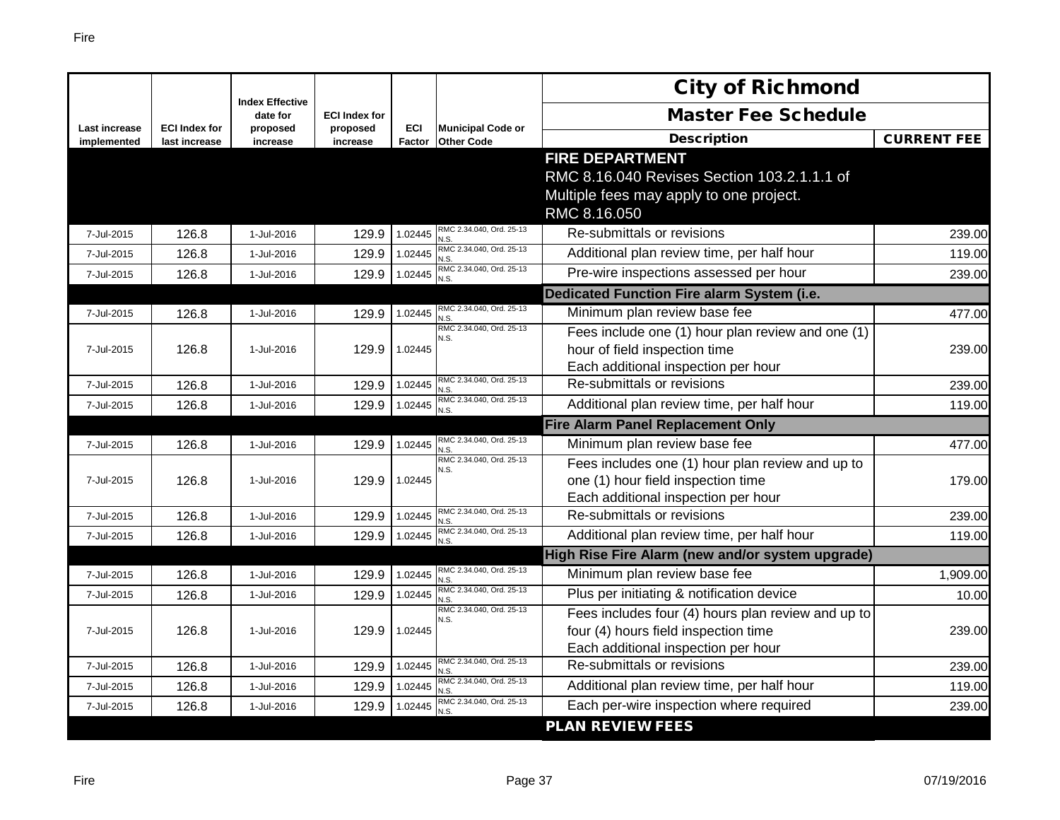|                                     |                                       |                                    |                      |               |                                               | <b>City of Richmond</b>                            |                    |
|-------------------------------------|---------------------------------------|------------------------------------|----------------------|---------------|-----------------------------------------------|----------------------------------------------------|--------------------|
|                                     |                                       | <b>Index Effective</b><br>date for | <b>ECI Index for</b> |               |                                               | <b>Master Fee Schedule</b>                         |                    |
| <b>Last increase</b><br>implemented | <b>ECI Index for</b><br>last increase | proposed<br>increase               | proposed<br>increase | ECI<br>Factor | <b>Municipal Code or</b><br><b>Other Code</b> | <b>Description</b>                                 | <b>CURRENT FEE</b> |
|                                     |                                       |                                    |                      |               |                                               | <b>FIRE DEPARTMENT</b>                             |                    |
|                                     |                                       |                                    |                      |               |                                               | RMC 8.16.040 Revises Section 103.2.1.1.1 of        |                    |
|                                     |                                       |                                    |                      |               |                                               | Multiple fees may apply to one project.            |                    |
|                                     |                                       |                                    |                      |               |                                               | RMC 8.16.050                                       |                    |
| 7-Jul-2015                          | 126.8                                 | 1-Jul-2016                         | 129.9                | 1.02445       | RMC 2.34.040, Ord. 25-13<br>N.S               | Re-submittals or revisions                         | 239.00             |
| 7-Jul-2015                          | 126.8                                 | 1-Jul-2016                         | 129.9                | 1.02445       | RMC 2.34.040, Ord. 25-13<br>N.S               | Additional plan review time, per half hour         | 119.00             |
| 7-Jul-2015                          | 126.8                                 | 1-Jul-2016                         | 129.9                | 1.02445       | RMC 2.34.040, Ord. 25-13<br>N.S.              | Pre-wire inspections assessed per hour             | 239.00             |
|                                     |                                       |                                    |                      |               |                                               | <b>Dedicated Function Fire alarm System (i.e.</b>  |                    |
| 7-Jul-2015                          | 126.8                                 | 1-Jul-2016                         | 129.9                | 1.02445       | RMC 2.34.040, Ord. 25-13<br>N.S               | Minimum plan review base fee                       | 477.00             |
|                                     |                                       |                                    |                      |               | RMC 2.34.040, Ord. 25-13<br>N.S.              | Fees include one (1) hour plan review and one (1)  |                    |
| 7-Jul-2015                          | 126.8                                 | 1-Jul-2016                         | 129.9                | 1.02445       |                                               | hour of field inspection time                      | 239.00             |
|                                     |                                       |                                    |                      |               |                                               | Each additional inspection per hour                |                    |
| 7-Jul-2015                          | 126.8                                 | 1-Jul-2016                         | 129.9                | 1.02445       | RMC 2.34.040, Ord. 25-13<br>N.S               | Re-submittals or revisions                         | 239.00             |
| 7-Jul-2015                          | 126.8                                 | 1-Jul-2016                         | 129.9                | 1.02445       | RMC 2.34.040, Ord. 25-13<br>N.S               | Additional plan review time, per half hour         | 119.00             |
|                                     |                                       |                                    |                      |               |                                               | <b>Fire Alarm Panel Replacement Only</b>           |                    |
| 7-Jul-2015                          | 126.8                                 | 1-Jul-2016                         | 129.9                | 1.02445       | RMC 2.34.040, Ord. 25-13<br>N.S               | Minimum plan review base fee                       | 477.00             |
|                                     |                                       |                                    |                      |               | RMC 2.34.040, Ord. 25-13<br>N.S.              | Fees includes one (1) hour plan review and up to   |                    |
| 7-Jul-2015                          | 126.8                                 | 1-Jul-2016                         | 129.9                | 1.02445       |                                               | one (1) hour field inspection time                 | 179.00             |
|                                     |                                       |                                    |                      |               |                                               | Each additional inspection per hour                |                    |
| 7-Jul-2015                          | 126.8                                 | 1-Jul-2016                         | 129.9                | 1.02445       | RMC 2.34.040, Ord. 25-13<br>N.S               | Re-submittals or revisions                         | 239.00             |
| 7-Jul-2015                          | 126.8                                 | 1-Jul-2016                         | 129.9                | 1.02445       | RMC 2.34.040, Ord. 25-13<br>N.S               | Additional plan review time, per half hour         | 119.00             |
|                                     |                                       |                                    |                      |               |                                               | High Rise Fire Alarm (new and/or system upgrade)   |                    |
| 7-Jul-2015                          | 126.8                                 | 1-Jul-2016                         | 129.9                | 1.02445       | RMC 2.34.040, Ord. 25-13<br>N.S               | Minimum plan review base fee                       | 1,909.00           |
| 7-Jul-2015                          | 126.8                                 | 1-Jul-2016                         | 129.9                | 1.02445       | RMC 2.34.040, Ord. 25-13<br>N.S.              | Plus per initiating & notification device          | 10.00              |
|                                     |                                       |                                    |                      |               | RMC 2.34.040, Ord. 25-13<br>N.S.              | Fees includes four (4) hours plan review and up to |                    |
| 7-Jul-2015                          | 126.8                                 | 1-Jul-2016                         | 129.9                | 1.02445       |                                               | four (4) hours field inspection time               | 239.00             |
|                                     |                                       |                                    |                      |               |                                               | Each additional inspection per hour                |                    |
| 7-Jul-2015                          | 126.8                                 | 1-Jul-2016                         | 129.9                | 1.02445       | RMC 2.34.040, Ord. 25-13<br>N.S.              | Re-submittals or revisions                         | 239.00             |
| 7-Jul-2015                          | 126.8                                 | 1-Jul-2016                         | 129.9                | 1.02445       | RMC 2.34.040, Ord. 25-13<br>N.S               | Additional plan review time, per half hour         | 119.00             |
| 7-Jul-2015                          | 126.8                                 | 1-Jul-2016                         | 129.9                | 1.02445       | RMC 2.34.040, Ord. 25-13<br>N.S               | Each per-wire inspection where required            | 239.00             |
|                                     |                                       |                                    |                      |               |                                               | <b>PLAN REVIEW FEES</b>                            |                    |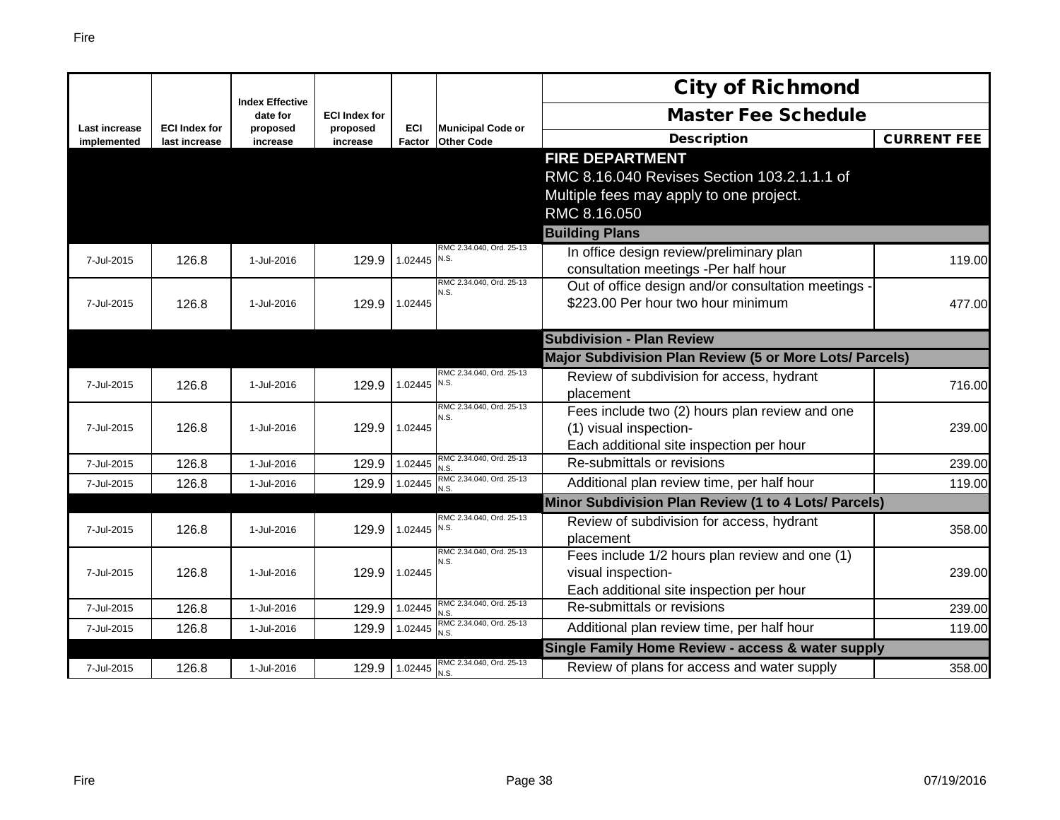|                                     |                                       | <b>Index Effective</b> |                      |                      |                                               | <b>City of Richmond</b>                                                |                    |
|-------------------------------------|---------------------------------------|------------------------|----------------------|----------------------|-----------------------------------------------|------------------------------------------------------------------------|--------------------|
|                                     |                                       | date for               | <b>ECI Index for</b> |                      |                                               | <b>Master Fee Schedule</b>                                             |                    |
| <b>Last increase</b><br>implemented | <b>ECI Index for</b><br>last increase | proposed<br>increase   | proposed<br>increase | <b>ECI</b><br>Factor | <b>Municipal Code or</b><br><b>Other Code</b> | <b>Description</b>                                                     | <b>CURRENT FEE</b> |
|                                     |                                       |                        |                      |                      |                                               | <b>FIRE DEPARTMENT</b>                                                 |                    |
|                                     |                                       |                        |                      |                      |                                               | RMC 8.16.040 Revises Section 103.2.1.1.1 of                            |                    |
|                                     |                                       |                        |                      |                      |                                               | Multiple fees may apply to one project.                                |                    |
|                                     |                                       |                        |                      |                      |                                               | RMC 8.16.050                                                           |                    |
|                                     |                                       |                        |                      |                      |                                               | <b>Building Plans</b>                                                  |                    |
| 7-Jul-2015                          | 126.8                                 | 1-Jul-2016             | 129.9                | 1.02445 N.S.         | RMC 2.34.040, Ord. 25-13                      | In office design review/preliminary plan                               | 119.00             |
|                                     |                                       |                        |                      |                      |                                               | consultation meetings -Per half hour                                   |                    |
|                                     |                                       |                        |                      |                      | RMC 2.34.040, Ord. 25-13<br>N.S.              | Out of office design and/or consultation meetings                      |                    |
| 7-Jul-2015                          | 126.8                                 | 1-Jul-2016             | 129.9                | 1.02445              |                                               | \$223.00 Per hour two hour minimum                                     | 477.00             |
|                                     |                                       |                        |                      |                      |                                               |                                                                        |                    |
|                                     |                                       |                        |                      |                      |                                               | <b>Subdivision - Plan Review</b>                                       |                    |
|                                     |                                       |                        |                      |                      |                                               | Major Subdivision Plan Review (5 or More Lots/ Parcels)                |                    |
| 7-Jul-2015                          | 126.8                                 | 1-Jul-2016             | 129.9                | 1.02445 N.S.         | RMC 2.34.040, Ord. 25-13                      | Review of subdivision for access, hydrant                              | 716.00             |
|                                     |                                       |                        |                      |                      | RMC 2.34.040, Ord. 25-13                      | placement                                                              |                    |
|                                     |                                       |                        |                      |                      | N.S.                                          | Fees include two (2) hours plan review and one                         |                    |
| 7-Jul-2015                          | 126.8                                 | 1-Jul-2016             | 129.9                | 1.02445              |                                               | (1) visual inspection-                                                 | 239.00             |
| 7-Jul-2015                          | 126.8                                 | 1-Jul-2016             | 129.9                | 1.02445              | RMC 2.34.040, Ord. 25-13                      | Each additional site inspection per hour<br>Re-submittals or revisions | 239.00             |
|                                     |                                       |                        |                      |                      | N.S.<br>RMC 2.34.040, Ord. 25-13              | Additional plan review time, per half hour                             |                    |
| 7-Jul-2015                          | 126.8                                 | 1-Jul-2016             | 129.9                | 1.02445              | N.S                                           |                                                                        | 119.00             |
|                                     |                                       |                        |                      |                      | RMC 2.34.040, Ord. 25-13                      | Minor Subdivision Plan Review (1 to 4 Lots/ Parcels)                   |                    |
| 7-Jul-2015                          | 126.8                                 | 1-Jul-2016             | 129.9                | 1.02445 N.S.         |                                               | Review of subdivision for access, hydrant                              | 358.00             |
|                                     |                                       |                        |                      |                      | RMC 2.34.040, Ord. 25-13                      | placement<br>Fees include 1/2 hours plan review and one (1)            |                    |
| 7-Jul-2015                          | 126.8                                 | 1-Jul-2016             | 129.9                | 1.02445              | N.S.                                          | visual inspection-                                                     | 239.00             |
|                                     |                                       |                        |                      |                      |                                               | Each additional site inspection per hour                               |                    |
| 7-Jul-2015                          | 126.8                                 | 1-Jul-2016             | 129.9                | 1.02445              | RMC 2.34.040, Ord. 25-13<br>N.S.              | Re-submittals or revisions                                             | 239.00             |
| 7-Jul-2015                          | 126.8                                 | 1-Jul-2016             | 129.9                | 1.02445              | RMC 2.34.040, Ord. 25-13                      | Additional plan review time, per half hour                             | 119.00             |
|                                     |                                       |                        |                      |                      | N.S.                                          | Single Family Home Review - access & water supply                      |                    |
| 7-Jul-2015                          | 126.8                                 | 1-Jul-2016             | 129.9                | 1.02445              | RMC 2.34.040, Ord. 25-13                      | Review of plans for access and water supply                            | 358.00             |
|                                     |                                       |                        |                      |                      | N.S.                                          |                                                                        |                    |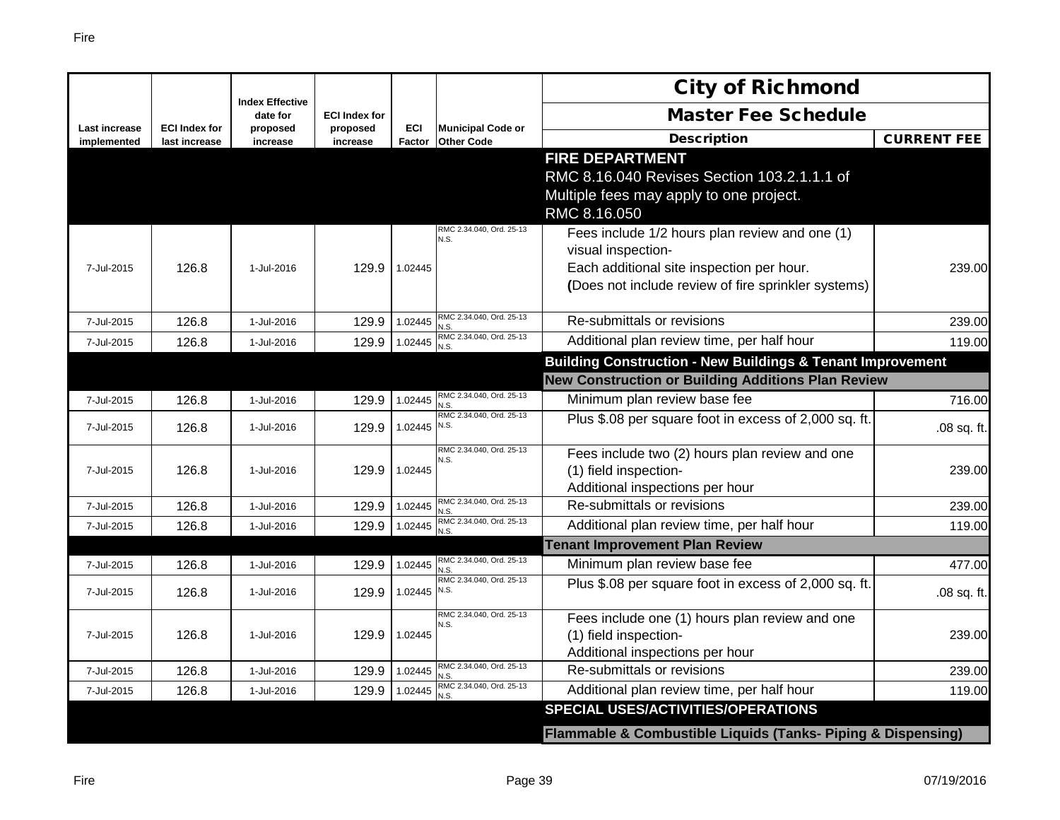|                              |                                       |                                    |                      |                      |                                               | <b>City of Richmond</b>                                                                                                                                                  |                    |
|------------------------------|---------------------------------------|------------------------------------|----------------------|----------------------|-----------------------------------------------|--------------------------------------------------------------------------------------------------------------------------------------------------------------------------|--------------------|
|                              |                                       | <b>Index Effective</b><br>date for | <b>ECI Index for</b> |                      |                                               | <b>Master Fee Schedule</b>                                                                                                                                               |                    |
| Last increase<br>implemented | <b>ECI Index for</b><br>last increase | proposed<br>increase               | proposed<br>increase | <b>ECI</b><br>Factor | <b>Municipal Code or</b><br><b>Other Code</b> | <b>Description</b>                                                                                                                                                       | <b>CURRENT FEE</b> |
|                              |                                       |                                    |                      |                      |                                               | <b>FIRE DEPARTMENT</b><br>RMC 8.16.040 Revises Section 103.2.1.1.1 of<br>Multiple fees may apply to one project.<br>RMC 8.16.050                                         |                    |
| 7-Jul-2015                   | 126.8                                 | 1-Jul-2016                         | 129.9                | 1.02445              | RMC 2.34.040, Ord. 25-13<br>N.S.              | Fees include 1/2 hours plan review and one (1)<br>visual inspection-<br>Each additional site inspection per hour.<br>(Does not include review of fire sprinkler systems) | 239.00             |
| 7-Jul-2015                   | 126.8                                 | 1-Jul-2016                         | 129.9                | 1.02445              | RMC 2.34.040, Ord. 25-13<br>N.S               | Re-submittals or revisions                                                                                                                                               | 239.00             |
| 7-Jul-2015                   | 126.8                                 | 1-Jul-2016                         | 129.9                | 1.02445              | RMC 2.34.040, Ord. 25-13<br>N.S               | Additional plan review time, per half hour                                                                                                                               | 119.00             |
|                              |                                       |                                    |                      |                      |                                               | <b>Building Construction - New Buildings &amp; Tenant Improvement</b>                                                                                                    |                    |
|                              |                                       |                                    |                      |                      |                                               | <b>New Construction or Building Additions Plan Review</b>                                                                                                                |                    |
| 7-Jul-2015                   | 126.8                                 | 1-Jul-2016                         | 129.9                | 1.02445              | RMC 2.34.040, Ord. 25-13<br>N.S               | Minimum plan review base fee                                                                                                                                             | 716.00             |
| 7-Jul-2015                   | 126.8                                 | 1-Jul-2016                         | 129.9                | 1.02445              | RMC 2.34.040, Ord. 25-13<br>N.S.              | Plus \$.08 per square foot in excess of 2,000 sq. ft.                                                                                                                    | .08 sq. ft.        |
| 7-Jul-2015                   | 126.8                                 | 1-Jul-2016                         | 129.9                | 1.02445              | RMC 2.34.040, Ord. 25-13<br>N.S.              | Fees include two (2) hours plan review and one<br>(1) field inspection-<br>Additional inspections per hour                                                               | 239.00             |
| 7-Jul-2015                   | 126.8                                 | 1-Jul-2016                         | 129.9                | 1.02445              | RMC 2.34.040, Ord. 25-13<br>N.S               | Re-submittals or revisions                                                                                                                                               | 239.00             |
| 7-Jul-2015                   | 126.8                                 | 1-Jul-2016                         | 129.9                | 1.02445              | RMC 2.34.040, Ord. 25-13<br>N.S               | Additional plan review time, per half hour                                                                                                                               | 119.00             |
|                              |                                       |                                    |                      |                      |                                               | <b>Tenant Improvement Plan Review</b>                                                                                                                                    |                    |
| 7-Jul-2015                   | 126.8                                 | 1-Jul-2016                         | 129.9                | 1.02445              | RMC 2.34.040, Ord. 25-13<br>N.S.              | Minimum plan review base fee                                                                                                                                             | 477.00             |
| 7-Jul-2015                   | 126.8                                 | 1-Jul-2016                         | 129.9                | 1.02445              | RMC 2.34.040, Ord. 25-13<br>N.S.              | Plus \$.08 per square foot in excess of 2,000 sq. ft.                                                                                                                    | .08 sq. ft.        |
| 7-Jul-2015                   | 126.8                                 | 1-Jul-2016                         | 129.9                | 1.02445              | RMC 2.34.040, Ord. 25-13<br>N.S.              | Fees include one (1) hours plan review and one<br>(1) field inspection-<br>Additional inspections per hour                                                               | 239.00             |
| 7-Jul-2015                   | 126.8                                 | 1-Jul-2016                         | 129.9                | 1.02445              | RMC 2.34.040, Ord. 25-13<br>N.S               | Re-submittals or revisions                                                                                                                                               | 239.00             |
| 7-Jul-2015                   | 126.8                                 | 1-Jul-2016                         | 129.9                | 1.02445              | RMC 2.34.040, Ord. 25-13                      | Additional plan review time, per half hour                                                                                                                               | 119.00             |
|                              |                                       |                                    |                      |                      |                                               | <b>SPECIAL USES/ACTIVITIES/OPERATIONS</b>                                                                                                                                |                    |
|                              |                                       |                                    |                      |                      |                                               | Flammable & Combustible Liquids (Tanks- Piping & Dispensing)                                                                                                             |                    |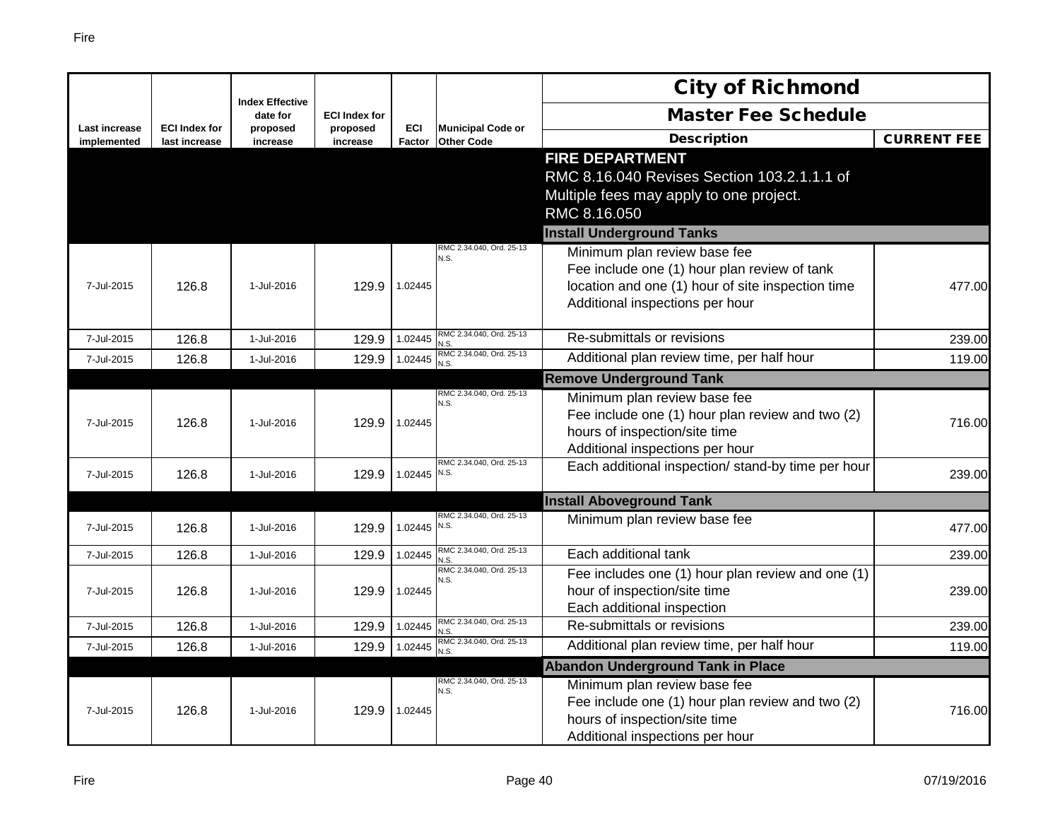|                              |                                       |                                    |                      |                             |                                               | <b>City of Richmond</b>                                                                                                                                                                                  |                    |
|------------------------------|---------------------------------------|------------------------------------|----------------------|-----------------------------|-----------------------------------------------|----------------------------------------------------------------------------------------------------------------------------------------------------------------------------------------------------------|--------------------|
|                              |                                       | <b>Index Effective</b><br>date for | <b>ECI Index for</b> |                             |                                               | <b>Master Fee Schedule</b>                                                                                                                                                                               |                    |
| Last increase<br>implemented | <b>ECI Index for</b><br>last increase | proposed<br>increase               | proposed<br>increase | <b>ECI</b><br><b>Factor</b> | <b>Municipal Code or</b><br><b>Other Code</b> | <b>Description</b>                                                                                                                                                                                       | <b>CURRENT FEE</b> |
|                              |                                       |                                    |                      |                             |                                               | <b>FIRE DEPARTMENT</b><br>RMC 8.16.040 Revises Section 103.2.1.1.1 of<br>Multiple fees may apply to one project.                                                                                         |                    |
|                              |                                       |                                    |                      |                             |                                               | RMC 8.16.050                                                                                                                                                                                             |                    |
| 7-Jul-2015                   | 126.8                                 | 1-Jul-2016                         | 129.9                | 1.02445                     | RMC 2.34.040, Ord. 25-13<br>N.S.              | <b>Install Underground Tanks</b><br>Minimum plan review base fee<br>Fee include one (1) hour plan review of tank<br>location and one (1) hour of site inspection time<br>Additional inspections per hour | 477.00             |
| 7-Jul-2015                   | 126.8                                 | 1-Jul-2016                         | 129.9                | 1.02445                     | RMC 2.34.040, Ord. 25-13<br>N.S.              | Re-submittals or revisions                                                                                                                                                                               | 239.00             |
| 7-Jul-2015                   | 126.8                                 | 1-Jul-2016                         | 129.9                | 1.02445                     | RMC 2.34.040, Ord. 25-13<br>N.S.              | Additional plan review time, per half hour                                                                                                                                                               | 119.00             |
|                              |                                       |                                    |                      |                             |                                               | <b>Remove Underground Tank</b>                                                                                                                                                                           |                    |
| 7-Jul-2015                   | 126.8                                 | 1-Jul-2016                         | 129.9                | 1.02445                     | RMC 2.34.040, Ord. 25-13<br>N.S.              | Minimum plan review base fee<br>Fee include one (1) hour plan review and two (2)<br>hours of inspection/site time<br>Additional inspections per hour                                                     | 716.00             |
| 7-Jul-2015                   | 126.8                                 | 1-Jul-2016                         | 129.9                | 1.02445                     | RMC 2.34.040, Ord. 25-13<br>N.S.              | Each additional inspection/ stand-by time per hour                                                                                                                                                       | 239.00             |
|                              |                                       |                                    |                      |                             |                                               | <b>Install Aboveground Tank</b>                                                                                                                                                                          |                    |
| 7-Jul-2015                   | 126.8                                 | 1-Jul-2016                         | 129.9                | 1.02445                     | RMC 2.34.040, Ord. 25-13<br>N.S.              | Minimum plan review base fee                                                                                                                                                                             | 477.00             |
| 7-Jul-2015                   | 126.8                                 | 1-Jul-2016                         | 129.9                | 1.02445                     | RMC 2.34.040, Ord. 25-13<br>N.S               | Each additional tank                                                                                                                                                                                     | 239.00             |
| 7-Jul-2015                   | 126.8                                 | 1-Jul-2016                         | 129.9                | 1.02445                     | RMC 2.34.040, Ord. 25-13<br>N.S.              | Fee includes one (1) hour plan review and one (1)<br>hour of inspection/site time<br>Each additional inspection                                                                                          | 239.00             |
| 7-Jul-2015                   | 126.8                                 | 1-Jul-2016                         | 129.9                | 1.02445                     | RMC 2.34.040, Ord. 25-13<br>N.S.              | Re-submittals or revisions                                                                                                                                                                               | 239.00             |
| 7-Jul-2015                   | 126.8                                 | 1-Jul-2016                         | 129.9                | 1.02445                     | RMC 2.34.040, Ord. 25-13<br>N.S.              | Additional plan review time, per half hour                                                                                                                                                               | 119.00             |
|                              |                                       |                                    |                      |                             |                                               | <b>Abandon Underground Tank in Place</b>                                                                                                                                                                 |                    |
| 7-Jul-2015                   | 126.8                                 | 1-Jul-2016                         | 129.9                | 1.02445                     | RMC 2.34.040, Ord. 25-13<br>N.S.              | Minimum plan review base fee<br>Fee include one (1) hour plan review and two (2)<br>hours of inspection/site time<br>Additional inspections per hour                                                     | 716.00             |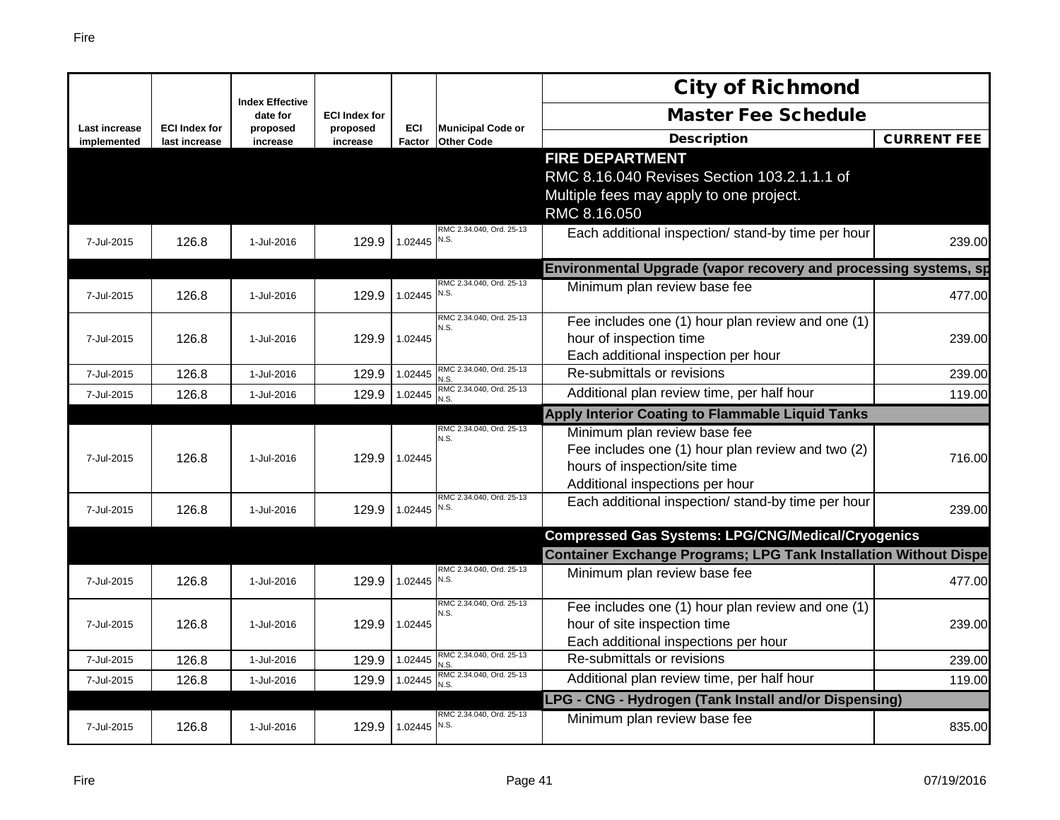|                              |                                       |                                    |                      |                      |                                               | <b>City of Richmond</b>                                                                                                                               |                    |
|------------------------------|---------------------------------------|------------------------------------|----------------------|----------------------|-----------------------------------------------|-------------------------------------------------------------------------------------------------------------------------------------------------------|--------------------|
|                              |                                       | <b>Index Effective</b><br>date for | <b>ECI Index for</b> |                      |                                               | <b>Master Fee Schedule</b>                                                                                                                            |                    |
| Last increase<br>implemented | <b>ECI Index for</b><br>last increase | proposed<br>increase               | proposed<br>increase | <b>ECI</b><br>Factor | <b>Municipal Code or</b><br><b>Other Code</b> | <b>Description</b>                                                                                                                                    | <b>CURRENT FEE</b> |
|                              |                                       |                                    |                      |                      |                                               | <b>FIRE DEPARTMENT</b><br>RMC 8.16.040 Revises Section 103.2.1.1.1 of                                                                                 |                    |
|                              |                                       |                                    |                      |                      |                                               | Multiple fees may apply to one project.<br>RMC 8.16.050                                                                                               |                    |
| 7-Jul-2015                   | 126.8                                 | 1-Jul-2016                         | 129.9                | 1.02445              | RMC 2.34.040, Ord. 25-13<br>N.S.              | Each additional inspection/ stand-by time per hour                                                                                                    | 239.00             |
|                              |                                       |                                    |                      |                      |                                               | Environmental Upgrade (vapor recovery and processing systems, sp                                                                                      |                    |
| 7-Jul-2015                   | 126.8                                 | 1-Jul-2016                         | 129.9                | 1.02445              | RMC 2.34.040, Ord. 25-13<br>N.S.              | Minimum plan review base fee                                                                                                                          | 477.00             |
| 7-Jul-2015                   | 126.8                                 | 1-Jul-2016                         | 129.9                | 1.02445              | RMC 2.34.040, Ord. 25-13<br>N.S.              | Fee includes one (1) hour plan review and one (1)<br>hour of inspection time<br>Each additional inspection per hour                                   | 239.00             |
| 7-Jul-2015                   | 126.8                                 | 1-Jul-2016                         | 129.9                | 1.02445              | RMC 2.34.040, Ord. 25-13<br>V.S.              | Re-submittals or revisions                                                                                                                            | 239.00             |
| 7-Jul-2015                   | 126.8                                 | 1-Jul-2016                         | 129.9                | 1.02445              | RMC 2.34.040, Ord. 25-13<br>V.S.              | Additional plan review time, per half hour                                                                                                            | 119.00             |
|                              |                                       |                                    |                      |                      |                                               | Apply Interior Coating to Flammable Liquid Tanks                                                                                                      |                    |
| 7-Jul-2015                   | 126.8                                 | 1-Jul-2016                         | 129.9                | 1.02445              | RMC 2.34.040, Ord. 25-13<br>N.S.              | Minimum plan review base fee<br>Fee includes one (1) hour plan review and two (2)<br>hours of inspection/site time<br>Additional inspections per hour | 716.00             |
| 7-Jul-2015                   |                                       |                                    |                      |                      |                                               |                                                                                                                                                       |                    |
|                              | 126.8                                 | 1-Jul-2016                         | 129.9                | 1.02445              | RMC 2.34.040, Ord. 25-13<br>N.S.              | Each additional inspection/ stand-by time per hour                                                                                                    | 239.00             |
|                              |                                       |                                    |                      |                      |                                               | <b>Compressed Gas Systems: LPG/CNG/Medical/Cryogenics</b>                                                                                             |                    |
|                              |                                       |                                    |                      |                      |                                               | <b>Container Exchange Programs; LPG Tank Installation Without Dispe</b>                                                                               |                    |
| 7-Jul-2015                   | 126.8                                 | 1-Jul-2016                         | 129.9                | 1.02445              | RMC 2.34.040, Ord. 25-13<br>N.S.              | Minimum plan review base fee                                                                                                                          | 477.00             |
| 7-Jul-2015                   | 126.8                                 | 1-Jul-2016                         | 129.9                | 1.02445              | RMC 2.34.040, Ord. 25-13<br>N.S.              | Fee includes one (1) hour plan review and one (1)<br>hour of site inspection time<br>Each additional inspections per hour                             | 239.00             |
| 7-Jul-2015                   | 126.8                                 | 1-Jul-2016                         | 129.9                | 1.02445              | RMC 2.34.040, Ord. 25-13<br>N.S.              | Re-submittals or revisions                                                                                                                            | 239.00             |
| 7-Jul-2015                   | 126.8                                 | 1-Jul-2016                         | 129.9                | 1.02445              | RMC 2.34.040, Ord. 25-13<br>N.S.              | Additional plan review time, per half hour                                                                                                            | 119.00             |
|                              |                                       |                                    |                      |                      |                                               | LPG - CNG - Hydrogen (Tank Install and/or Dispensing)                                                                                                 |                    |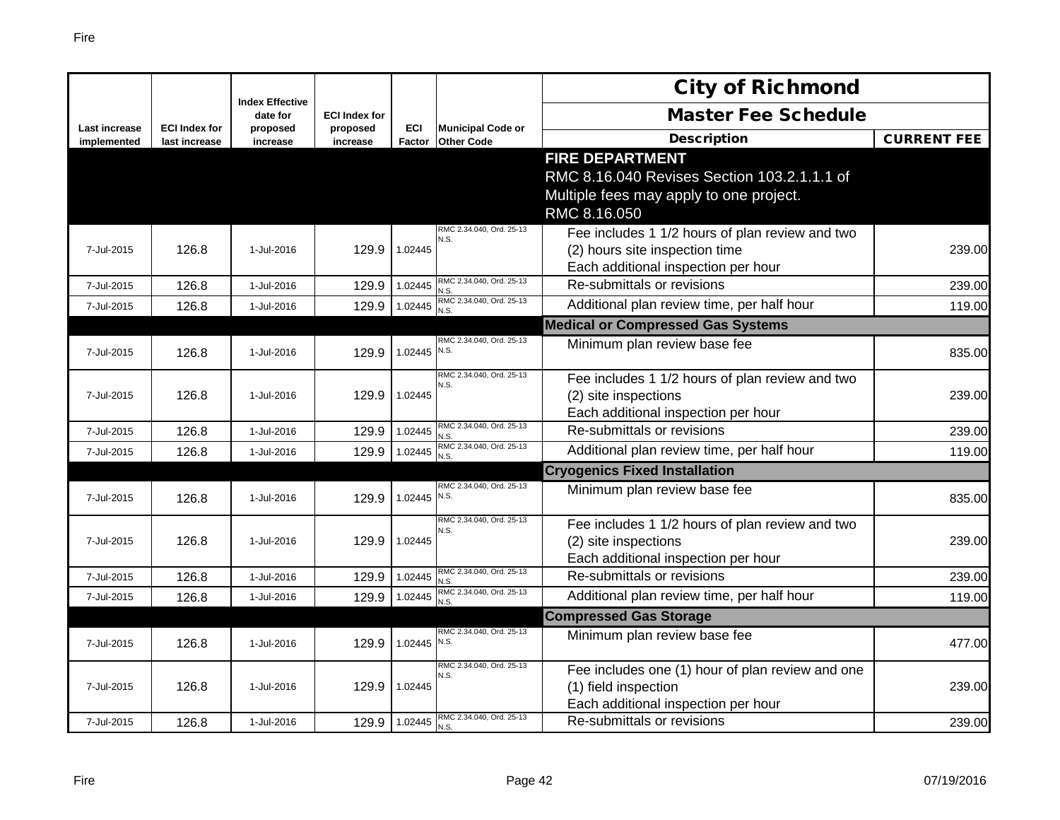|                              |                                       |                                    |                      |               |                                               | <b>City of Richmond</b>                          |                    |
|------------------------------|---------------------------------------|------------------------------------|----------------------|---------------|-----------------------------------------------|--------------------------------------------------|--------------------|
|                              |                                       | <b>Index Effective</b><br>date for | <b>ECI Index for</b> |               |                                               | <b>Master Fee Schedule</b>                       |                    |
| Last increase<br>implemented | <b>ECI Index for</b><br>last increase | proposed<br>increase               | proposed<br>increase | ECI<br>Factor | <b>Municipal Code or</b><br><b>Other Code</b> | <b>Description</b>                               | <b>CURRENT FEE</b> |
|                              |                                       |                                    |                      |               |                                               | <b>FIRE DEPARTMENT</b>                           |                    |
|                              |                                       |                                    |                      |               |                                               | RMC 8.16.040 Revises Section 103.2.1.1.1 of      |                    |
|                              |                                       |                                    |                      |               |                                               | Multiple fees may apply to one project.          |                    |
|                              |                                       |                                    |                      |               |                                               | RMC 8.16.050                                     |                    |
|                              |                                       |                                    |                      |               | RMC 2.34.040, Ord. 25-13                      | Fee includes 1 1/2 hours of plan review and two  |                    |
| 7-Jul-2015                   | 126.8                                 | 1-Jul-2016                         | 129.9                | 1.02445       | N.S.                                          | (2) hours site inspection time                   | 239.00             |
|                              |                                       |                                    |                      |               |                                               | Each additional inspection per hour              |                    |
| 7-Jul-2015                   | 126.8                                 | 1-Jul-2016                         | 129.9                | 1.02445       | RMC 2.34.040, Ord. 25-13<br>N.S.              | Re-submittals or revisions                       | 239.00             |
| 7-Jul-2015                   | 126.8                                 | 1-Jul-2016                         | 129.9                | 1.02445       | RMC 2.34.040, Ord. 25-13<br>N.S.              | Additional plan review time, per half hour       | 119.00             |
|                              |                                       |                                    |                      |               |                                               | <b>Medical or Compressed Gas Systems</b>         |                    |
| 7-Jul-2015                   | 126.8                                 | 1-Jul-2016                         | 129.9                | 1.02445       | RMC 2.34.040, Ord. 25-13<br>N.S.              | Minimum plan review base fee                     | 835.00             |
|                              |                                       |                                    |                      |               | RMC 2.34.040, Ord. 25-13                      |                                                  |                    |
|                              |                                       |                                    |                      |               | N.S.                                          | Fee includes 1 1/2 hours of plan review and two  |                    |
| 7-Jul-2015                   | 126.8                                 | 1-Jul-2016                         | 129.9                | 1.02445       |                                               | (2) site inspections                             | 239.00             |
|                              |                                       |                                    |                      |               | RMC 2.34.040, Ord. 25-13                      | Each additional inspection per hour              |                    |
| 7-Jul-2015                   | 126.8                                 | 1-Jul-2016                         | 129.9                | 1.02445       | N.S.<br>RMC 2.34.040, Ord. 25-13              | Re-submittals or revisions                       | 239.00             |
| 7-Jul-2015                   | 126.8                                 | 1-Jul-2016                         | 129.9                | 1.02445       | N.S.                                          | Additional plan review time, per half hour       | 119.00             |
|                              |                                       |                                    |                      |               |                                               | <b>Cryogenics Fixed Installation</b>             |                    |
| 7-Jul-2015                   | 126.8                                 | 1-Jul-2016                         | 129.9                | 1.02445 N.S.  | RMC 2.34.040, Ord. 25-13                      | Minimum plan review base fee                     | 835.00             |
|                              |                                       |                                    |                      |               | RMC 2.34.040, Ord. 25-13                      | Fee includes 1 1/2 hours of plan review and two  |                    |
| 7-Jul-2015                   | 126.8                                 | 1-Jul-2016                         | 129.9                | 1.02445       | N.S.                                          | (2) site inspections                             | 239.00             |
|                              |                                       |                                    |                      |               |                                               | Each additional inspection per hour              |                    |
| 7-Jul-2015                   | 126.8                                 | 1-Jul-2016                         | 129.9                | 1.02445       | RMC 2.34.040, Ord. 25-13<br>N.S.              | Re-submittals or revisions                       | 239.00             |
| 7-Jul-2015                   | 126.8                                 | 1-Jul-2016                         | 129.9                | 1.02445       | RMC 2.34.040, Ord. 25-13<br>N.S.              | Additional plan review time, per half hour       | 119.00             |
|                              |                                       |                                    |                      |               |                                               | <b>Compressed Gas Storage</b>                    |                    |
|                              |                                       |                                    |                      |               | RMC 2.34.040, Ord. 25-13                      | Minimum plan review base fee                     |                    |
| 7-Jul-2015                   | 126.8                                 | 1-Jul-2016                         | 129.9                | 1.02445       | N.S.                                          |                                                  | 477.00             |
|                              |                                       |                                    |                      |               | RMC 2.34.040, Ord. 25-13<br>N.S.              | Fee includes one (1) hour of plan review and one |                    |
| 7-Jul-2015                   | 126.8                                 | 1-Jul-2016                         | 129.9                | 1.02445       |                                               | (1) field inspection                             | 239.00             |
|                              |                                       |                                    |                      |               |                                               | Each additional inspection per hour              |                    |
| 7-Jul-2015                   | 126.8                                 | 1-Jul-2016                         | 129.9                | 1.02445       | RMC 2.34.040, Ord. 25-13<br>N.S.              | Re-submittals or revisions                       | 239.00             |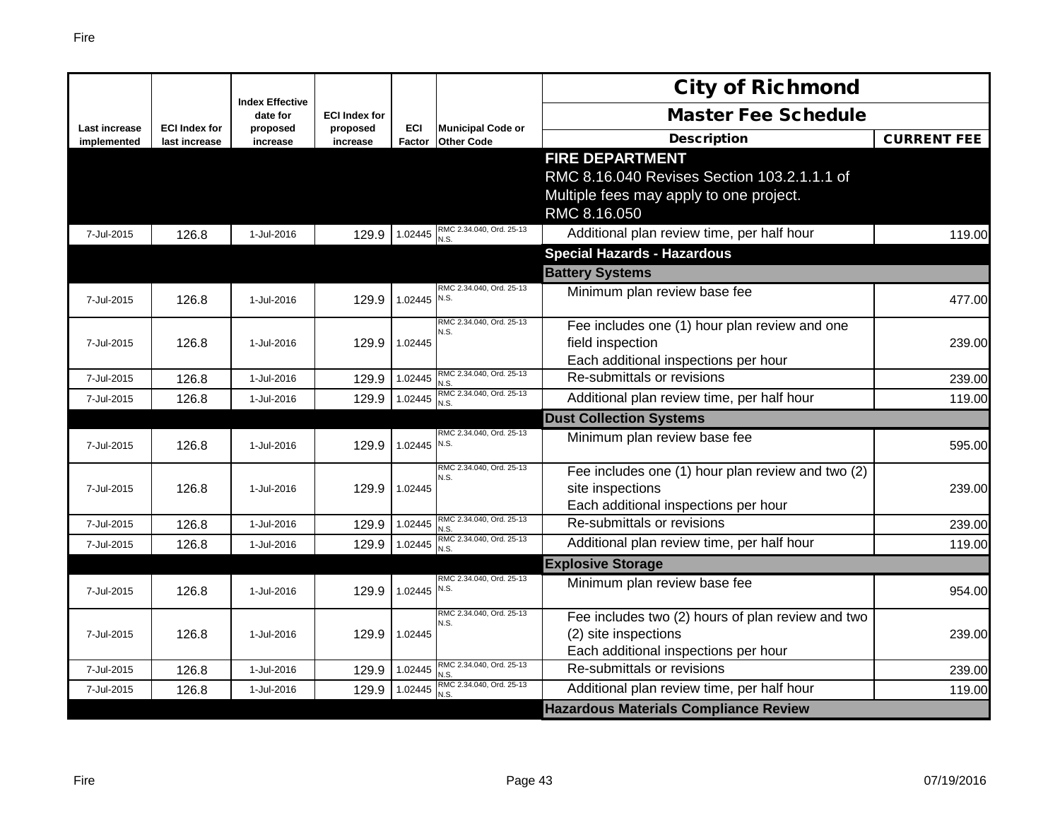|                                     |                                       |                                    |                      |                      |                                               | <b>City of Richmond</b>                                  |                    |
|-------------------------------------|---------------------------------------|------------------------------------|----------------------|----------------------|-----------------------------------------------|----------------------------------------------------------|--------------------|
|                                     |                                       | <b>Index Effective</b><br>date for | <b>ECI Index for</b> |                      |                                               | <b>Master Fee Schedule</b>                               |                    |
| <b>Last increase</b><br>implemented | <b>ECI Index for</b><br>last increase | proposed<br>increase               | proposed<br>increase | <b>ECI</b><br>Factor | <b>Municipal Code or</b><br><b>Other Code</b> | <b>Description</b>                                       | <b>CURRENT FEE</b> |
|                                     |                                       |                                    |                      |                      |                                               | <b>FIRE DEPARTMENT</b>                                   |                    |
|                                     |                                       |                                    |                      |                      |                                               | RMC 8.16.040 Revises Section 103.2.1.1.1 of              |                    |
|                                     |                                       |                                    |                      |                      |                                               | Multiple fees may apply to one project.                  |                    |
|                                     |                                       |                                    |                      |                      |                                               | RMC 8.16.050                                             |                    |
| 7-Jul-2015                          | 126.8                                 | 1-Jul-2016                         | 129.9                |                      | 1.02445 RMC 2.34.040, Ord. 25-13              | Additional plan review time, per half hour               | 119.00             |
|                                     |                                       |                                    |                      |                      |                                               | <b>Special Hazards - Hazardous</b>                       |                    |
|                                     |                                       |                                    |                      |                      |                                               | <b>Battery Systems</b>                                   |                    |
| 7-Jul-2015                          | 126.8                                 | 1-Jul-2016                         | 129.9                | 1.02445              | RMC 2.34.040, Ord. 25-13<br>N.S.              | Minimum plan review base fee                             | 477.00             |
|                                     |                                       |                                    |                      |                      | RMC 2.34.040, Ord. 25-13                      |                                                          |                    |
|                                     |                                       |                                    |                      |                      | N.S.                                          | Fee includes one (1) hour plan review and one            |                    |
| 7-Jul-2015                          | 126.8                                 | 1-Jul-2016                         | 129.9                | 1.02445              |                                               | field inspection<br>Each additional inspections per hour | 239.00             |
| 7-Jul-2015                          | 126.8                                 | 1-Jul-2016                         | 129.9                | 1.02445              | RMC 2.34.040, Ord. 25-13                      | Re-submittals or revisions                               | 239.00             |
| 7-Jul-2015                          | 126.8                                 | 1-Jul-2016                         | 129.9                | 1.02445              | N.S<br>RMC 2.34.040, Ord. 25-13               | Additional plan review time, per half hour               | 119.00             |
|                                     |                                       |                                    |                      |                      | N.S.                                          | <b>Dust Collection Systems</b>                           |                    |
|                                     |                                       |                                    |                      |                      | RMC 2.34.040, Ord. 25-13                      | Minimum plan review base fee                             |                    |
| 7-Jul-2015                          | 126.8                                 | 1-Jul-2016                         | 129.9                | 1.02445 N.S.         |                                               |                                                          | 595.00             |
|                                     |                                       |                                    |                      |                      | RMC 2.34.040, Ord. 25-13<br>N.S.              | Fee includes one (1) hour plan review and two (2)        |                    |
| 7-Jul-2015                          | 126.8                                 | 1-Jul-2016                         | 129.9                | 1.02445              |                                               | site inspections                                         | 239.00             |
|                                     |                                       |                                    |                      |                      |                                               | Each additional inspections per hour                     |                    |
| 7-Jul-2015                          | 126.8                                 | 1-Jul-2016                         | 129.9                | 1.02445              | RMC 2.34.040, Ord. 25-13<br>N.S               | Re-submittals or revisions                               | 239.00             |
| 7-Jul-2015                          | 126.8                                 | 1-Jul-2016                         | 129.9                | 1.02445              | RMC 2.34.040, Ord. 25-13<br>N.S               | Additional plan review time, per half hour               | 119.00             |
|                                     |                                       |                                    |                      |                      |                                               | <b>Explosive Storage</b>                                 |                    |
| 7-Jul-2015                          | 126.8                                 | 1-Jul-2016                         | 129.9                | 1.02445 N.S.         | RMC 2.34.040, Ord. 25-13                      | Minimum plan review base fee                             | 954.00             |
|                                     |                                       |                                    |                      |                      | RMC 2.34.040, Ord. 25-13<br>N.S.              | Fee includes two (2) hours of plan review and two        |                    |
| 7-Jul-2015                          | 126.8                                 | 1-Jul-2016                         | 129.9                | 1.02445              |                                               | (2) site inspections                                     | 239.00             |
|                                     |                                       |                                    |                      |                      |                                               | Each additional inspections per hour                     |                    |
| 7-Jul-2015                          | 126.8                                 | 1-Jul-2016                         | 129.9                | 1.02445              | RMC 2.34.040, Ord. 25-13<br>N.S               | Re-submittals or revisions                               | 239.00             |
| 7-Jul-2015                          | 126.8                                 | 1-Jul-2016                         | 129.9                | 1.02445              | RMC 2.34.040, Ord. 25-13<br>N.S               | Additional plan review time, per half hour               | 119.00             |
|                                     |                                       |                                    |                      |                      |                                               | <b>Hazardous Materials Compliance Review</b>             |                    |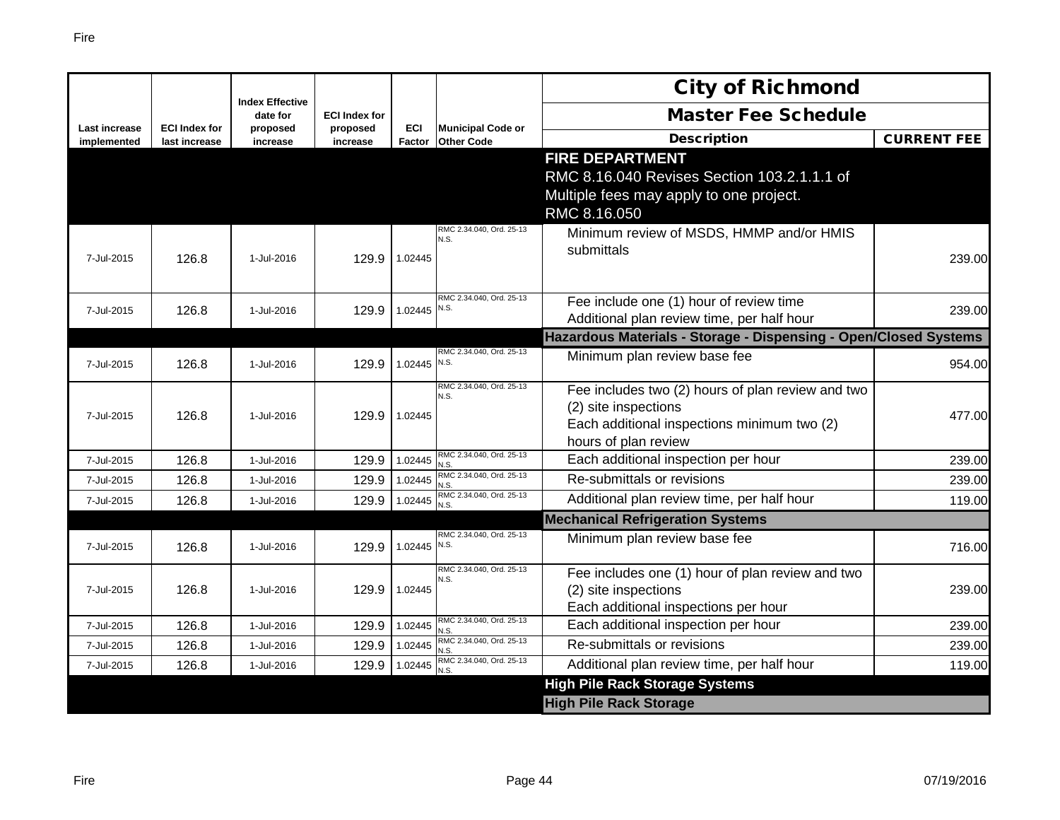|                              |                                       |                                    |                      |                      |                                               | <b>City of Richmond</b>                                                                                                                          |                    |
|------------------------------|---------------------------------------|------------------------------------|----------------------|----------------------|-----------------------------------------------|--------------------------------------------------------------------------------------------------------------------------------------------------|--------------------|
|                              |                                       | <b>Index Effective</b><br>date for | <b>ECI Index for</b> |                      |                                               | <b>Master Fee Schedule</b>                                                                                                                       |                    |
| Last increase<br>implemented | <b>ECI Index for</b><br>last increase | proposed<br>increase               | proposed<br>increase | <b>ECI</b><br>Factor | <b>Municipal Code or</b><br><b>Other Code</b> | <b>Description</b>                                                                                                                               | <b>CURRENT FEE</b> |
|                              |                                       |                                    |                      |                      |                                               | <b>FIRE DEPARTMENT</b><br>RMC 8.16.040 Revises Section 103.2.1.1.1 of<br>Multiple fees may apply to one project.<br>RMC 8.16.050                 |                    |
| 7-Jul-2015                   | 126.8                                 | 1-Jul-2016                         | 129.9                | 1.02445              | RMC 2.34.040, Ord. 25-13<br>N.S.              | Minimum review of MSDS, HMMP and/or HMIS<br>submittals                                                                                           | 239.00             |
| 7-Jul-2015                   | 126.8                                 | 1-Jul-2016                         | 129.9                | 1.02445              | RMC 2.34.040, Ord. 25-13<br>N.S.              | Fee include one (1) hour of review time<br>Additional plan review time, per half hour                                                            | 239.00             |
|                              |                                       |                                    |                      |                      |                                               | Hazardous Materials - Storage - Dispensing - Open/Closed Systems                                                                                 |                    |
| 7-Jul-2015                   | 126.8                                 | 1-Jul-2016                         | 129.9                | 1.02445              | RMC 2.34.040, Ord. 25-13<br>N.S.              | Minimum plan review base fee                                                                                                                     | 954.00             |
| 7-Jul-2015                   | 126.8                                 | 1-Jul-2016                         | 129.9                | 1.02445              | RMC 2.34.040, Ord, 25-13<br>N.S.              | Fee includes two (2) hours of plan review and two<br>(2) site inspections<br>Each additional inspections minimum two (2)<br>hours of plan review | 477.00             |
| 7-Jul-2015                   | 126.8                                 | 1-Jul-2016                         | 129.9                | 1.02445              | RMC 2.34.040, Ord. 25-13<br>N.S               | Each additional inspection per hour                                                                                                              | 239.00             |
| 7-Jul-2015                   | 126.8                                 | 1-Jul-2016                         | 129.9                | 1.02445              | RMC 2.34.040, Ord. 25-13<br>N.S.              | Re-submittals or revisions                                                                                                                       | 239.00             |
| 7-Jul-2015                   | 126.8                                 | 1-Jul-2016                         | 129.9                | 1.02445              | RMC 2.34.040, Ord. 25-13<br>N.S.              | Additional plan review time, per half hour                                                                                                       | 119.00             |
|                              |                                       |                                    |                      |                      |                                               | <b>Mechanical Refrigeration Systems</b>                                                                                                          |                    |
| 7-Jul-2015                   | 126.8                                 | 1-Jul-2016                         | 129.9                | 1.02445              | RMC 2.34.040, Ord. 25-13<br>N.S.              | Minimum plan review base fee                                                                                                                     | 716.00             |
| 7-Jul-2015                   | 126.8                                 | 1-Jul-2016                         | 129.9                | 1.02445              | RMC 2.34.040, Ord. 25-13<br>N.S.              | Fee includes one (1) hour of plan review and two<br>(2) site inspections<br>Each additional inspections per hour                                 | 239.00             |
| 7-Jul-2015                   | 126.8                                 | 1-Jul-2016                         | 129.9                | 1.02445              | RMC 2.34.040, Ord. 25-13<br>N.S.              | Each additional inspection per hour                                                                                                              | 239.00             |
| 7-Jul-2015                   | 126.8                                 | 1-Jul-2016                         | 129.9                | 1.02445              | RMC 2.34.040, Ord. 25-13<br>N.S.              | Re-submittals or revisions                                                                                                                       | 239.00             |
| 7-Jul-2015                   | 126.8                                 | 1-Jul-2016                         | 129.9                | 1.02445              | RMC 2.34.040, Ord. 25-13<br>N.S.              | Additional plan review time, per half hour                                                                                                       | 119.00             |
|                              |                                       |                                    |                      |                      |                                               | <b>High Pile Rack Storage Systems</b>                                                                                                            |                    |
|                              |                                       |                                    |                      |                      |                                               | <b>High Pile Rack Storage</b>                                                                                                                    |                    |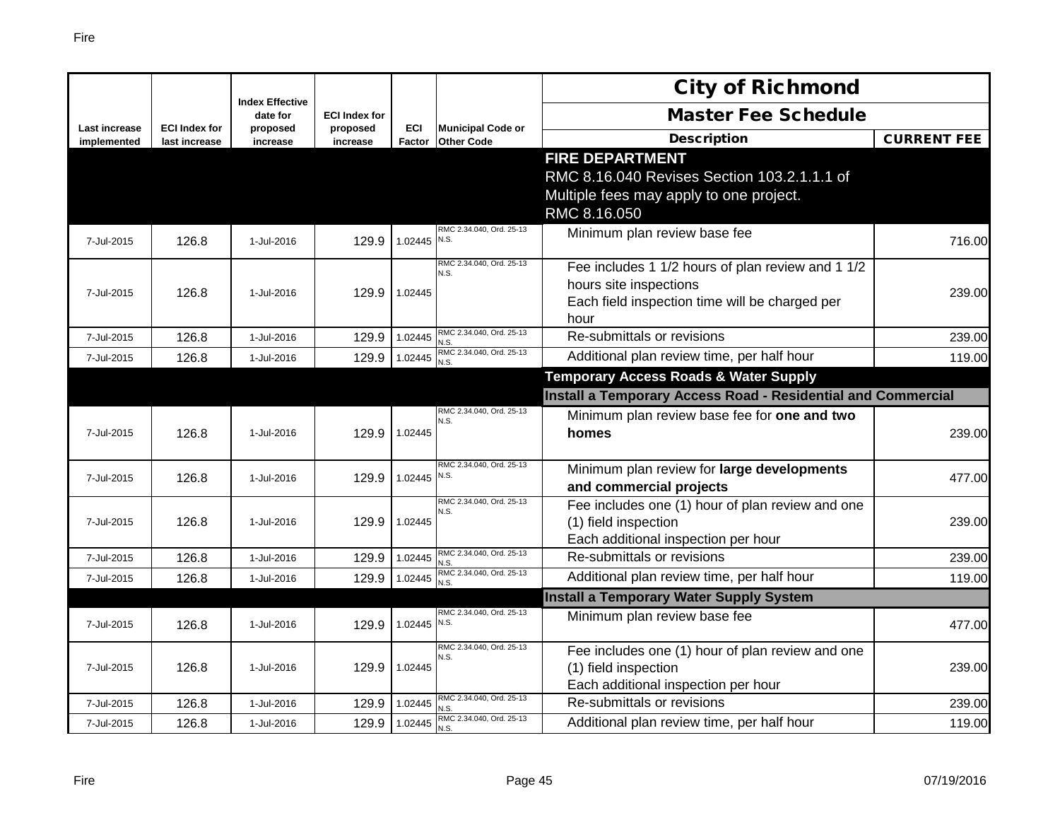|                              |                                       |                                    |                      |                |                                               | <b>City of Richmond</b>                                                  |                    |
|------------------------------|---------------------------------------|------------------------------------|----------------------|----------------|-----------------------------------------------|--------------------------------------------------------------------------|--------------------|
|                              |                                       | <b>Index Effective</b><br>date for | <b>ECI Index for</b> |                |                                               | <b>Master Fee Schedule</b>                                               |                    |
| Last increase<br>implemented | <b>ECI Index for</b><br>last increase | proposed<br>increase               | proposed<br>increase | ECI<br>Factor  | <b>Municipal Code or</b><br><b>Other Code</b> | <b>Description</b>                                                       | <b>CURRENT FEE</b> |
|                              |                                       |                                    |                      |                |                                               | <b>FIRE DEPARTMENT</b>                                                   |                    |
|                              |                                       |                                    |                      |                |                                               | RMC 8.16.040 Revises Section 103.2.1.1.1 of                              |                    |
|                              |                                       |                                    |                      |                |                                               | Multiple fees may apply to one project.                                  |                    |
|                              |                                       |                                    |                      |                |                                               | RMC 8.16.050                                                             |                    |
| 7-Jul-2015                   | 126.8                                 | 1-Jul-2016                         | 129.9                | 1.02445        | RMC 2.34.040, Ord. 25-13<br>N.S.              | Minimum plan review base fee                                             | 716.00             |
|                              |                                       |                                    |                      |                | RMC 2.34.040, Ord. 25-13<br>N.S.              | Fee includes 1 1/2 hours of plan review and 1 1/2                        |                    |
| 7-Jul-2015                   | 126.8                                 | 1-Jul-2016                         | 129.9                | 1.02445        |                                               | hours site inspections                                                   | 239.00             |
|                              |                                       |                                    |                      |                |                                               | Each field inspection time will be charged per                           |                    |
| 7-Jul-2015                   | 126.8                                 | 1-Jul-2016                         | 129.9                | 1.02445        | RMC 2.34.040, Ord. 25-13                      | hour<br>Re-submittals or revisions                                       | 239.00             |
| 7-Jul-2015                   | 126.8                                 | 1-Jul-2016                         | 129.9                | 1.02445        | N.S<br>RMC 2.34.040, Ord. 25-13               | Additional plan review time, per half hour                               | 119.00             |
|                              |                                       |                                    |                      |                | N.S.                                          | <b>Temporary Access Roads &amp; Water Supply</b>                         |                    |
|                              |                                       |                                    |                      |                |                                               | <b>Install a Temporary Access Road - Residential and Commercial</b>      |                    |
|                              |                                       |                                    |                      |                | RMC 2.34.040, Ord. 25-13<br>N.S.              | Minimum plan review base fee for one and two                             |                    |
| 7-Jul-2015                   | 126.8                                 | 1-Jul-2016                         | 129.9                | 1.02445        |                                               | homes                                                                    | 239.00             |
|                              |                                       |                                    |                      |                |                                               |                                                                          |                    |
| 7-Jul-2015                   | 126.8                                 | 1-Jul-2016                         | 129.9                | 1.02445 $N.S.$ | RMC 2.34.040, Ord. 25-13                      | Minimum plan review for large developments                               | 477.00             |
|                              |                                       |                                    |                      |                | RMC 2.34.040, Ord. 25-13                      | and commercial projects                                                  |                    |
| 7-Jul-2015                   | 126.8                                 | 1-Jul-2016                         | 129.9                | 1.02445        | N.S.                                          | Fee includes one (1) hour of plan review and one<br>(1) field inspection | 239.00             |
|                              |                                       |                                    |                      |                |                                               | Each additional inspection per hour                                      |                    |
| 7-Jul-2015                   | 126.8                                 | 1-Jul-2016                         | 129.9                | 1.02445        | RMC 2.34.040, Ord. 25-13<br>N.S               | Re-submittals or revisions                                               | 239.00             |
| 7-Jul-2015                   | 126.8                                 | 1-Jul-2016                         | 129.9                | 1.02445        | RMC 2.34.040, Ord. 25-13<br>N.S.              | Additional plan review time, per half hour                               | 119.00             |
|                              |                                       |                                    |                      |                |                                               | <b>Install a Temporary Water Supply System</b>                           |                    |
| 7-Jul-2015                   | 126.8                                 | 1-Jul-2016                         | 129.9                | 1.02445 N.S.   | RMC 2.34.040, Ord. 25-13                      | Minimum plan review base fee                                             | 477.00             |
|                              |                                       |                                    |                      |                | RMC 2.34.040, Ord. 25-13<br>N.S.              | Fee includes one (1) hour of plan review and one                         |                    |
| 7-Jul-2015                   | 126.8                                 | 1-Jul-2016                         | 129.9                | 1.02445        |                                               | (1) field inspection                                                     | 239.00             |
|                              |                                       |                                    |                      |                |                                               | Each additional inspection per hour                                      |                    |
| 7-Jul-2015                   | 126.8                                 | 1-Jul-2016                         | 129.9                | 1.02445        | RMC 2.34.040, Ord. 25-13                      | Re-submittals or revisions                                               | 239.00             |
| 7-Jul-2015                   | 126.8                                 | 1-Jul-2016                         | 129.9                | 1.02445        | RMC 2.34.040, Ord. 25-13<br>N.S               | Additional plan review time, per half hour                               | 119.00             |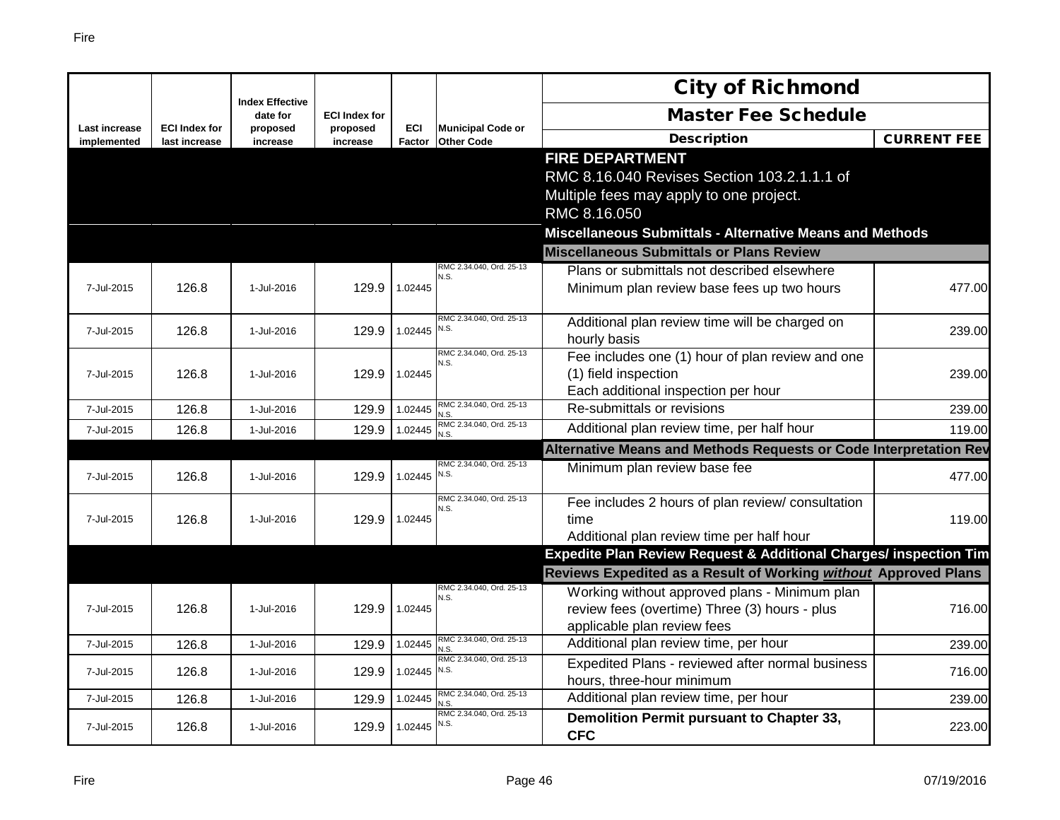|                                     |                                       |                                    |                      |                      |                                               | <b>City of Richmond</b>                                                  |                    |
|-------------------------------------|---------------------------------------|------------------------------------|----------------------|----------------------|-----------------------------------------------|--------------------------------------------------------------------------|--------------------|
|                                     |                                       | <b>Index Effective</b><br>date for | <b>ECI Index for</b> |                      |                                               | <b>Master Fee Schedule</b>                                               |                    |
| <b>Last increase</b><br>implemented | <b>ECI Index for</b><br>last increase | proposed<br>increase               | proposed<br>increase | <b>ECI</b><br>Factor | <b>Municipal Code or</b><br><b>Other Code</b> | <b>Description</b>                                                       | <b>CURRENT FEE</b> |
|                                     |                                       |                                    |                      |                      |                                               | <b>FIRE DEPARTMENT</b>                                                   |                    |
|                                     |                                       |                                    |                      |                      |                                               | RMC 8.16.040 Revises Section 103.2.1.1.1 of                              |                    |
|                                     |                                       |                                    |                      |                      |                                               | Multiple fees may apply to one project.                                  |                    |
|                                     |                                       |                                    |                      |                      |                                               | RMC 8.16.050                                                             |                    |
|                                     |                                       |                                    |                      |                      |                                               | Miscellaneous Submittals - Alternative Means and Methods                 |                    |
|                                     |                                       |                                    |                      |                      |                                               | <b>Miscellaneous Submittals or Plans Review</b>                          |                    |
|                                     |                                       |                                    |                      |                      | RMC 2.34.040, Ord. 25-13<br>N.S.              | Plans or submittals not described elsewhere                              |                    |
| 7-Jul-2015                          | 126.8                                 | 1-Jul-2016                         | 129.9                | 1.02445              |                                               | Minimum plan review base fees up two hours                               | 477.00             |
|                                     |                                       |                                    |                      |                      | RMC 2.34.040, Ord. 25-13                      |                                                                          |                    |
| 7-Jul-2015                          | 126.8                                 | 1-Jul-2016                         | 129.9                | 1.02445              | N.S.                                          | Additional plan review time will be charged on                           | 239.00             |
|                                     |                                       |                                    |                      |                      | RMC 2.34.040, Ord. 25-13                      | hourly basis                                                             |                    |
| 7-Jul-2015                          | 126.8                                 | 1-Jul-2016                         | 129.9                | 1.02445              | N.S.                                          | Fee includes one (1) hour of plan review and one<br>(1) field inspection | 239.00             |
|                                     |                                       |                                    |                      |                      |                                               | Each additional inspection per hour                                      |                    |
| 7-Jul-2015                          | 126.8                                 | 1-Jul-2016                         | 129.9                | 1.02445              | RMC 2.34.040, Ord. 25-13                      | Re-submittals or revisions                                               | 239.00             |
| 7-Jul-2015                          | 126.8                                 | 1-Jul-2016                         | 129.9                | 1.02445              | N.S.<br>RMC 2.34.040, Ord. 25-13              | Additional plan review time, per half hour                               | 119.00             |
|                                     |                                       |                                    |                      |                      | N.S.                                          | Alternative Means and Methods Requests or Code Interpretation Rev        |                    |
|                                     |                                       |                                    |                      |                      | RMC 2.34.040, Ord, 25-13                      | Minimum plan review base fee                                             |                    |
| 7-Jul-2015                          | 126.8                                 | 1-Jul-2016                         | 129.9                | 1.02445              | N.S.                                          |                                                                          | 477.00             |
|                                     |                                       |                                    |                      |                      | RMC 2.34.040, Ord. 25-13<br>N S               | Fee includes 2 hours of plan review/ consultation                        |                    |
| 7-Jul-2015                          | 126.8                                 | 1-Jul-2016                         | 129.9                | 1.02445              |                                               | time                                                                     | 119.00             |
|                                     |                                       |                                    |                      |                      |                                               | Additional plan review time per half hour                                |                    |
|                                     |                                       |                                    |                      |                      |                                               | Expedite Plan Review Request & Additional Charges/ inspection Tim        |                    |
|                                     |                                       |                                    |                      |                      |                                               | Reviews Expedited as a Result of Working without Approved Plans          |                    |
|                                     |                                       |                                    |                      |                      | RMC 2.34.040, Ord. 25-13<br>N.S.              | Working without approved plans - Minimum plan                            |                    |
| 7-Jul-2015                          | 126.8                                 | 1-Jul-2016                         | 129.9                | 1.02445              |                                               | review fees (overtime) Three (3) hours - plus                            | 716.00             |
|                                     |                                       |                                    |                      |                      |                                               | applicable plan review fees                                              |                    |
| 7-Jul-2015                          | 126.8                                 | 1-Jul-2016                         | 129.9                | 1.02445              | RMC 2.34.040, Ord. 25-13<br>N.S.              | Additional plan review time, per hour                                    | 239.00             |
| 7-Jul-2015                          | 126.8                                 | 1-Jul-2016                         | 129.9                | 1.02445              | RMC 2.34.040, Ord. 25-13<br>N.S.              | Expedited Plans - reviewed after normal business                         | 716.00             |
|                                     |                                       |                                    |                      |                      | RMC 2.34.040, Ord. 25-13                      | hours, three-hour minimum                                                |                    |
| 7-Jul-2015                          | 126.8                                 | 1-Jul-2016                         | 129.9                | 1.02445              | J.S.<br>RMC 2.34.040, Ord. 25-13              | Additional plan review time, per hour                                    | 239.00             |
| 7-Jul-2015                          | 126.8                                 | 1-Jul-2016                         | 129.9                | 1.02445              | N.S.                                          | Demolition Permit pursuant to Chapter 33,<br><b>CFC</b>                  | 223.00             |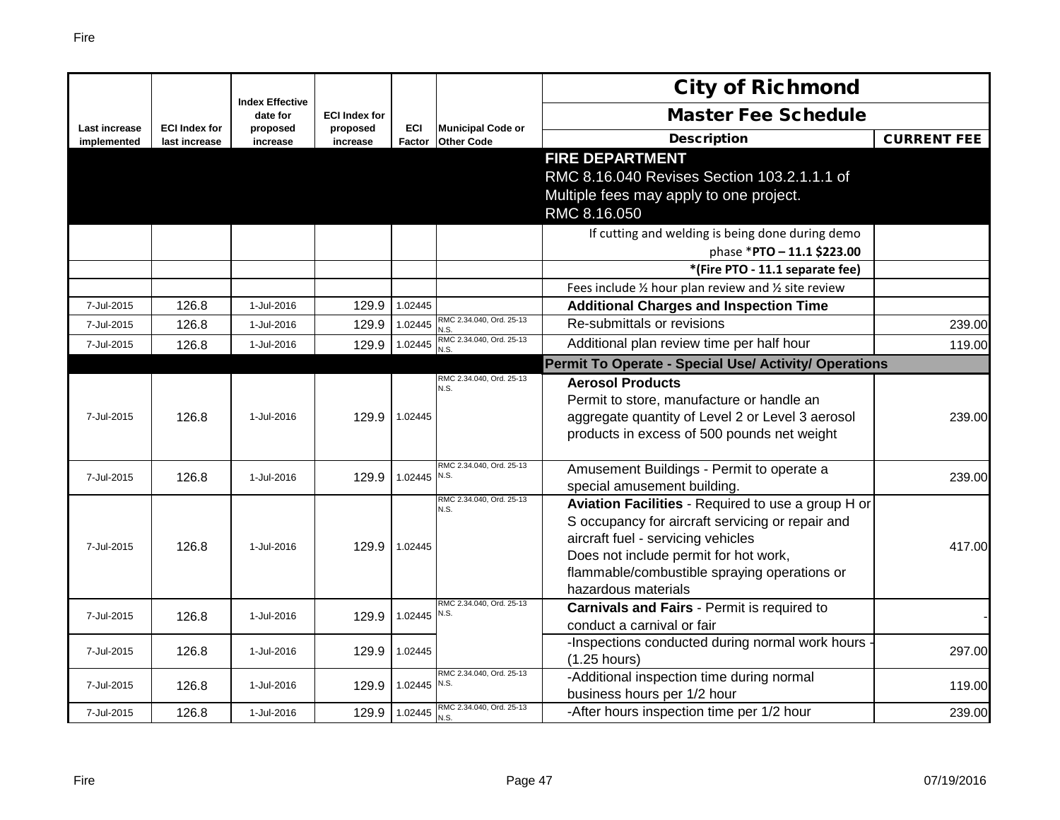|                              |                                       |                                    |                      |                      |                                               | <b>City of Richmond</b>                                                               |                    |
|------------------------------|---------------------------------------|------------------------------------|----------------------|----------------------|-----------------------------------------------|---------------------------------------------------------------------------------------|--------------------|
|                              |                                       | <b>Index Effective</b><br>date for | <b>ECI Index for</b> |                      |                                               | <b>Master Fee Schedule</b>                                                            |                    |
| Last increase<br>implemented | <b>ECI Index for</b><br>last increase | proposed<br>increase               | proposed<br>increase | <b>ECI</b><br>Factor | <b>Municipal Code or</b><br><b>Other Code</b> | <b>Description</b>                                                                    | <b>CURRENT FEE</b> |
|                              |                                       |                                    |                      |                      |                                               | <b>FIRE DEPARTMENT</b>                                                                |                    |
|                              |                                       |                                    |                      |                      |                                               | RMC 8.16.040 Revises Section 103.2.1.1.1 of                                           |                    |
|                              |                                       |                                    |                      |                      |                                               | Multiple fees may apply to one project.                                               |                    |
|                              |                                       |                                    |                      |                      |                                               | RMC 8.16.050                                                                          |                    |
|                              |                                       |                                    |                      |                      |                                               | If cutting and welding is being done during demo                                      |                    |
|                              |                                       |                                    |                      |                      |                                               | phase *PTO - 11.1 \$223.00                                                            |                    |
|                              |                                       |                                    |                      |                      |                                               | *(Fire PTO - 11.1 separate fee)                                                       |                    |
|                              |                                       |                                    |                      |                      |                                               | Fees include 1/2 hour plan review and 1/2 site review                                 |                    |
| 7-Jul-2015                   | 126.8                                 | 1-Jul-2016                         | 129.9                | 1.02445              |                                               | <b>Additional Charges and Inspection Time</b>                                         |                    |
| 7-Jul-2015                   | 126.8                                 | 1-Jul-2016                         | 129.9                | 1.02445              | RMC 2.34.040, Ord. 25-13                      | Re-submittals or revisions                                                            | 239.00             |
| 7-Jul-2015                   | 126.8                                 | 1-Jul-2016                         | 129.9                | 1.02445              | RMC 2.34.040, Ord. 25-13<br>N.S.              | Additional plan review time per half hour                                             | 119.00             |
|                              |                                       |                                    |                      |                      |                                               | <b>Permit To Operate - Special Use/ Activity/ Operations</b>                          |                    |
|                              |                                       |                                    |                      |                      | RMC 2.34.040, Ord. 25-13<br>N.S.              | <b>Aerosol Products</b>                                                               |                    |
|                              |                                       |                                    |                      |                      |                                               | Permit to store, manufacture or handle an                                             |                    |
| 7-Jul-2015                   | 126.8                                 | 1-Jul-2016                         | 129.9                | 1.02445              |                                               | aggregate quantity of Level 2 or Level 3 aerosol                                      | 239.00             |
|                              |                                       |                                    |                      |                      |                                               | products in excess of 500 pounds net weight                                           |                    |
| 7-Jul-2015                   | 126.8                                 | 1-Jul-2016                         | 129.9                | 1.02445              | RMC 2.34.040, Ord. 25-13<br>N.S.              | Amusement Buildings - Permit to operate a                                             | 239.00             |
|                              |                                       |                                    |                      |                      |                                               | special amusement building.                                                           |                    |
|                              |                                       |                                    |                      |                      | RMC 2.34.040, Ord. 25-13<br>N.S.              | Aviation Facilities - Required to use a group H or                                    |                    |
|                              |                                       |                                    |                      |                      |                                               | S occupancy for aircraft servicing or repair and                                      |                    |
| 7-Jul-2015                   | 126.8                                 | 1-Jul-2016                         | 129.9                | 1.02445              |                                               | aircraft fuel - servicing vehicles                                                    | 417.00             |
|                              |                                       |                                    |                      |                      |                                               | Does not include permit for hot work,<br>flammable/combustible spraying operations or |                    |
|                              |                                       |                                    |                      |                      |                                               | hazardous materials                                                                   |                    |
|                              |                                       |                                    |                      |                      | RMC 2.34.040. Ord. 25-13                      | Carnivals and Fairs - Permit is required to                                           |                    |
| 7-Jul-2015                   | 126.8                                 | 1-Jul-2016                         | 129.9                | 1.02445              | N.S.                                          | conduct a carnival or fair                                                            |                    |
|                              |                                       |                                    |                      |                      |                                               | -Inspections conducted during normal work hours                                       |                    |
| 7-Jul-2015                   | 126.8                                 | 1-Jul-2016                         | 129.9                | 1.02445              |                                               | $(1.25$ hours)                                                                        | 297.00             |
| 7-Jul-2015                   | 126.8                                 | 1-Jul-2016                         | 129.9                | 1.02445 N.S.         | RMC 2.34.040, Ord. 25-13                      | -Additional inspection time during normal                                             | 119.00             |
|                              |                                       |                                    |                      |                      |                                               | business hours per 1/2 hour                                                           |                    |
| 7-Jul-2015                   | 126.8                                 | 1-Jul-2016                         | 129.9                | 1.02445              | RMC 2.34.040, Ord. 25-13<br>N.S.              | -After hours inspection time per 1/2 hour                                             | 239.00             |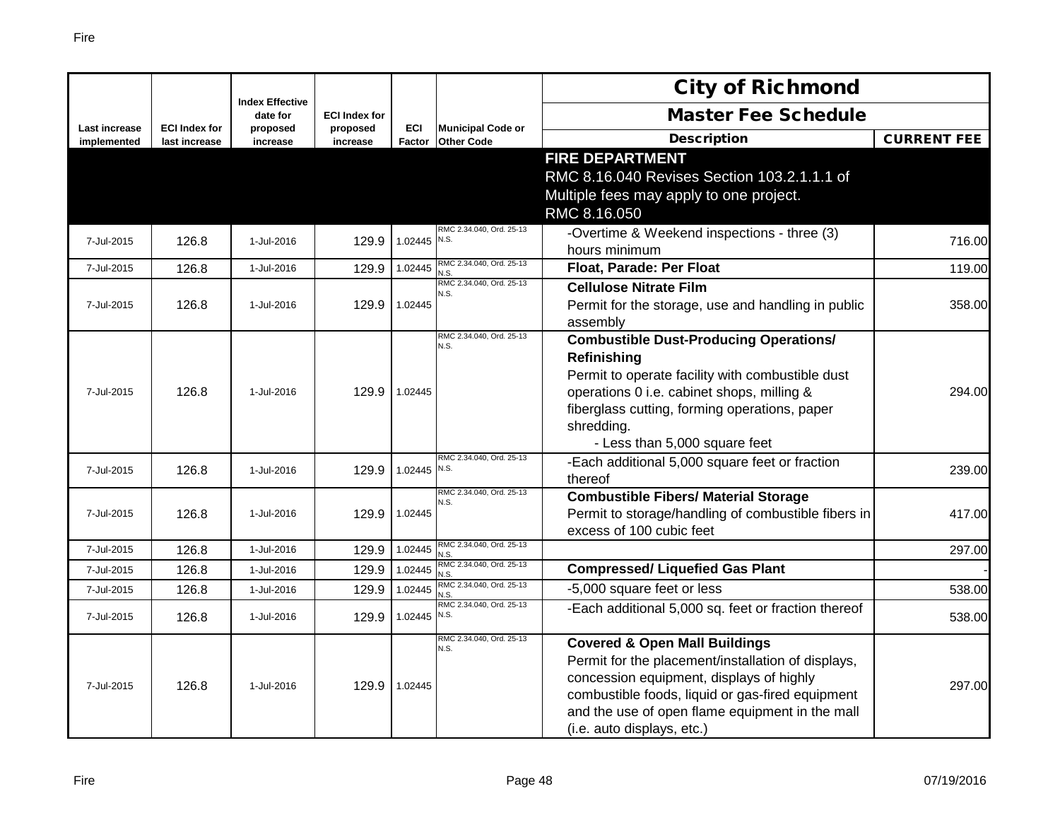|                              |                                       | <b>Index Effective</b> |                      |                |                                               | <b>City of Richmond</b>                                                                                                                                                                                                                                                         |                    |
|------------------------------|---------------------------------------|------------------------|----------------------|----------------|-----------------------------------------------|---------------------------------------------------------------------------------------------------------------------------------------------------------------------------------------------------------------------------------------------------------------------------------|--------------------|
|                              |                                       | date for               | <b>ECI Index for</b> |                |                                               | <b>Master Fee Schedule</b>                                                                                                                                                                                                                                                      |                    |
| Last increase<br>implemented | <b>ECI Index for</b><br>last increase | proposed<br>increase   | proposed<br>increase | ECI<br>Factor  | <b>Municipal Code or</b><br><b>Other Code</b> | <b>Description</b>                                                                                                                                                                                                                                                              | <b>CURRENT FEE</b> |
|                              |                                       |                        |                      |                |                                               | <b>FIRE DEPARTMENT</b><br>RMC 8.16.040 Revises Section 103.2.1.1.1 of<br>Multiple fees may apply to one project.<br>RMC 8.16.050                                                                                                                                                |                    |
| 7-Jul-2015                   | 126.8                                 | 1-Jul-2016             | 129.9                | 1.02445 $N.S.$ | RMC 2.34.040, Ord. 25-13                      | -Overtime & Weekend inspections - three (3)<br>hours minimum                                                                                                                                                                                                                    | 716.00             |
| 7-Jul-2015                   | 126.8                                 | 1-Jul-2016             | 129.9                | 1.02445        | RMC 2.34.040, Ord. 25-13<br>N.S.              | Float, Parade: Per Float                                                                                                                                                                                                                                                        | 119.00             |
| 7-Jul-2015                   | 126.8                                 | 1-Jul-2016             | 129.9                | 1.02445        | RMC 2.34.040, Ord. 25-13<br>N.S.              | <b>Cellulose Nitrate Film</b><br>Permit for the storage, use and handling in public<br>assembly                                                                                                                                                                                 | 358.00             |
| 7-Jul-2015                   | 126.8                                 | 1-Jul-2016             | 129.9                | 1.02445        | RMC 2.34.040, Ord. 25-13<br>N.S.              | <b>Combustible Dust-Producing Operations/</b><br>Refinishing<br>Permit to operate facility with combustible dust<br>operations 0 i.e. cabinet shops, milling &<br>fiberglass cutting, forming operations, paper<br>shredding.<br>- Less than 5,000 square feet                  | 294.00             |
| 7-Jul-2015                   | 126.8                                 | 1-Jul-2016             | 129.9                | $1.02445$ N.S. | RMC 2.34.040, Ord. 25-13                      | -Each additional 5,000 square feet or fraction<br>thereof                                                                                                                                                                                                                       | 239.00             |
| 7-Jul-2015                   | 126.8                                 | 1-Jul-2016             | 129.9                | 1.02445        | RMC 2.34.040, Ord. 25-13<br>N.S.              | <b>Combustible Fibers/ Material Storage</b><br>Permit to storage/handling of combustible fibers in<br>excess of 100 cubic feet                                                                                                                                                  | 417.00             |
| 7-Jul-2015                   | 126.8                                 | 1-Jul-2016             | 129.9                | 1.02445        | RMC 2.34.040, Ord. 25-13<br>N.S.              |                                                                                                                                                                                                                                                                                 | 297.00             |
| 7-Jul-2015                   | 126.8                                 | 1-Jul-2016             | 129.9                | 1.02445        | RMC 2.34.040, Ord. 25-13<br>N.S.              | <b>Compressed/ Liquefied Gas Plant</b>                                                                                                                                                                                                                                          |                    |
| 7-Jul-2015                   | 126.8                                 | 1-Jul-2016             | 129.9                | 1.02445        | RMC 2.34.040, Ord. 25-13<br>N.S.              | -5,000 square feet or less                                                                                                                                                                                                                                                      | 538.00             |
| 7-Jul-2015                   | 126.8                                 | 1-Jul-2016             | 129.9                | 1.02445        | RMC 2.34.040, Ord. 25-13<br>N.S.              | -Each additional 5,000 sq. feet or fraction thereof                                                                                                                                                                                                                             | 538.00             |
| 7-Jul-2015                   | 126.8                                 | 1-Jul-2016             | 129.9                | 1.02445        | RMC 2.34.040, Ord. 25-13<br>N.S.              | <b>Covered &amp; Open Mall Buildings</b><br>Permit for the placement/installation of displays,<br>concession equipment, displays of highly<br>combustible foods, liquid or gas-fired equipment<br>and the use of open flame equipment in the mall<br>(i.e. auto displays, etc.) | 297.00             |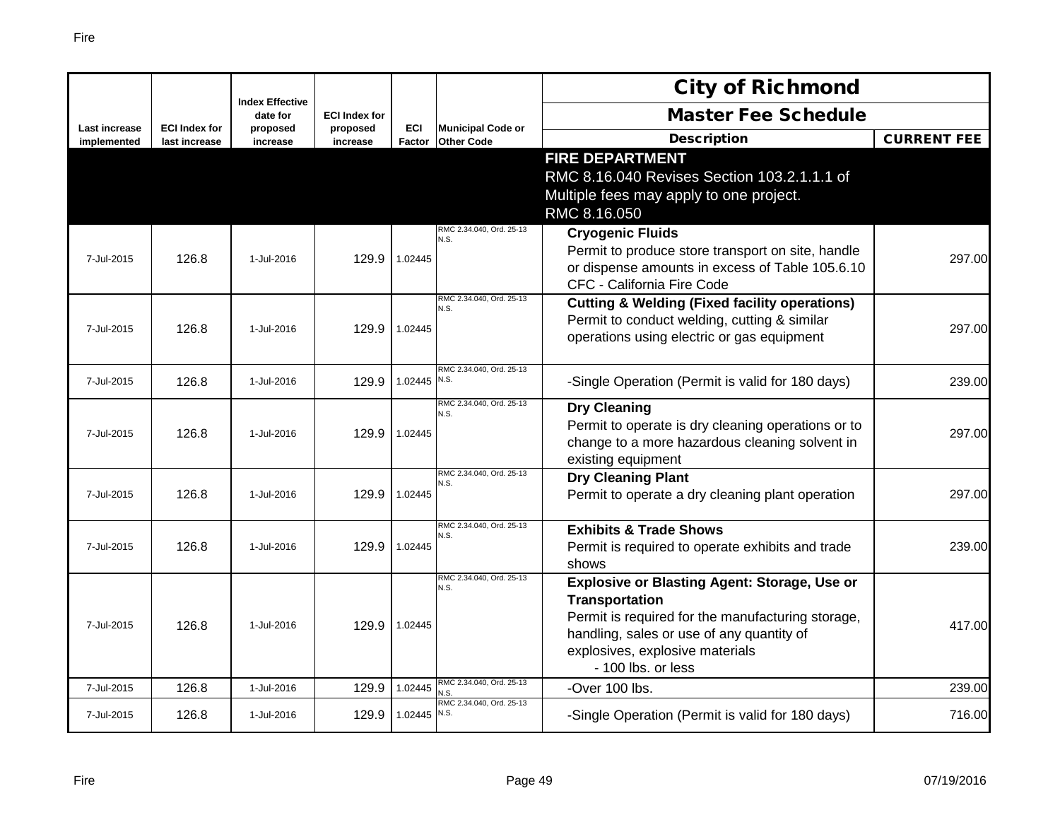|                                     |                                       | <b>Index Effective</b> |                      |               |                                               | <b>City of Richmond</b>                                                                                                                                                                                                          |                    |
|-------------------------------------|---------------------------------------|------------------------|----------------------|---------------|-----------------------------------------------|----------------------------------------------------------------------------------------------------------------------------------------------------------------------------------------------------------------------------------|--------------------|
|                                     |                                       | date for               | <b>ECI Index for</b> |               |                                               | <b>Master Fee Schedule</b>                                                                                                                                                                                                       |                    |
| <b>Last increase</b><br>implemented | <b>ECI Index for</b><br>last increase | proposed<br>increase   | proposed<br>increase | ECI<br>Factor | <b>Municipal Code or</b><br><b>Other Code</b> | <b>Description</b>                                                                                                                                                                                                               | <b>CURRENT FEE</b> |
|                                     |                                       |                        |                      |               |                                               | <b>FIRE DEPARTMENT</b><br>RMC 8.16.040 Revises Section 103.2.1.1.1 of<br>Multiple fees may apply to one project.<br>RMC 8.16.050                                                                                                 |                    |
| 7-Jul-2015                          | 126.8                                 | 1-Jul-2016             | 129.9                | 1.02445       | RMC 2.34.040, Ord. 25-13<br>N.S.              | <b>Cryogenic Fluids</b><br>Permit to produce store transport on site, handle<br>or dispense amounts in excess of Table 105.6.10<br>CFC - California Fire Code                                                                    | 297.00             |
| 7-Jul-2015                          | 126.8                                 | 1-Jul-2016             | 129.9                | 1.02445       | RMC 2.34.040, Ord. 25-13<br>N.S.              | <b>Cutting &amp; Welding (Fixed facility operations)</b><br>Permit to conduct welding, cutting & similar<br>operations using electric or gas equipment                                                                           | 297.00             |
| 7-Jul-2015                          | 126.8                                 | 1-Jul-2016             | 129.9                | 1.02445       | RMC 2.34.040, Ord. 25-13<br>N.S.              | -Single Operation (Permit is valid for 180 days)                                                                                                                                                                                 | 239.00             |
| 7-Jul-2015                          | 126.8                                 | 1-Jul-2016             | 129.9                | 1.02445       | RMC 2.34.040, Ord. 25-13<br>N.S.              | <b>Dry Cleaning</b><br>Permit to operate is dry cleaning operations or to<br>change to a more hazardous cleaning solvent in<br>existing equipment                                                                                | 297.00             |
| 7-Jul-2015                          | 126.8                                 | 1-Jul-2016             | 129.9                | 1.02445       | RMC 2.34.040, Ord. 25-13<br>N.S.              | <b>Dry Cleaning Plant</b><br>Permit to operate a dry cleaning plant operation                                                                                                                                                    | 297.00             |
| 7-Jul-2015                          | 126.8                                 | 1-Jul-2016             | 129.9                | 1.02445       | RMC 2.34.040, Ord. 25-13<br>N.S.              | <b>Exhibits &amp; Trade Shows</b><br>Permit is required to operate exhibits and trade<br>shows                                                                                                                                   | 239.00             |
| 7-Jul-2015                          | 126.8                                 | 1-Jul-2016             | 129.9                | 1.02445       | RMC 2.34.040, Ord. 25-13<br>N.S.              | Explosive or Blasting Agent: Storage, Use or<br><b>Transportation</b><br>Permit is required for the manufacturing storage,<br>handling, sales or use of any quantity of<br>explosives, explosive materials<br>- 100 lbs. or less | 417.00             |
| 7-Jul-2015                          | 126.8                                 | 1-Jul-2016             | 129.9                | 1.02445       | RMC 2.34.040, Ord. 25-13<br>N.S               | -Over 100 lbs.                                                                                                                                                                                                                   | 239.00             |
| 7-Jul-2015                          | 126.8                                 | 1-Jul-2016             | 129.9                | 1.02445       | RMC 2.34.040, Ord. 25-13<br>N.S.              | -Single Operation (Permit is valid for 180 days)                                                                                                                                                                                 | 716.00             |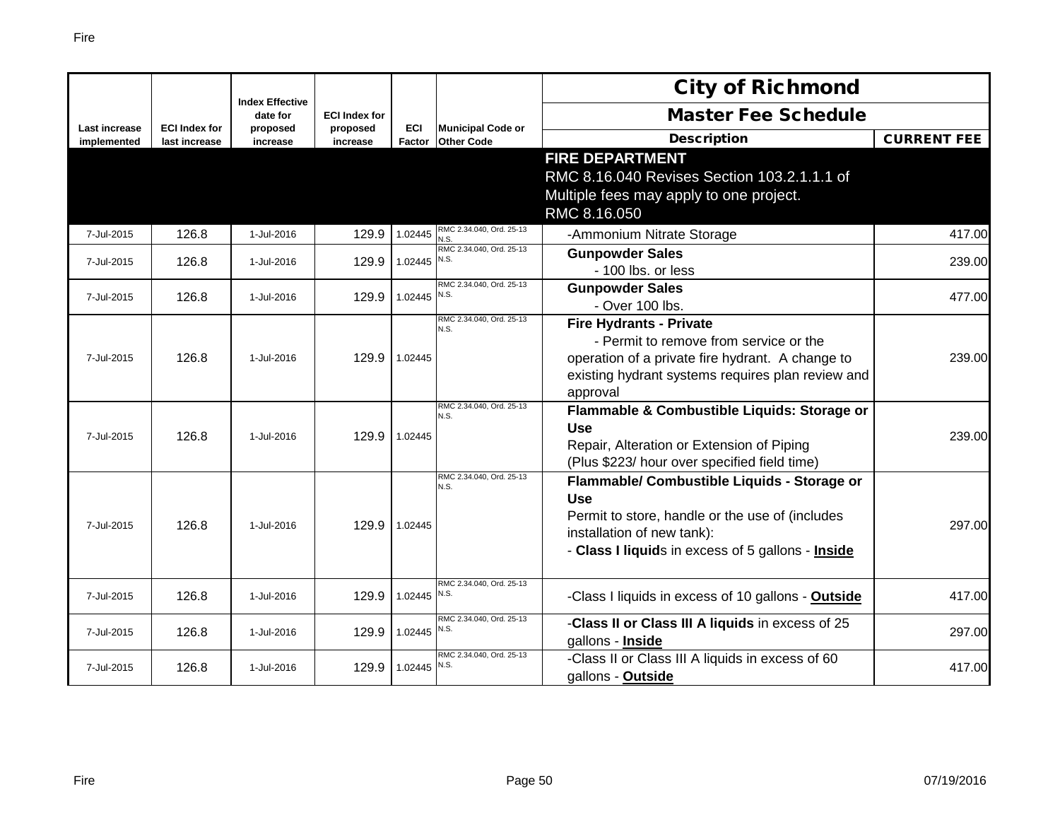|                              |                                       |                                    |                      |                      |                                               | <b>City of Richmond</b>                                                                                                                                                                         |                    |
|------------------------------|---------------------------------------|------------------------------------|----------------------|----------------------|-----------------------------------------------|-------------------------------------------------------------------------------------------------------------------------------------------------------------------------------------------------|--------------------|
|                              |                                       | <b>Index Effective</b><br>date for | <b>ECI Index for</b> |                      |                                               | <b>Master Fee Schedule</b>                                                                                                                                                                      |                    |
| Last increase<br>implemented | <b>ECI Index for</b><br>last increase | proposed<br>increase               | proposed<br>increase | <b>ECI</b><br>Factor | <b>Municipal Code or</b><br><b>Other Code</b> | <b>Description</b>                                                                                                                                                                              | <b>CURRENT FEE</b> |
|                              |                                       |                                    |                      |                      |                                               | <b>FIRE DEPARTMENT</b><br>RMC 8.16.040 Revises Section 103.2.1.1.1 of<br>Multiple fees may apply to one project.<br>RMC 8.16.050                                                                |                    |
| 7-Jul-2015                   | 126.8                                 | 1-Jul-2016                         | 129.9                | 1.02445              | RMC 2.34.040, Ord. 25-13<br>N.S.              | -Ammonium Nitrate Storage                                                                                                                                                                       | 417.00             |
| 7-Jul-2015                   | 126.8                                 | 1-Jul-2016                         | 129.9                | 1.02445              | RMC 2.34.040, Ord. 25-13<br>N.S.              | <b>Gunpowder Sales</b><br>- 100 lbs. or less                                                                                                                                                    | 239.00             |
| 7-Jul-2015                   | 126.8                                 | 1-Jul-2016                         | 129.9                | 1.02445 $N.S.$       | RMC 2.34.040, Ord. 25-13                      | <b>Gunpowder Sales</b><br>- Over 100 lbs.                                                                                                                                                       | 477.00             |
| 7-Jul-2015                   | 126.8                                 | 1-Jul-2016                         | 129.9                | 1.02445              | RMC 2.34.040. Ord. 25-13<br>N.S.              | <b>Fire Hydrants - Private</b><br>- Permit to remove from service or the<br>operation of a private fire hydrant. A change to<br>existing hydrant systems requires plan review and<br>approval   | 239.00             |
| 7-Jul-2015                   | 126.8                                 | 1-Jul-2016                         | 129.9                | 1.02445              | RMC 2.34.040, Ord. 25-13<br>N.S.              | Flammable & Combustible Liquids: Storage or<br><b>Use</b><br>Repair, Alteration or Extension of Piping<br>(Plus \$223/ hour over specified field time)                                          | 239.00             |
| 7-Jul-2015                   | 126.8                                 | 1-Jul-2016                         | 129.9                | 1.02445              | RMC 2.34.040, Ord. 25-13<br>N.S.              | Flammable/ Combustible Liquids - Storage or<br><b>Use</b><br>Permit to store, handle or the use of (includes<br>installation of new tank):<br>- Class I liquids in excess of 5 gallons - Inside | 297.00             |
| 7-Jul-2015                   | 126.8                                 | 1-Jul-2016                         | 129.9                | 1.02445 $N.S.$       | RMC 2.34.040, Ord. 25-13                      | -Class I liquids in excess of 10 gallons - Outside                                                                                                                                              | 417.00             |
| 7-Jul-2015                   | 126.8                                 | 1-Jul-2016                         | 129.9                | 1.02445 $N.S.$       | RMC 2.34.040, Ord. 25-13                      | -Class II or Class III A liquids in excess of 25<br>gallons - Inside                                                                                                                            | 297.00             |
| 7-Jul-2015                   | 126.8                                 | 1-Jul-2016                         | 129.9                | 1.02445              | RMC 2.34.040, Ord. 25-13<br>N.S.              | -Class II or Class III A liquids in excess of 60<br>gallons - Outside                                                                                                                           | 417.00             |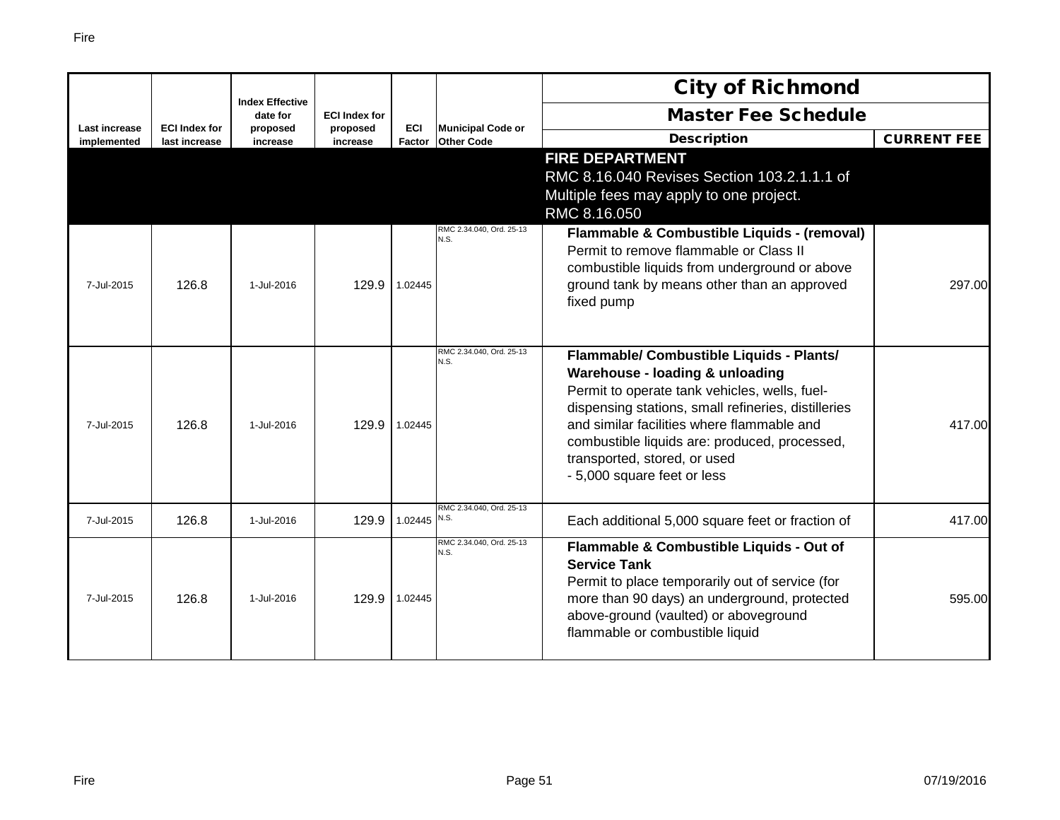|                              |                                       | <b>Index Effective</b> |                      |                      |                                               | <b>City of Richmond</b>                                                                                                                                                                                                                                                                                                                           |                    |
|------------------------------|---------------------------------------|------------------------|----------------------|----------------------|-----------------------------------------------|---------------------------------------------------------------------------------------------------------------------------------------------------------------------------------------------------------------------------------------------------------------------------------------------------------------------------------------------------|--------------------|
|                              |                                       | date for               | <b>ECI Index for</b> |                      |                                               | <b>Master Fee Schedule</b>                                                                                                                                                                                                                                                                                                                        |                    |
| Last increase<br>implemented | <b>ECI Index for</b><br>last increase | proposed<br>increase   | proposed<br>increase | <b>ECI</b><br>Factor | <b>Municipal Code or</b><br><b>Other Code</b> | <b>Description</b>                                                                                                                                                                                                                                                                                                                                | <b>CURRENT FEE</b> |
|                              |                                       |                        |                      |                      |                                               | <b>FIRE DEPARTMENT</b><br>RMC 8.16.040 Revises Section 103.2.1.1.1 of<br>Multiple fees may apply to one project.<br>RMC 8.16.050                                                                                                                                                                                                                  |                    |
| 7-Jul-2015                   | 126.8                                 | 1-Jul-2016             | 129.9                | 1.02445              | RMC 2.34.040, Ord. 25-13<br>N.S.              | Flammable & Combustible Liquids - (removal)<br>Permit to remove flammable or Class II<br>combustible liquids from underground or above<br>ground tank by means other than an approved<br>fixed pump                                                                                                                                               | 297.00             |
| 7-Jul-2015                   | 126.8                                 | 1-Jul-2016             | 129.9                | 1.02445              | RMC 2.34.040, Ord, 25-13<br>N.S.              | Flammable/ Combustible Liquids - Plants/<br>Warehouse - loading & unloading<br>Permit to operate tank vehicles, wells, fuel-<br>dispensing stations, small refineries, distilleries<br>and similar facilities where flammable and<br>combustible liquids are: produced, processed,<br>transported, stored, or used<br>- 5,000 square feet or less | 417.00             |
| 7-Jul-2015                   | 126.8                                 | 1-Jul-2016             | 129.9                | 1.02445 N.S.         | RMC 2.34.040, Ord. 25-13                      | Each additional 5,000 square feet or fraction of                                                                                                                                                                                                                                                                                                  | 417.00             |
| 7-Jul-2015                   | 126.8                                 | 1-Jul-2016             | 129.9                | 1.02445              | RMC 2.34.040. Ord. 25-13<br>N.S.              | Flammable & Combustible Liquids - Out of<br><b>Service Tank</b><br>Permit to place temporarily out of service (for<br>more than 90 days) an underground, protected<br>above-ground (vaulted) or aboveground<br>flammable or combustible liquid                                                                                                    | 595.00             |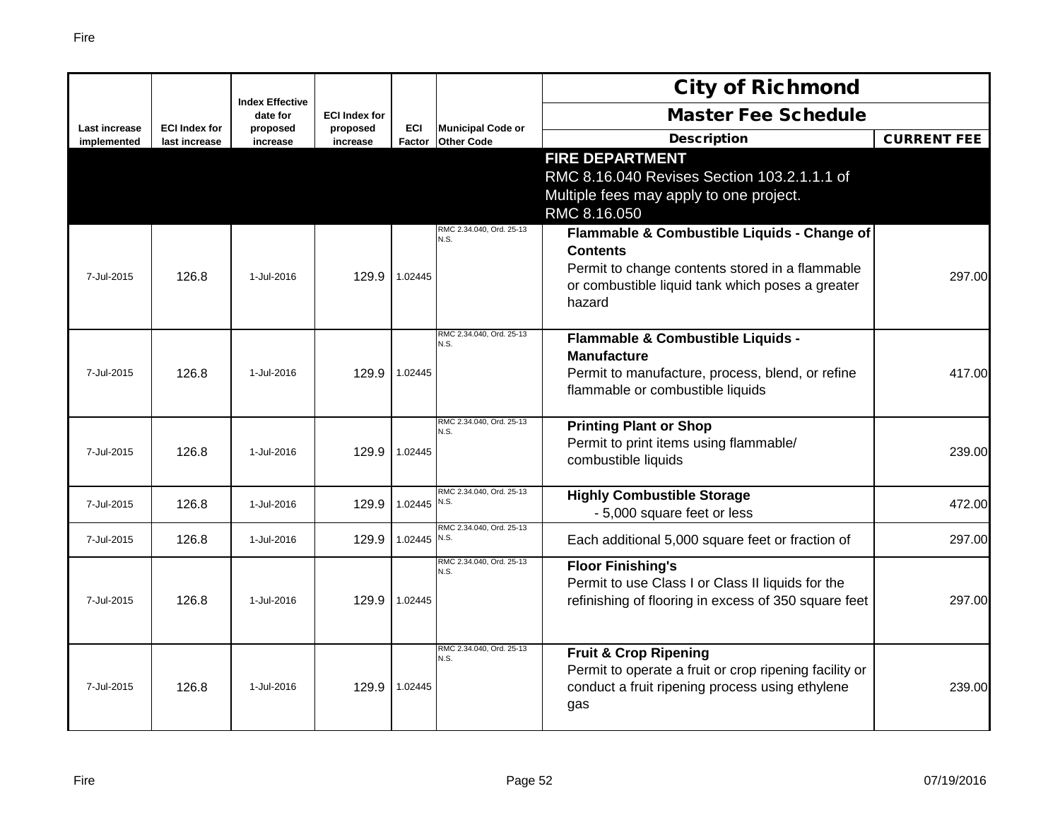|                                     |                                       |                                    |                      |                      |                                               | <b>City of Richmond</b>                                                                                                                                                         |                    |
|-------------------------------------|---------------------------------------|------------------------------------|----------------------|----------------------|-----------------------------------------------|---------------------------------------------------------------------------------------------------------------------------------------------------------------------------------|--------------------|
|                                     |                                       | <b>Index Effective</b><br>date for | <b>ECI Index for</b> |                      |                                               | <b>Master Fee Schedule</b>                                                                                                                                                      |                    |
| <b>Last increase</b><br>implemented | <b>ECI Index for</b><br>last increase | proposed<br>increase               | proposed<br>increase | <b>ECI</b><br>Factor | <b>Municipal Code or</b><br><b>Other Code</b> | <b>Description</b>                                                                                                                                                              | <b>CURRENT FEE</b> |
|                                     |                                       |                                    |                      |                      |                                               | <b>FIRE DEPARTMENT</b><br>RMC 8.16.040 Revises Section 103.2.1.1.1 of<br>Multiple fees may apply to one project.<br>RMC 8.16.050                                                |                    |
| 7-Jul-2015                          | 126.8                                 | 1-Jul-2016                         | 129.9                | 1.02445              | RMC 2.34.040, Ord. 25-13<br>N.S.              | Flammable & Combustible Liquids - Change of<br><b>Contents</b><br>Permit to change contents stored in a flammable<br>or combustible liquid tank which poses a greater<br>hazard | 297.00             |
| 7-Jul-2015                          | 126.8                                 | 1-Jul-2016                         | 129.9                | 1.02445              | RMC 2.34.040, Ord. 25-13<br>N.S.              | Flammable & Combustible Liquids -<br><b>Manufacture</b><br>Permit to manufacture, process, blend, or refine<br>flammable or combustible liquids                                 | 417.00             |
| 7-Jul-2015                          | 126.8                                 | 1-Jul-2016                         | 129.9                | 1.02445              | RMC 2.34.040, Ord. 25-13<br>N.S.              | <b>Printing Plant or Shop</b><br>Permit to print items using flammable/<br>combustible liquids                                                                                  | 239.00             |
| 7-Jul-2015                          | 126.8                                 | 1-Jul-2016                         | 129.9                | 1.02445              | RMC 2.34.040, Ord. 25-13<br>N.S.              | <b>Highly Combustible Storage</b><br>- 5,000 square feet or less                                                                                                                | 472.00             |
| 7-Jul-2015                          | 126.8                                 | 1-Jul-2016                         | 129.9                | 1.02445 $N.S.$       | RMC 2.34.040, Ord. 25-13                      | Each additional 5,000 square feet or fraction of                                                                                                                                | 297.00             |
| 7-Jul-2015                          | 126.8                                 | 1-Jul-2016                         | 129.9                | 1.02445              | RMC 2.34.040, Ord. 25-13<br>N.S.              | <b>Floor Finishing's</b><br>Permit to use Class I or Class II liquids for the<br>refinishing of flooring in excess of 350 square feet                                           | 297.00             |
| 7-Jul-2015                          | 126.8                                 | 1-Jul-2016                         | 129.9                | 1.02445              | RMC 2.34.040, Ord. 25-13<br>N.S.              | <b>Fruit &amp; Crop Ripening</b><br>Permit to operate a fruit or crop ripening facility or<br>conduct a fruit ripening process using ethylene<br>gas                            | 239.00             |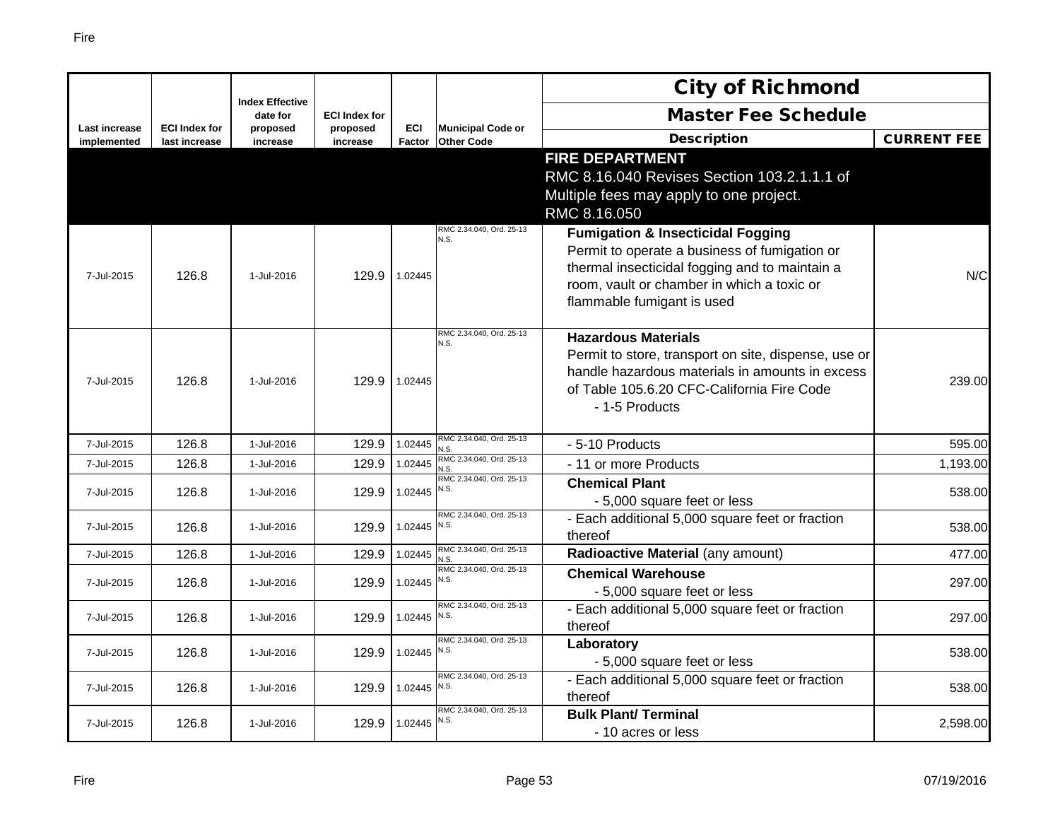|                              |                                       | <b>Index Effective</b> |                      |                      |                                               | <b>City of Richmond</b>                                                                                                                                                                                                     |                    |
|------------------------------|---------------------------------------|------------------------|----------------------|----------------------|-----------------------------------------------|-----------------------------------------------------------------------------------------------------------------------------------------------------------------------------------------------------------------------------|--------------------|
|                              |                                       | date for               | <b>ECI Index for</b> |                      |                                               | <b>Master Fee Schedule</b>                                                                                                                                                                                                  |                    |
| Last increase<br>implemented | <b>ECI Index for</b><br>last increase | proposed<br>increase   | proposed<br>increase | <b>ECI</b><br>Factor | <b>Municipal Code or</b><br><b>Other Code</b> | <b>Description</b>                                                                                                                                                                                                          | <b>CURRENT FEE</b> |
|                              |                                       |                        |                      |                      |                                               | <b>FIRE DEPARTMENT</b><br>RMC 8.16.040 Revises Section 103.2.1.1.1 of<br>Multiple fees may apply to one project.<br>RMC 8.16.050                                                                                            |                    |
| 7-Jul-2015                   | 126.8                                 | 1-Jul-2016             | 129.9                | 1.02445              | RMC 2.34.040, Ord. 25-13<br>N.S.              | <b>Fumigation &amp; Insecticidal Fogging</b><br>Permit to operate a business of fumigation or<br>thermal insecticidal fogging and to maintain a<br>room, vault or chamber in which a toxic or<br>flammable fumigant is used | N/C                |
| 7-Jul-2015                   | 126.8                                 | 1-Jul-2016             | 129.9                | 1.02445              | RMC 2.34.040. Ord. 25-13<br>N.S.              | <b>Hazardous Materials</b><br>Permit to store, transport on site, dispense, use or<br>handle hazardous materials in amounts in excess<br>of Table 105.6.20 CFC-California Fire Code<br>- 1-5 Products                       | 239.00             |
| 7-Jul-2015                   | 126.8                                 | 1-Jul-2016             | 129.9                | 1.02445              | RMC 2.34.040, Ord. 25-13<br>N.S               | - 5-10 Products                                                                                                                                                                                                             | 595.00             |
| 7-Jul-2015                   | 126.8                                 | 1-Jul-2016             | 129.9                | 1.02445              | RMC 2.34.040, Ord. 25-13<br>N.S.              | - 11 or more Products                                                                                                                                                                                                       | 1,193.00           |
| 7-Jul-2015                   | 126.8                                 | 1-Jul-2016             | 129.9                | 1.02445              | RMC 2.34.040, Ord. 25-13<br>N.S.              | <b>Chemical Plant</b><br>- 5,000 square feet or less                                                                                                                                                                        | 538.00             |
| 7-Jul-2015                   | 126.8                                 | 1-Jul-2016             | 129.9                | 1.02445              | RMC 2.34.040, Ord. 25-13<br>N.S.              | - Each additional 5,000 square feet or fraction<br>thereof                                                                                                                                                                  | 538.00             |
| 7-Jul-2015                   | 126.8                                 | 1-Jul-2016             | 129.9                | 1.02445              | RMC 2.34.040, Ord. 25-13<br>N.S.              | Radioactive Material (any amount)                                                                                                                                                                                           | 477.00             |
| 7-Jul-2015                   | 126.8                                 | 1-Jul-2016             | 129.9                | 1.02445              | RMC 2.34.040, Ord. 25-13<br>N.S.              | <b>Chemical Warehouse</b><br>- 5,000 square feet or less                                                                                                                                                                    | 297.00             |
| 7-Jul-2015                   | 126.8                                 | 1-Jul-2016             | 129.9                | 1.02445              | RMC 2.34.040, Ord. 25-13<br>N.S.              | - Each additional 5,000 square feet or fraction<br>thereof                                                                                                                                                                  | 297.00             |
| 7-Jul-2015                   | 126.8                                 | 1-Jul-2016             | 129.9                | 1.02445              | RMC 2.34.040, Ord. 25-13<br>N.S.              | Laboratory<br>- 5,000 square feet or less                                                                                                                                                                                   | 538.00             |
| 7-Jul-2015                   | 126.8                                 | 1-Jul-2016             | 129.9                | 1.02445              | RMC 2.34.040, Ord. 25-13<br>N.S.              | - Each additional 5,000 square feet or fraction<br>thereof                                                                                                                                                                  | 538.00             |
| 7-Jul-2015                   | 126.8                                 | 1-Jul-2016             | 129.9                | 1.02445              | RMC 2.34.040, Ord. 25-13<br>N.S.              | <b>Bulk Plant/Terminal</b><br>- 10 acres or less                                                                                                                                                                            | 2,598.00           |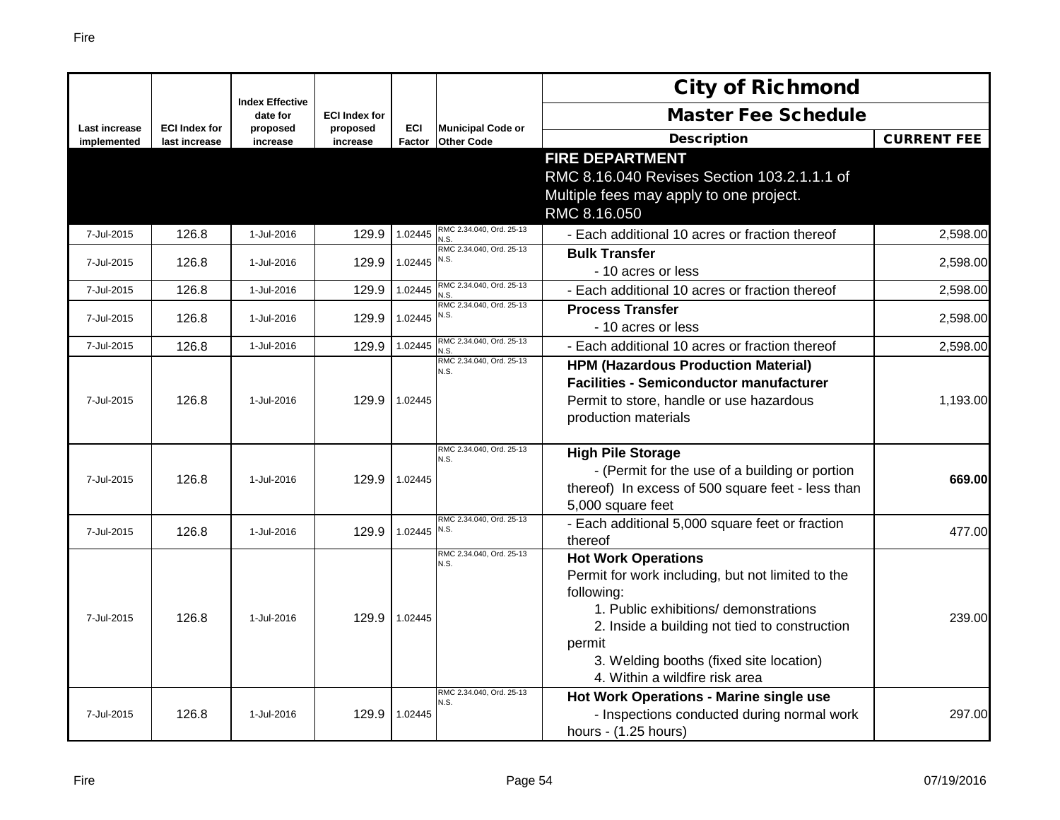|                              |                                       |                                    |                      |                      |                                               | <b>City of Richmond</b>                                                                                                                                                                                                                                                        |                    |
|------------------------------|---------------------------------------|------------------------------------|----------------------|----------------------|-----------------------------------------------|--------------------------------------------------------------------------------------------------------------------------------------------------------------------------------------------------------------------------------------------------------------------------------|--------------------|
|                              |                                       | <b>Index Effective</b><br>date for | <b>ECI Index for</b> |                      |                                               | <b>Master Fee Schedule</b>                                                                                                                                                                                                                                                     |                    |
| Last increase<br>implemented | <b>ECI Index for</b><br>last increase | proposed<br>increase               | proposed<br>increase | <b>ECI</b><br>Factor | <b>Municipal Code or</b><br><b>Other Code</b> | <b>Description</b>                                                                                                                                                                                                                                                             | <b>CURRENT FEE</b> |
|                              |                                       |                                    |                      |                      |                                               | <b>FIRE DEPARTMENT</b><br>RMC 8.16.040 Revises Section 103.2.1.1.1 of<br>Multiple fees may apply to one project.<br>RMC 8.16.050                                                                                                                                               |                    |
| 7-Jul-2015                   | 126.8                                 | 1-Jul-2016                         | 129.9                | 1.02445              | RMC 2.34.040, Ord. 25-13<br>N.S.              | - Each additional 10 acres or fraction thereof                                                                                                                                                                                                                                 | 2,598.00           |
| 7-Jul-2015                   | 126.8                                 | 1-Jul-2016                         | 129.9                | 1.02445              | RMC 2.34.040, Ord. 25-13<br>N.S.              | <b>Bulk Transfer</b><br>- 10 acres or less                                                                                                                                                                                                                                     | 2,598.00           |
| 7-Jul-2015                   | 126.8                                 | 1-Jul-2016                         | 129.9                | 1.02445              | RMC 2.34.040, Ord. 25-13<br>N.S.              | - Each additional 10 acres or fraction thereof                                                                                                                                                                                                                                 | 2,598.00           |
| 7-Jul-2015                   | 126.8                                 | 1-Jul-2016                         | 129.9                | 1.02445              | RMC 2.34.040, Ord. 25-13<br>N.S.              | <b>Process Transfer</b><br>- 10 acres or less                                                                                                                                                                                                                                  | 2,598.00           |
| 7-Jul-2015                   | 126.8                                 | 1-Jul-2016                         | 129.9                | 1.02445              | RMC 2.34.040, Ord. 25-13<br>N.S.              | - Each additional 10 acres or fraction thereof                                                                                                                                                                                                                                 | 2,598.00           |
| 7-Jul-2015                   | 126.8                                 | 1-Jul-2016                         | 129.9                | 1.02445              | RMC 2.34.040, Ord. 25-13<br>N.S.              | <b>HPM (Hazardous Production Material)</b><br><b>Facilities - Semiconductor manufacturer</b><br>Permit to store, handle or use hazardous<br>production materials                                                                                                               | 1,193.00           |
| 7-Jul-2015                   | 126.8                                 | 1-Jul-2016                         | 129.9                | 1.02445              | RMC 2.34.040, Ord. 25-13<br>N.S.              | <b>High Pile Storage</b><br>- (Permit for the use of a building or portion<br>thereof) In excess of 500 square feet - less than<br>5,000 square feet                                                                                                                           | 669.00             |
| 7-Jul-2015                   | 126.8                                 | 1-Jul-2016                         | 129.9                | 1.02445              | RMC 2.34.040, Ord. 25-13<br>N.S.              | - Each additional 5,000 square feet or fraction<br>thereof                                                                                                                                                                                                                     | 477.00             |
| 7-Jul-2015                   | 126.8                                 | 1-Jul-2016                         | 129.9                | 1.02445              | RMC 2.34.040, Ord. 25-13<br>N.S.              | <b>Hot Work Operations</b><br>Permit for work including, but not limited to the<br>following:<br>1. Public exhibitions/ demonstrations<br>2. Inside a building not tied to construction<br>permit<br>3. Welding booths (fixed site location)<br>4. Within a wildfire risk area | 239.00             |
| 7-Jul-2015                   | 126.8                                 | 1-Jul-2016                         | 129.9                | 1.02445              | RMC 2.34.040, Ord. 25-13<br>N.S.              | Hot Work Operations - Marine single use<br>- Inspections conducted during normal work<br>hours - (1.25 hours)                                                                                                                                                                  | 297.00             |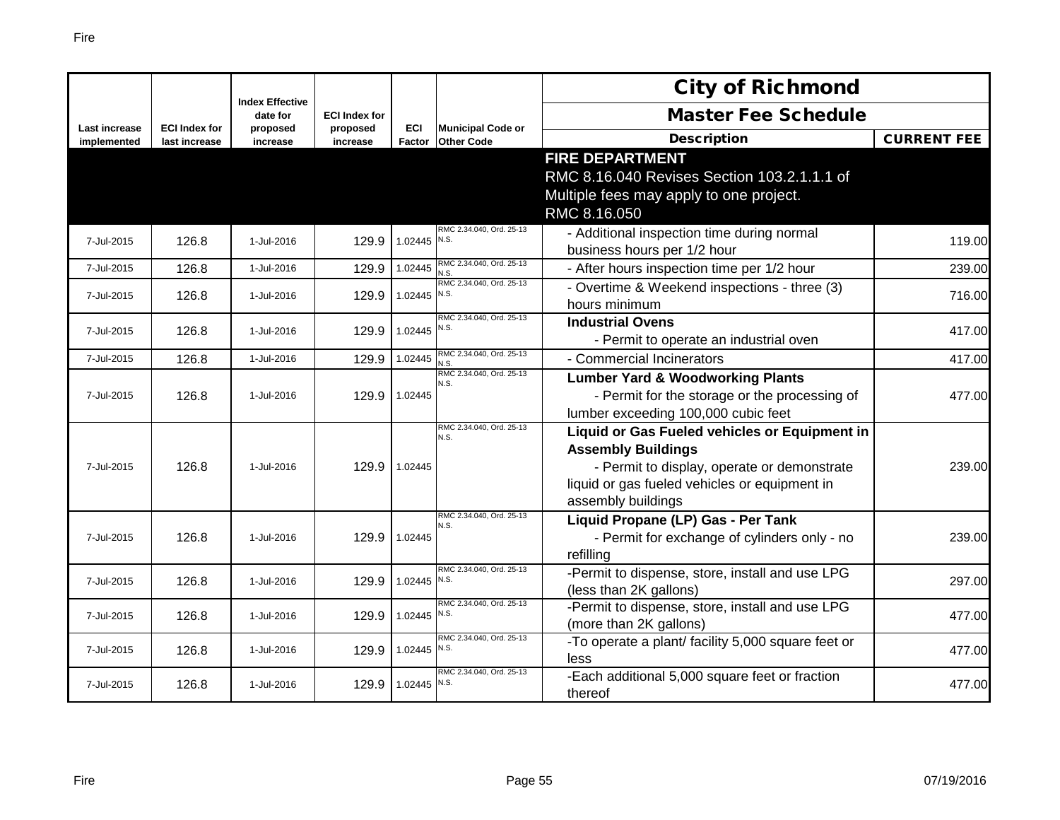|                              |                                       |                                    |                      |               |                                               | <b>City of Richmond</b>                                |                    |
|------------------------------|---------------------------------------|------------------------------------|----------------------|---------------|-----------------------------------------------|--------------------------------------------------------|--------------------|
|                              |                                       | <b>Index Effective</b><br>date for | <b>ECI Index for</b> |               |                                               | <b>Master Fee Schedule</b>                             |                    |
| Last increase<br>implemented | <b>ECI Index for</b><br>last increase | proposed<br>increase               | proposed<br>increase | ECI<br>Factor | <b>Municipal Code or</b><br><b>Other Code</b> | <b>Description</b>                                     | <b>CURRENT FEE</b> |
|                              |                                       |                                    |                      |               |                                               | <b>FIRE DEPARTMENT</b>                                 |                    |
|                              |                                       |                                    |                      |               |                                               | RMC 8.16.040 Revises Section 103.2.1.1.1 of            |                    |
|                              |                                       |                                    |                      |               |                                               | Multiple fees may apply to one project.                |                    |
|                              |                                       |                                    |                      |               |                                               | RMC 8.16.050                                           |                    |
| 7-Jul-2015                   |                                       | 1-Jul-2016                         |                      | 1.02445       | RMC 2.34.040, Ord. 25-13<br>N.S.              | - Additional inspection time during normal             |                    |
|                              | 126.8                                 |                                    | 129.9                |               |                                               | business hours per 1/2 hour                            | 119.00             |
| 7-Jul-2015                   | 126.8                                 | 1-Jul-2016                         | 129.9                | 1.02445       | RMC 2.34.040, Ord. 25-13<br>N.S.              | - After hours inspection time per 1/2 hour             | 239.00             |
|                              |                                       |                                    |                      | 1.02445 N.S.  | RMC 2.34.040, Ord. 25-13                      | - Overtime & Weekend inspections - three (3)           |                    |
| 7-Jul-2015                   | 126.8                                 | 1-Jul-2016                         | 129.9                |               |                                               | hours minimum                                          | 716.00             |
| 7-Jul-2015                   | 126.8                                 | 1-Jul-2016                         | 129.9                | 1.02445       | RMC 2.34.040, Ord. 25-13<br>N.S.              | <b>Industrial Ovens</b>                                | 417.00             |
|                              |                                       |                                    |                      |               |                                               | - Permit to operate an industrial oven                 |                    |
| 7-Jul-2015                   | 126.8                                 | 1-Jul-2016                         | 129.9                | 1.02445       | RMC 2.34.040, Ord. 25-13<br>N.S.              | - Commercial Incinerators                              | 417.00             |
|                              |                                       |                                    |                      |               | RMC 2.34.040, Ord. 25-13<br>N.S.              | <b>Lumber Yard &amp; Woodworking Plants</b>            |                    |
| 7-Jul-2015                   | 126.8                                 | 1-Jul-2016                         | 129.9                | 1.02445       |                                               | - Permit for the storage or the processing of          | 477.00             |
|                              |                                       |                                    |                      |               |                                               | lumber exceeding 100,000 cubic feet                    |                    |
|                              |                                       |                                    |                      |               | RMC 2.34.040, Ord. 25-13<br>N.S.              | Liquid or Gas Fueled vehicles or Equipment in          |                    |
|                              |                                       |                                    |                      |               |                                               | <b>Assembly Buildings</b>                              |                    |
| 7-Jul-2015                   | 126.8                                 | 1-Jul-2016                         | 129.9                | 1.02445       |                                               | - Permit to display, operate or demonstrate            | 239.00l            |
|                              |                                       |                                    |                      |               |                                               | liquid or gas fueled vehicles or equipment in          |                    |
|                              |                                       |                                    |                      |               |                                               | assembly buildings                                     |                    |
|                              |                                       |                                    |                      |               | RMC 2.34.040, Ord. 25-13<br>N.S.              | Liquid Propane (LP) Gas - Per Tank                     |                    |
| 7-Jul-2015                   | 126.8                                 | 1-Jul-2016                         | 129.9                | 1.02445       |                                               | - Permit for exchange of cylinders only - no           | 239.00             |
|                              |                                       |                                    |                      |               |                                               | refilling                                              |                    |
| 7-Jul-2015                   | 126.8                                 | 1-Jul-2016                         | 129.9                | 1.02445 N.S.  | RMC 2.34.040, Ord. 25-13                      | -Permit to dispense, store, install and use LPG        | 297.00             |
|                              |                                       |                                    |                      |               | RMC 2.34.040, Ord. 25-13                      | (less than 2K gallons)                                 |                    |
| 7-Jul-2015                   | 126.8                                 | 1-Jul-2016                         | 129.9                | 1.02445 N.S.  |                                               | -Permit to dispense, store, install and use LPG        | 477.00             |
|                              |                                       |                                    |                      |               | RMC 2.34.040, Ord. 25-13                      | (more than 2K gallons)                                 |                    |
| 7-Jul-2015                   | 126.8                                 | 1-Jul-2016                         | 129.9                | 1.02445 N.S.  |                                               | -To operate a plant/ facility 5,000 square feet or     | 477.00             |
|                              |                                       |                                    |                      |               | RMC 2.34.040, Ord. 25-13                      | less<br>-Each additional 5,000 square feet or fraction |                    |
| 7-Jul-2015                   | 126.8                                 | 1-Jul-2016                         | 129.9                | 1.02445 N.S.  |                                               | thereof                                                | 477.00             |
|                              |                                       |                                    |                      |               |                                               |                                                        |                    |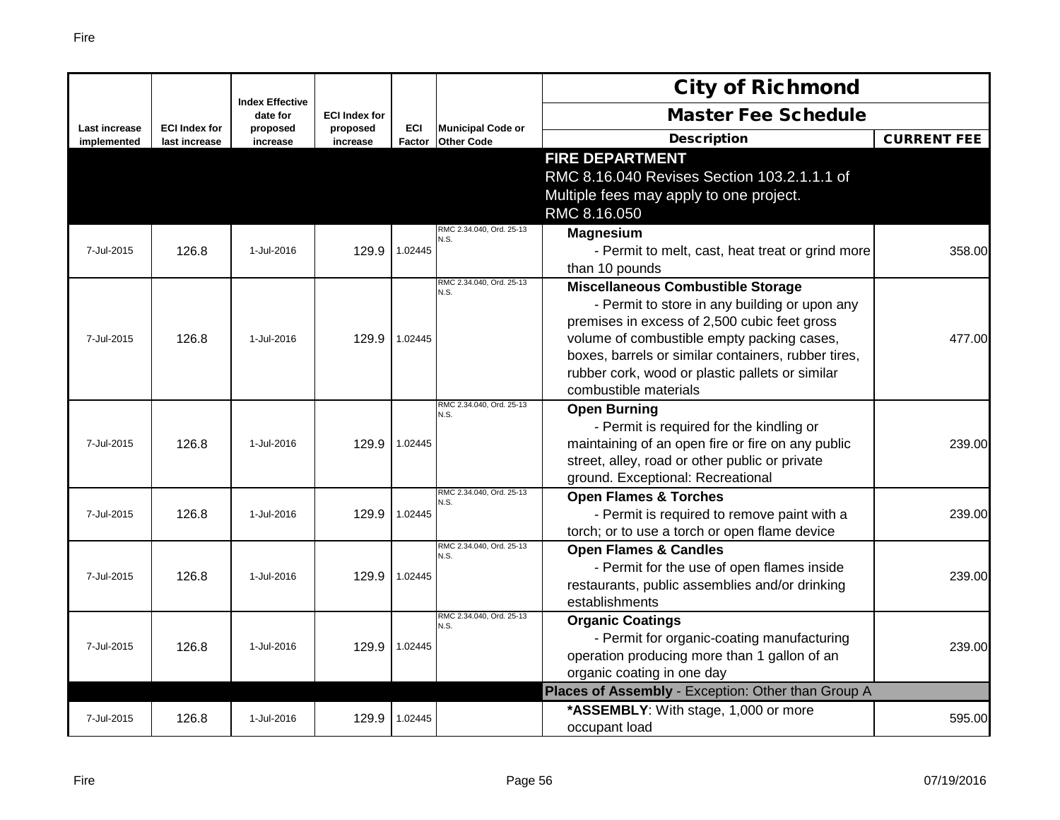|                              |                                       |                                    |                      |                      |                                               | <b>City of Richmond</b>                                                                                                                                                                                                                                                                                                    |                    |
|------------------------------|---------------------------------------|------------------------------------|----------------------|----------------------|-----------------------------------------------|----------------------------------------------------------------------------------------------------------------------------------------------------------------------------------------------------------------------------------------------------------------------------------------------------------------------------|--------------------|
|                              |                                       | <b>Index Effective</b><br>date for | <b>ECI Index for</b> |                      |                                               | <b>Master Fee Schedule</b>                                                                                                                                                                                                                                                                                                 |                    |
| Last increase<br>implemented | <b>ECI Index for</b><br>last increase | proposed<br>increase               | proposed<br>increase | <b>ECI</b><br>Factor | <b>Municipal Code or</b><br><b>Other Code</b> | <b>Description</b>                                                                                                                                                                                                                                                                                                         | <b>CURRENT FEE</b> |
|                              |                                       |                                    |                      |                      |                                               | <b>FIRE DEPARTMENT</b><br>RMC 8.16.040 Revises Section 103.2.1.1.1 of<br>Multiple fees may apply to one project.<br>RMC 8.16.050                                                                                                                                                                                           |                    |
| 7-Jul-2015                   | 126.8                                 | 1-Jul-2016                         | 129.9                | 1.02445              | RMC 2.34.040, Ord. 25-13<br>N.S.              | <b>Magnesium</b><br>- Permit to melt, cast, heat treat or grind more<br>than 10 pounds                                                                                                                                                                                                                                     | 358.00             |
| 7-Jul-2015                   | 126.8                                 | 1-Jul-2016                         | 129.9                | 1.02445              | RMC 2.34.040, Ord. 25-13<br>N.S.              | <b>Miscellaneous Combustible Storage</b><br>- Permit to store in any building or upon any<br>premises in excess of 2,500 cubic feet gross<br>volume of combustible empty packing cases,<br>boxes, barrels or similar containers, rubber tires,<br>rubber cork, wood or plastic pallets or similar<br>combustible materials | 477.00             |
| 7-Jul-2015                   | 126.8                                 | 1-Jul-2016                         | 129.9                | 1.02445              | RMC 2.34.040, Ord. 25-13<br>N.S.              | <b>Open Burning</b><br>- Permit is required for the kindling or<br>maintaining of an open fire or fire on any public<br>street, alley, road or other public or private<br>ground. Exceptional: Recreational                                                                                                                | 239.00             |
| 7-Jul-2015                   | 126.8                                 | 1-Jul-2016                         | 129.9                | 1.02445              | RMC 2.34.040, Ord. 25-13<br>N.S.              | <b>Open Flames &amp; Torches</b><br>- Permit is required to remove paint with a<br>torch; or to use a torch or open flame device                                                                                                                                                                                           | 239.00             |
| 7-Jul-2015                   | 126.8                                 | 1-Jul-2016                         | 129.9                | 1.02445              | RMC 2.34.040, Ord. 25-13<br>N.S.              | <b>Open Flames &amp; Candles</b><br>- Permit for the use of open flames inside<br>restaurants, public assemblies and/or drinking<br>establishments                                                                                                                                                                         | 239.00             |
| 7-Jul-2015                   | 126.8                                 | 1-Jul-2016                         | 129.9                | 1.02445              | RMC 2.34.040, Ord. 25-13<br>N.S.              | <b>Organic Coatings</b><br>- Permit for organic-coating manufacturing<br>operation producing more than 1 gallon of an<br>organic coating in one day                                                                                                                                                                        | 239.00             |
|                              |                                       |                                    |                      |                      |                                               | Places of Assembly - Exception: Other than Group A                                                                                                                                                                                                                                                                         |                    |
| 7-Jul-2015                   | 126.8                                 | 1-Jul-2016                         | 129.9                | 1.02445              |                                               | *ASSEMBLY: With stage, 1,000 or more<br>occupant load                                                                                                                                                                                                                                                                      | 595.00             |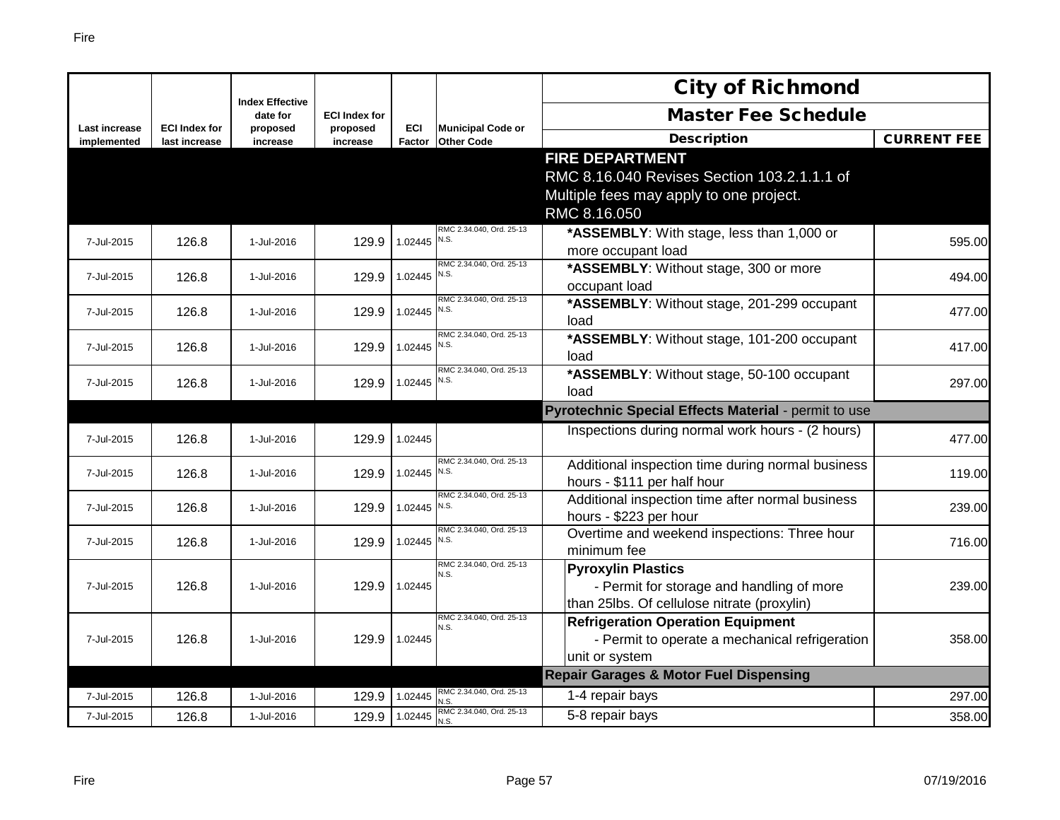|                                     |                                       |                                    |                      |                      |                                               | <b>City of Richmond</b>                                                    |                    |
|-------------------------------------|---------------------------------------|------------------------------------|----------------------|----------------------|-----------------------------------------------|----------------------------------------------------------------------------|--------------------|
|                                     |                                       | <b>Index Effective</b><br>date for | <b>ECI Index for</b> |                      |                                               | <b>Master Fee Schedule</b>                                                 |                    |
| <b>Last increase</b><br>implemented | <b>ECI Index for</b><br>last increase | proposed<br>increase               | proposed<br>increase | <b>ECI</b><br>Factor | <b>Municipal Code or</b><br><b>Other Code</b> | <b>Description</b>                                                         | <b>CURRENT FEE</b> |
|                                     |                                       |                                    |                      |                      |                                               | <b>FIRE DEPARTMENT</b>                                                     |                    |
|                                     |                                       |                                    |                      |                      |                                               | RMC 8.16.040 Revises Section 103.2.1.1.1 of                                |                    |
|                                     |                                       |                                    |                      |                      |                                               | Multiple fees may apply to one project.                                    |                    |
|                                     |                                       |                                    |                      |                      |                                               | RMC 8.16.050                                                               |                    |
| 7-Jul-2015                          | 126.8                                 | 1-Jul-2016                         | 129.9                | $1.02445$ N.S.       | RMC 2.34.040, Ord. 25-13                      | *ASSEMBLY: With stage, less than 1,000 or                                  | 595.00             |
|                                     |                                       |                                    |                      |                      |                                               | more occupant load                                                         |                    |
| 7-Jul-2015                          | 126.8                                 | 1-Jul-2016                         | 129.9                | $1.02445$ N.S.       | RMC 2.34.040, Ord. 25-13                      | *ASSEMBLY: Without stage, 300 or more                                      | 494.00             |
|                                     |                                       |                                    |                      |                      | RMC 2.34.040. Ord. 25-13                      | occupant load                                                              |                    |
| 7-Jul-2015                          | 126.8                                 | 1-Jul-2016                         | 129.9                | $1.02445$ N.S.       |                                               | *ASSEMBLY: Without stage, 201-299 occupant<br>load                         | 477.00             |
| 7-Jul-2015                          | 126.8                                 | 1-Jul-2016                         | 129.9                | 1.02445 $N.S.$       | RMC 2.34.040, Ord. 25-13                      | *ASSEMBLY: Without stage, 101-200 occupant                                 | 417.00             |
|                                     |                                       |                                    |                      |                      |                                               | load                                                                       |                    |
| 7-Jul-2015                          | 126.8                                 | 1-Jul-2016                         | 129.9                | 1.02445              | RMC 2.34.040, Ord. 25-13<br>N.S.              | *ASSEMBLY: Without stage, 50-100 occupant                                  | 297.00             |
|                                     |                                       |                                    |                      |                      |                                               | load                                                                       |                    |
|                                     |                                       |                                    |                      |                      |                                               |                                                                            |                    |
|                                     |                                       |                                    |                      |                      |                                               | Pyrotechnic Special Effects Material - permit to use                       |                    |
| 7-Jul-2015                          | 126.8                                 | 1-Jul-2016                         | 129.9                | 1.02445              |                                               | Inspections during normal work hours - (2 hours)                           | 477.00             |
|                                     |                                       |                                    |                      |                      | RMC 2.34.040, Ord. 25-13                      | Additional inspection time during normal business                          |                    |
| 7-Jul-2015                          | 126.8                                 | 1-Jul-2016                         | 129.9                | 1.02445 N.S.         |                                               | hours - \$111 per half hour                                                | 119.00             |
| 7-Jul-2015                          | 126.8                                 | 1-Jul-2016                         | 129.9                | 1.02445 N.S.         | RMC 2.34.040, Ord. 25-13                      | Additional inspection time after normal business<br>hours - \$223 per hour | 239.00             |
|                                     |                                       |                                    |                      |                      | RMC 2.34.040, Ord. 25-13                      | Overtime and weekend inspections: Three hour                               |                    |
| 7-Jul-2015                          | 126.8                                 | 1-Jul-2016                         | 129.9                | 1.02445 N.S.         |                                               | minimum fee                                                                | 716.00             |
|                                     |                                       |                                    |                      |                      | RMC 2.34.040, Ord. 25-13<br>N.S.              | <b>Pyroxylin Plastics</b>                                                  |                    |
| 7-Jul-2015                          | 126.8                                 | 1-Jul-2016                         | 129.9                | 1.02445              |                                               | - Permit for storage and handling of more                                  | 239.00             |
|                                     |                                       |                                    |                      |                      |                                               | than 25lbs. Of cellulose nitrate (proxylin)                                |                    |
|                                     |                                       |                                    |                      |                      | RMC 2.34.040, Ord. 25-13<br>N.S.              | <b>Refrigeration Operation Equipment</b>                                   |                    |
| 7-Jul-2015                          | 126.8                                 | 1-Jul-2016                         | 129.9                | 1.02445              |                                               | - Permit to operate a mechanical refrigeration                             | 358.00             |
|                                     |                                       |                                    |                      |                      |                                               | unit or system                                                             |                    |
|                                     |                                       |                                    |                      |                      | RMC 2.34.040, Ord. 25-13                      | <b>Repair Garages &amp; Motor Fuel Dispensing</b>                          |                    |
| 7-Jul-2015<br>7-Jul-2015            | 126.8<br>126.8                        | 1-Jul-2016<br>1-Jul-2016           | 129.9<br>129.9       | 1.02445<br>1.02445   | J.S.<br>RMC 2.34.040, Ord. 25-13              | 1-4 repair bays<br>5-8 repair bays                                         | 297.00<br>358.00   |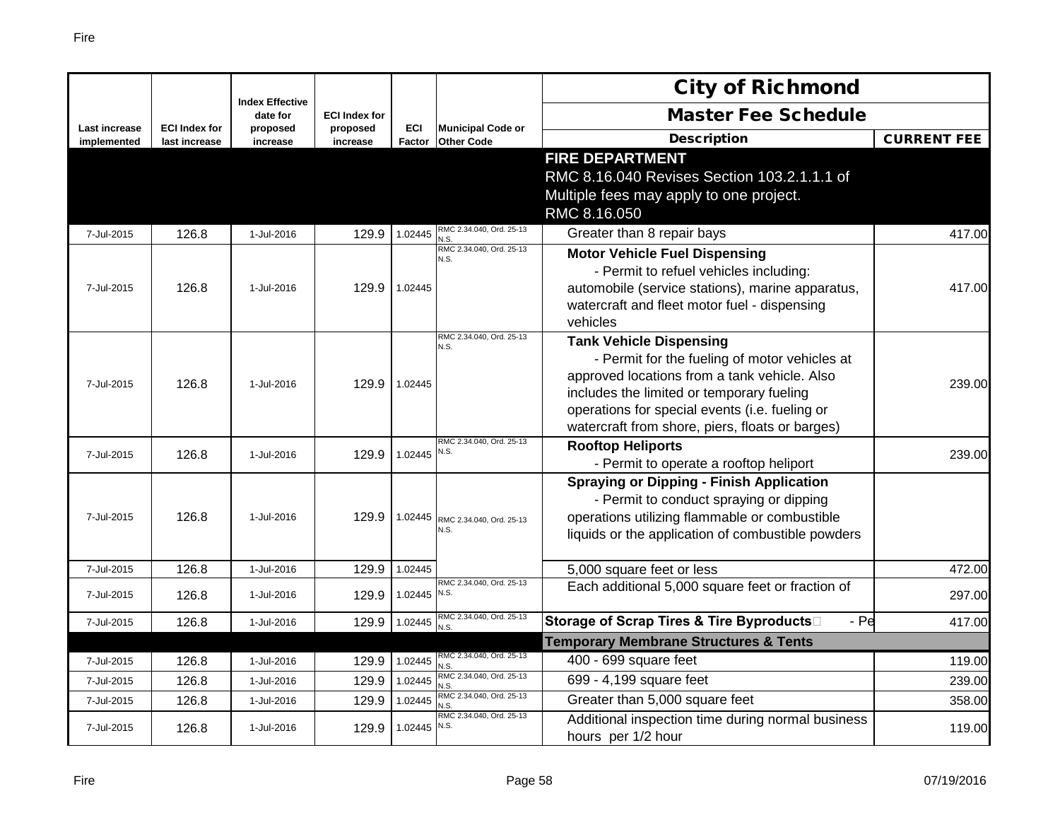|                              |                                       |                                    |                      |                             |                                               | <b>City of Richmond</b>                                                                                                                                                                                                                                                           |                    |
|------------------------------|---------------------------------------|------------------------------------|----------------------|-----------------------------|-----------------------------------------------|-----------------------------------------------------------------------------------------------------------------------------------------------------------------------------------------------------------------------------------------------------------------------------------|--------------------|
|                              |                                       | <b>Index Effective</b><br>date for | <b>ECI Index for</b> |                             |                                               | <b>Master Fee Schedule</b>                                                                                                                                                                                                                                                        |                    |
| Last increase<br>implemented | <b>ECI Index for</b><br>last increase | proposed<br>increase               | proposed<br>increase | <b>ECI</b><br><b>Factor</b> | <b>Municipal Code or</b><br><b>Other Code</b> | <b>Description</b>                                                                                                                                                                                                                                                                | <b>CURRENT FEE</b> |
|                              |                                       |                                    |                      |                             |                                               | <b>FIRE DEPARTMENT</b><br>RMC 8.16.040 Revises Section 103.2.1.1.1 of<br>Multiple fees may apply to one project.<br>RMC 8.16.050                                                                                                                                                  |                    |
| 7-Jul-2015                   | 126.8                                 | 1-Jul-2016                         | 129.9                | 1.02445                     | RMC 2.34.040, Ord. 25-13<br>N.S               | Greater than 8 repair bays                                                                                                                                                                                                                                                        | 417.00             |
| 7-Jul-2015                   | 126.8                                 | 1-Jul-2016                         | 129.9                | 1.02445                     | RMC 2.34.040, Ord. 25-13<br>N.S.              | <b>Motor Vehicle Fuel Dispensing</b><br>- Permit to refuel vehicles including:<br>automobile (service stations), marine apparatus,<br>watercraft and fleet motor fuel - dispensing<br>vehicles                                                                                    | 417.00             |
| 7-Jul-2015                   | 126.8                                 | 1-Jul-2016                         | 129.9                | 1.02445                     | RMC 2.34.040, Ord. 25-13<br>N.S.              | <b>Tank Vehicle Dispensing</b><br>- Permit for the fueling of motor vehicles at<br>approved locations from a tank vehicle. Also<br>includes the limited or temporary fueling<br>operations for special events (i.e. fueling or<br>watercraft from shore, piers, floats or barges) | 239.00             |
| 7-Jul-2015                   | 126.8                                 | 1-Jul-2016                         | 129.9                | 1.02445                     | RMC 2.34.040, Ord. 25-13<br>N.S.              | <b>Rooftop Heliports</b><br>- Permit to operate a rooftop heliport                                                                                                                                                                                                                | 239.00             |
| 7-Jul-2015                   | 126.8                                 | 1-Jul-2016                         | 129.9                | 1.02445                     | RMC 2.34.040, Ord. 25-13<br>N.S.              | <b>Spraying or Dipping - Finish Application</b><br>- Permit to conduct spraying or dipping<br>operations utilizing flammable or combustible<br>liquids or the application of combustible powders                                                                                  |                    |
| 7-Jul-2015                   | 126.8                                 | 1-Jul-2016                         | 129.9                | 1.02445                     |                                               | 5,000 square feet or less                                                                                                                                                                                                                                                         | 472.00             |
| 7-Jul-2015                   | 126.8                                 | 1-Jul-2016                         | 129.9                | 1.02445 N.S.                | RMC 2.34.040, Ord. 25-13                      | Each additional 5,000 square feet or fraction of                                                                                                                                                                                                                                  | 297.00             |
| 7-Jul-2015                   | 126.8                                 | 1-Jul-2016                         | 129.9                | 1.02445                     | RMC 2.34.040, Ord. 25-13<br>N.S               | Storage of Scrap Tires & Tire Byproducts□<br>$-Pe$                                                                                                                                                                                                                                | 417.00             |
|                              |                                       |                                    |                      |                             |                                               | <b>Temporary Membrane Structures &amp; Tents</b>                                                                                                                                                                                                                                  |                    |
| 7-Jul-2015                   | 126.8                                 | 1-Jul-2016                         | 129.9                | 1.02445                     | RMC 2.34.040, Ord. 25-13<br>N.S               | 400 - 699 square feet                                                                                                                                                                                                                                                             | 119.00             |
| 7-Jul-2015                   | 126.8                                 | 1-Jul-2016                         | 129.9                | 1.02445                     | RMC 2.34.040, Ord. 25-13<br>N.S.              | 699 - 4,199 square feet                                                                                                                                                                                                                                                           | 239.00             |
| 7-Jul-2015                   | 126.8                                 | 1-Jul-2016                         | 129.9                | 1.02445                     | RMC 2.34.040, Ord. 25-13<br>N.S               | Greater than 5,000 square feet                                                                                                                                                                                                                                                    | 358.00             |
| 7-Jul-2015                   | 126.8                                 | 1-Jul-2016                         | 129.9                | 1.02445                     | RMC 2.34.040, Ord. 25-13<br>N.S.              | Additional inspection time during normal business<br>hours per 1/2 hour                                                                                                                                                                                                           | 119.00             |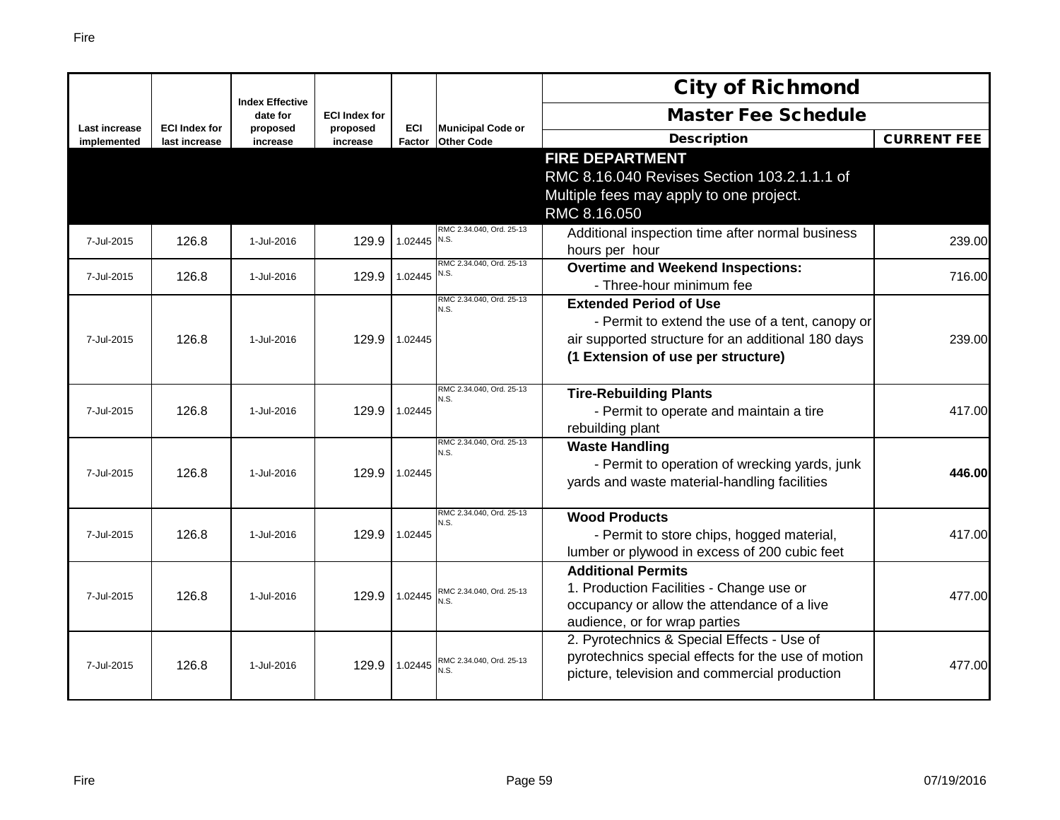|                              |                      |                                    |                      |            |                                  | <b>City of Richmond</b>                            |                    |
|------------------------------|----------------------|------------------------------------|----------------------|------------|----------------------------------|----------------------------------------------------|--------------------|
|                              | <b>ECI Index for</b> | <b>Index Effective</b><br>date for | <b>ECI Index for</b> | <b>ECI</b> | <b>Municipal Code or</b>         | <b>Master Fee Schedule</b>                         |                    |
| Last increase<br>implemented | last increase        | proposed<br>increase               | proposed<br>increase | Factor     | <b>Other Code</b>                | <b>Description</b>                                 | <b>CURRENT FEE</b> |
|                              |                      |                                    |                      |            |                                  | <b>FIRE DEPARTMENT</b>                             |                    |
|                              |                      |                                    |                      |            |                                  | RMC 8.16.040 Revises Section 103.2.1.1.1 of        |                    |
|                              |                      |                                    |                      |            |                                  | Multiple fees may apply to one project.            |                    |
|                              |                      |                                    |                      |            |                                  | RMC 8.16.050                                       |                    |
| 7-Jul-2015                   | 126.8                | 1-Jul-2016                         | 129.9                | 1.02445    | RMC 2.34.040, Ord. 25-13<br>N.S. | Additional inspection time after normal business   | 239.00             |
|                              |                      |                                    |                      |            |                                  | hours per hour                                     |                    |
| 7-Jul-2015                   | 126.8                | 1-Jul-2016                         | 129.9                | 1.02445    | RMC 2.34.040, Ord. 25-13<br>N.S. | <b>Overtime and Weekend Inspections:</b>           | 716.00             |
|                              |                      |                                    |                      |            |                                  | - Three-hour minimum fee                           |                    |
|                              |                      |                                    |                      |            | RMC 2.34.040, Ord. 25-13<br>N.S. | <b>Extended Period of Use</b>                      |                    |
|                              |                      |                                    |                      |            |                                  | - Permit to extend the use of a tent, canopy or    |                    |
| 7-Jul-2015                   | 126.8                | 1-Jul-2016                         | 129.9                | 1.02445    |                                  | air supported structure for an additional 180 days | 239.00             |
|                              |                      |                                    |                      |            |                                  | (1 Extension of use per structure)                 |                    |
|                              |                      |                                    |                      |            | RMC 2.34.040, Ord. 25-13         | <b>Tire-Rebuilding Plants</b>                      |                    |
| 7-Jul-2015                   | 126.8                | 1-Jul-2016                         | 129.9                | 1.02445    | N.S.                             | - Permit to operate and maintain a tire            | 417.00             |
|                              |                      |                                    |                      |            |                                  | rebuilding plant                                   |                    |
|                              |                      |                                    |                      |            | RMC 2.34.040, Ord. 25-13         | <b>Waste Handling</b>                              |                    |
|                              |                      |                                    |                      |            | N.S.                             | - Permit to operation of wrecking yards, junk      |                    |
| 7-Jul-2015                   | 126.8                | 1-Jul-2016                         | 129.9                | 1.02445    |                                  | yards and waste material-handling facilities       | 446.00             |
|                              |                      |                                    |                      |            |                                  |                                                    |                    |
|                              |                      |                                    |                      |            | RMC 2.34.040, Ord. 25-13<br>N.S. | <b>Wood Products</b>                               |                    |
| 7-Jul-2015                   | 126.8                | 1-Jul-2016                         | 129.9                | 1.02445    |                                  | - Permit to store chips, hogged material,          | 417.00             |
|                              |                      |                                    |                      |            |                                  | lumber or plywood in excess of 200 cubic feet      |                    |
|                              |                      |                                    |                      |            |                                  | <b>Additional Permits</b>                          |                    |
| 7-Jul-2015                   | 126.8                | 1-Jul-2016                         | 129.9                | 1.02445    | RMC 2.34.040, Ord. 25-13         | 1. Production Facilities - Change use or           | 477.00             |
|                              |                      |                                    |                      |            | N.S.                             | occupancy or allow the attendance of a live        |                    |
|                              |                      |                                    |                      |            |                                  | audience, or for wrap parties                      |                    |
|                              |                      |                                    |                      |            |                                  | 2. Pyrotechnics & Special Effects - Use of         |                    |
| 7-Jul-2015                   | 126.8                | 1-Jul-2016                         | 129.9                | 1.02445    | RMC 2.34.040, Ord. 25-13<br>N.S. | pyrotechnics special effects for the use of motion | 477.00             |
|                              |                      |                                    |                      |            |                                  | picture, television and commercial production      |                    |
|                              |                      |                                    |                      |            |                                  |                                                    |                    |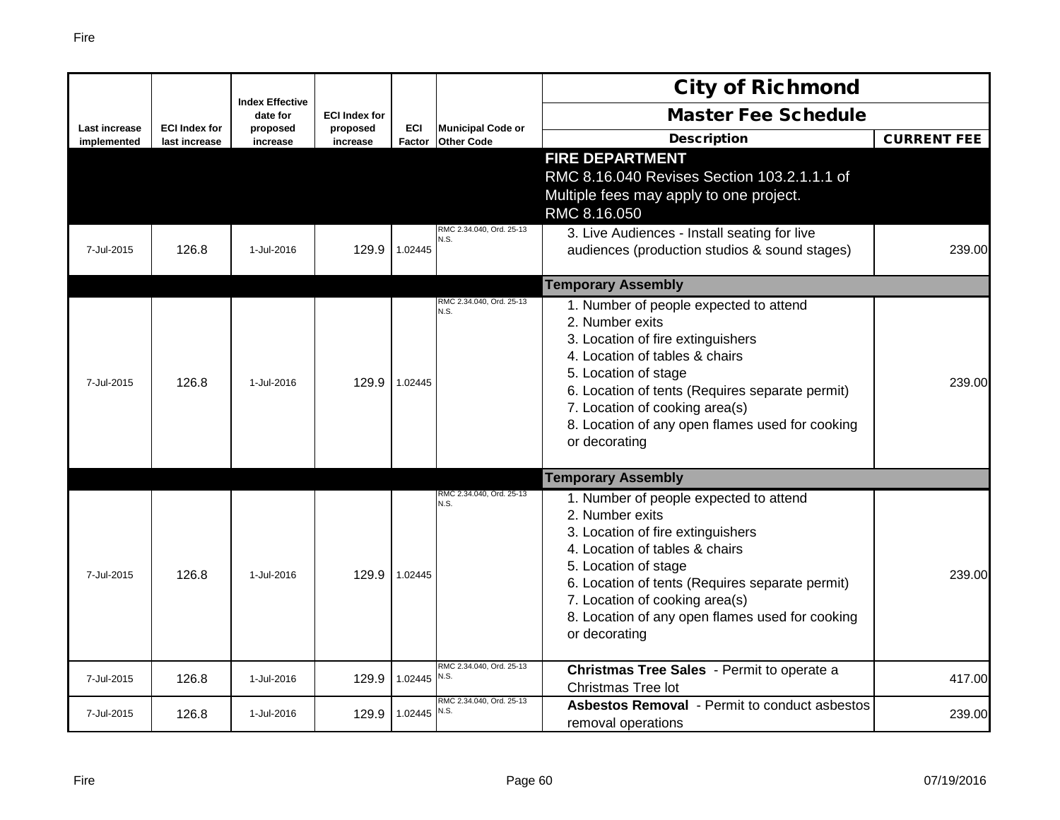|                                     |                                       |                                    |                      |                      |                                               | <b>City of Richmond</b>                                                                                                                                                                                                                                                                                           |                    |
|-------------------------------------|---------------------------------------|------------------------------------|----------------------|----------------------|-----------------------------------------------|-------------------------------------------------------------------------------------------------------------------------------------------------------------------------------------------------------------------------------------------------------------------------------------------------------------------|--------------------|
|                                     |                                       | <b>Index Effective</b><br>date for | <b>ECI Index for</b> |                      |                                               | <b>Master Fee Schedule</b>                                                                                                                                                                                                                                                                                        |                    |
| <b>Last increase</b><br>implemented | <b>ECI Index for</b><br>last increase | proposed<br>increase               | proposed<br>increase | <b>ECI</b><br>Factor | <b>Municipal Code or</b><br><b>Other Code</b> | <b>Description</b>                                                                                                                                                                                                                                                                                                | <b>CURRENT FEE</b> |
| 7-Jul-2015                          | 126.8                                 | 1-Jul-2016                         | 129.9                | 1.02445              | RMC 2.34.040, Ord. 25-13<br>N.S.              | <b>FIRE DEPARTMENT</b><br>RMC 8.16.040 Revises Section 103.2.1.1.1 of<br>Multiple fees may apply to one project.<br>RMC 8.16.050<br>3. Live Audiences - Install seating for live<br>audiences (production studios & sound stages)                                                                                 | 239.00             |
|                                     |                                       |                                    |                      |                      |                                               | <b>Temporary Assembly</b>                                                                                                                                                                                                                                                                                         |                    |
| 7-Jul-2015                          | 126.8                                 | 1-Jul-2016                         | 129.9                | 1.02445              | RMC 2.34.040, Ord. 25-13<br>N.S.              | 1. Number of people expected to attend<br>2. Number exits<br>3. Location of fire extinguishers<br>4. Location of tables & chairs<br>5. Location of stage<br>6. Location of tents (Requires separate permit)<br>7. Location of cooking area(s)<br>8. Location of any open flames used for cooking<br>or decorating | 239.00             |
|                                     |                                       |                                    |                      |                      |                                               | <b>Temporary Assembly</b>                                                                                                                                                                                                                                                                                         |                    |
| 7-Jul-2015                          | 126.8                                 | 1-Jul-2016                         | 129.9                | 1.02445              | RMC 2.34.040, Ord. 25-13<br>N.S.              | 1. Number of people expected to attend<br>2. Number exits<br>3. Location of fire extinguishers<br>4. Location of tables & chairs<br>5. Location of stage<br>6. Location of tents (Requires separate permit)<br>7. Location of cooking area(s)<br>8. Location of any open flames used for cooking<br>or decorating | 239.00             |
| 7-Jul-2015                          | 126.8                                 | 1-Jul-2016                         | 129.9                | $1.02445$ N.S.       | RMC 2.34.040, Ord. 25-13                      | Christmas Tree Sales - Permit to operate a<br>Christmas Tree lot                                                                                                                                                                                                                                                  | 417.00             |
| 7-Jul-2015                          | 126.8                                 | 1-Jul-2016                         | 129.9                | 1.02445 $N.S.$       | RMC 2.34.040, Ord. 25-13                      | <b>Asbestos Removal</b> - Permit to conduct asbestos<br>removal operations                                                                                                                                                                                                                                        | 239.00             |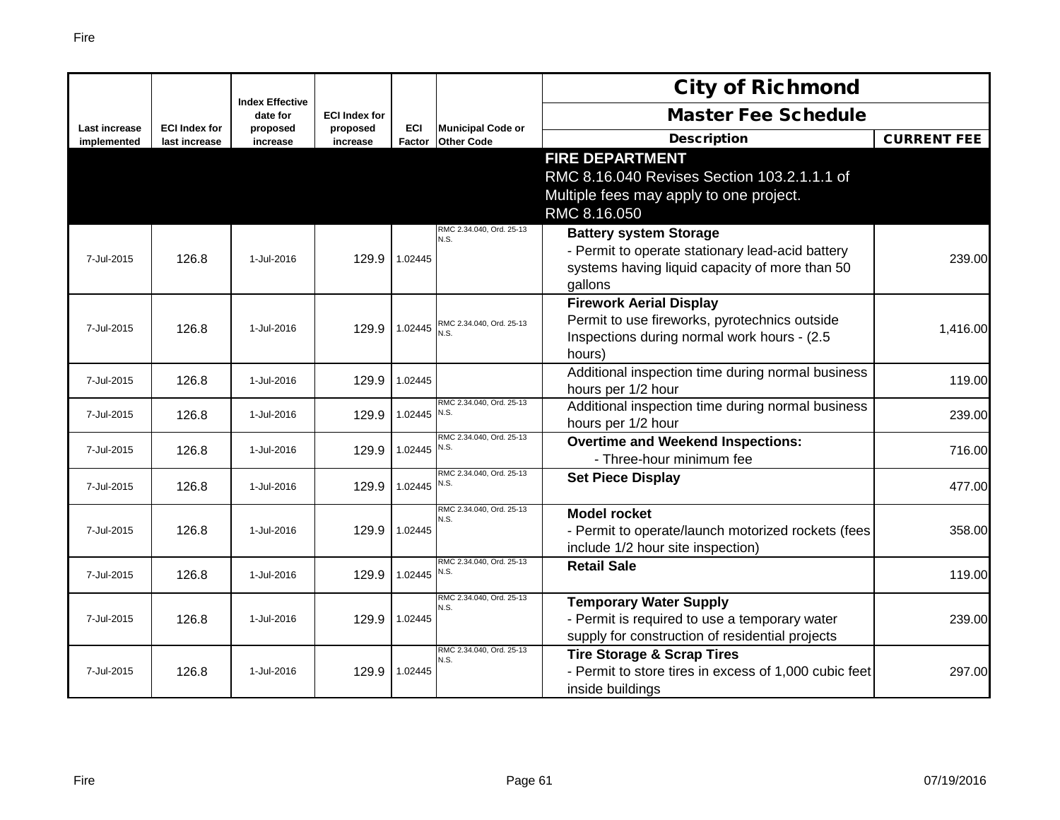|                      |                      |                                    |                      |                |                                  | <b>City of Richmond</b>                                                                                                                        |                    |
|----------------------|----------------------|------------------------------------|----------------------|----------------|----------------------------------|------------------------------------------------------------------------------------------------------------------------------------------------|--------------------|
| <b>Last increase</b> | <b>ECI Index for</b> | <b>Index Effective</b><br>date for | <b>ECI Index for</b> | <b>ECI</b>     | <b>Municipal Code or</b>         | <b>Master Fee Schedule</b>                                                                                                                     |                    |
| implemented          | last increase        | proposed<br>increase               | proposed<br>increase | <b>Factor</b>  | <b>Other Code</b>                | <b>Description</b>                                                                                                                             | <b>CURRENT FEE</b> |
|                      |                      |                                    |                      |                |                                  | <b>FIRE DEPARTMENT</b><br>RMC 8.16.040 Revises Section 103.2.1.1.1 of<br>Multiple fees may apply to one project.                               |                    |
|                      |                      |                                    |                      |                |                                  | RMC 8.16.050                                                                                                                                   |                    |
| 7-Jul-2015           | 126.8                | 1-Jul-2016                         | 129.9                | 1.02445        | RMC 2.34.040, Ord. 25-13<br>N.S. | <b>Battery system Storage</b><br>- Permit to operate stationary lead-acid battery<br>systems having liquid capacity of more than 50<br>gallons | 239.00             |
| 7-Jul-2015           | 126.8                | 1-Jul-2016                         | 129.9                | 1.02445        | RMC 2.34.040, Ord. 25-13<br>N.S. | <b>Firework Aerial Display</b><br>Permit to use fireworks, pyrotechnics outside<br>Inspections during normal work hours - (2.5)<br>hours)      | 1,416.00           |
| 7-Jul-2015           | 126.8                | 1-Jul-2016                         | 129.9                | 1.02445        |                                  | Additional inspection time during normal business<br>hours per 1/2 hour                                                                        | 119.00             |
| 7-Jul-2015           | 126.8                | 1-Jul-2016                         | 129.9                | 1.02445        | RMC 2.34.040, Ord. 25-13<br>N.S. | Additional inspection time during normal business<br>hours per 1/2 hour                                                                        | 239.00             |
| 7-Jul-2015           | 126.8                | 1-Jul-2016                         | 129.9                | 1.02445        | RMC 2.34.040. Ord. 25-13<br>N.S. | <b>Overtime and Weekend Inspections:</b><br>- Three-hour minimum fee                                                                           | 716.00             |
| 7-Jul-2015           | 126.8                | 1-Jul-2016                         | 129.9                | 1.02445        | RMC 2.34.040. Ord. 25-13<br>N.S. | <b>Set Piece Display</b>                                                                                                                       | 477.00             |
| 7-Jul-2015           | 126.8                | 1-Jul-2016                         | 129.9                | 1.02445        | RMC 2.34.040, Ord. 25-13<br>N.S. | <b>Model rocket</b><br>- Permit to operate/launch motorized rockets (fees<br>include 1/2 hour site inspection)                                 | 358.00             |
| 7-Jul-2015           | 126.8                | 1-Jul-2016                         | 129.9                | 1.02445 $N.S.$ | RMC 2.34.040, Ord. 25-13         | <b>Retail Sale</b>                                                                                                                             | 119.00             |
| 7-Jul-2015           | 126.8                | 1-Jul-2016                         | 129.9                | 1.02445        | RMC 2.34.040, Ord. 25-13<br>N.S. | <b>Temporary Water Supply</b><br>- Permit is required to use a temporary water<br>supply for construction of residential projects              | 239.00             |
| 7-Jul-2015           | 126.8                | 1-Jul-2016                         | 129.9                | 1.02445        | RMC 2.34.040, Ord. 25-13<br>N.S. | <b>Tire Storage &amp; Scrap Tires</b><br>- Permit to store tires in excess of 1,000 cubic feet<br>inside buildings                             | 297.00             |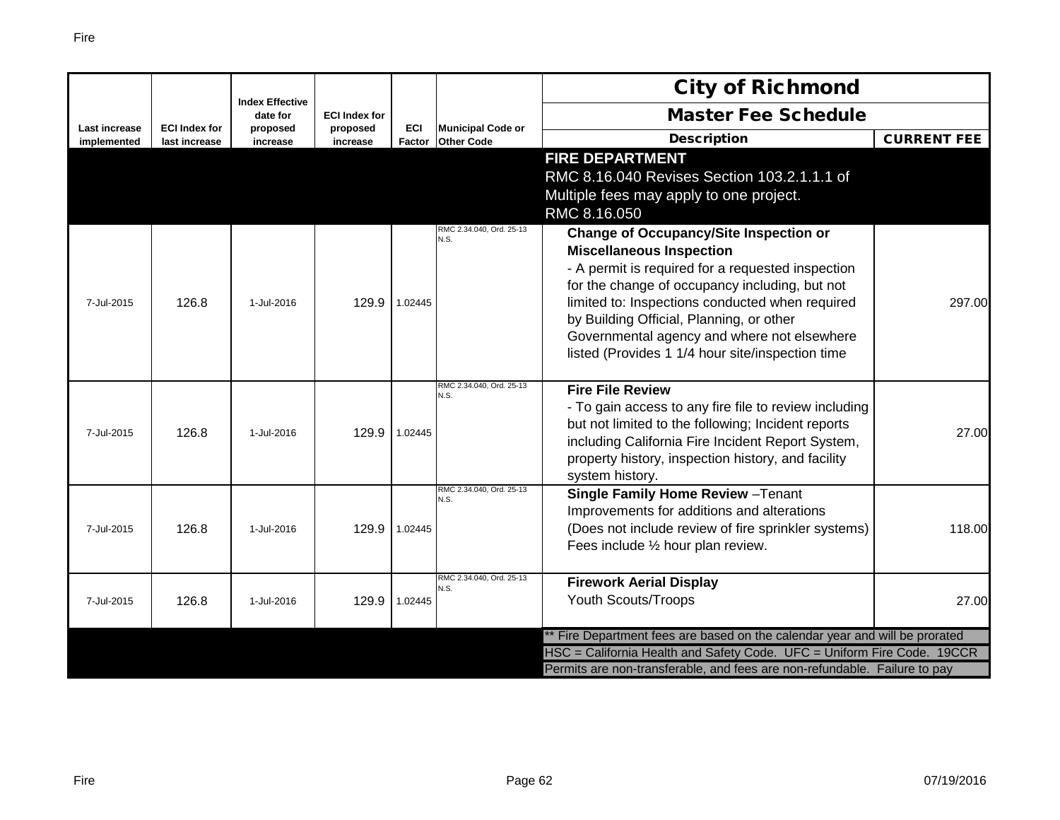|               |                      | <b>Index Effective</b> |                                  |               |                                  | <b>City of Richmond</b>                                                                                                                                                                                                                                                                                                                                                                   |                    |
|---------------|----------------------|------------------------|----------------------------------|---------------|----------------------------------|-------------------------------------------------------------------------------------------------------------------------------------------------------------------------------------------------------------------------------------------------------------------------------------------------------------------------------------------------------------------------------------------|--------------------|
| Last increase | <b>ECI Index for</b> | date for               | <b>ECI Index for</b><br>proposed | <b>ECI</b>    | <b>Municipal Code or</b>         | <b>Master Fee Schedule</b>                                                                                                                                                                                                                                                                                                                                                                |                    |
| implemented   | last increase        | proposed<br>increase   | increase                         | <b>Factor</b> | <b>Other Code</b>                | <b>Description</b>                                                                                                                                                                                                                                                                                                                                                                        | <b>CURRENT FEE</b> |
|               |                      |                        |                                  |               |                                  | <b>FIRE DEPARTMENT</b><br>RMC 8.16.040 Revises Section 103.2.1.1.1 of<br>Multiple fees may apply to one project.<br>RMC 8.16.050                                                                                                                                                                                                                                                          |                    |
| 7-Jul-2015    | 126.8                | 1-Jul-2016             | 129.9                            | 1.02445       | RMC 2.34.040, Ord. 25-13<br>N.S. | <b>Change of Occupancy/Site Inspection or</b><br><b>Miscellaneous Inspection</b><br>- A permit is required for a requested inspection<br>for the change of occupancy including, but not<br>limited to: Inspections conducted when required<br>by Building Official, Planning, or other<br>Governmental agency and where not elsewhere<br>listed (Provides 1 1/4 hour site/inspection time | 297.00             |
| 7-Jul-2015    | 126.8                | 1-Jul-2016             | 129.9                            | 1.02445       | RMC 2.34.040, Ord. 25-13<br>N.S. | <b>Fire File Review</b><br>- To gain access to any fire file to review including<br>but not limited to the following; Incident reports<br>including California Fire Incident Report System,<br>property history, inspection history, and facility<br>system history.                                                                                                                      | 27.00              |
| 7-Jul-2015    | 126.8                | 1-Jul-2016             | 129.9                            | 1.02445       | RMC 2.34.040, Ord. 25-13<br>N.S. | Single Family Home Review - Tenant<br>Improvements for additions and alterations<br>(Does not include review of fire sprinkler systems)<br>Fees include 1/2 hour plan review.                                                                                                                                                                                                             | 118.00             |
| 7-Jul-2015    | 126.8                | 1-Jul-2016             | 129.9                            | 1.02445       | RMC 2.34.040, Ord. 25-13<br>N.S. | <b>Firework Aerial Display</b><br><b>Youth Scouts/Troops</b>                                                                                                                                                                                                                                                                                                                              | 27.00              |
|               |                      |                        |                                  |               |                                  | ** Fire Department fees are based on the calendar year and will be prorated                                                                                                                                                                                                                                                                                                               |                    |
|               |                      |                        |                                  |               |                                  | HSC = California Health and Safety Code. UFC = Uniform Fire Code. 19CCR                                                                                                                                                                                                                                                                                                                   |                    |
|               |                      |                        |                                  |               |                                  | Permits are non-transferable, and fees are non-refundable. Failure to pay                                                                                                                                                                                                                                                                                                                 |                    |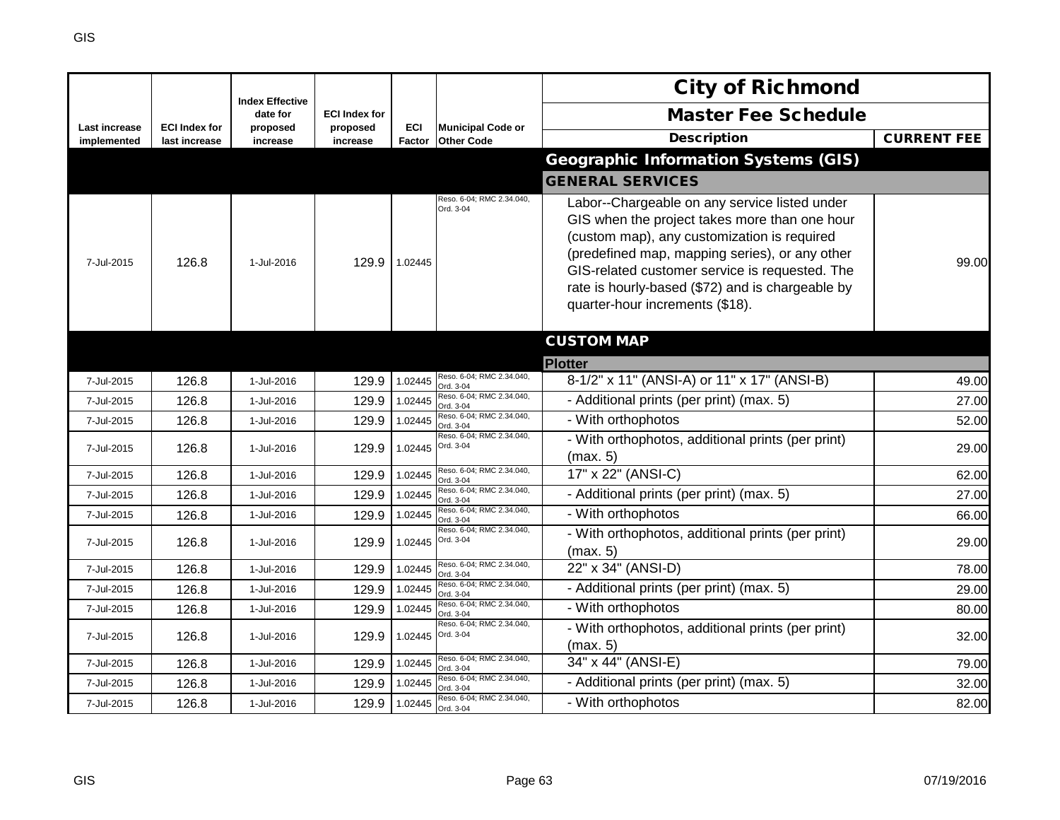|                              |                                       | <b>Index Effective</b> |                      |               |                                               | <b>City of Richmond</b>                                                                                                                                                                                                                                                                                                                  |                    |
|------------------------------|---------------------------------------|------------------------|----------------------|---------------|-----------------------------------------------|------------------------------------------------------------------------------------------------------------------------------------------------------------------------------------------------------------------------------------------------------------------------------------------------------------------------------------------|--------------------|
|                              |                                       | date for               | <b>ECI Index for</b> |               |                                               | <b>Master Fee Schedule</b>                                                                                                                                                                                                                                                                                                               |                    |
| Last increase<br>implemented | <b>ECI Index for</b><br>last increase | proposed<br>increase   | proposed<br>increase | ECI<br>Factor | <b>Municipal Code or</b><br><b>Other Code</b> | <b>Description</b>                                                                                                                                                                                                                                                                                                                       | <b>CURRENT FEE</b> |
|                              |                                       |                        |                      |               |                                               | <b>Geographic Information Systems (GIS)</b>                                                                                                                                                                                                                                                                                              |                    |
|                              |                                       |                        |                      |               |                                               | <b>GENERAL SERVICES</b>                                                                                                                                                                                                                                                                                                                  |                    |
| 7-Jul-2015                   | 126.8                                 | 1-Jul-2016             | 129.9                | 1.02445       | Reso. 6-04; RMC 2.34.040,<br>Ord. 3-04        | Labor--Chargeable on any service listed under<br>GIS when the project takes more than one hour<br>(custom map), any customization is required<br>(predefined map, mapping series), or any other<br>GIS-related customer service is requested. The<br>rate is hourly-based (\$72) and is chargeable by<br>quarter-hour increments (\$18). | 99.00              |
|                              |                                       |                        |                      |               |                                               | <b>CUSTOM MAP</b>                                                                                                                                                                                                                                                                                                                        |                    |
|                              |                                       |                        |                      |               |                                               | <b>Plotter</b>                                                                                                                                                                                                                                                                                                                           |                    |
| 7-Jul-2015                   | 126.8                                 | 1-Jul-2016             | 129.9                | 1.02445       | Reso. 6-04; RMC 2.34.040,<br>Ord. 3-04        | 8-1/2" x 11" (ANSI-A) or 11" x 17" (ANSI-B)                                                                                                                                                                                                                                                                                              | 49.00              |
| 7-Jul-2015                   | 126.8                                 | 1-Jul-2016             | 129.9                | 1.02445       | Reso. 6-04; RMC 2.34.040,<br>Ord. 3-04        | - Additional prints (per print) (max. 5)                                                                                                                                                                                                                                                                                                 | 27.00              |
| 7-Jul-2015                   | 126.8                                 | 1-Jul-2016             | 129.9                | 1.02445       | Reso. 6-04; RMC 2.34.040,<br>Ord. 3-04        | - With orthophotos                                                                                                                                                                                                                                                                                                                       | 52.00              |
| 7-Jul-2015                   | 126.8                                 | 1-Jul-2016             | 129.9                | 1.02445       | Reso. 6-04; RMC 2.34.040,<br>Ord. 3-04        | - With orthophotos, additional prints (per print)<br>(max. 5)                                                                                                                                                                                                                                                                            | 29.00              |
| 7-Jul-2015                   | 126.8                                 | 1-Jul-2016             | 129.9                | 1.02445       | Reso. 6-04; RMC 2.34.040,<br>Ord. 3-04        | 17" x 22" (ANSI-C)                                                                                                                                                                                                                                                                                                                       | 62.00              |
| 7-Jul-2015                   | 126.8                                 | 1-Jul-2016             | 129.9                | 1.02445       | Reso. 6-04; RMC 2.34.040,<br>Ord. 3-04        | - Additional prints (per print) (max. 5)                                                                                                                                                                                                                                                                                                 | 27.00              |
| 7-Jul-2015                   | 126.8                                 | 1-Jul-2016             | 129.9                | 1.02445       | Reso. 6-04; RMC 2.34.040,<br>Ord. 3-04        | - With orthophotos                                                                                                                                                                                                                                                                                                                       | 66.00              |
| 7-Jul-2015                   | 126.8                                 | 1-Jul-2016             | 129.9                | 1.02445       | Reso. 6-04; RMC 2.34.040,<br>Ord. 3-04        | - With orthophotos, additional prints (per print)<br>(max. 5)                                                                                                                                                                                                                                                                            | 29.00              |
| 7-Jul-2015                   | 126.8                                 | 1-Jul-2016             | 129.9                | 1.02445       | Reso. 6-04; RMC 2.34.040,<br>Ord. 3-04        | 22" x 34" (ANSI-D)                                                                                                                                                                                                                                                                                                                       | 78.00              |
| 7-Jul-2015                   | 126.8                                 | 1-Jul-2016             | 129.9                | 1.02445       | Reso. 6-04; RMC 2.34.040,<br>Ord. 3-04        | - Additional prints (per print) (max. 5)                                                                                                                                                                                                                                                                                                 | 29.00              |
| 7-Jul-2015                   | 126.8                                 | 1-Jul-2016             | 129.9                | 1.02445       | Reso. 6-04; RMC 2.34.040,<br>Ord. 3-04        | - With orthophotos                                                                                                                                                                                                                                                                                                                       | 80.00              |
| 7-Jul-2015                   | 126.8                                 | 1-Jul-2016             | 129.9                | 1.02445       | Reso. 6-04; RMC 2.34.040,<br>Ord. 3-04        | - With orthophotos, additional prints (per print)<br>(max. 5)                                                                                                                                                                                                                                                                            | 32.00              |
| 7-Jul-2015                   | 126.8                                 | 1-Jul-2016             | 129.9                | 1.02445       | Reso. 6-04; RMC 2.34.040,<br>Ord. 3-04        | 34" x 44" (ANSI-E)                                                                                                                                                                                                                                                                                                                       | 79.00              |
| 7-Jul-2015                   | 126.8                                 | 1-Jul-2016             | 129.9                | 1.02445       | Reso. 6-04; RMC 2.34.040,<br>Ord. 3-04        | - Additional prints (per print) (max. 5)                                                                                                                                                                                                                                                                                                 | 32.00              |
| 7-Jul-2015                   | 126.8                                 | 1-Jul-2016             | 129.9                | 1.02445       | Reso. 6-04; RMC 2.34.040,<br>Ord. 3-04        | - With orthophotos                                                                                                                                                                                                                                                                                                                       | 82.00              |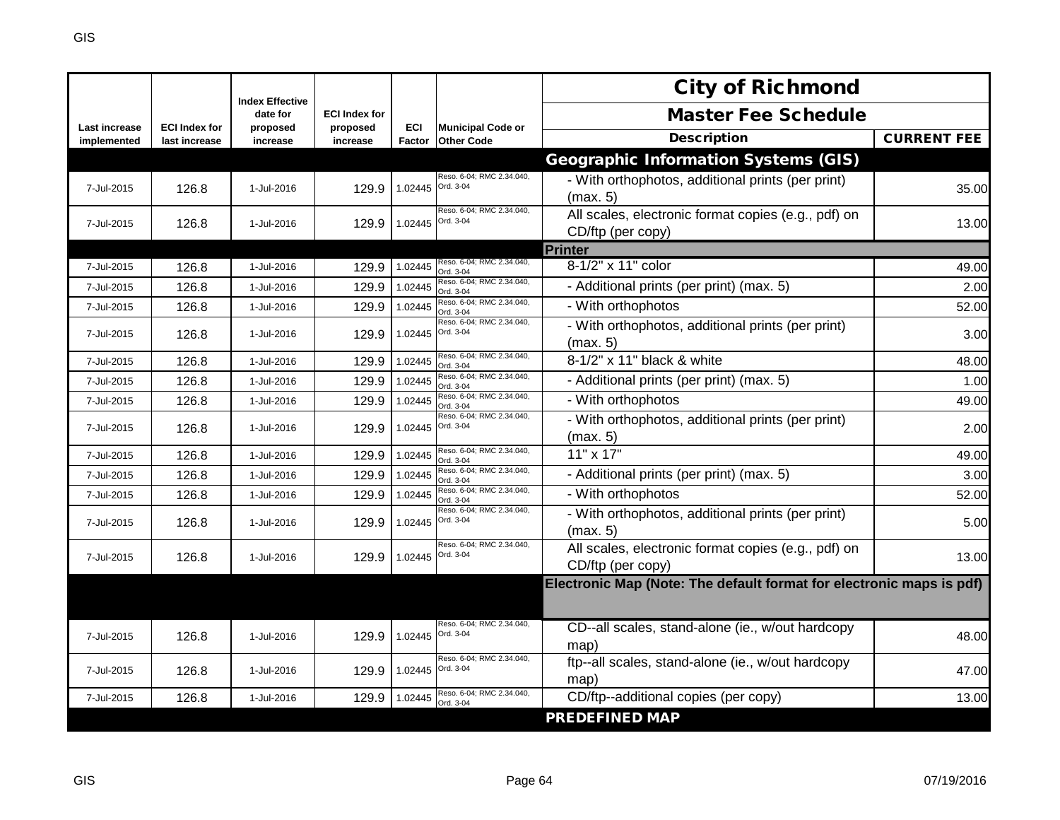|                                     |                                       |                                    |                      |               |                                               | <b>City of Richmond</b>                                                  |                    |
|-------------------------------------|---------------------------------------|------------------------------------|----------------------|---------------|-----------------------------------------------|--------------------------------------------------------------------------|--------------------|
|                                     |                                       | <b>Index Effective</b><br>date for | <b>ECI Index for</b> |               |                                               | <b>Master Fee Schedule</b>                                               |                    |
| <b>Last increase</b><br>implemented | <b>ECI Index for</b><br>last increase | proposed<br>increase               | proposed<br>increase | ECI<br>Factor | <b>Municipal Code or</b><br><b>Other Code</b> | <b>Description</b>                                                       | <b>CURRENT FEE</b> |
|                                     |                                       |                                    |                      |               |                                               | <b>Geographic Information Systems (GIS)</b>                              |                    |
| 7-Jul-2015                          | 126.8                                 | 1-Jul-2016                         | 129.9                | 1.02445       | Reso, 6-04: RMC 2.34.040.<br>Ord. 3-04        | - With orthophotos, additional prints (per print)<br>(max. 5)            | 35.00              |
| 7-Jul-2015                          | 126.8                                 | 1-Jul-2016                         | 129.9                | 1.02445       | Reso. 6-04; RMC 2.34.040,<br>Ord. 3-04        | All scales, electronic format copies (e.g., pdf) on<br>CD/ftp (per copy) | 13.00              |
|                                     |                                       |                                    |                      |               |                                               | Printer                                                                  |                    |
| 7-Jul-2015                          | 126.8                                 | 1-Jul-2016                         | 129.9                | 1.02445       | Reso. 6-04; RMC 2.34.040,<br>Ord. 3-04        | 8-1/2" x 11" color                                                       | 49.00              |
| 7-Jul-2015                          | 126.8                                 | 1-Jul-2016                         | 129.9                | 1.02445       | Reso. 6-04; RMC 2.34.040,<br>Ord. 3-04        | - Additional prints (per print) (max. 5)                                 | 2.00               |
| 7-Jul-2015                          | 126.8                                 | 1-Jul-2016                         | 129.9                | 1.02445       | Reso. 6-04; RMC 2.34.040,<br>Ord. 3-04        | - With orthophotos                                                       | 52.00              |
| 7-Jul-2015                          | 126.8                                 | 1-Jul-2016                         | 129.9                | 1.02445       | Reso. 6-04; RMC 2.34.040,<br>Ord. 3-04        | - With orthophotos, additional prints (per print)<br>(max. 5)            | 3.00               |
| 7-Jul-2015                          | 126.8                                 | 1-Jul-2016                         | 129.9                | 1.02445       | Reso. 6-04; RMC 2.34.040,<br>Ord. 3-04        | 8-1/2" x 11" black & white                                               | 48.00              |
| 7-Jul-2015                          | 126.8                                 | 1-Jul-2016                         | 129.9                | 1.02445       | Reso, 6-04: RMC 2.34.040.<br>Ord. 3-04        | - Additional prints (per print) (max. 5)                                 | 1.00               |
| 7-Jul-2015                          | 126.8                                 | 1-Jul-2016                         | 129.9                | 1.02445       | Reso. 6-04; RMC 2.34.040,<br>Ord. 3-04        | - With orthophotos                                                       | 49.00              |
| 7-Jul-2015                          | 126.8                                 | 1-Jul-2016                         | 129.9                | 1.02445       | Reso. 6-04; RMC 2.34.040,<br>Ord. 3-04        | - With orthophotos, additional prints (per print)<br>(max. 5)            | 2.00               |
| 7-Jul-2015                          | 126.8                                 | 1-Jul-2016                         | 129.9                | 1.02445       | Reso. 6-04; RMC 2.34.040,<br>Ord. 3-04        | 11" x 17"                                                                | 49.00              |
| 7-Jul-2015                          | 126.8                                 | 1-Jul-2016                         | 129.9                | 1.02445       | Reso. 6-04; RMC 2.34.040,<br>Ord. 3-04        | - Additional prints (per print) (max. 5)                                 | 3.00               |
| 7-Jul-2015                          | 126.8                                 | 1-Jul-2016                         | 129.9                | 1.02445       | Reso. 6-04; RMC 2.34.040,<br>Ord. 3-04        | - With orthophotos                                                       | 52.00              |
| 7-Jul-2015                          | 126.8                                 | 1-Jul-2016                         | 129.9                | 1.02445       | Reso. 6-04; RMC 2.34.040,<br>Ord. 3-04        | - With orthophotos, additional prints (per print)<br>(max. 5)            | 5.00               |
| 7-Jul-2015                          | 126.8                                 | 1-Jul-2016                         | 129.9                | 1.02445       | Reso. 6-04; RMC 2.34.040,<br>Ord. 3-04        | All scales, electronic format copies (e.g., pdf) on<br>CD/ftp (per copy) | 13.00              |
|                                     |                                       |                                    |                      |               |                                               | Electronic Map (Note: The default format for electronic maps is pdf)     |                    |
|                                     |                                       |                                    |                      |               |                                               |                                                                          |                    |
| 7-Jul-2015                          | 126.8                                 | 1-Jul-2016                         | 129.9                | 1.02445       | Reso. 6-04; RMC 2.34.040,<br>Ord. 3-04        | CD--all scales, stand-alone (ie., w/out hardcopy<br>map)                 | 48.00              |
| 7-Jul-2015                          | 126.8                                 | 1-Jul-2016                         | 129.9                | 1.02445       | Reso, 6-04: RMC 2.34.040.<br>Ord. 3-04        | ftp--all scales, stand-alone (ie., w/out hardcopy<br>map)                | 47.00              |
| 7-Jul-2015                          | 126.8                                 | 1-Jul-2016                         | 129.9                | 1.02445       | Reso. 6-04; RMC 2.34.040,<br>Ord. 3-04        | CD/ftp--additional copies (per copy)                                     | 13.00              |
|                                     |                                       |                                    |                      |               |                                               | <b>PREDEFINED MAP</b>                                                    |                    |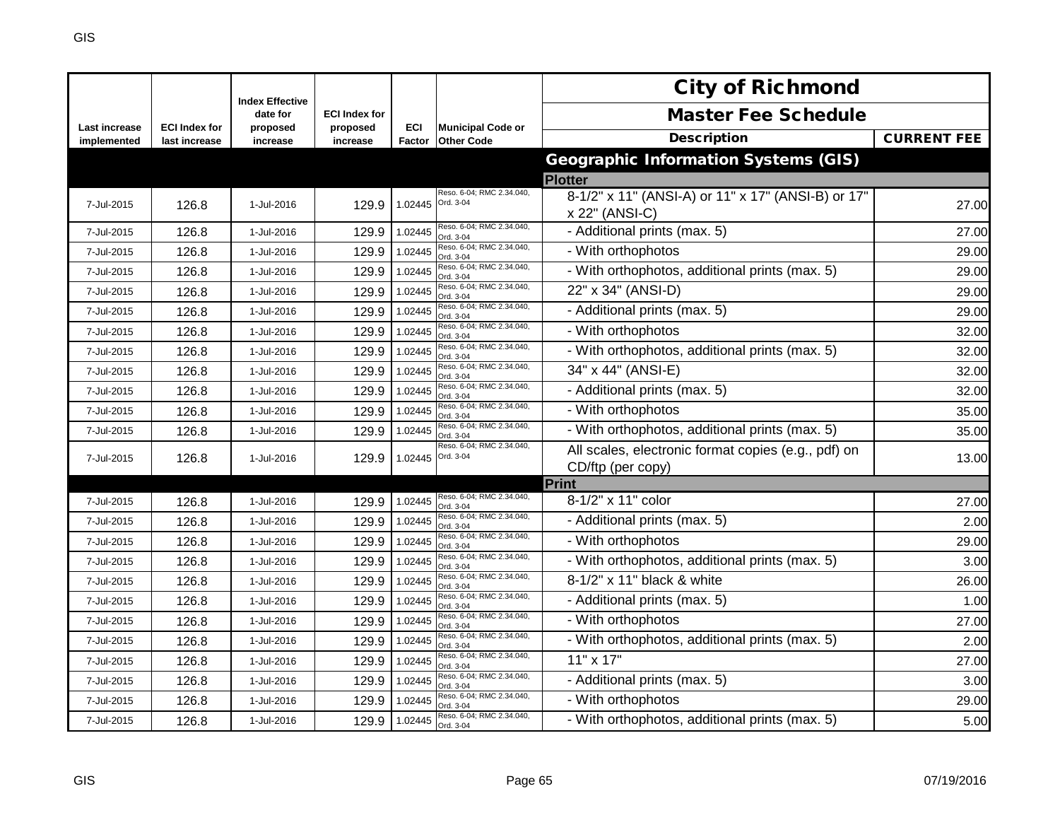|                              |                                       | <b>Index Effective</b> |                      |               |                                               | <b>City of Richmond</b>                                              |                    |
|------------------------------|---------------------------------------|------------------------|----------------------|---------------|-----------------------------------------------|----------------------------------------------------------------------|--------------------|
|                              |                                       | date for               | <b>ECI Index for</b> |               |                                               | <b>Master Fee Schedule</b>                                           |                    |
| Last increase<br>implemented | <b>ECI Index for</b><br>last increase | proposed<br>increase   | proposed<br>increase | ECI<br>Factor | <b>Municipal Code or</b><br><b>Other Code</b> | <b>Description</b>                                                   | <b>CURRENT FEE</b> |
|                              |                                       |                        |                      |               |                                               | <b>Geographic Information Systems (GIS)</b>                          |                    |
|                              |                                       |                        |                      |               |                                               | <b>Plotter</b>                                                       |                    |
| 7-Jul-2015                   | 126.8                                 | 1-Jul-2016             | 129.9                | 1.02445       | Reso. 6-04; RMC 2.34.040,<br>Ord. 3-04        | 8-1/2" x 11" (ANSI-A) or 11" x 17" (ANSI-B) or 17"<br>x 22" (ANSI-C) | 27.00              |
| 7-Jul-2015                   | 126.8                                 | 1-Jul-2016             | 129.9                | 1.02445       | Reso. 6-04; RMC 2.34.040,<br>Ord. 3-04        | - Additional prints (max. 5)                                         | 27.00              |
| 7-Jul-2015                   | 126.8                                 | 1-Jul-2016             | 129.9                | 1.02445       | Reso. 6-04; RMC 2.34.040,<br>Ord. 3-04        | - With orthophotos                                                   | 29.00              |
| 7-Jul-2015                   | 126.8                                 | 1-Jul-2016             | 129.9                | 1.02445       | Reso. 6-04; RMC 2.34.040,<br>Ord. 3-04        | - With orthophotos, additional prints (max. 5)                       | 29.00              |
| 7-Jul-2015                   | 126.8                                 | 1-Jul-2016             | 129.9                | 1.02445       | Reso. 6-04; RMC 2.34.040,<br>Ord. 3-04        | 22" x 34" (ANSI-D)                                                   | 29.00              |
| 7-Jul-2015                   | 126.8                                 | 1-Jul-2016             | 129.9                | 1.02445       | Reso. 6-04; RMC 2.34.040,<br>Ord. 3-04        | - Additional prints (max. 5)                                         | 29.00              |
| 7-Jul-2015                   | 126.8                                 | 1-Jul-2016             | 129.9                | 1.02445       | Reso. 6-04; RMC 2.34.040,<br>Ord. 3-04        | - With orthophotos                                                   | 32.00              |
| 7-Jul-2015                   | 126.8                                 | 1-Jul-2016             | 129.9                | 1.02445       | Reso. 6-04; RMC 2.34.040,<br>Ord. 3-04        | - With orthophotos, additional prints (max. 5)                       | 32.00              |
| 7-Jul-2015                   | 126.8                                 | 1-Jul-2016             | 129.9                | 1.02445       | Reso. 6-04; RMC 2.34.040,<br>Ord. 3-04        | 34" x 44" (ANSI-E)                                                   | 32.00              |
| 7-Jul-2015                   | 126.8                                 | 1-Jul-2016             | 129.9                | 1.02445       | Reso. 6-04; RMC 2.34.040,<br>Ord. 3-04        | - Additional prints (max. 5)                                         | 32.00              |
| 7-Jul-2015                   | 126.8                                 | 1-Jul-2016             | 129.9                | 1.02445       | Reso. 6-04; RMC 2.34.040,<br>Ord. 3-04        | - With orthophotos                                                   | 35.00              |
| 7-Jul-2015                   | 126.8                                 | 1-Jul-2016             | 129.9                | 1.02445       | Reso. 6-04; RMC 2.34.040,<br>Ord. 3-04        | - With orthophotos, additional prints (max. 5)                       | 35.00              |
| 7-Jul-2015                   | 126.8                                 | 1-Jul-2016             | 129.9                | 1.02445       | Reso. 6-04; RMC 2.34.040,<br>Ord. 3-04        | All scales, electronic format copies (e.g., pdf) on                  | 13.00              |
|                              |                                       |                        |                      |               |                                               | CD/ftp (per copy)                                                    |                    |
|                              |                                       |                        |                      |               | Reso. 6-04; RMC 2.34.040,                     | Print                                                                |                    |
| 7-Jul-2015                   | 126.8                                 | 1-Jul-2016             | 129.9                | 1.02445       | Ord. 3-04                                     | 8-1/2" x 11" color                                                   | 27.00              |
| 7-Jul-2015                   | 126.8                                 | 1-Jul-2016             | 129.9                | 1.02445       | Reso. 6-04; RMC 2.34.040,<br>Ord. 3-04        | - Additional prints (max. 5)                                         | 2.00               |
| 7-Jul-2015                   | 126.8                                 | 1-Jul-2016             | 129.9                | 1.02445       | Reso. 6-04; RMC 2.34.040,<br>Ord. 3-04        | - With orthophotos                                                   | 29.00              |
| 7-Jul-2015                   | 126.8                                 | 1-Jul-2016             | 129.9                | 1.02445       | Reso. 6-04; RMC 2.34.040,<br>Ord. 3-04        | - With orthophotos, additional prints (max. 5)                       | 3.00               |
| 7-Jul-2015                   | 126.8                                 | 1-Jul-2016             | 129.9                | 1.02445       | Reso. 6-04; RMC 2.34.040,<br>Ord. 3-04        | 8-1/2" x 11" black & white                                           | 26.00              |
| 7-Jul-2015                   | 126.8                                 | 1-Jul-2016             | 129.9                | 1.02445       | Reso. 6-04; RMC 2.34.040,<br>Ord. 3-04        | - Additional prints (max. 5)                                         | 1.00               |
| 7-Jul-2015                   | 126.8                                 | 1-Jul-2016             | 129.9                | 1.02445       | Reso. 6-04; RMC 2.34.040,<br>Ord. 3-04        | - With orthophotos                                                   | 27.00              |
| 7-Jul-2015                   | 126.8                                 | 1-Jul-2016             | 129.9                | 1.02445       | Reso. 6-04; RMC 2.34.040,<br>Ord. 3-04        | - With orthophotos, additional prints (max. 5)                       | 2.00               |
| 7-Jul-2015                   | 126.8                                 | 1-Jul-2016             | 129.9                | 1.02445       | Reso. 6-04; RMC 2.34.040,<br>Ord. 3-04        | $11" \times 17"$                                                     | 27.00              |
| 7-Jul-2015                   | 126.8                                 | 1-Jul-2016             | 129.9                | 1.02445       | Reso. 6-04; RMC 2.34.040,<br>Ord. 3-04        | - Additional prints (max. 5)                                         | 3.00               |
| 7-Jul-2015                   | 126.8                                 | 1-Jul-2016             | 129.9                | 1.02445       | Reso. 6-04; RMC 2.34.040,<br>Ord. 3-04        | - With orthophotos                                                   | 29.00              |
| 7-Jul-2015                   | 126.8                                 | 1-Jul-2016             | 129.9                | 1.02445       | Reso. 6-04; RMC 2.34.040,<br>Ord. 3-04        | - With orthophotos, additional prints (max. 5)                       | 5.00               |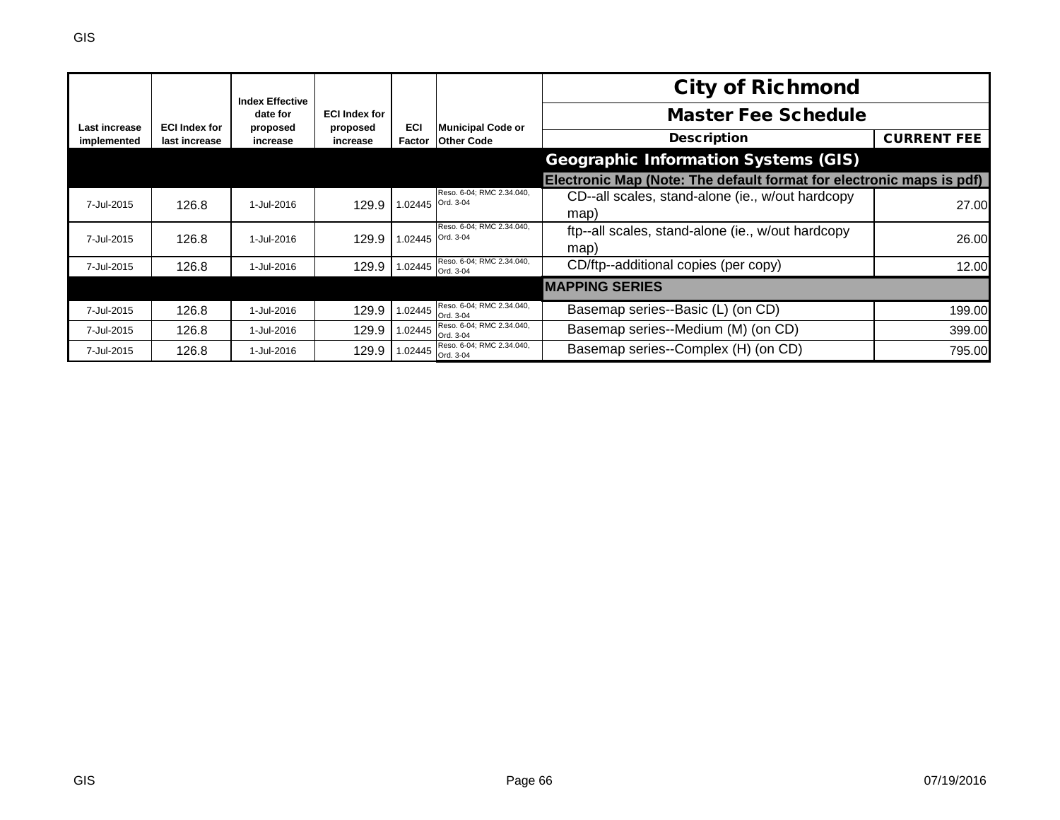|               |                      | <b>Index Effective</b> |                      |                   |                                                       | <b>City of Richmond</b>                                              |                    |
|---------------|----------------------|------------------------|----------------------|-------------------|-------------------------------------------------------|----------------------------------------------------------------------|--------------------|
| Last increase | <b>ECI Index for</b> | date for               | <b>ECI Index for</b> | ECI               |                                                       | <b>Master Fee Schedule</b>                                           |                    |
| implemented   | last increase        | proposed<br>increase   | proposed<br>increase |                   | <b>Municipal Code or</b><br>Factor Other Code         | <b>Description</b>                                                   | <b>CURRENT FEE</b> |
|               |                      |                        |                      |                   |                                                       | <b>Geographic Information Systems (GIS)</b>                          |                    |
|               |                      |                        |                      |                   |                                                       | Electronic Map (Note: The default format for electronic maps is pdf) |                    |
| 7-Jul-2015    | 126.8                | 1-Jul-2016             | 129.9                | 1.02445 Ord. 3-04 | Reso. 6-04; RMC 2.34.040,                             | CD--all scales, stand-alone (ie., w/out hardcopy<br>map)             | 27.00              |
| 7-Jul-2015    | 126.8                | 1-Jul-2016             | 129.9                | 1.02445 Ord. 3-04 | Reso, 6-04: RMC 2.34.040.                             | ftp--all scales, stand-alone (ie., w/out hardcopy<br>map)            | 26.00              |
| 7-Jul-2015    | 126.8                | 1-Jul-2016             | 129.9                |                   | Reso. 6-04; RMC 2.34.040,<br>$1.02445$ ord. $3-04$    | CD/ftp--additional copies (per copy)                                 | 12.00              |
|               |                      |                        |                      |                   |                                                       | <b>MAPPING SERIES</b>                                                |                    |
| 7-Jul-2015    | 126.8                | 1-Jul-2016             | 129.9                | 1.02445           | Reso. 6-04; RMC 2.34.040,<br>Ord. 3-04                | Basemap series--Basic (L) (on CD)                                    | 199.00             |
| 7-Jul-2015    | 126.8                | 1-Jul-2016             | 129.9                | 1.02445           | Reso. 6-04; RMC 2.34.040,<br>Ord. 3-04                | Basemap series--Medium (M) (on CD)                                   | 399.00             |
| 7-Jul-2015    | 126.8                | 1-Jul-2016             | 129.9                |                   | Reso. 6-04; RMC 2.34.040,<br>1.02445 $\int$ Ord. 3-04 | Basemap series--Complex (H) (on CD)                                  | 795.00             |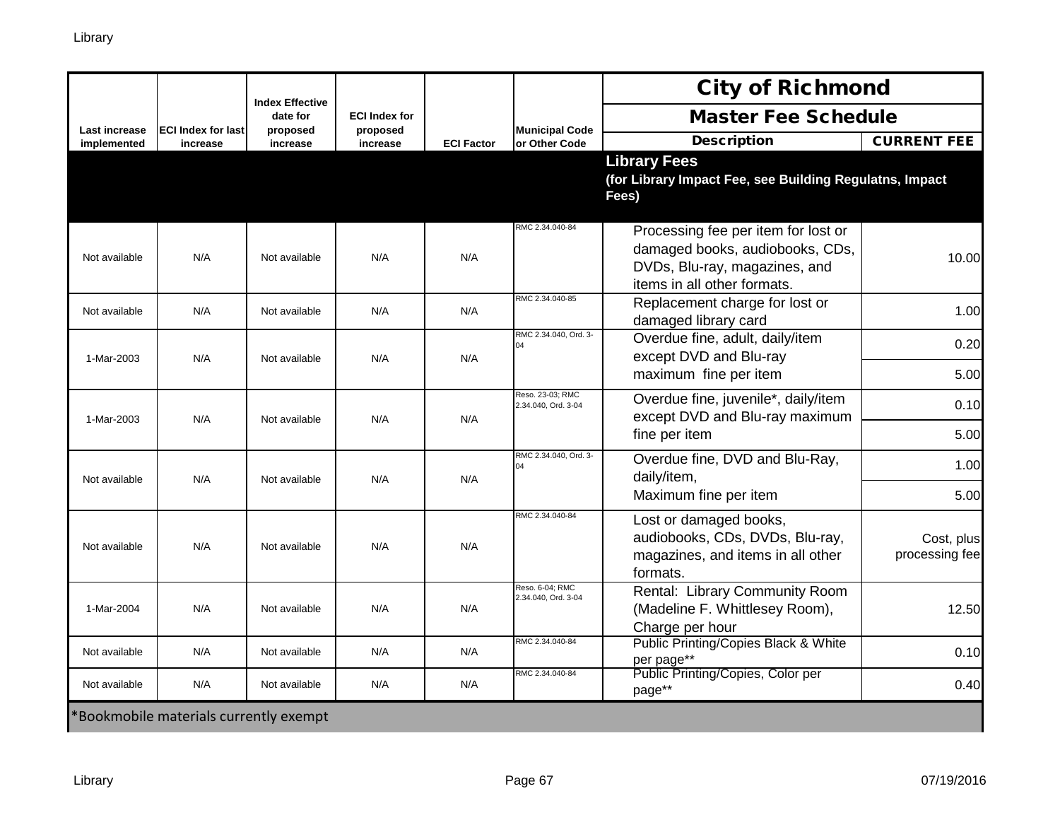|                      |                                        | <b>Index Effective</b> |                                  |                   |                                         | <b>City of Richmond</b>                                                                                                                |                              |
|----------------------|----------------------------------------|------------------------|----------------------------------|-------------------|-----------------------------------------|----------------------------------------------------------------------------------------------------------------------------------------|------------------------------|
| <b>Last increase</b> | <b>ECI Index for last</b>              | date for<br>proposed   | <b>ECI Index for</b><br>proposed |                   | <b>Municipal Code</b>                   | <b>Master Fee Schedule</b>                                                                                                             |                              |
| implemented          | increase                               | increase               | increase                         | <b>ECI Factor</b> | or Other Code                           | <b>Description</b>                                                                                                                     | <b>CURRENT FEE</b>           |
|                      |                                        |                        |                                  |                   |                                         | <b>Library Fees</b><br>(for Library Impact Fee, see Building Regulatns, Impact<br>Fees)                                                |                              |
| Not available        | N/A                                    | Not available          | N/A                              | N/A               | RMC 2.34.040-84                         | Processing fee per item for lost or<br>damaged books, audiobooks, CDs,<br>DVDs, Blu-ray, magazines, and<br>items in all other formats. | 10.00                        |
| Not available        | N/A                                    | Not available          | N/A                              | N/A               | RMC 2.34.040-85                         | Replacement charge for lost or<br>damaged library card                                                                                 | 1.00                         |
| 1-Mar-2003           | N/A                                    | Not available          | N/A                              | N/A               | RMC 2.34.040, Ord. 3-<br>$\Omega$       | Overdue fine, adult, daily/item<br>except DVD and Blu-ray                                                                              | 0.20                         |
|                      |                                        |                        |                                  |                   |                                         | maximum fine per item                                                                                                                  | 5.00                         |
| 1-Mar-2003           | N/A                                    | Not available          | N/A                              | N/A               | Reso. 23-03; RMC<br>2.34.040, Ord. 3-04 | Overdue fine, juvenile*, daily/item<br>except DVD and Blu-ray maximum                                                                  | 0.10                         |
|                      |                                        |                        |                                  |                   |                                         | fine per item                                                                                                                          | 5.00                         |
| Not available        | N/A                                    | Not available          | N/A                              | N/A               | RMC 2.34.040, Ord. 3-                   | Overdue fine, DVD and Blu-Ray,<br>daily/item,                                                                                          | 1.00                         |
|                      |                                        |                        |                                  |                   |                                         | Maximum fine per item                                                                                                                  | 5.00                         |
| Not available        | N/A                                    | Not available          | N/A                              | N/A               | RMC 2.34.040-84                         | Lost or damaged books,<br>audiobooks, CDs, DVDs, Blu-ray,<br>magazines, and items in all other<br>formats.                             | Cost, plus<br>processing fee |
| 1-Mar-2004           | N/A                                    | Not available          | N/A                              | N/A               | Reso, 6-04: RMC<br>2.34.040, Ord. 3-04  | Rental: Library Community Room<br>(Madeline F. Whittlesey Room),<br>Charge per hour                                                    | 12.50                        |
| Not available        | N/A                                    | Not available          | N/A                              | N/A               | RMC 2.34.040-84                         | <b>Public Printing/Copies Black &amp; White</b><br>per page**                                                                          | 0.10                         |
| Not available        | N/A                                    | Not available          | N/A                              | N/A               | RMC 2.34.040-84                         | Public Printing/Copies, Color per<br>page**                                                                                            | 0.40                         |
|                      | *Bookmobile materials currently exempt |                        |                                  |                   |                                         |                                                                                                                                        |                              |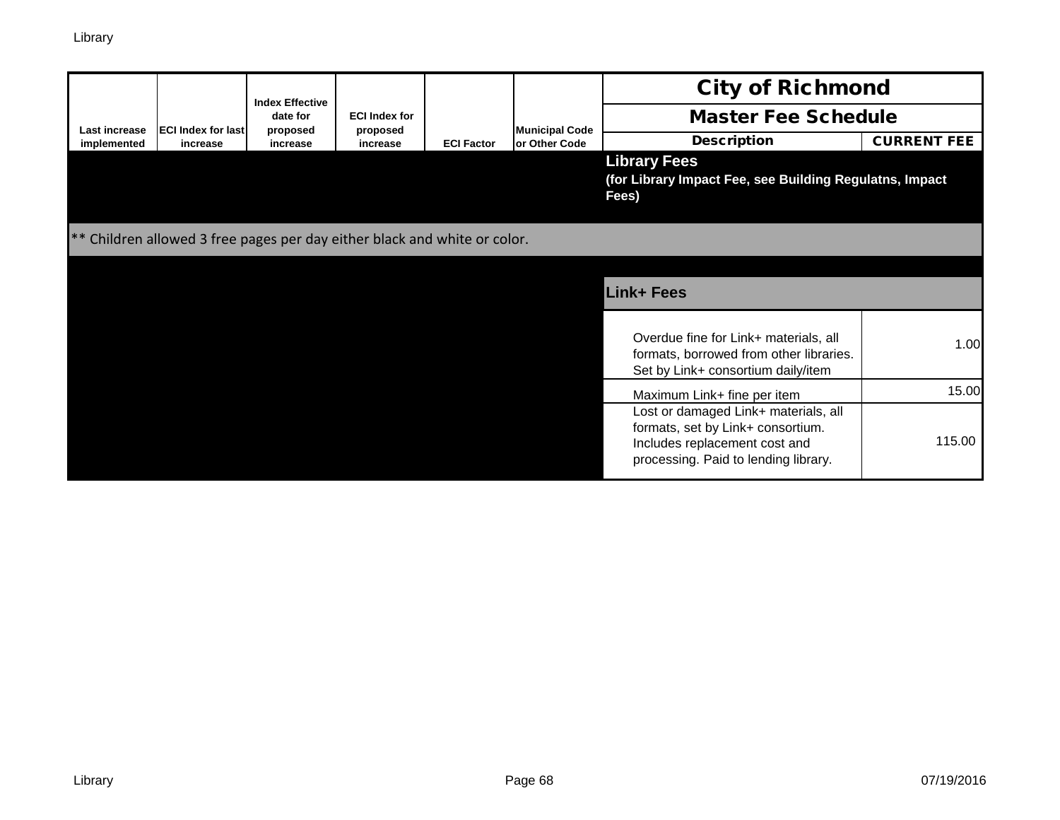|               | <b>Index Effective</b>                                                    |                      |                                  |                   |                       | <b>City of Richmond</b>                                                                                                                            |                    |  |  |
|---------------|---------------------------------------------------------------------------|----------------------|----------------------------------|-------------------|-----------------------|----------------------------------------------------------------------------------------------------------------------------------------------------|--------------------|--|--|
| Last increase | <b>ECI Index for last</b>                                                 | date for<br>proposed | <b>ECI Index for</b><br>proposed |                   | <b>Municipal Code</b> | <b>Master Fee Schedule</b>                                                                                                                         |                    |  |  |
| implemented   | increase                                                                  | increase             | increase                         | <b>ECI Factor</b> | or Other Code         | <b>Description</b>                                                                                                                                 | <b>CURRENT FEE</b> |  |  |
|               |                                                                           |                      |                                  |                   |                       | <b>Library Fees</b><br>(for Library Impact Fee, see Building Regulatns, Impact<br>Fees)                                                            |                    |  |  |
|               | ** Children allowed 3 free pages per day either black and white or color. |                      |                                  |                   |                       |                                                                                                                                                    |                    |  |  |
|               |                                                                           |                      |                                  |                   |                       | <b>Link+ Fees</b>                                                                                                                                  |                    |  |  |
|               |                                                                           |                      |                                  |                   |                       | Overdue fine for Link+ materials, all<br>formats, borrowed from other libraries.<br>Set by Link+ consortium daily/item                             | 1.00               |  |  |
|               |                                                                           |                      |                                  |                   |                       | Maximum Link+ fine per item                                                                                                                        | 15.00              |  |  |
|               |                                                                           |                      |                                  |                   |                       | Lost or damaged Link+ materials, all<br>formats, set by Link+ consortium.<br>Includes replacement cost and<br>processing. Paid to lending library. | 115.00             |  |  |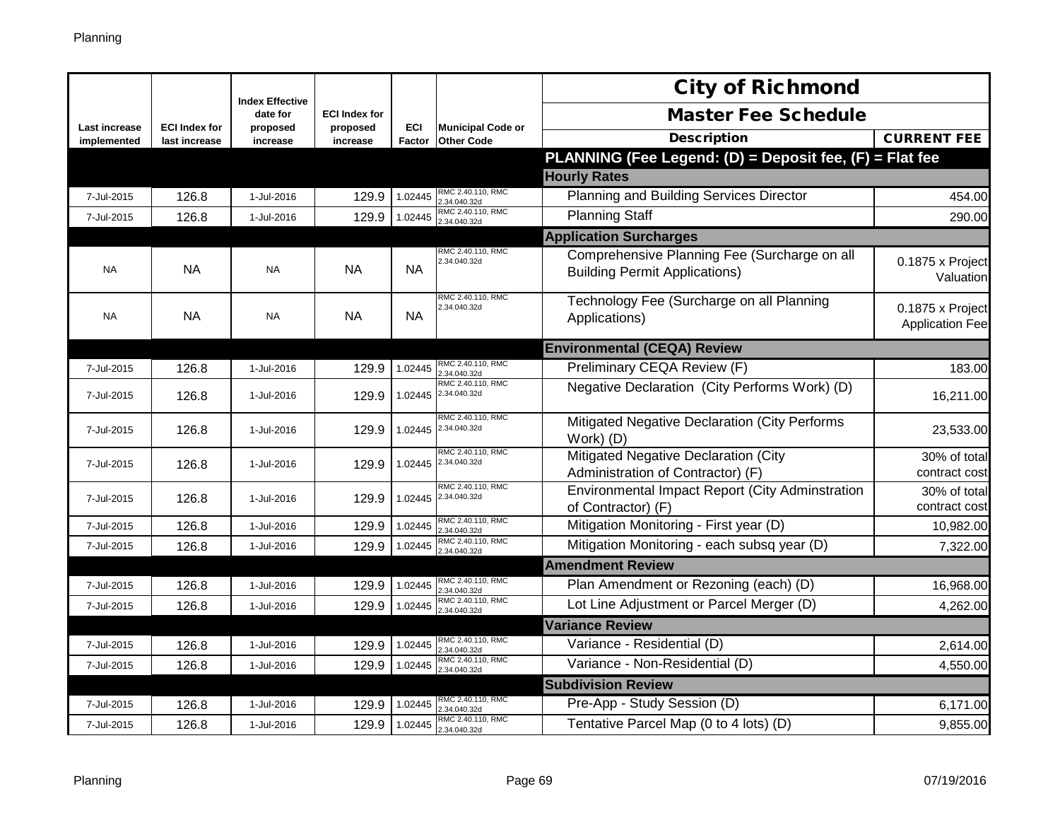|                              |                                       | <b>Index Effective</b> |                      |                      |                                               | <b>City of Richmond</b>                                                              |                                            |
|------------------------------|---------------------------------------|------------------------|----------------------|----------------------|-----------------------------------------------|--------------------------------------------------------------------------------------|--------------------------------------------|
|                              |                                       | date for               | <b>ECI Index for</b> |                      |                                               | <b>Master Fee Schedule</b>                                                           |                                            |
| Last increase<br>implemented | <b>ECI Index for</b><br>last increase | proposed<br>increase   | proposed<br>increase | <b>ECI</b><br>Factor | <b>Municipal Code or</b><br><b>Other Code</b> | <b>Description</b>                                                                   | <b>CURRENT FEE</b>                         |
|                              |                                       |                        |                      |                      |                                               | PLANNING (Fee Legend: (D) = Deposit fee, (F) = Flat fee                              |                                            |
|                              |                                       |                        |                      |                      |                                               | <b>Hourly Rates</b>                                                                  |                                            |
| 7-Jul-2015                   | 126.8                                 | 1-Jul-2016             | 129.9                | 1.02445              | RMC 2.40.110, RMC<br>.34.040.32d              | Planning and Building Services Director                                              | 454.00                                     |
| 7-Jul-2015                   | 126.8                                 | 1-Jul-2016             | 129.9                | 1.02445              | RMC 2.40.110, RMC<br>2.34.040.32d             | <b>Planning Staff</b>                                                                | 290.00                                     |
|                              |                                       |                        |                      |                      |                                               | <b>Application Surcharges</b>                                                        |                                            |
| <b>NA</b>                    | NA                                    | <b>NA</b>              | <b>NA</b>            | <b>NA</b>            | RMC 2.40.110, RMC<br>2.34.040.32d             | Comprehensive Planning Fee (Surcharge on all<br><b>Building Permit Applications)</b> | 0.1875 x Project<br>Valuation              |
| <b>NA</b>                    | <b>NA</b>                             | <b>NA</b>              | <b>NA</b>            | <b>NA</b>            | RMC 2.40.110, RMC<br>2.34.040.32d             | Technology Fee (Surcharge on all Planning<br>Applications)                           | 0.1875 x Project<br><b>Application Fee</b> |
|                              |                                       |                        |                      |                      |                                               | <b>Environmental (CEQA) Review</b>                                                   |                                            |
| 7-Jul-2015                   | 126.8                                 | 1-Jul-2016             | 129.9                | 1.02445              | RMC 2.40.110, RMC<br>2.34.040.32d             | Preliminary CEQA Review (F)                                                          | 183.00                                     |
| 7-Jul-2015                   | 126.8                                 | 1-Jul-2016             | 129.9                | 1.02445              | RMC 2.40.110, RMC<br>2.34.040.32d             | Negative Declaration (City Performs Work) (D)                                        | 16,211.00                                  |
| 7-Jul-2015                   | 126.8                                 | 1-Jul-2016             | 129.9                | 1.02445              | RMC 2.40.110, RMC<br>2.34.040.32d             | Mitigated Negative Declaration (City Performs<br>Work) (D)                           | 23,533.00                                  |
| 7-Jul-2015                   | 126.8                                 | 1-Jul-2016             | 129.9                |                      | RMC 2.40.110, RMC<br>1.02445 2.34.040.32d     | Mitigated Negative Declaration (City<br>Administration of Contractor) (F)            | 30% of total<br>contract cost              |
| 7-Jul-2015                   | 126.8                                 | 1-Jul-2016             | 129.9                | 1.02445              | RMC 2.40.110, RMC<br>2.34.040.32d             | Environmental Impact Report (City Adminstration<br>of Contractor) (F)                | 30% of total<br>contract cost              |
| 7-Jul-2015                   | 126.8                                 | 1-Jul-2016             | 129.9                | 1.02445              | RMC 2.40.110, RMC<br>.34.040.32d              | Mitigation Monitoring - First year (D)                                               | 10,982.00                                  |
| 7-Jul-2015                   | 126.8                                 | 1-Jul-2016             | 129.9                | 1.02445              | RMC 2.40.110, RMC<br>.34.040.32d              | Mitigation Monitoring - each subsq year (D)                                          | 7,322.00                                   |
|                              |                                       |                        |                      |                      |                                               | <b>Amendment Review</b>                                                              |                                            |
| 7-Jul-2015                   | 126.8                                 | 1-Jul-2016             | 129.9                | 1.02445              | RMC 2.40.110, RMC<br>.34.040.32d              | Plan Amendment or Rezoning (each) (D)                                                | 16,968.00                                  |
| 7-Jul-2015                   | 126.8                                 | 1-Jul-2016             | 129.9                | 1.02445              | RMC 2.40.110, RMC<br>.34.040.32d              | Lot Line Adjustment or Parcel Merger (D)                                             | 4,262.00                                   |
|                              |                                       |                        |                      |                      |                                               | <b>Variance Review</b>                                                               |                                            |
| 7-Jul-2015                   | 126.8                                 | 1-Jul-2016             | 129.9                | 1.02445              | RMC 2.40.110, RMC<br>.34.040.32d              | Variance - Residential (D)                                                           | 2,614.00                                   |
| 7-Jul-2015                   | 126.8                                 | 1-Jul-2016             | 129.9                | 1.02445              | RMC 2.40.110, RMC<br>.34.040.32d              | Variance - Non-Residential (D)                                                       | 4,550.00                                   |
|                              |                                       |                        |                      |                      |                                               | <b>Subdivision Review</b>                                                            |                                            |
| 7-Jul-2015                   | 126.8                                 | 1-Jul-2016             | 129.9                | 1.02445              | RMC 2.40.110, RMC<br>.34.040.32d              | Pre-App - Study Session (D)                                                          | 6,171.00                                   |
| 7-Jul-2015                   | 126.8                                 | 1-Jul-2016             | 129.9                | 1.02445              | RMC 2.40.110, RMC<br>2.34.040.32d             | Tentative Parcel Map (0 to 4 lots) (D)                                               | 9,855.00                                   |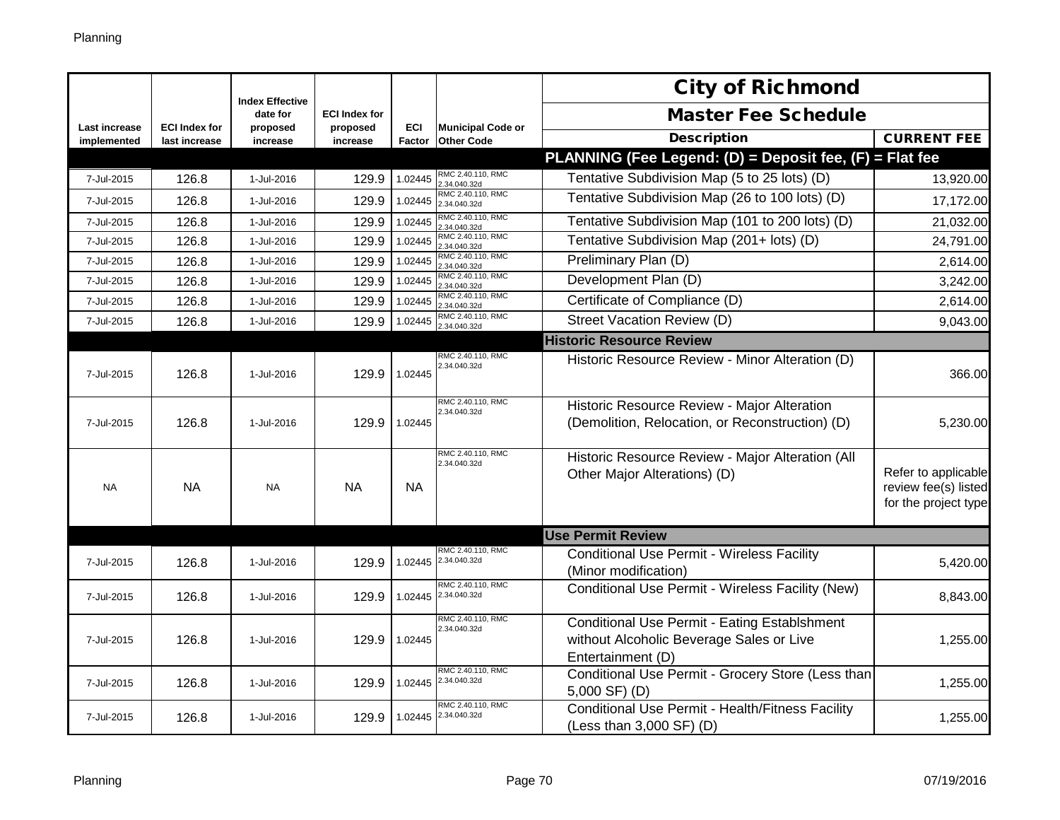|                              |                                       | <b>Index Effective</b> |                      |                      |                                               | <b>City of Richmond</b>                                                                                       |                                                                     |
|------------------------------|---------------------------------------|------------------------|----------------------|----------------------|-----------------------------------------------|---------------------------------------------------------------------------------------------------------------|---------------------------------------------------------------------|
|                              |                                       | date for               | <b>ECI Index for</b> |                      |                                               | <b>Master Fee Schedule</b>                                                                                    |                                                                     |
| Last increase<br>implemented | <b>ECI Index for</b><br>last increase | proposed<br>increase   | proposed<br>increase | ECI<br><b>Factor</b> | <b>Municipal Code or</b><br><b>Other Code</b> | <b>Description</b>                                                                                            | <b>CURRENT FEE</b>                                                  |
|                              |                                       |                        |                      |                      |                                               | PLANNING (Fee Legend: (D) = Deposit fee, (F) = Flat fee                                                       |                                                                     |
| 7-Jul-2015                   | 126.8                                 | 1-Jul-2016             | 129.9                | 1.02445              | RMC 2.40.110, RMC<br>.34.040.32d              | Tentative Subdivision Map (5 to 25 lots) (D)                                                                  | 13,920.00                                                           |
| 7-Jul-2015                   | 126.8                                 | 1-Jul-2016             | 129.9                | 1.02445              | RMC 2.40.110, RMC<br>2.34.040.32d             | Tentative Subdivision Map (26 to 100 lots) (D)                                                                | 17,172.00                                                           |
| 7-Jul-2015                   | 126.8                                 | 1-Jul-2016             | 129.9                | 1.02445              | RMC 2.40.110, RMC<br>.34.040.32d              | Tentative Subdivision Map (101 to 200 lots) (D)                                                               | 21,032.00                                                           |
| 7-Jul-2015                   | 126.8                                 | 1-Jul-2016             | 129.9                | 1.02445              | RMC 2.40.110, RMC<br>.34.040.32d              | Tentative Subdivision Map (201+ lots) (D)                                                                     | 24,791.00                                                           |
| 7-Jul-2015                   | 126.8                                 | 1-Jul-2016             | 129.9                | 1.02445              | RMC 2.40.110, RMC<br>2.34.040.32d             | Preliminary Plan (D)                                                                                          | 2,614.00                                                            |
| 7-Jul-2015                   | 126.8                                 | 1-Jul-2016             | 129.9                | 1.02445              | RMC 2.40.110, RMC<br>.34.040.32d              | Development Plan (D)                                                                                          | 3,242.00                                                            |
| 7-Jul-2015                   | 126.8                                 | 1-Jul-2016             | 129.9                | 1.02445              | RMC 2.40.110, RMC<br>.34.040.32d              | Certificate of Compliance (D)                                                                                 | 2,614.00                                                            |
| 7-Jul-2015                   | 126.8                                 | 1-Jul-2016             | 129.9                | 1.02445              | RMC 2.40.110, RMC<br>.34.040.32d              | Street Vacation Review (D)                                                                                    | 9,043.00                                                            |
|                              |                                       |                        |                      |                      |                                               | <b>Historic Resource Review</b>                                                                               |                                                                     |
| 7-Jul-2015                   | 126.8                                 | 1-Jul-2016             | 129.9                | 1.02445              | RMC 2.40.110, RMC<br>2.34.040.32d             | Historic Resource Review - Minor Alteration (D)                                                               | 366.00                                                              |
| 7-Jul-2015                   | 126.8                                 | 1-Jul-2016             | 129.9                | 1.02445              | RMC 2.40.110, RMC<br>2.34.040.32d             | Historic Resource Review - Major Alteration<br>(Demolition, Relocation, or Reconstruction) (D)                | 5,230.00                                                            |
| <b>NA</b>                    | <b>NA</b>                             | <b>NA</b>              | <b>NA</b>            | NA.                  | RMC 2.40.110, RMC<br>2.34.040.32d             | Historic Resource Review - Major Alteration (All<br>Other Major Alterations) (D)                              | Refer to applicable<br>review fee(s) listed<br>for the project type |
|                              |                                       |                        |                      |                      |                                               | <b>Use Permit Review</b>                                                                                      |                                                                     |
| 7-Jul-2015                   | 126.8                                 | 1-Jul-2016             | 129.9                | 1.02445              | RMC 2.40.110, RMC<br>2.34.040.32d             | <b>Conditional Use Permit - Wireless Facility</b><br>(Minor modification)                                     | 5,420.00                                                            |
| 7-Jul-2015                   | 126.8                                 | 1-Jul-2016             | 129.9                | 1.02445              | RMC 2.40.110, RMC<br>2.34.040.32d             | Conditional Use Permit - Wireless Facility (New)                                                              | 8,843.00                                                            |
| 7-Jul-2015                   | 126.8                                 | 1-Jul-2016             | 129.9                | 1.02445              | RMC 2.40.110, RMC<br>2.34.040.32d             | Conditional Use Permit - Eating Establshment<br>without Alcoholic Beverage Sales or Live<br>Entertainment (D) | 1,255.00                                                            |
| 7-Jul-2015                   | 126.8                                 | 1-Jul-2016             | 129.9                | 1.02445              | RMC 2.40.110, RMC<br>2.34.040.32d             | Conditional Use Permit - Grocery Store (Less than<br>5,000 SF) (D)                                            | 1,255.00                                                            |
| 7-Jul-2015                   | 126.8                                 | 1-Jul-2016             | 129.9                | 1.02445              | RMC 2.40.110, RMC<br>2.34.040.32d             | Conditional Use Permit - Health/Fitness Facility<br>(Less than 3,000 SF) (D)                                  | 1,255.00                                                            |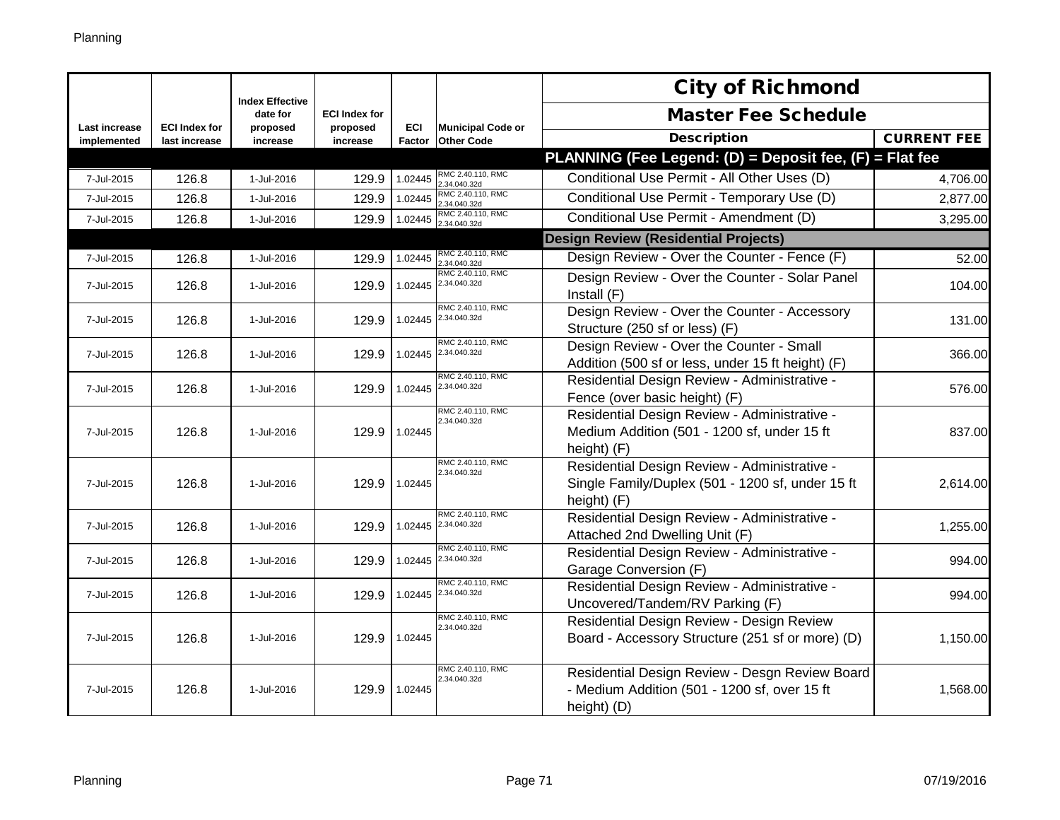|                              |                                       | <b>Index Effective</b> |                      |                      |                                               | <b>City of Richmond</b>                                                                                         |                    |
|------------------------------|---------------------------------------|------------------------|----------------------|----------------------|-----------------------------------------------|-----------------------------------------------------------------------------------------------------------------|--------------------|
|                              |                                       | date for               | <b>ECI Index for</b> |                      |                                               | <b>Master Fee Schedule</b>                                                                                      |                    |
| Last increase<br>implemented | <b>ECI Index for</b><br>last increase | proposed<br>increase   | proposed<br>increase | <b>ECI</b><br>Factor | <b>Municipal Code or</b><br><b>Other Code</b> | <b>Description</b>                                                                                              | <b>CURRENT FEE</b> |
|                              |                                       |                        |                      |                      |                                               | PLANNING (Fee Legend: (D) = Deposit fee, (F) = Flat fee                                                         |                    |
| 7-Jul-2015                   | 126.8                                 | 1-Jul-2016             | 129.9                | 1.02445              | RMC 2.40.110, RMC<br>2.34.040.32d             | Conditional Use Permit - All Other Uses (D)                                                                     | 4,706.00           |
| 7-Jul-2015                   | 126.8                                 | 1-Jul-2016             | 129.9                | 1.02445              | RMC 2.40.110, RMC<br>2.34.040.32d             | Conditional Use Permit - Temporary Use (D)                                                                      | 2,877.00           |
| 7-Jul-2015                   | 126.8                                 | 1-Jul-2016             | 129.9                | 1.02445              | RMC 2.40.110, RMC<br>2.34.040.32d             | Conditional Use Permit - Amendment (D)                                                                          | 3,295.00           |
|                              |                                       |                        |                      |                      |                                               | <b>Design Review (Residential Projects)</b>                                                                     |                    |
| 7-Jul-2015                   | 126.8                                 | 1-Jul-2016             | 129.9                | 1.02445              | RMC 2.40.110, RMC<br>2.34.040.32d             | Design Review - Over the Counter - Fence (F)                                                                    | 52.00              |
| 7-Jul-2015                   | 126.8                                 | 1-Jul-2016             | 129.9                | 1.02445              | RMC 2.40.110, RMC<br>2.34.040.32d             | Design Review - Over the Counter - Solar Panel<br>Install $(F)$                                                 | 104.00             |
| 7-Jul-2015                   | 126.8                                 | 1-Jul-2016             | 129.9                | 1.02445              | RMC 2.40.110, RMC<br>2.34.040.32d             | Design Review - Over the Counter - Accessory<br>Structure (250 sf or less) (F)                                  | 131.00             |
| 7-Jul-2015                   | 126.8                                 | 1-Jul-2016             | 129.9                | 1.02445              | RMC 2.40.110, RMC<br>2.34.040.32d             | Design Review - Over the Counter - Small<br>Addition (500 sf or less, under 15 ft height) (F)                   | 366.00l            |
| 7-Jul-2015                   | 126.8                                 | 1-Jul-2016             | 129.9                | 1.02445              | RMC 2.40.110, RMC<br>2.34.040.32d             | Residential Design Review - Administrative -<br>Fence (over basic height) (F)                                   | 576.00             |
| 7-Jul-2015                   | 126.8                                 | 1-Jul-2016             | 129.9                | 1.02445              | RMC 2.40.110, RMC<br>2.34.040.32d             | Residential Design Review - Administrative -<br>Medium Addition (501 - 1200 sf, under 15 ft<br>height) (F)      | 837.00             |
| 7-Jul-2015                   | 126.8                                 | 1-Jul-2016             | 129.9                | 1.02445              | RMC 2.40.110, RMC<br>2.34.040.32d             | Residential Design Review - Administrative -<br>Single Family/Duplex (501 - 1200 sf, under 15 ft<br>height) (F) | 2,614.00           |
| 7-Jul-2015                   | 126.8                                 | 1-Jul-2016             | 129.9                |                      | RMC 2.40.110, RMC<br>1.02445 2.34.040.32d     | Residential Design Review - Administrative -<br>Attached 2nd Dwelling Unit (F)                                  | 1,255.00           |
| 7-Jul-2015                   | 126.8                                 | 1-Jul-2016             | 129.9                |                      | RMC 2.40.110, RMC<br>1.02445 2.34.040.32d     | Residential Design Review - Administrative -<br>Garage Conversion (F)                                           | 994.00             |
| 7-Jul-2015                   | 126.8                                 | 1-Jul-2016             | 129.9                | 1.02445              | RMC 2.40.110, RMC<br>2.34.040.32d             | Residential Design Review - Administrative -<br>Uncovered/Tandem/RV Parking (F)                                 | 994.00             |
| 7-Jul-2015                   | 126.8                                 | 1-Jul-2016             | 129.9                | 1.02445              | RMC 2.40.110, RMC<br>2.34.040.32d             | Residential Design Review - Design Review<br>Board - Accessory Structure (251 sf or more) (D)                   | 1,150.00           |
| 7-Jul-2015                   | 126.8                                 | 1-Jul-2016             | 129.9                | 1.02445              | RMC 2.40.110, RMC<br>2.34.040.32d             | Residential Design Review - Desgn Review Board<br>- Medium Addition (501 - 1200 sf, over 15 ft<br>height) (D)   | 1,568.00           |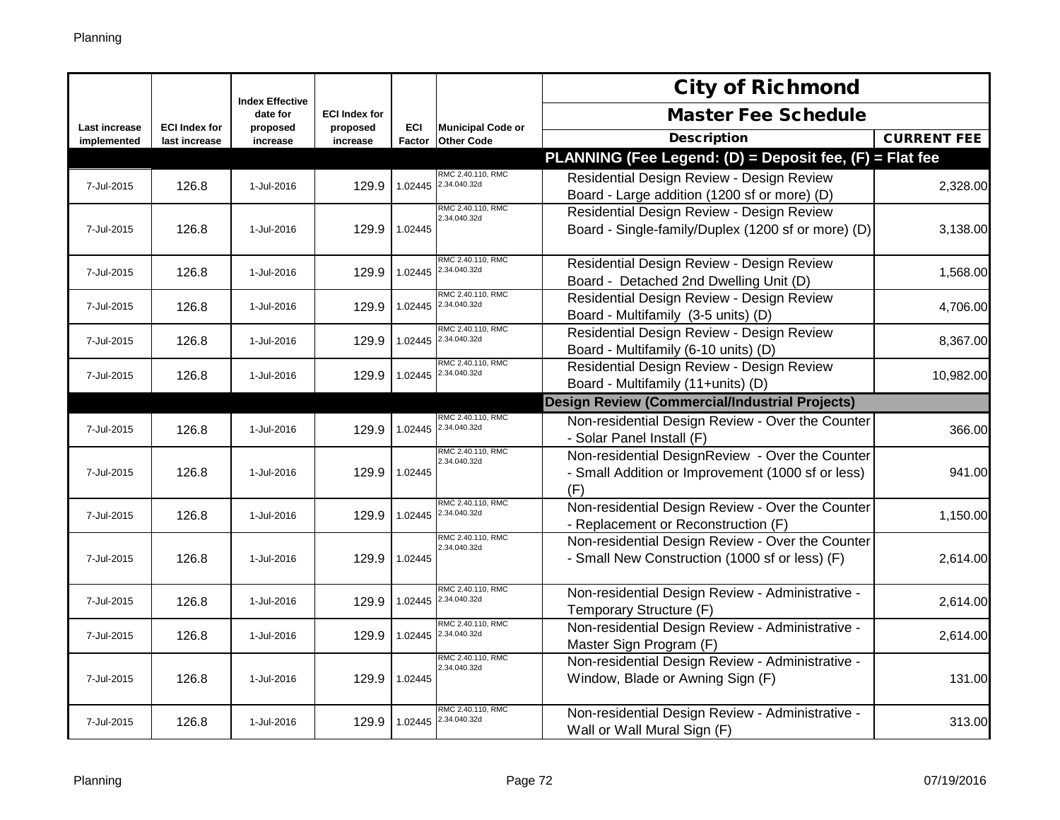|                              |                                       | <b>Index Effective</b> |                      |               |                                               | <b>City of Richmond</b>                                                                                     |                    |
|------------------------------|---------------------------------------|------------------------|----------------------|---------------|-----------------------------------------------|-------------------------------------------------------------------------------------------------------------|--------------------|
|                              |                                       | date for               | <b>ECI Index for</b> |               |                                               | <b>Master Fee Schedule</b>                                                                                  |                    |
| Last increase<br>implemented | <b>ECI Index for</b><br>last increase | proposed<br>increase   | proposed<br>increase | ECI<br>Factor | <b>Municipal Code or</b><br><b>Other Code</b> | <b>Description</b>                                                                                          | <b>CURRENT FEE</b> |
|                              |                                       |                        |                      |               |                                               | PLANNING (Fee Legend: (D) = Deposit fee, (F) = Flat fee                                                     |                    |
| 7-Jul-2015                   | 126.8                                 | 1-Jul-2016             | 129.9                | 1.02445       | RMC 2.40.110, RMC<br>2.34.040.32d             | Residential Design Review - Design Review<br>Board - Large addition (1200 sf or more) (D)                   | 2,328.00           |
| 7-Jul-2015                   | 126.8                                 | 1-Jul-2016             | 129.9                | 1.02445       | RMC 2.40.110, RMC<br>2.34.040.32d             | Residential Design Review - Design Review<br>Board - Single-family/Duplex (1200 sf or more) (D)             | 3,138.00           |
| 7-Jul-2015                   | 126.8                                 | 1-Jul-2016             | 129.9                | 1.02445       | RMC 2.40.110, RMC<br>2.34.040.32d             | Residential Design Review - Design Review<br>Board - Detached 2nd Dwelling Unit (D)                         | 1,568.00           |
| 7-Jul-2015                   | 126.8                                 | 1-Jul-2016             | 129.9                | 1.02445       | RMC 2.40.110, RMC<br>2.34.040.32d             | Residential Design Review - Design Review<br>Board - Multifamily (3-5 units) (D)                            | 4,706.00           |
| 7-Jul-2015                   | 126.8                                 | 1-Jul-2016             | 129.9                | 1.02445       | RMC 2.40.110, RMC<br>2.34.040.32d             | Residential Design Review - Design Review<br>Board - Multifamily (6-10 units) (D)                           | 8,367.00           |
| 7-Jul-2015                   | 126.8                                 | 1-Jul-2016             | 129.9                | 1.02445       | RMC 2.40.110, RMC<br>2.34.040.32d             | Residential Design Review - Design Review<br>Board - Multifamily (11+units) (D)                             | 10,982.00          |
|                              |                                       |                        |                      |               |                                               | <b>Design Review (Commercial/Industrial Projects)</b>                                                       |                    |
| 7-Jul-2015                   | 126.8                                 | 1-Jul-2016             | 129.9                | 1.02445       | RMC 2.40.110, RMC<br>2.34.040.32d             | Non-residential Design Review - Over the Counter<br>- Solar Panel Install (F)                               | 366.00             |
| 7-Jul-2015                   | 126.8                                 | 1-Jul-2016             | 129.9                | 1.02445       | RMC 2.40.110, RMC<br>2.34.040.32d             | Non-residential DesignReview - Over the Counter<br>- Small Addition or Improvement (1000 sf or less)<br>(F) | 941.00             |
| 7-Jul-2015                   | 126.8                                 | 1-Jul-2016             | 129.9                | 1.02445       | RMC 2.40.110, RMC<br>2.34.040.32d             | Non-residential Design Review - Over the Counter<br>- Replacement or Reconstruction (F)                     | 1,150.00           |
| 7-Jul-2015                   | 126.8                                 | 1-Jul-2016             | 129.9                | 1.02445       | RMC 2.40.110, RMC<br>2.34.040.32d             | Non-residential Design Review - Over the Counter<br>- Small New Construction (1000 sf or less) (F)          | 2,614.00           |
| 7-Jul-2015                   | 126.8                                 | 1-Jul-2016             | 129.9                | 1.02445       | RMC 2.40.110, RMC<br>2.34.040.32d             | Non-residential Design Review - Administrative -<br>Temporary Structure (F)                                 | 2,614.00           |
| 7-Jul-2015                   | 126.8                                 | 1-Jul-2016             | 129.9                | 1.02445       | RMC 2.40.110, RMC<br>2.34.040.32d             | Non-residential Design Review - Administrative -<br>Master Sign Program (F)                                 | 2,614.00           |
| 7-Jul-2015                   | 126.8                                 | 1-Jul-2016             | 129.9                | 1.02445       | RMC 2.40.110, RMC<br>2.34.040.32d             | Non-residential Design Review - Administrative -<br>Window, Blade or Awning Sign (F)                        | 131.00             |
| 7-Jul-2015                   | 126.8                                 | 1-Jul-2016             | 129.9                | 1.02445       | RMC 2.40.110, RMC<br>2.34.040.32d             | Non-residential Design Review - Administrative -<br>Wall or Wall Mural Sign (F)                             | 313.00             |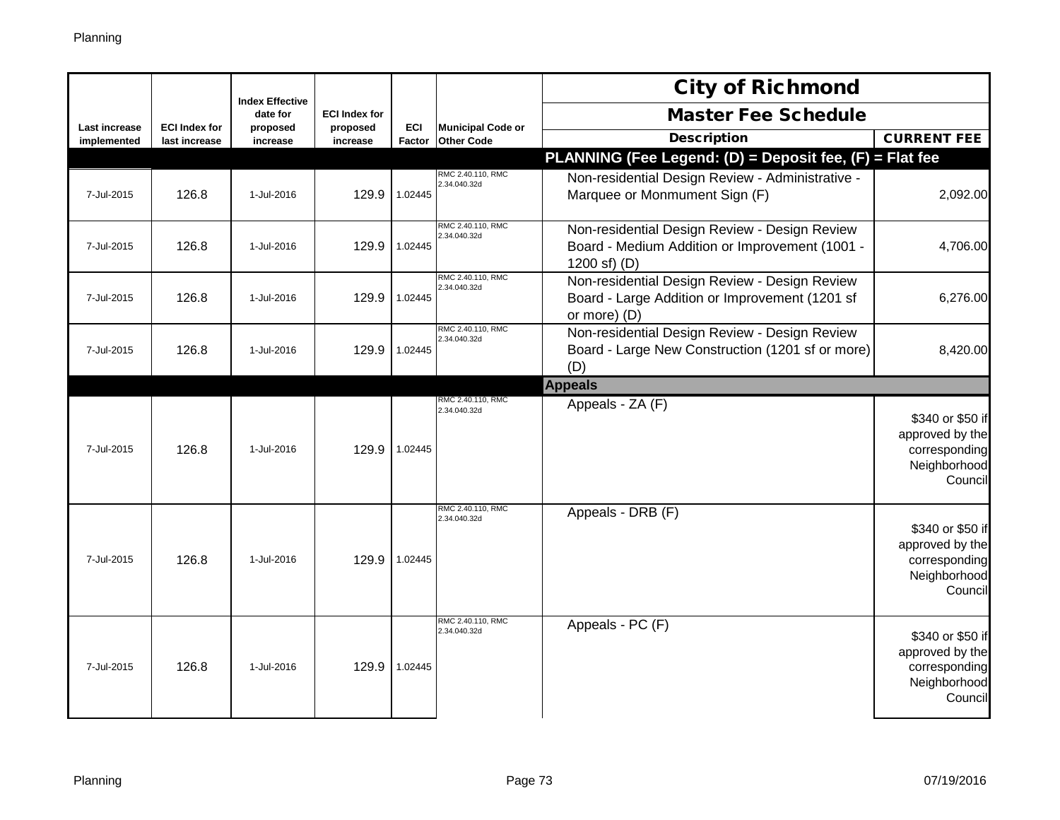|                      |                      | <b>Index Effective</b> |                      |         |                                   | <b>City of Richmond</b>                                                                                           |                                                                                 |
|----------------------|----------------------|------------------------|----------------------|---------|-----------------------------------|-------------------------------------------------------------------------------------------------------------------|---------------------------------------------------------------------------------|
| <b>Last increase</b> | <b>ECI Index for</b> | date for               | <b>ECI Index for</b> | ECI     | <b>Municipal Code or</b>          | <b>Master Fee Schedule</b>                                                                                        |                                                                                 |
| implemented          | last increase        | proposed<br>increase   | proposed<br>increase | Factor  | <b>Other Code</b>                 | <b>Description</b>                                                                                                | <b>CURRENT FEE</b>                                                              |
|                      |                      |                        |                      |         |                                   | PLANNING (Fee Legend: (D) = Deposit fee, (F) = Flat fee                                                           |                                                                                 |
| 7-Jul-2015           | 126.8                | 1-Jul-2016             | 129.9                | 1.02445 | RMC 2.40.110, RMC<br>2.34.040.32d | Non-residential Design Review - Administrative -<br>Marquee or Monmument Sign (F)                                 | 2,092.00                                                                        |
| 7-Jul-2015           | 126.8                | 1-Jul-2016             | 129.9                | 1.02445 | RMC 2.40.110, RMC<br>2.34.040.32d | Non-residential Design Review - Design Review<br>Board - Medium Addition or Improvement (1001 -<br>1200 sf) $(D)$ | 4,706.00                                                                        |
| 7-Jul-2015           | 126.8                | 1-Jul-2016             | 129.9                | 1.02445 | RMC 2.40.110, RMC<br>2.34.040.32d | Non-residential Design Review - Design Review<br>Board - Large Addition or Improvement (1201 sf<br>or more) (D)   | 6,276.00                                                                        |
| 7-Jul-2015           | 126.8                | 1-Jul-2016             | 129.9                | 1.02445 | RMC 2.40.110, RMC<br>2.34.040.32d | Non-residential Design Review - Design Review<br>Board - Large New Construction (1201 sf or more)<br>(D)          | 8,420.00                                                                        |
|                      |                      |                        |                      |         |                                   | <b>Appeals</b>                                                                                                    |                                                                                 |
| 7-Jul-2015           | 126.8                | 1-Jul-2016             | 129.9                | 1.02445 | RMC 2.40.110, RMC<br>2.34.040.32d | Appeals - ZA (F)                                                                                                  | \$340 or \$50 if<br>approved by the<br>corresponding<br>Neighborhood<br>Council |
| 7-Jul-2015           | 126.8                | 1-Jul-2016             | 129.9                | 1.02445 | RMC 2.40.110, RMC<br>2.34.040.32d | Appeals - DRB (F)                                                                                                 | \$340 or \$50 if<br>approved by the<br>corresponding<br>Neighborhood<br>Council |
| 7-Jul-2015           | 126.8                | 1-Jul-2016             | 129.9                | 1.02445 | RMC 2.40.110, RMC<br>2.34.040.32d | Appeals - PC (F)                                                                                                  | \$340 or \$50 if<br>approved by the<br>corresponding<br>Neighborhood<br>Council |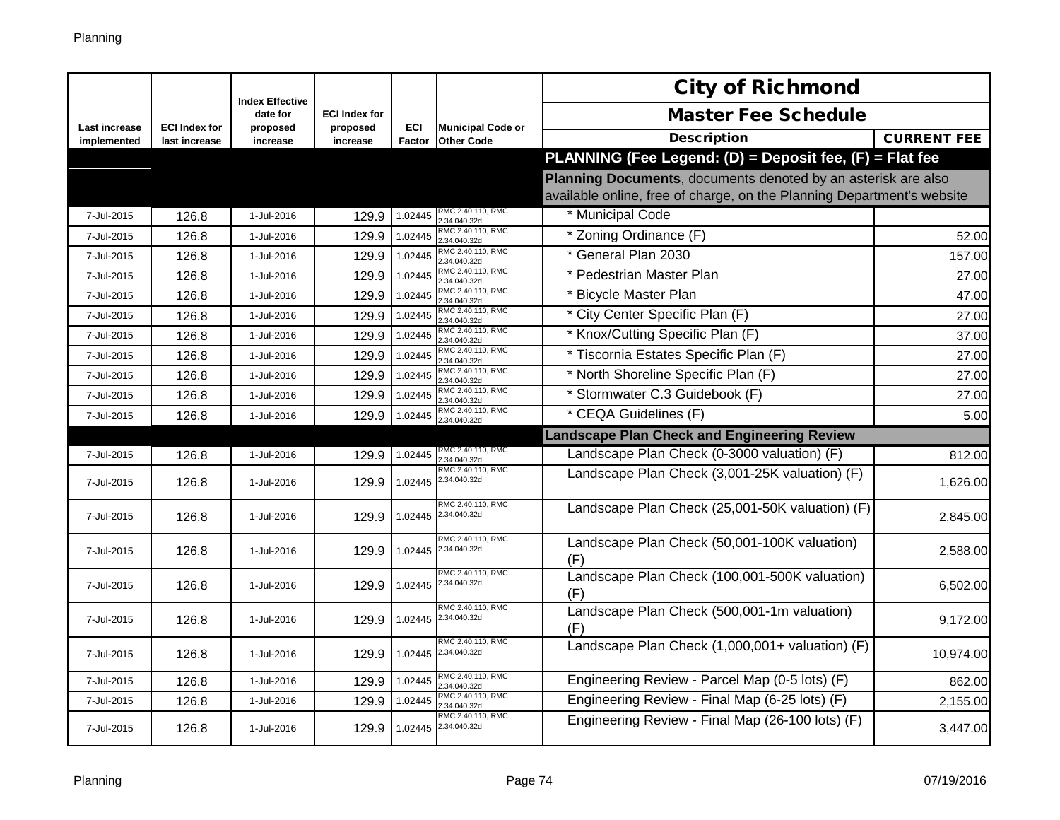|                              |                                       | <b>Index Effective</b> |                      |         |                                               | <b>City of Richmond</b>                                                |                    |
|------------------------------|---------------------------------------|------------------------|----------------------|---------|-----------------------------------------------|------------------------------------------------------------------------|--------------------|
|                              |                                       | date for               | <b>ECI Index for</b> |         |                                               | <b>Master Fee Schedule</b>                                             |                    |
| Last increase<br>implemented | <b>ECI Index for</b><br>last increase | proposed<br>increase   | proposed<br>increase | ECI     | <b>Municipal Code or</b><br>Factor Other Code | <b>Description</b>                                                     | <b>CURRENT FEE</b> |
|                              |                                       |                        |                      |         |                                               | PLANNING (Fee Legend: (D) = Deposit fee, (F) = Flat fee                |                    |
|                              |                                       |                        |                      |         |                                               | Planning Documents, documents denoted by an asterisk are also          |                    |
|                              |                                       |                        |                      |         |                                               | available online, free of charge, on the Planning Department's website |                    |
| 7-Jul-2015                   | 126.8                                 | 1-Jul-2016             | 129.9                | 1.02445 | RMC 2.40.110, RMC<br>2.34.040.32d             | * Municipal Code                                                       |                    |
| 7-Jul-2015                   | 126.8                                 | 1-Jul-2016             | 129.9                | 1.02445 | RMC 2.40.110, RMC<br>2.34.040.32d             | * Zoning Ordinance (F)                                                 | 52.00              |
| 7-Jul-2015                   | 126.8                                 | 1-Jul-2016             | 129.9                | 1.02445 | RMC 2.40.110, RMC<br>2.34.040.32d             | * General Plan 2030                                                    | 157.00             |
| 7-Jul-2015                   | 126.8                                 | 1-Jul-2016             | 129.9                | 1.02445 | RMC 2.40.110, RMC<br>.34.040.32d              | * Pedestrian Master Plan                                               | 27.00              |
| 7-Jul-2015                   | 126.8                                 | 1-Jul-2016             | 129.9                | 1.02445 | RMC 2.40.110, RMC<br>.34.040.32d              | * Bicycle Master Plan                                                  | 47.00              |
| 7-Jul-2015                   | 126.8                                 | 1-Jul-2016             | 129.9                | 1.02445 | RMC 2.40.110, RMC<br>2.34.040.32d             | * City Center Specific Plan (F)                                        | 27.00              |
| 7-Jul-2015                   | 126.8                                 | 1-Jul-2016             | 129.9                | 1.02445 | RMC 2.40.110, RMC<br>.34.040.32d              | * Knox/Cutting Specific Plan (F)                                       | 37.00              |
| 7-Jul-2015                   | 126.8                                 | 1-Jul-2016             | 129.9                | 1.02445 | RMC 2.40.110, RMC<br>.34.040.32d              | * Tiscornia Estates Specific Plan (F)                                  | 27.00              |
| 7-Jul-2015                   | 126.8                                 | 1-Jul-2016             | 129.9                | 1.02445 | RMC 2.40.110, RMC<br>2.34.040.32d             | * North Shoreline Specific Plan (F)                                    | 27.00              |
| 7-Jul-2015                   | 126.8                                 | 1-Jul-2016             | 129.9                | 1.02445 | RMC 2.40.110, RMC<br>.34.040.32d              | * Stormwater C.3 Guidebook (F)                                         | 27.00              |
| 7-Jul-2015                   | 126.8                                 | 1-Jul-2016             | 129.9                | 1.02445 | RMC 2.40.110, RMC<br>.34.040.32d              | * CEQA Guidelines (F)                                                  | 5.00               |
|                              |                                       |                        |                      |         |                                               | <b>Landscape Plan Check and Engineering Review</b>                     |                    |
| 7-Jul-2015                   | 126.8                                 | 1-Jul-2016             | 129.9                | 1.02445 | RMC 2.40.110, RMC<br>.34.040.32d              | Landscape Plan Check (0-3000 valuation) (F)                            | 812.00             |
| 7-Jul-2015                   | 126.8                                 | 1-Jul-2016             | 129.9                | 1.02445 | RMC 2.40.110, RMC<br>2.34.040.32d             | Landscape Plan Check (3,001-25K valuation) (F)                         | 1,626.00           |
| 7-Jul-2015                   | 126.8                                 | 1-Jul-2016             | 129.9                |         | RMC 2.40.110, RMC<br>1.02445 2.34.040.32d     | Landscape Plan Check (25,001-50K valuation) (F)                        | 2,845.00           |
| 7-Jul-2015                   | 126.8                                 | 1-Jul-2016             | 129.9                | 1.02445 | RMC 2.40.110, RMC<br>2.34.040.32d             | Landscape Plan Check (50,001-100K valuation)<br>(F)                    | 2,588.00           |
| 7-Jul-2015                   | 126.8                                 | 1-Jul-2016             | 129.9                |         | RMC 2.40.110, RMC<br>1.02445 2.34.040.32d     | Landscape Plan Check (100,001-500K valuation)<br>(F)                   | 6,502.00           |
| 7-Jul-2015                   | 126.8                                 | 1-Jul-2016             | 129.9                | 1.02445 | RMC 2.40.110, RMC<br>2.34.040.32d             | Landscape Plan Check (500,001-1m valuation)<br>(F)                     | 9,172.00           |
| 7-Jul-2015                   | 126.8                                 | 1-Jul-2016             | 129.9                |         | RMC 2.40.110, RMC<br>1.02445 2.34.040.32d     | Landscape Plan Check (1,000,001+ valuation) (F)                        | 10,974.00          |
| 7-Jul-2015                   | 126.8                                 | 1-Jul-2016             | 129.9                | 1.02445 | RMC 2.40.110, RMC<br>2.34.040.32d             | Engineering Review - Parcel Map (0-5 lots) (F)                         | 862.00             |
| 7-Jul-2015                   | 126.8                                 | 1-Jul-2016             | 129.9                | 1.02445 | RMC 2.40.110, RMC<br>.34.040.32d              | Engineering Review - Final Map (6-25 lots) (F)                         | 2,155.00           |
| 7-Jul-2015                   | 126.8                                 | 1-Jul-2016             | 129.9                | 1.02445 | RMC 2.40.110, RMC<br>2.34.040.32d             | Engineering Review - Final Map (26-100 lots) (F)                       | 3,447.00           |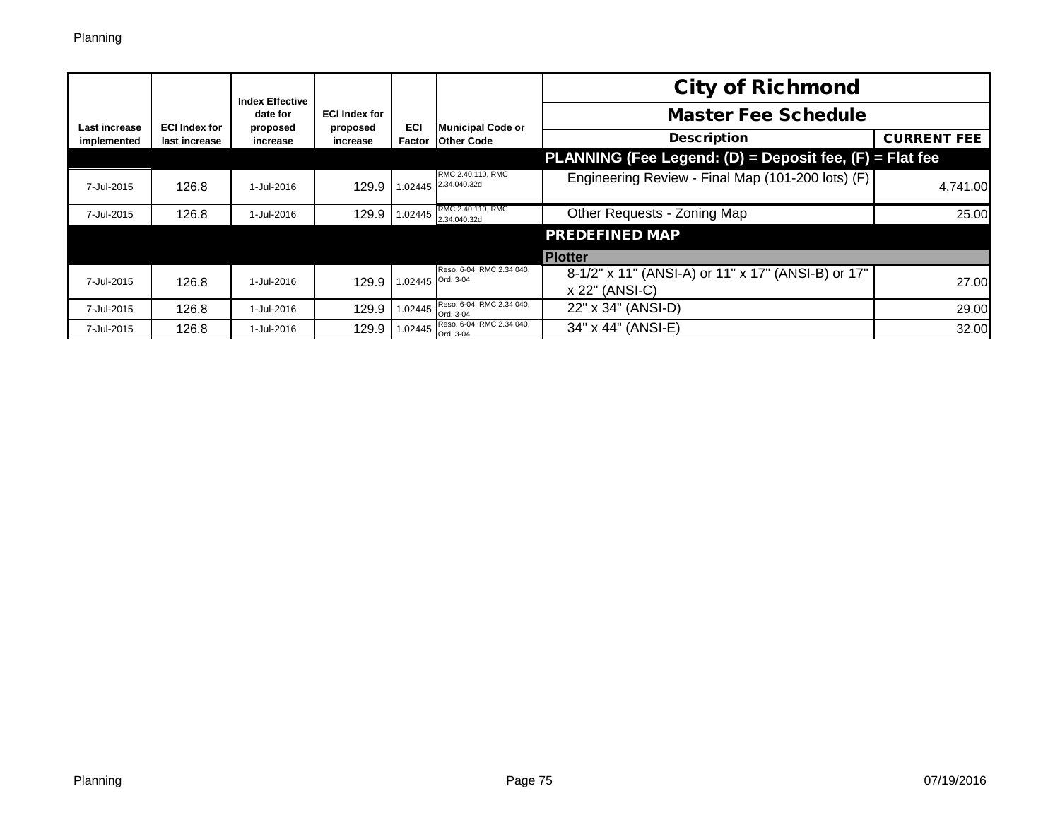|               |                      | <b>Index Effective</b> |                                  |                   |                                           | <b>City of Richmond</b>                                              |                    |
|---------------|----------------------|------------------------|----------------------------------|-------------------|-------------------------------------------|----------------------------------------------------------------------|--------------------|
| Last increase | <b>ECI Index for</b> | date for<br>proposed   | <b>ECI Index for</b><br>proposed | ECI               | <b>Municipal Code or</b>                  | <b>Master Fee Schedule</b>                                           |                    |
| implemented   | last increase        | increase               | increase                         | Factor            | <b>Other Code</b>                         | <b>Description</b>                                                   | <b>CURRENT FEE</b> |
|               |                      |                        |                                  |                   |                                           | PLANNING (Fee Legend: (D) = Deposit fee, (F) = Flat fee              |                    |
| 7-Jul-2015    | 126.8                | 1-Jul-2016             | 129.9                            |                   | RMC 2.40.110, RMC<br>1.02445 2.34.040.32d | Engineering Review - Final Map (101-200 lots) (F)                    | 4,741.00           |
| 7-Jul-2015    | 126.8                | 1-Jul-2016             | 129.9                            |                   | RMC 2.40.110, RMC<br>1.02445 2.34.040.32d | Other Requests - Zoning Map                                          | 25.00              |
|               |                      |                        |                                  |                   |                                           | <b>PREDEFINED MAP</b>                                                |                    |
|               |                      |                        |                                  |                   |                                           | <b>Plotter</b>                                                       |                    |
| 7-Jul-2015    | 126.8                | 1-Jul-2016             | 129.9                            | 1.02445 Ord. 3-04 | Reso. 6-04; RMC 2.34.040,                 | 8-1/2" x 11" (ANSI-A) or 11" x 17" (ANSI-B) or 17"<br>x 22" (ANSI-C) | 27.00              |
| 7-Jul-2015    | 126.8                | 1-Jul-2016             | 129.9                            | 1.02445           | Reso. 6-04; RMC 2.34.040.<br>Ord. 3-04    | 22" x 34" (ANSI-D)                                                   | 29.00              |
| 7-Jul-2015    | 126.8                | 1-Jul-2016             | 129.9                            | 1.02445           | Reso. 6-04; RMC 2.34.040,<br>Ord. 3-04    | 34" x 44" (ANSI-E)                                                   | 32.00              |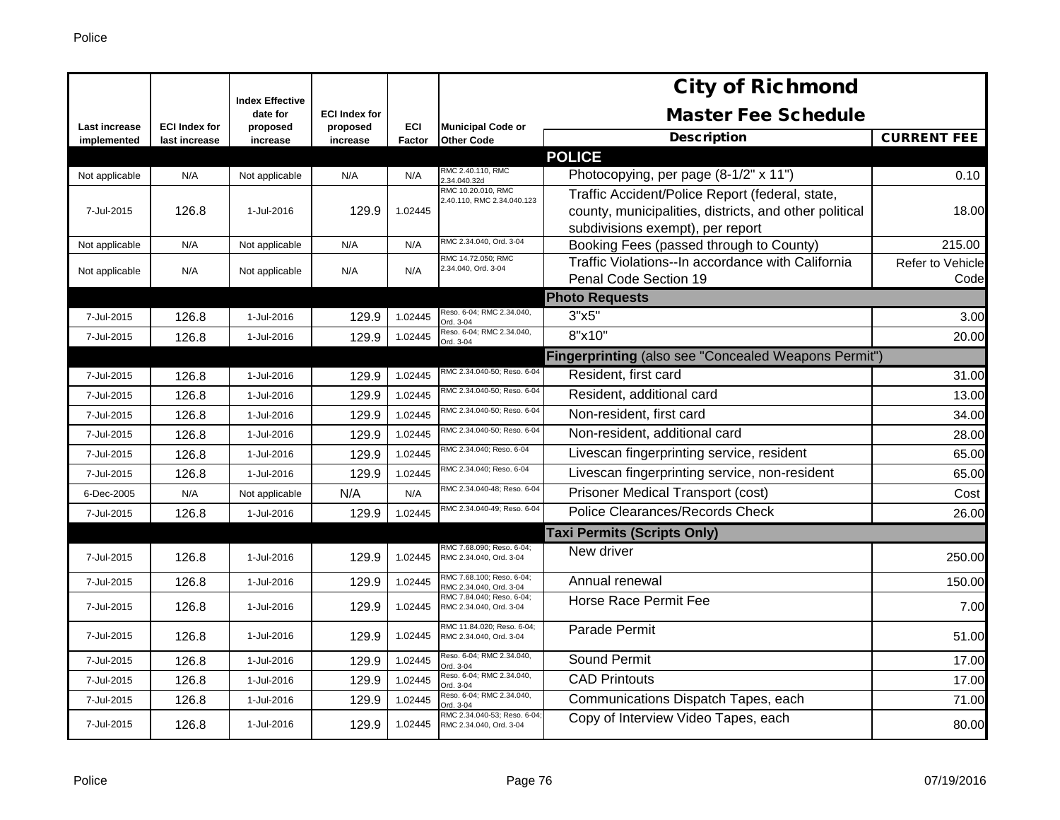|                              |                                       | <b>Index Effective</b> |                      |               |                                                        | <b>City of Richmond</b>                                |                         |
|------------------------------|---------------------------------------|------------------------|----------------------|---------------|--------------------------------------------------------|--------------------------------------------------------|-------------------------|
|                              |                                       | date for               | <b>ECI Index for</b> |               |                                                        | <b>Master Fee Schedule</b>                             |                         |
| Last increase<br>implemented | <b>ECI Index for</b><br>last increase | proposed<br>increase   | proposed<br>increase | ECI<br>Factor | <b>Municipal Code or</b><br><b>Other Code</b>          | <b>Description</b>                                     | <b>CURRENT FEE</b>      |
|                              |                                       |                        |                      |               |                                                        | <b>POLICE</b>                                          |                         |
| Not applicable               | N/A                                   | Not applicable         | N/A                  | N/A           | RMC 2.40.110, RMC<br>.34.040.32d                       | Photocopying, per page (8-1/2" x 11")                  | 0.10                    |
|                              |                                       |                        |                      |               | RMC 10.20.010, RMC<br>2.40.110, RMC 2.34.040.123       | Traffic Accident/Police Report (federal, state,        |                         |
| 7-Jul-2015                   | 126.8                                 | 1-Jul-2016             | 129.9                | 1.02445       |                                                        | county, municipalities, districts, and other political | 18.00                   |
|                              |                                       |                        |                      |               |                                                        | subdivisions exempt), per report                       |                         |
| Not applicable               | N/A                                   | Not applicable         | N/A                  | N/A           | RMC 2.34.040, Ord. 3-04                                | Booking Fees (passed through to County)                | 215.00                  |
| Not applicable               | N/A                                   | Not applicable         | N/A                  | N/A           | RMC 14.72.050; RMC<br>2.34.040, Ord. 3-04              | Traffic Violations--In accordance with California      | <b>Refer to Vehicle</b> |
|                              |                                       |                        |                      |               |                                                        | Penal Code Section 19                                  | Code                    |
|                              |                                       |                        |                      |               |                                                        | <b>Photo Requests</b>                                  |                         |
| 7-Jul-2015                   | 126.8                                 | 1-Jul-2016             | 129.9                | 1.02445       | Reso. 6-04; RMC 2.34.040,<br>Ord. 3-04                 | 3"x5"                                                  | 3.00                    |
| 7-Jul-2015                   | 126.8                                 | 1-Jul-2016             | 129.9                | 1.02445       | Reso. 6-04; RMC 2.34.040,<br>Ord. 3-04                 | 8"x10"                                                 | 20.00                   |
|                              |                                       |                        |                      |               |                                                        | Fingerprinting (also see "Concealed Weapons Permit")   |                         |
| 7-Jul-2015                   | 126.8                                 | 1-Jul-2016             | 129.9                | 1.02445       | RMC 2.34.040-50; Reso. 6-04                            | Resident, first card                                   | 31.00                   |
| 7-Jul-2015                   | 126.8                                 | 1-Jul-2016             | 129.9                | 1.02445       | RMC 2.34.040-50; Reso. 6-04                            | Resident, additional card                              | 13.00                   |
| 7-Jul-2015                   | 126.8                                 | 1-Jul-2016             | 129.9                | 1.02445       | RMC 2.34.040-50; Reso. 6-04                            | Non-resident, first card                               | 34.00                   |
| 7-Jul-2015                   | 126.8                                 | 1-Jul-2016             | 129.9                | 1.02445       | RMC 2.34.040-50; Reso. 6-04                            | Non-resident, additional card                          | 28.00                   |
| 7-Jul-2015                   | 126.8                                 | 1-Jul-2016             | 129.9                | 1.02445       | RMC 2.34.040; Reso. 6-04                               | Livescan fingerprinting service, resident              | 65.00                   |
| 7-Jul-2015                   | 126.8                                 | 1-Jul-2016             | 129.9                | 1.02445       | RMC 2.34.040; Reso. 6-04                               | Livescan fingerprinting service, non-resident          | 65.00                   |
| 6-Dec-2005                   | N/A                                   | Not applicable         | N/A                  | N/A           | RMC 2.34.040-48: Reso, 6-04                            | Prisoner Medical Transport (cost)                      | Cost                    |
| 7-Jul-2015                   | 126.8                                 | 1-Jul-2016             | 129.9                | 1.02445       | RMC 2.34.040-49; Reso. 6-04                            | <b>Police Clearances/Records Check</b>                 | 26.00                   |
|                              |                                       |                        |                      |               |                                                        | <b>Taxi Permits (Scripts Only)</b>                     |                         |
| 7-Jul-2015                   | 126.8                                 | 1-Jul-2016             | 129.9                | 1.02445       | RMC 7.68.090; Reso. 6-04;<br>RMC 2.34.040, Ord. 3-04   | New driver                                             | 250.00                  |
| 7-Jul-2015                   | 126.8                                 | 1-Jul-2016             | 129.9                | 1.02445       | RMC 7.68.100; Reso. 6-04;<br>RMC 2.34.040, Ord. 3-04   | Annual renewal                                         | 150.00                  |
| 7-Jul-2015                   | 126.8                                 | 1-Jul-2016             | 129.9                | 1.02445       | RMC 7.84.040; Reso. 6-04;<br>RMC 2.34.040, Ord. 3-04   | Horse Race Permit Fee                                  | 7.00                    |
| 7-Jul-2015                   | 126.8                                 | 1-Jul-2016             | 129.9                | 1.02445       | RMC 11.84.020; Reso. 6-04;<br>RMC 2.34.040, Ord. 3-04  | Parade Permit                                          | 51.00                   |
| 7-Jul-2015                   | 126.8                                 | 1-Jul-2016             | 129.9                | 1.02445       | Reso. 6-04; RMC 2.34.040,<br>Ord. 3-04                 | Sound Permit                                           | 17.00                   |
| 7-Jul-2015                   | 126.8                                 | 1-Jul-2016             | 129.9                | 1.02445       | Reso. 6-04; RMC 2.34.040,<br>Ord. 3-04                 | <b>CAD Printouts</b>                                   | 17.00                   |
| 7-Jul-2015                   | 126.8                                 | 1-Jul-2016             | 129.9                | 1.02445       | Reso. 6-04; RMC 2.34.040,<br>Ord. 3-04                 | Communications Dispatch Tapes, each                    | 71.00                   |
| 7-Jul-2015                   | 126.8                                 | 1-Jul-2016             | 129.9                | 1.02445       | RMC 2.34.040-53; Reso. 6-04<br>RMC 2.34.040, Ord. 3-04 | Copy of Interview Video Tapes, each                    | 80.00                   |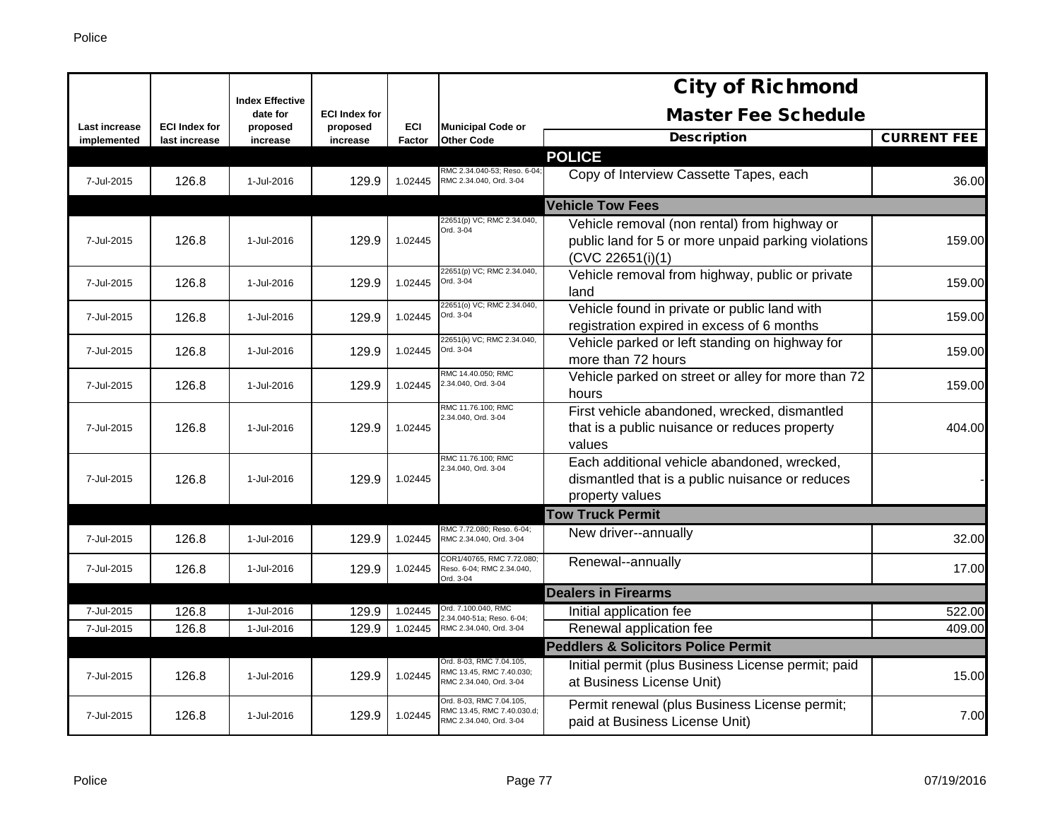|                                     |                                       |                                    |                      |                             |                                                                                   | <b>City of Richmond</b>                                                                                                 |                    |
|-------------------------------------|---------------------------------------|------------------------------------|----------------------|-----------------------------|-----------------------------------------------------------------------------------|-------------------------------------------------------------------------------------------------------------------------|--------------------|
|                                     |                                       | <b>Index Effective</b><br>date for | <b>ECI Index for</b> |                             |                                                                                   | <b>Master Fee Schedule</b>                                                                                              |                    |
| <b>Last increase</b><br>implemented | <b>ECI Index for</b><br>last increase | proposed<br>increase               | proposed<br>increase | <b>ECI</b><br><b>Factor</b> | <b>Municipal Code or</b><br><b>Other Code</b>                                     | <b>Description</b>                                                                                                      | <b>CURRENT FEE</b> |
|                                     |                                       |                                    |                      |                             |                                                                                   | <b>POLICE</b>                                                                                                           |                    |
| 7-Jul-2015                          | 126.8                                 | 1-Jul-2016                         | 129.9                | 1.02445                     | RMC 2.34.040-53; Reso. 6-04;<br>RMC 2.34.040, Ord. 3-04                           | Copy of Interview Cassette Tapes, each                                                                                  | 36.00              |
|                                     |                                       |                                    |                      |                             |                                                                                   | <b>Vehicle Tow Fees</b>                                                                                                 |                    |
| 7-Jul-2015                          | 126.8                                 | 1-Jul-2016                         | 129.9                | 1.02445                     | 22651(p) VC; RMC 2.34.040,<br>Ord. 3-04                                           | Vehicle removal (non rental) from highway or<br>public land for 5 or more unpaid parking violations<br>(CVC 22651(i)(1) | 159.00             |
| 7-Jul-2015                          | 126.8                                 | 1-Jul-2016                         | 129.9                | 1.02445                     | 22651(p) VC; RMC 2.34.040,<br>Ord. 3-04                                           | Vehicle removal from highway, public or private<br>land                                                                 | 159.00             |
| 7-Jul-2015                          | 126.8                                 | 1-Jul-2016                         | 129.9                | 1.02445                     | 22651(o) VC; RMC 2.34.040,<br>Ord. 3-04                                           | Vehicle found in private or public land with<br>registration expired in excess of 6 months                              | 159.00             |
| 7-Jul-2015                          | 126.8                                 | 1-Jul-2016                         | 129.9                | 1.02445                     | 22651(k) VC; RMC 2.34.040,<br>Ord. 3-04                                           | Vehicle parked or left standing on highway for<br>more than 72 hours                                                    | 159.00             |
| 7-Jul-2015                          | 126.8                                 | 1-Jul-2016                         | 129.9                | 1.02445                     | RMC 14.40.050; RMC<br>2.34.040, Ord. 3-04                                         | Vehicle parked on street or alley for more than 72<br>hours                                                             | 159.00             |
| 7-Jul-2015                          | 126.8                                 | 1-Jul-2016                         | 129.9                | 1.02445                     | RMC 11.76.100; RMC<br>2.34.040, Ord. 3-04                                         | First vehicle abandoned, wrecked, dismantled<br>that is a public nuisance or reduces property<br>values                 | 404.00             |
| 7-Jul-2015                          | 126.8                                 | 1-Jul-2016                         | 129.9                | 1.02445                     | RMC 11.76.100; RMC<br>2.34.040, Ord. 3-04                                         | Each additional vehicle abandoned, wrecked,<br>dismantled that is a public nuisance or reduces<br>property values       |                    |
|                                     |                                       |                                    |                      |                             |                                                                                   | <b>Tow Truck Permit</b>                                                                                                 |                    |
| 7-Jul-2015                          | 126.8                                 | 1-Jul-2016                         | 129.9                | 1.02445                     | RMC 7.72.080; Reso. 6-04;<br>RMC 2.34.040, Ord. 3-04                              | New driver--annually                                                                                                    | 32.00              |
| 7-Jul-2015                          | 126.8                                 | 1-Jul-2016                         | 129.9                | 1.02445                     | COR1/40765, RMC 7.72.080;<br>Reso. 6-04; RMC 2.34.040,<br>Ord. 3-04               | Renewal--annually                                                                                                       | 17.00              |
|                                     |                                       |                                    |                      |                             |                                                                                   | <b>Dealers in Firearms</b>                                                                                              |                    |
| 7-Jul-2015                          | 126.8                                 | 1-Jul-2016                         | 129.9                | 1.02445                     | Ord. 7.100.040, RMC<br>2.34.040-51a; Reso. 6-04;                                  | Initial application fee                                                                                                 | 522.00             |
| 7-Jul-2015                          | 126.8                                 | 1-Jul-2016                         | 129.9                | 1.02445                     | RMC 2.34.040, Ord. 3-04                                                           | Renewal application fee                                                                                                 | 409.00             |
|                                     |                                       |                                    |                      |                             | Ord. 8-03, RMC 7.04.105,                                                          | <b>Peddlers &amp; Solicitors Police Permit</b><br>Initial permit (plus Business License permit; paid                    |                    |
| 7-Jul-2015                          | 126.8                                 | 1-Jul-2016                         | 129.9                | 1.02445                     | RMC 13.45, RMC 7.40.030;<br>RMC 2.34.040, Ord. 3-04                               | at Business License Unit)                                                                                               | 15.00              |
| 7-Jul-2015                          | 126.8                                 | 1-Jul-2016                         | 129.9                | 1.02445                     | Ord. 8-03, RMC 7.04.105,<br>RMC 13.45, RMC 7.40.030.d;<br>RMC 2.34.040, Ord. 3-04 | Permit renewal (plus Business License permit;<br>paid at Business License Unit)                                         | 7.00               |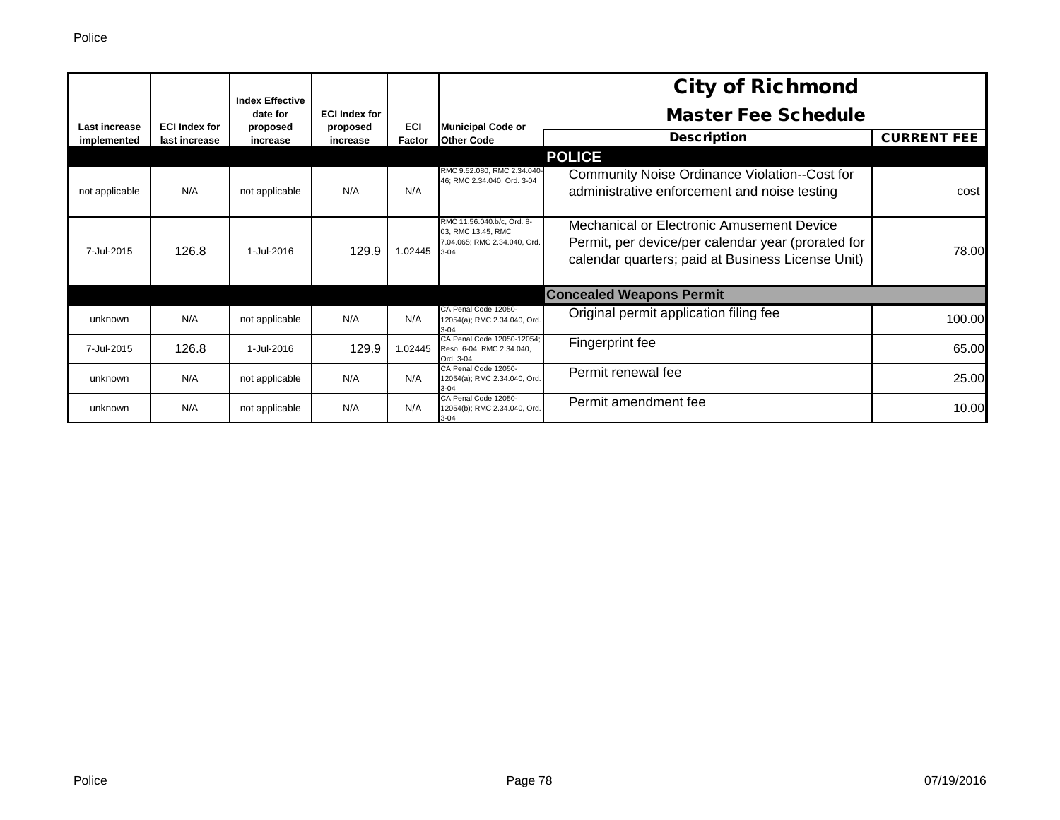|                |                      | <b>Index Effective</b> |                                  |            |                                                                                              | <b>City of Richmond</b>                                                                                                                              |                    |
|----------------|----------------------|------------------------|----------------------------------|------------|----------------------------------------------------------------------------------------------|------------------------------------------------------------------------------------------------------------------------------------------------------|--------------------|
| Last increase  | <b>ECI Index for</b> | date for<br>proposed   | <b>ECI Index for</b><br>proposed | <b>ECI</b> | <b>Municipal Code or</b>                                                                     | <b>Master Fee Schedule</b>                                                                                                                           |                    |
| implemented    | last increase        | increase               | increase                         | Factor     | <b>Other Code</b>                                                                            | <b>Description</b>                                                                                                                                   | <b>CURRENT FEE</b> |
|                |                      |                        |                                  |            |                                                                                              | <b>POLICE</b>                                                                                                                                        |                    |
| not applicable | N/A                  | not applicable         | N/A                              | N/A        | RMC 9.52.080, RMC 2.34.040-<br>46; RMC 2.34.040, Ord. 3-04                                   | Community Noise Ordinance Violation--Cost for<br>administrative enforcement and noise testing                                                        | cost               |
| 7-Jul-2015     | 126.8                | 1-Jul-2016             | 129.9                            | 1.02445    | RMC 11.56.040.b/c, Ord. 8-<br>03, RMC 13.45, RMC<br>7.04.065; RMC 2.34.040, Ord.<br>$3 - 04$ | Mechanical or Electronic Amusement Device<br>Permit, per device/per calendar year (prorated for<br>calendar quarters; paid at Business License Unit) | 78.00              |
|                |                      |                        |                                  |            |                                                                                              | <b>Concealed Weapons Permit</b>                                                                                                                      |                    |
| unknown        | N/A                  | not applicable         | N/A                              | N/A        | CA Penal Code 12050-<br>12054(a); RMC 2.34.040, Ord.<br>$3-04$                               | Original permit application filing fee                                                                                                               | 100.00             |
| 7-Jul-2015     | 126.8                | 1-Jul-2016             | 129.9                            | 1.02445    | CA Penal Code 12050-12054:<br>Reso. 6-04; RMC 2.34.040,<br>Ord. 3-04                         | Fingerprint fee                                                                                                                                      | 65.00              |
| unknown        | N/A                  | not applicable         | N/A                              | N/A        | CA Penal Code 12050-<br>12054(a); RMC 2.34.040, Ord.<br>$3 - 04$                             | Permit renewal fee                                                                                                                                   | 25.00              |
| unknown        | N/A                  | not applicable         | N/A                              | N/A        | CA Penal Code 12050-<br>12054(b); RMC 2.34.040, Ord.<br>$3 - 04$                             | Permit amendment fee                                                                                                                                 | 10.00              |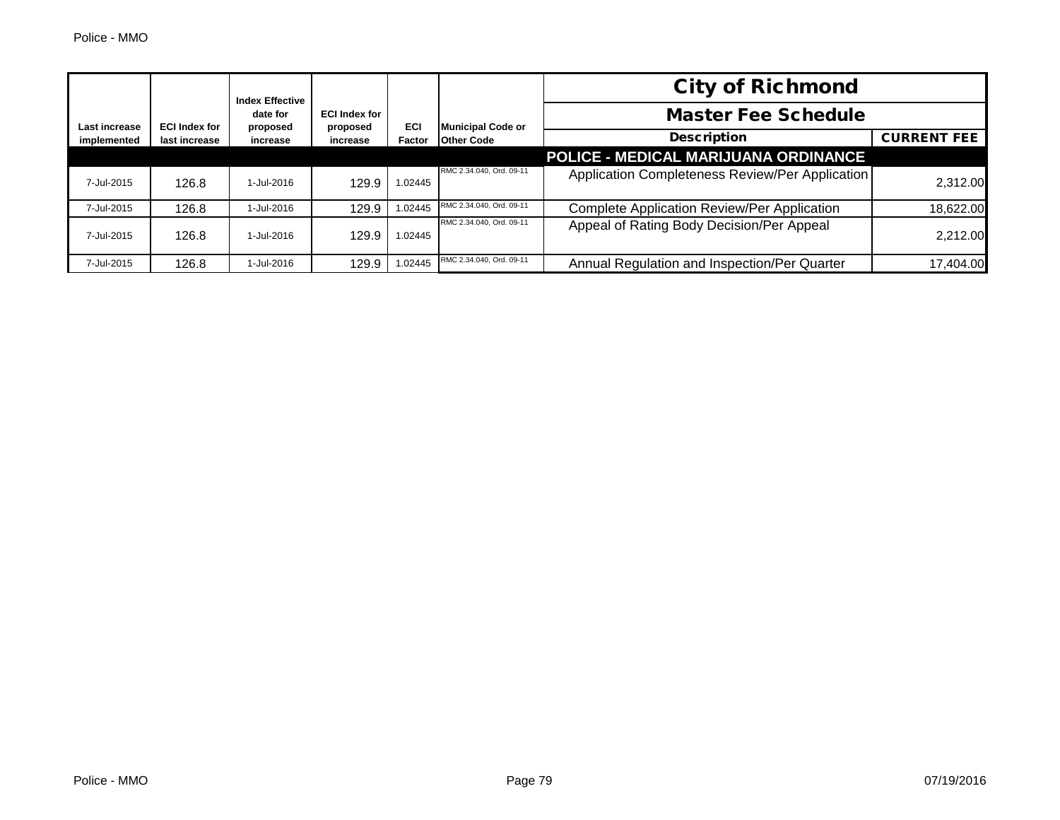| <b>Index Effective</b><br>date for<br><b>ECI Index for</b><br>Last increase<br>proposed |                      |            |                          |                            | <b>City of Richmond</b>  |                                                    |                    |
|-----------------------------------------------------------------------------------------|----------------------|------------|--------------------------|----------------------------|--------------------------|----------------------------------------------------|--------------------|
|                                                                                         | <b>ECI Index for</b> |            | <b>Municipal Code or</b> | <b>Master Fee Schedule</b> |                          |                                                    |                    |
| implemented                                                                             | last increase        | increase   | proposed<br>increase     | ECI<br>Factor              | <b>Other Code</b>        | <b>Description</b>                                 | <b>CURRENT FEE</b> |
|                                                                                         |                      |            |                          |                            |                          | POLICE - MEDICAL MARIJUANA ORDINANCE               |                    |
| 7-Jul-2015                                                                              | 126.8                | 1-Jul-2016 | 129.9                    | 1.02445                    | RMC 2.34.040, Ord. 09-11 | Application Completeness Review/Per Application    | 2,312.00           |
| 7-Jul-2015                                                                              | 126.8                | 1-Jul-2016 | 129.9                    | 1.02445                    | RMC 2.34.040, Ord. 09-11 | <b>Complete Application Review/Per Application</b> | 18,622.00          |
| 7-Jul-2015                                                                              | 126.8                | 1-Jul-2016 | 129.9                    | 1.02445                    | RMC 2.34.040, Ord. 09-11 | Appeal of Rating Body Decision/Per Appeal          | 2,212.00           |
| 7-Jul-2015                                                                              | 126.8                | 1-Jul-2016 | 129.9                    | 1.02445                    | RMC 2.34.040, Ord. 09-11 | Annual Regulation and Inspection/Per Quarter       | 17.404.00          |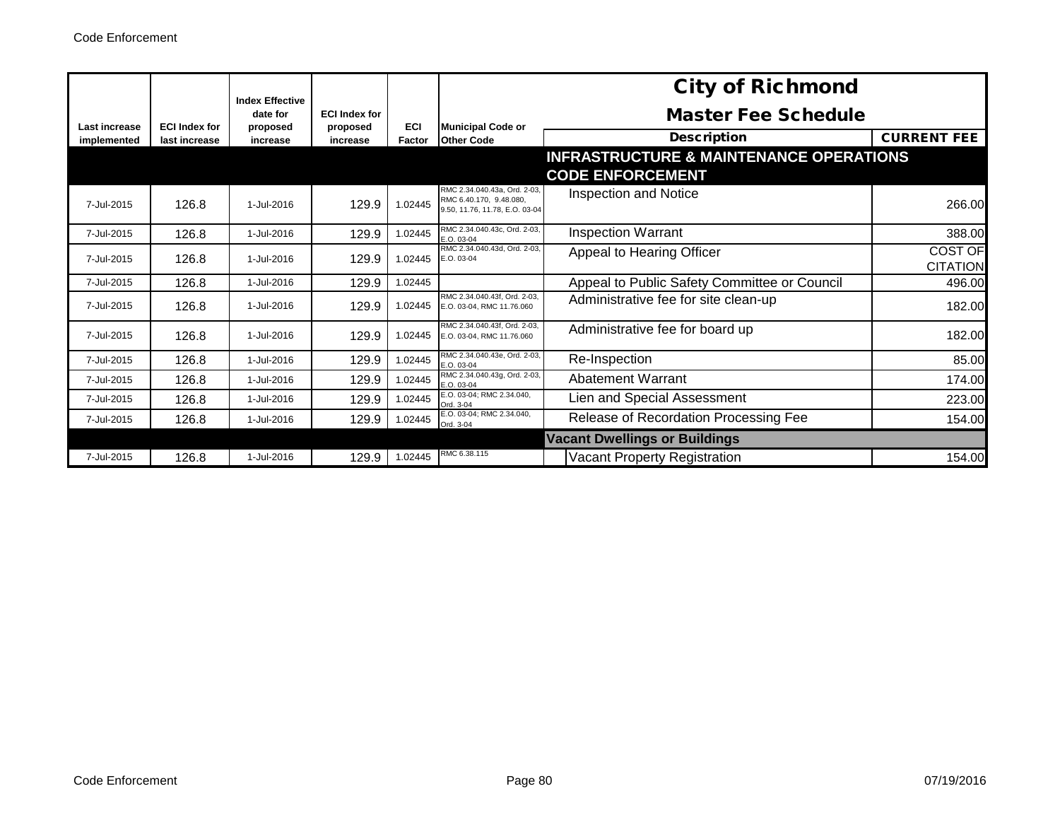|               |                      | <b>Index Effective</b> |                                  |         |                                                                                           | <b>City of Richmond</b>                            |                                   |
|---------------|----------------------|------------------------|----------------------------------|---------|-------------------------------------------------------------------------------------------|----------------------------------------------------|-----------------------------------|
| Last increase | <b>ECI Index for</b> | date for<br>proposed   | <b>ECI Index for</b><br>proposed | ECI     | <b>Municipal Code or</b>                                                                  | <b>Master Fee Schedule</b>                         |                                   |
| implemented   | last increase        | increase               | increase                         | Factor  | <b>Other Code</b>                                                                         | <b>Description</b>                                 | <b>CURRENT FEE</b>                |
|               |                      |                        |                                  |         |                                                                                           | <b>INFRASTRUCTURE &amp; MAINTENANCE OPERATIONS</b> |                                   |
|               |                      |                        |                                  |         |                                                                                           | <b>CODE ENFORCEMENT</b>                            |                                   |
| 7-Jul-2015    | 126.8                | 1-Jul-2016             | 129.9                            | 1.02445 | RMC 2.34.040.43a. Ord. 2-03.<br>RMC 6.40.170, 9.48.080,<br>9.50, 11.76, 11.78, E.O. 03-04 | <b>Inspection and Notice</b>                       | 266.00                            |
| 7-Jul-2015    | 126.8                | 1-Jul-2016             | 129.9                            | 1.02445 | RMC 2.34.040.43c. Ord. 2-03.<br>E.O. 03-04                                                | <b>Inspection Warrant</b>                          | 388.00                            |
| 7-Jul-2015    | 126.8                | 1-Jul-2016             | 129.9                            | 1.02445 | RMC 2.34.040.43d. Ord. 2-03.<br>E.O. 03-04                                                | Appeal to Hearing Officer                          | <b>COST OF</b><br><b>CITATION</b> |
| 7-Jul-2015    | 126.8                | 1-Jul-2016             | 129.9                            | 1.02445 |                                                                                           | Appeal to Public Safety Committee or Council       | 496.00                            |
| 7-Jul-2015    | 126.8                | 1-Jul-2016             | 129.9                            | 1.02445 | RMC 2.34.040.43f, Ord. 2-03,<br>E.O. 03-04, RMC 11.76.060                                 | Administrative fee for site clean-up               | 182.00                            |
| 7-Jul-2015    | 126.8                | 1-Jul-2016             | 129.9                            | 1.02445 | RMC 2.34.040.43f, Ord. 2-03,<br>E.O. 03-04, RMC 11.76.060                                 | Administrative fee for board up                    | 182.00                            |
| 7-Jul-2015    | 126.8                | 1-Jul-2016             | 129.9                            | 1.02445 | RMC 2.34.040.43e, Ord. 2-03,<br>E.O. 03-04                                                | Re-Inspection                                      | 85.00                             |
| 7-Jul-2015    | 126.8                | 1-Jul-2016             | 129.9                            | 1.02445 | RMC 2.34.040.43g, Ord. 2-03,<br>E.O. 03-04                                                | <b>Abatement Warrant</b>                           | 174.00                            |
| 7-Jul-2015    | 126.8                | 1-Jul-2016             | 129.9                            | 1.02445 | E.O. 03-04; RMC 2.34.040,<br>Ord. 3-04                                                    | Lien and Special Assessment                        | 223.00                            |
| 7-Jul-2015    | 126.8                | 1-Jul-2016             | 129.9                            | 1.02445 | E.O. 03-04; RMC 2.34.040,<br>Ord. 3-04                                                    | Release of Recordation Processing Fee              | 154.00                            |
|               |                      |                        |                                  |         |                                                                                           | <b>Vacant Dwellings or Buildings</b>               |                                   |
| 7-Jul-2015    | 126.8                | 1-Jul-2016             | 129.9                            | 1.02445 | RMC 6.38.115                                                                              | <b>Vacant Property Registration</b>                | 154.00                            |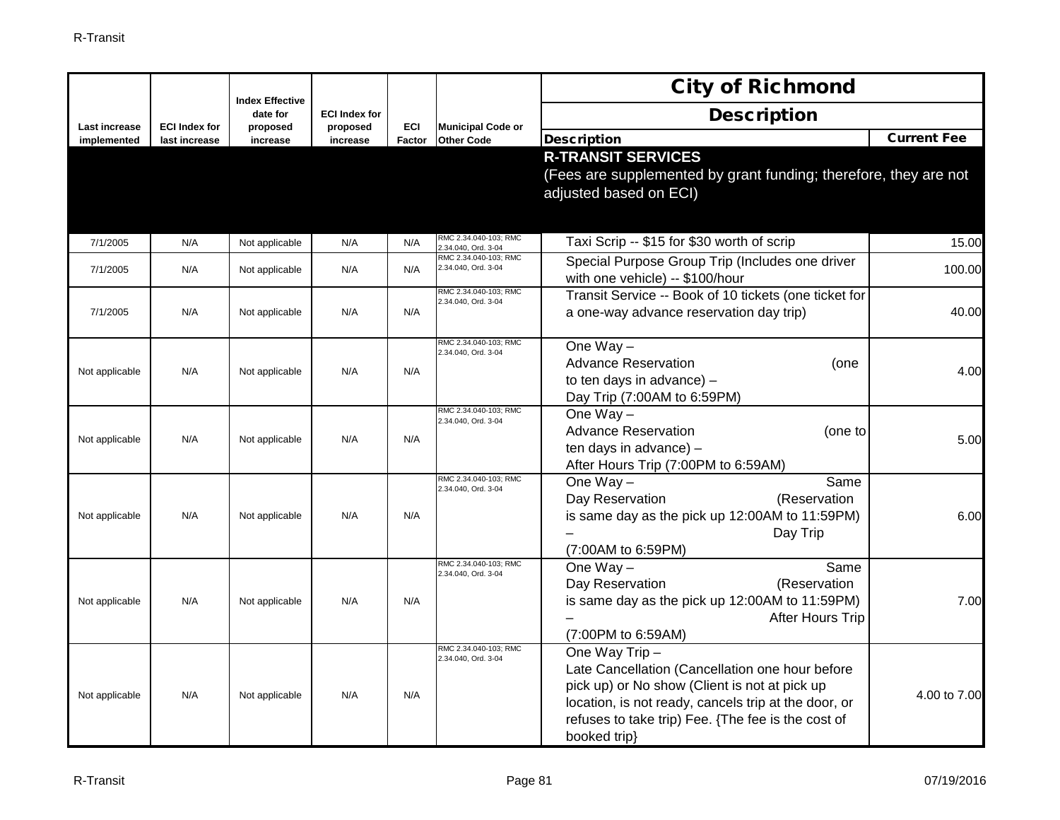|                |                      | <b>Index Effective</b> |                                  |        |                                              | <b>City of Richmond</b>                                                                                                                                                                                                                          |                    |
|----------------|----------------------|------------------------|----------------------------------|--------|----------------------------------------------|--------------------------------------------------------------------------------------------------------------------------------------------------------------------------------------------------------------------------------------------------|--------------------|
| Last increase  | <b>ECI Index for</b> | date for<br>proposed   | <b>ECI Index for</b><br>proposed | ECI    | <b>Municipal Code or</b>                     | <b>Description</b>                                                                                                                                                                                                                               |                    |
| implemented    | last increase        | increase               | increase                         | Factor | <b>Other Code</b>                            | <b>Description</b>                                                                                                                                                                                                                               | <b>Current Fee</b> |
|                |                      |                        |                                  |        |                                              | <b>R-TRANSIT SERVICES</b><br>(Fees are supplemented by grant funding; therefore, they are not<br>adjusted based on ECI)                                                                                                                          |                    |
| 7/1/2005       | N/A                  | Not applicable         | N/A                              | N/A    | RMC 2.34.040-103; RMC<br>2.34.040, Ord. 3-04 | Taxi Scrip -- \$15 for \$30 worth of scrip                                                                                                                                                                                                       | 15.00              |
| 7/1/2005       | N/A                  | Not applicable         | N/A                              | N/A    | RMC 2.34.040-103; RMC<br>2.34.040, Ord. 3-04 | Special Purpose Group Trip (Includes one driver<br>with one vehicle) -- \$100/hour                                                                                                                                                               | 100.00             |
| 7/1/2005       | N/A                  | Not applicable         | N/A                              | N/A    | RMC 2.34.040-103: RMC<br>2.34.040, Ord. 3-04 | Transit Service -- Book of 10 tickets (one ticket for<br>a one-way advance reservation day trip)                                                                                                                                                 | 40.00              |
| Not applicable | N/A                  | Not applicable         | N/A                              | N/A    | RMC 2.34.040-103; RMC<br>2.34.040, Ord. 3-04 | One $Way -$<br><b>Advance Reservation</b><br>(one<br>to ten days in advance) -<br>Day Trip (7:00AM to 6:59PM)                                                                                                                                    | 4.00               |
| Not applicable | N/A                  | Not applicable         | N/A                              | N/A    | RMC 2.34.040-103; RMC<br>2.34.040, Ord. 3-04 | One $Way -$<br><b>Advance Reservation</b><br>(one to<br>ten days in advance) -<br>After Hours Trip (7:00PM to 6:59AM)                                                                                                                            | 5.00               |
| Not applicable | N/A                  | Not applicable         | N/A                              | N/A    | RMC 2.34.040-103; RMC<br>2.34.040, Ord. 3-04 | One $Way -$<br>Same<br>Day Reservation<br>(Reservation<br>is same day as the pick up 12:00AM to 11:59PM)<br>Day Trip<br>(7:00AM to 6:59PM)                                                                                                       | 6.00               |
| Not applicable | N/A                  | Not applicable         | N/A                              | N/A    | RMC 2.34.040-103; RMC<br>2.34.040, Ord. 3-04 | One $Way -$<br>Same<br>Day Reservation<br>(Reservation<br>is same day as the pick up 12:00AM to 11:59PM)<br>After Hours Trip<br>(7:00PM to 6:59AM)                                                                                               | 7.00               |
| Not applicable | N/A                  | Not applicable         | N/A                              | N/A    | RMC 2.34.040-103; RMC<br>2.34.040, Ord. 3-04 | One Way Trip -<br>Late Cancellation (Cancellation one hour before<br>pick up) or No show (Client is not at pick up<br>location, is not ready, cancels trip at the door, or<br>refuses to take trip) Fee. {The fee is the cost of<br>booked trip} | 4.00 to 7.00       |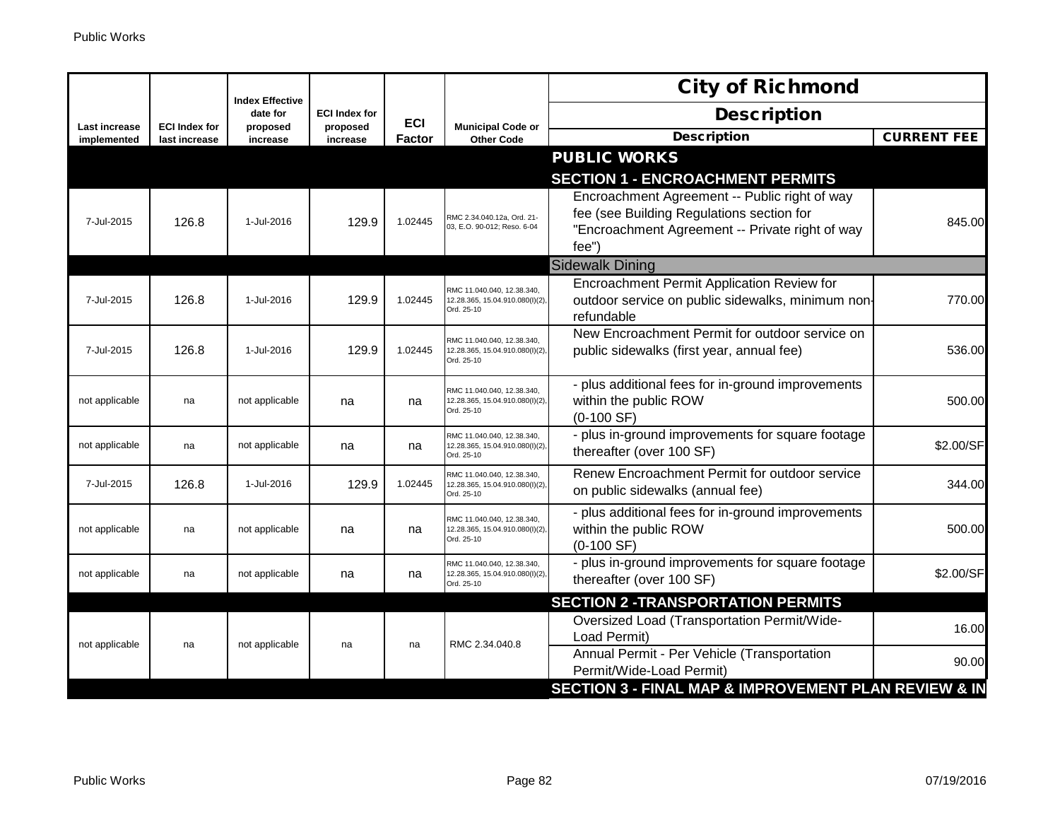|                                     |                                       |                                    |                      |               |                                                                             | <b>City of Richmond</b>                                                                                                                               |                    |
|-------------------------------------|---------------------------------------|------------------------------------|----------------------|---------------|-----------------------------------------------------------------------------|-------------------------------------------------------------------------------------------------------------------------------------------------------|--------------------|
|                                     |                                       | <b>Index Effective</b><br>date for | <b>ECI Index for</b> | <b>ECI</b>    |                                                                             | <b>Description</b>                                                                                                                                    |                    |
| <b>Last increase</b><br>implemented | <b>ECI Index for</b><br>last increase | proposed<br>increase               | proposed<br>increase | <b>Factor</b> | <b>Municipal Code or</b><br><b>Other Code</b>                               | <b>Description</b>                                                                                                                                    | <b>CURRENT FEE</b> |
|                                     |                                       |                                    |                      |               |                                                                             | <b>PUBLIC WORKS</b>                                                                                                                                   |                    |
|                                     |                                       |                                    |                      |               |                                                                             | <b>SECTION 1 - ENCROACHMENT PERMITS</b>                                                                                                               |                    |
| 7-Jul-2015                          | 126.8                                 | 1-Jul-2016                         | 129.9                | 1.02445       | RMC 2.34.040.12a, Ord. 21-<br>03, E.O. 90-012; Reso. 6-04                   | Encroachment Agreement -- Public right of way<br>fee (see Building Regulations section for<br>"Encroachment Agreement -- Private right of way<br>fee' | 845.00             |
|                                     |                                       |                                    |                      |               |                                                                             | <b>Sidewalk Dining</b>                                                                                                                                |                    |
| 7-Jul-2015                          | 126.8                                 | 1-Jul-2016                         | 129.9                | 1.02445       | RMC 11.040.040, 12.38.340,<br>12.28.365, 15.04.910.080(I)(2),<br>Ord. 25-10 | Encroachment Permit Application Review for<br>outdoor service on public sidewalks, minimum non-<br>refundable                                         | 770.00             |
| 7-Jul-2015                          | 126.8                                 | 1-Jul-2016                         | 129.9                | 1.02445       | RMC 11.040.040, 12.38.340,<br>12.28.365, 15.04.910.080(I)(2),<br>Ord. 25-10 | New Encroachment Permit for outdoor service on<br>public sidewalks (first year, annual fee)                                                           | 536.00             |
| not applicable                      | na                                    | not applicable                     | na                   | na            | RMC 11.040.040, 12.38.340,<br>12.28.365, 15.04.910.080(I)(2),<br>Ord. 25-10 | - plus additional fees for in-ground improvements<br>within the public ROW<br>$(0-100 SF)$                                                            | 500.00             |
| not applicable                      | na                                    | not applicable                     | na                   | na            | RMC 11.040.040, 12.38.340,<br>12.28.365, 15.04.910.080(I)(2),<br>Ord. 25-10 | - plus in-ground improvements for square footage<br>thereafter (over 100 SF)                                                                          | \$2.00/SF          |
| 7-Jul-2015                          | 126.8                                 | 1-Jul-2016                         | 129.9                | 1.02445       | RMC 11.040.040, 12.38.340,<br>12.28.365, 15.04.910.080(I)(2),<br>Ord. 25-10 | Renew Encroachment Permit for outdoor service<br>on public sidewalks (annual fee)                                                                     | 344.00             |
| not applicable                      | na                                    | not applicable                     | na                   | na            | RMC 11.040.040, 12.38.340,<br>12.28.365, 15.04.910.080(l)(2),<br>Ord. 25-10 | - plus additional fees for in-ground improvements<br>within the public ROW<br>$(0-100 SF)$                                                            | 500.00             |
| not applicable                      | na                                    | not applicable                     | na                   | na            | RMC 11.040.040, 12.38.340,<br>12.28.365, 15.04.910.080(I)(2),<br>Ord. 25-10 | - plus in-ground improvements for square footage<br>thereafter (over 100 SF)                                                                          | \$2.00/SF          |
|                                     |                                       |                                    |                      |               |                                                                             | <b>SECTION 2 -TRANSPORTATION PERMITS</b>                                                                                                              |                    |
| not applicable                      | na                                    | not applicable                     | na                   | na            | RMC 2.34.040.8                                                              | Oversized Load (Transportation Permit/Wide-<br>Load Permit)                                                                                           | 16.00              |
|                                     |                                       |                                    |                      |               |                                                                             | Annual Permit - Per Vehicle (Transportation<br>Permit/Wide-Load Permit)                                                                               | 90.00              |
|                                     |                                       |                                    |                      |               |                                                                             | <b>SECTION 3 - FINAL MAP &amp; IMPROVEMENT PLAN REVIEW &amp; IN</b>                                                                                   |                    |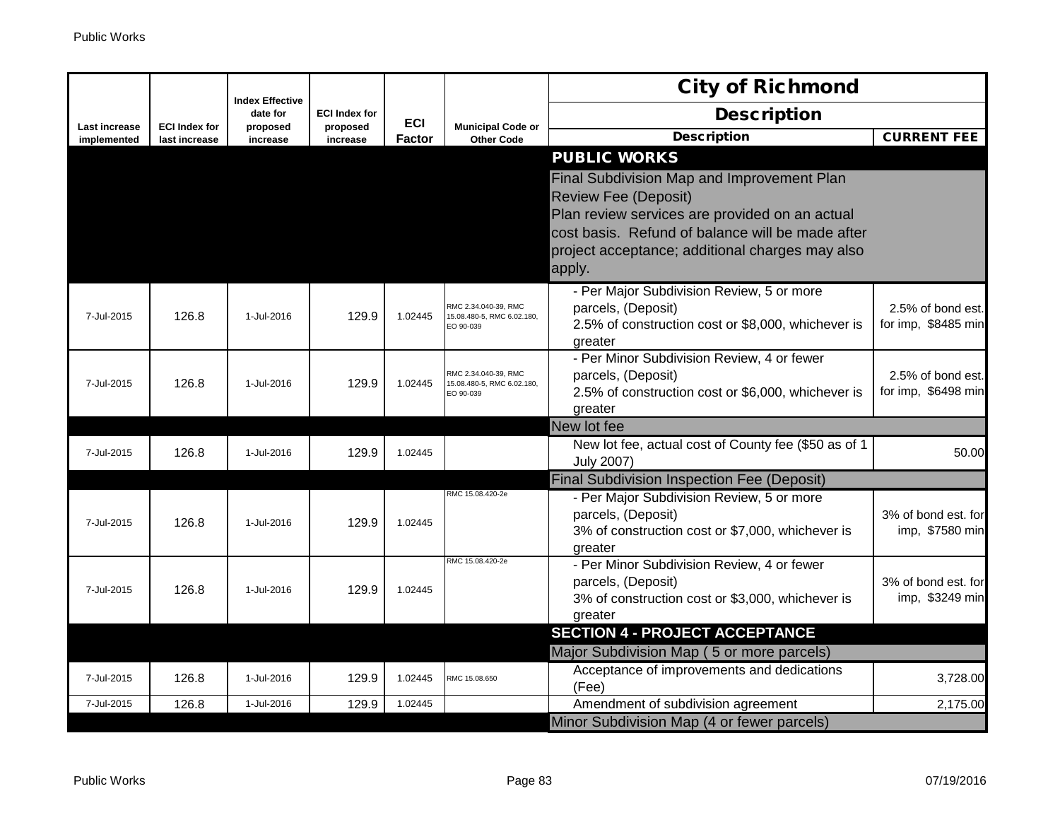|                              |                                       |                                    |                      |            |                                                                 | <b>City of Richmond</b>                                                                                                                                                                                                                      |                                          |
|------------------------------|---------------------------------------|------------------------------------|----------------------|------------|-----------------------------------------------------------------|----------------------------------------------------------------------------------------------------------------------------------------------------------------------------------------------------------------------------------------------|------------------------------------------|
|                              |                                       | <b>Index Effective</b><br>date for | <b>ECI Index for</b> | <b>ECI</b> |                                                                 | <b>Description</b>                                                                                                                                                                                                                           |                                          |
| Last increase<br>implemented | <b>ECI Index for</b><br>last increase | proposed<br>increase               | proposed<br>increase | Factor     | <b>Municipal Code or</b><br><b>Other Code</b>                   | <b>Description</b>                                                                                                                                                                                                                           | <b>CURRENT FEE</b>                       |
|                              |                                       |                                    |                      |            |                                                                 | <b>PUBLIC WORKS</b>                                                                                                                                                                                                                          |                                          |
|                              |                                       |                                    |                      |            |                                                                 | Final Subdivision Map and Improvement Plan<br><b>Review Fee (Deposit)</b><br>Plan review services are provided on an actual<br>cost basis. Refund of balance will be made after<br>project acceptance; additional charges may also<br>apply. |                                          |
| 7-Jul-2015                   | 126.8                                 | 1-Jul-2016                         | 129.9                | 1.02445    | RMC 2.34.040-39, RMC<br>15.08.480-5, RMC 6.02.180,<br>EO 90-039 | - Per Major Subdivision Review, 5 or more<br>parcels, (Deposit)<br>2.5% of construction cost or \$8,000, whichever is<br>greater                                                                                                             | 2.5% of bond est.<br>for imp, \$8485 min |
| 7-Jul-2015                   | 126.8                                 | 1-Jul-2016                         | 129.9                | 1.02445    | RMC 2.34.040-39, RMC<br>15.08.480-5, RMC 6.02.180,<br>EO 90-039 | - Per Minor Subdivision Review, 4 or fewer<br>parcels, (Deposit)<br>2.5% of construction cost or \$6,000, whichever is<br>greater                                                                                                            | 2.5% of bond est.<br>for imp, \$6498 min |
|                              |                                       |                                    |                      |            |                                                                 | New lot fee                                                                                                                                                                                                                                  |                                          |
| 7-Jul-2015                   | 126.8                                 | 1-Jul-2016                         | 129.9                | 1.02445    |                                                                 | New lot fee, actual cost of County fee (\$50 as of 1<br><b>July 2007)</b>                                                                                                                                                                    | 50.00                                    |
|                              |                                       |                                    |                      |            |                                                                 | <b>Final Subdivision Inspection Fee (Deposit)</b>                                                                                                                                                                                            |                                          |
| 7-Jul-2015                   | 126.8                                 | 1-Jul-2016                         | 129.9                | 1.02445    | RMC 15.08.420-2e                                                | - Per Major Subdivision Review, 5 or more<br>parcels, (Deposit)<br>3% of construction cost or \$7,000, whichever is<br>greater                                                                                                               | 3% of bond est. for<br>imp, \$7580 min   |
| 7-Jul-2015                   | 126.8                                 | 1-Jul-2016                         | 129.9                | 1.02445    | RMC 15.08.420-2e                                                | - Per Minor Subdivision Review, 4 or fewer<br>parcels, (Deposit)<br>3% of construction cost or \$3,000, whichever is<br>greater                                                                                                              | 3% of bond est. for<br>imp, \$3249 min   |
|                              |                                       |                                    |                      |            |                                                                 | <b>SECTION 4 - PROJECT ACCEPTANCE</b>                                                                                                                                                                                                        |                                          |
|                              |                                       |                                    |                      |            |                                                                 | Major Subdivision Map (5 or more parcels)                                                                                                                                                                                                    |                                          |
| 7-Jul-2015                   | 126.8                                 | 1-Jul-2016                         | 129.9                | 1.02445    | RMC 15.08.650                                                   | Acceptance of improvements and dedications<br>(Fee)                                                                                                                                                                                          | 3,728.00                                 |
| 7-Jul-2015                   | 126.8                                 | 1-Jul-2016                         | 129.9                | 1.02445    |                                                                 | Amendment of subdivision agreement                                                                                                                                                                                                           | 2,175.00                                 |
|                              |                                       |                                    |                      |            |                                                                 | Minor Subdivision Map (4 or fewer parcels)                                                                                                                                                                                                   |                                          |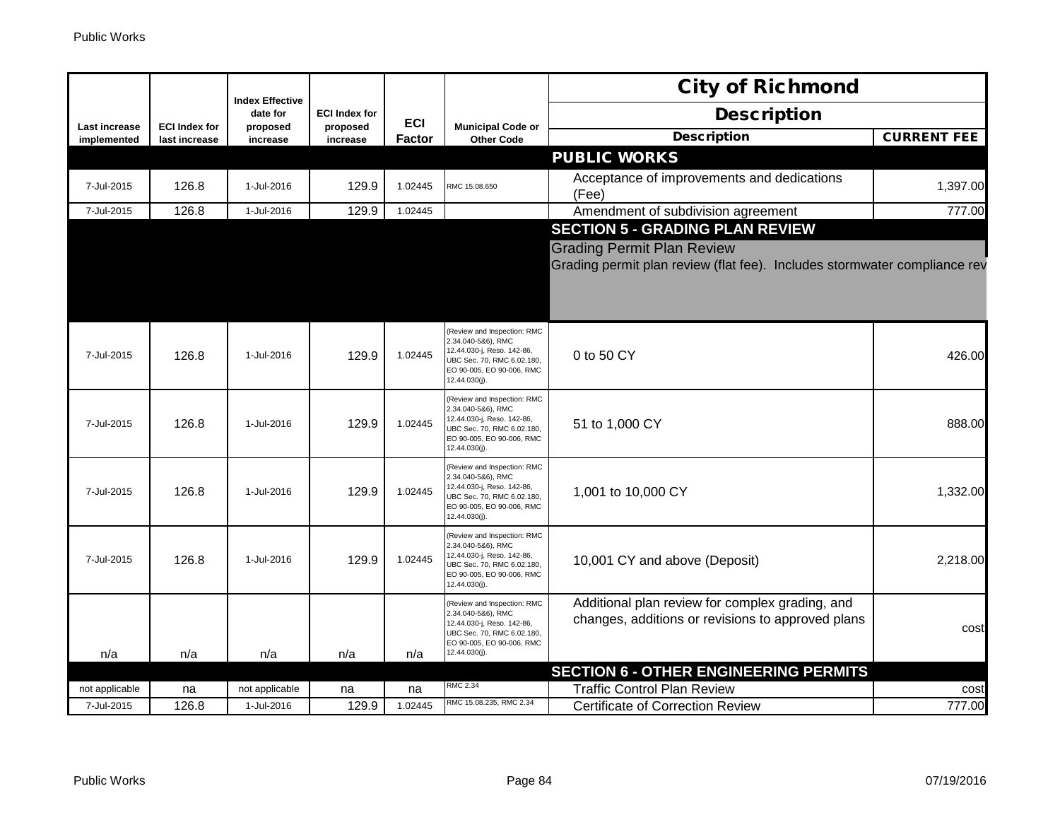|                                     |                                       |                                    |                      |               |                                                                                                                                                             | <b>City of Richmond</b>                                                                                        |                    |
|-------------------------------------|---------------------------------------|------------------------------------|----------------------|---------------|-------------------------------------------------------------------------------------------------------------------------------------------------------------|----------------------------------------------------------------------------------------------------------------|--------------------|
|                                     |                                       | <b>Index Effective</b><br>date for | <b>ECI Index for</b> | <b>ECI</b>    | <b>Municipal Code or</b><br><b>Other Code</b>                                                                                                               | <b>Description</b>                                                                                             |                    |
| <b>Last increase</b><br>implemented | <b>ECI Index for</b><br>last increase | proposed<br>increase               | proposed<br>increase | <b>Factor</b> |                                                                                                                                                             | <b>Description</b>                                                                                             | <b>CURRENT FEE</b> |
|                                     |                                       |                                    |                      |               |                                                                                                                                                             | <b>PUBLIC WORKS</b>                                                                                            |                    |
| 7-Jul-2015                          | 126.8                                 | 1-Jul-2016                         | 129.9                | 1.02445       | RMC 15.08.650                                                                                                                                               | Acceptance of improvements and dedications<br>(Fee)                                                            | 1,397.00           |
| 7-Jul-2015                          | 126.8                                 | 1-Jul-2016                         | 129.9                | 1.02445       |                                                                                                                                                             | Amendment of subdivision agreement                                                                             | 777.00             |
|                                     |                                       |                                    |                      |               |                                                                                                                                                             | <b>SECTION 5 - GRADING PLAN REVIEW</b>                                                                         |                    |
|                                     |                                       |                                    |                      |               |                                                                                                                                                             | <b>Grading Permit Plan Review</b><br>Grading permit plan review (flat fee). Includes stormwater compliance rev |                    |
| 7-Jul-2015                          | 126.8                                 | 1-Jul-2016                         | 129.9                | 1.02445       | Review and Inspection: RMC<br>2.34.040-5&6), RMC<br>12.44.030-j, Reso. 142-86,<br>UBC Sec. 70, RMC 6.02.180,<br>EO 90-005, EO 90-006, RMC<br>12.44.030(j).  | 0 to 50 CY                                                                                                     | 426.00             |
| 7-Jul-2015                          | 126.8                                 | 1-Jul-2016                         | 129.9                | 1.02445       | Review and Inspection: RMC<br>2.34.040-5&6), RMC<br>12.44.030-j, Reso. 142-86,<br>UBC Sec. 70, RMC 6.02.180,<br>EO 90-005, EO 90-006, RMC<br>12.44.030(j)   | 51 to 1,000 CY                                                                                                 | 888.00             |
| 7-Jul-2015                          | 126.8                                 | 1-Jul-2016                         | 129.9                | 1.02445       | Review and Inspection: RMC<br>2.34.040-5&6), RMC<br>12.44.030-j, Reso. 142-86,<br>UBC Sec. 70, RMC 6.02.180,<br>EO 90-005, EO 90-006, RMC<br>12.44.030(j).  | 1,001 to 10,000 CY                                                                                             | 1,332.00           |
| 7-Jul-2015                          | 126.8                                 | 1-Jul-2016                         | 129.9                | 1.02445       | Review and Inspection: RMC<br>2.34.040-5&6), RMC<br>12.44.030-j, Reso. 142-86,<br>UBC Sec. 70, RMC 6.02.180,<br>EO 90-005, EO 90-006, RMC<br>12.44.030(j)   | 10,001 CY and above (Deposit)                                                                                  | 2,218.00           |
| n/a                                 | n/a                                   | n/a                                | n/a                  | n/a           | (Review and Inspection: RMC<br>2.34.040-5&6), RMC<br>12.44.030-j, Reso. 142-86,<br>UBC Sec. 70, RMC 6.02.180,<br>EO 90-005, EO 90-006, RMC<br>12.44.030(j). | Additional plan review for complex grading, and<br>changes, additions or revisions to approved plans           | cost               |
|                                     |                                       |                                    |                      |               |                                                                                                                                                             | <b>SECTION 6 - OTHER ENGINEERING PERMITS</b>                                                                   |                    |
| not applicable                      | na                                    | not applicable                     | na                   | na            | RMC 2.34                                                                                                                                                    | <b>Traffic Control Plan Review</b>                                                                             | cost               |
| 7-Jul-2015                          | 126.8                                 | 1-Jul-2016                         | 129.9                | 1.02445       | RMC 15.08.235, RMC 2.34                                                                                                                                     | <b>Certificate of Correction Review</b>                                                                        | 777.00             |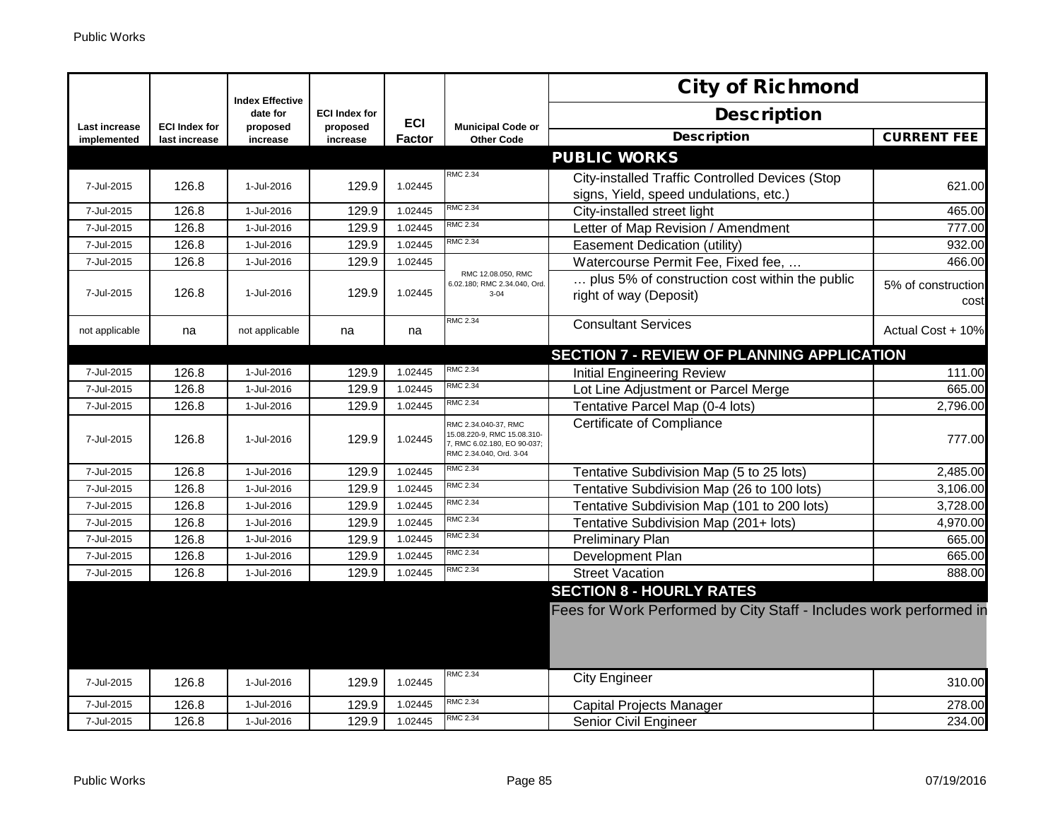|                      |                      | <b>Index Effective</b> |                      |               |                                                                                                               | <b>City of Richmond</b>                                                  |                            |
|----------------------|----------------------|------------------------|----------------------|---------------|---------------------------------------------------------------------------------------------------------------|--------------------------------------------------------------------------|----------------------------|
| <b>Last increase</b> | <b>ECI Index for</b> | date for               | <b>ECI Index for</b> | <b>ECI</b>    | <b>Municipal Code or</b>                                                                                      | <b>Description</b>                                                       |                            |
| implemented          | last increase        | proposed<br>increase   | proposed<br>increase | <b>Factor</b> | <b>Other Code</b>                                                                                             | <b>Description</b>                                                       | <b>CURRENT FEE</b>         |
|                      |                      |                        |                      |               |                                                                                                               | <b>PUBLIC WORKS</b>                                                      |                            |
|                      |                      |                        |                      |               | RMC 2.34                                                                                                      | City-installed Traffic Controlled Devices (Stop                          |                            |
| 7-Jul-2015           | 126.8                | 1-Jul-2016             | 129.9                | 1.02445       |                                                                                                               | signs, Yield, speed undulations, etc.)                                   | 621.00                     |
| 7-Jul-2015           | 126.8                | 1-Jul-2016             | 129.9                | 1.02445       | <b>RMC 2.34</b>                                                                                               | City-installed street light                                              | 465.00                     |
| 7-Jul-2015           | 126.8                | 1-Jul-2016             | 129.9                | 1.02445       | <b>RMC 2.34</b>                                                                                               | Letter of Map Revision / Amendment                                       | 777.00                     |
| 7-Jul-2015           | 126.8                | 1-Jul-2016             | 129.9                | 1.02445       | <b>RMC 2.34</b>                                                                                               | Easement Dedication (utility)                                            | 932.00                     |
| 7-Jul-2015           | 126.8                | 1-Jul-2016             | 129.9                | 1.02445       |                                                                                                               | Watercourse Permit Fee, Fixed fee,                                       | 466.00                     |
| 7-Jul-2015           | 126.8                | 1-Jul-2016             | 129.9                | 1.02445       | RMC 12.08.050, RMC<br>6.02.180; RMC 2.34.040, Ord.<br>$3 - 04$                                                | plus 5% of construction cost within the public<br>right of way (Deposit) | 5% of construction<br>cost |
| not applicable       | na                   | not applicable         | na                   | na            | <b>RMC 2.34</b>                                                                                               | <b>Consultant Services</b>                                               | Actual Cost + 10%          |
|                      |                      |                        |                      |               |                                                                                                               | <b>SECTION 7 - REVIEW OF PLANNING APPLICATION</b>                        |                            |
| 7-Jul-2015           | 126.8                | 1-Jul-2016             | 129.9                | 1.02445       | <b>RMC 2.34</b>                                                                                               | <b>Initial Engineering Review</b>                                        | 111.00                     |
| 7-Jul-2015           | 126.8                | 1-Jul-2016             | 129.9                | 1.02445       | <b>RMC 2.34</b>                                                                                               | Lot Line Adjustment or Parcel Merge                                      | 665.00                     |
| 7-Jul-2015           | 126.8                | 1-Jul-2016             | 129.9                | 1.02445       | <b>RMC 2.34</b>                                                                                               | Tentative Parcel Map (0-4 lots)                                          | 2,796.00                   |
| 7-Jul-2015           | 126.8                | 1-Jul-2016             | 129.9                | 1.02445       | RMC 2.34.040-37, RMC<br>15.08.220-9, RMC 15.08.310-<br>7, RMC 6.02.180, EO 90-037;<br>RMC 2.34.040, Ord. 3-04 | Certificate of Compliance                                                | 777.00                     |
| 7-Jul-2015           | 126.8                | 1-Jul-2016             | 129.9                | 1.02445       | <b>RMC 2.34</b>                                                                                               | Tentative Subdivision Map (5 to 25 lots)                                 | 2,485.00                   |
| 7-Jul-2015           | 126.8                | 1-Jul-2016             | 129.9                | 1.02445       | RMC 2.34                                                                                                      | Tentative Subdivision Map (26 to 100 lots)                               | 3,106.00                   |
| 7-Jul-2015           | 126.8                | 1-Jul-2016             | 129.9                | 1.02445       | <b>RMC 2.34</b>                                                                                               | Tentative Subdivision Map (101 to 200 lots)                              | 3,728.00                   |
| 7-Jul-2015           | 126.8                | 1-Jul-2016             | 129.9                | 1.02445       | <b>RMC 2.34</b>                                                                                               | Tentative Subdivision Map (201+ lots)                                    | 4,970.00                   |
| 7-Jul-2015           | 126.8                | 1-Jul-2016             | 129.9                | 1.02445       | <b>RMC 2.34</b>                                                                                               | <b>Preliminary Plan</b>                                                  | 665.00                     |
| 7-Jul-2015           | 126.8                | 1-Jul-2016             | 129.9                | 1.02445       | RMC 2.34                                                                                                      | Development Plan                                                         | 665.00                     |
| 7-Jul-2015           | 126.8                | 1-Jul-2016             | 129.9                | 1.02445       | <b>RMC 2.34</b>                                                                                               | <b>Street Vacation</b>                                                   | 888.00                     |
|                      |                      |                        |                      |               |                                                                                                               | <b>SECTION 8 - HOURLY RATES</b>                                          |                            |
|                      |                      |                        |                      |               |                                                                                                               | Fees for Work Performed by City Staff - Includes work performed in       |                            |
| 7-Jul-2015           | 126.8                | 1-Jul-2016             | 129.9                | 1.02445       | <b>RMC 2.34</b>                                                                                               | <b>City Engineer</b>                                                     | 310.00                     |
| 7-Jul-2015           | 126.8                | 1-Jul-2016             | 129.9                | 1.02445       | RMC 2.34                                                                                                      | Capital Projects Manager                                                 | 278.00                     |
| 7-Jul-2015           | 126.8                | 1-Jul-2016             | 129.9                | 1.02445       | <b>RMC 2.34</b>                                                                                               | Senior Civil Engineer                                                    | 234.00                     |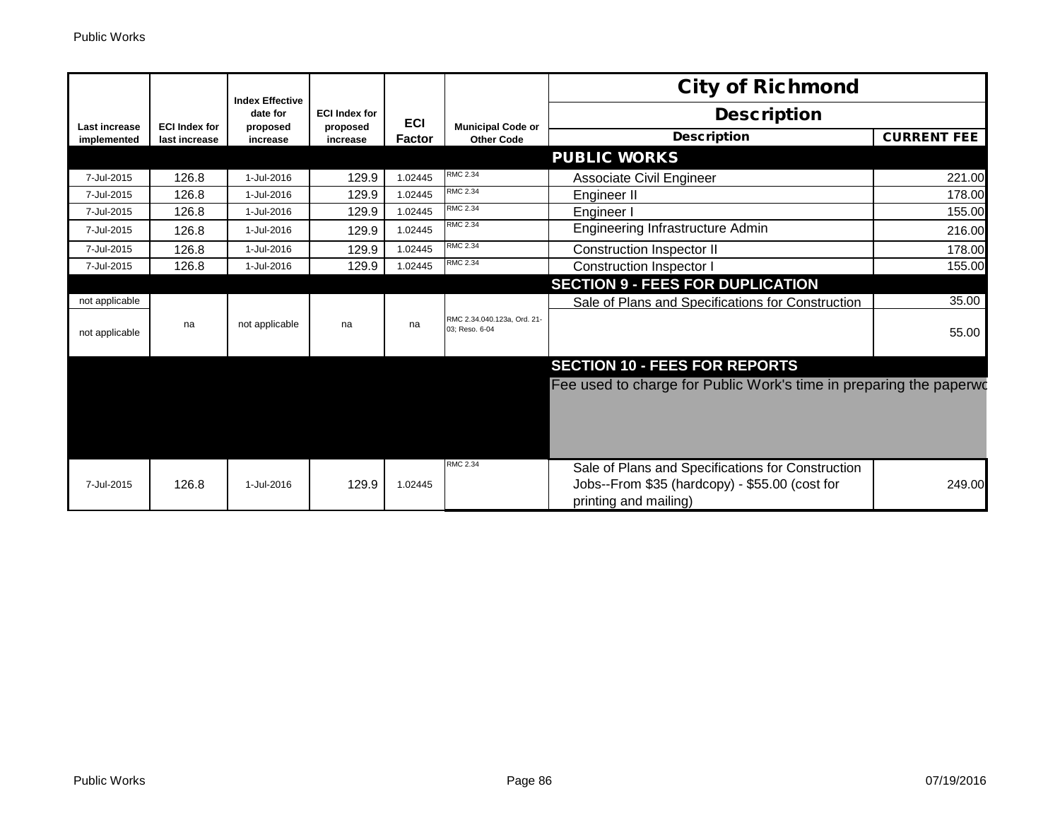|                              |                                       | <b>Index Effective</b> |                      |               |                                               | <b>City of Richmond</b>                                                                             |                    |
|------------------------------|---------------------------------------|------------------------|----------------------|---------------|-----------------------------------------------|-----------------------------------------------------------------------------------------------------|--------------------|
|                              |                                       | date for               | <b>ECI Index for</b> | <b>ECI</b>    |                                               | <b>Description</b>                                                                                  |                    |
| Last increase<br>implemented | <b>ECI Index for</b><br>last increase | proposed<br>increase   | proposed<br>increase | <b>Factor</b> | <b>Municipal Code or</b><br><b>Other Code</b> | <b>Description</b>                                                                                  | <b>CURRENT FEE</b> |
|                              |                                       |                        |                      |               |                                               | <b>PUBLIC WORKS</b>                                                                                 |                    |
| 7-Jul-2015                   | 126.8                                 | 1-Jul-2016             | 129.9                | 1.02445       | RMC 2.34                                      | Associate Civil Engineer                                                                            | 221.00             |
| 7-Jul-2015                   | 126.8                                 | 1-Jul-2016             | 129.9                | 1.02445       | <b>RMC 2.34</b>                               | Engineer II                                                                                         | 178.00             |
| 7-Jul-2015                   | 126.8                                 | 1-Jul-2016             | 129.9                | 1.02445       | <b>RMC 2.34</b>                               | Engineer I                                                                                          | 155.00             |
| 7-Jul-2015                   | 126.8                                 | 1-Jul-2016             | 129.9                | 1.02445       | RMC 2.34                                      | Engineering Infrastructure Admin                                                                    | 216.00             |
| 7-Jul-2015                   | 126.8                                 | 1-Jul-2016             | 129.9                | 1.02445       | <b>RMC 2.34</b>                               | Construction Inspector II                                                                           | 178.00             |
| 7-Jul-2015                   | 126.8                                 | 1-Jul-2016             | 129.9                | 1.02445       | <b>RMC 2.34</b>                               | <b>Construction Inspector I</b>                                                                     | 155.00             |
|                              |                                       |                        |                      |               |                                               | <b>SECTION 9 - FEES FOR DUPLICATION</b>                                                             |                    |
| not applicable               |                                       |                        |                      |               |                                               | Sale of Plans and Specifications for Construction                                                   | 35.00              |
| not applicable               | na                                    | not applicable         | na                   | na            | RMC 2.34.040.123a, Ord. 21-<br>03: Reso, 6-04 |                                                                                                     | 55.00              |
|                              |                                       |                        |                      |               |                                               | <b>SECTION 10 - FEES FOR REPORTS</b>                                                                |                    |
|                              |                                       |                        |                      |               |                                               | Fee used to charge for Public Work's time in preparing the paperwo                                  |                    |
|                              |                                       |                        |                      |               |                                               |                                                                                                     |                    |
|                              |                                       |                        |                      |               |                                               |                                                                                                     |                    |
|                              |                                       |                        |                      |               |                                               |                                                                                                     |                    |
|                              |                                       |                        |                      |               | <b>RMC 2.34</b>                               |                                                                                                     |                    |
| 7-Jul-2015                   | 126.8                                 | 1-Jul-2016             | 129.9                | 1.02445       |                                               | Sale of Plans and Specifications for Construction<br>Jobs--From \$35 (hardcopy) - \$55.00 (cost for | 249.00             |
|                              |                                       |                        |                      |               |                                               | printing and mailing)                                                                               |                    |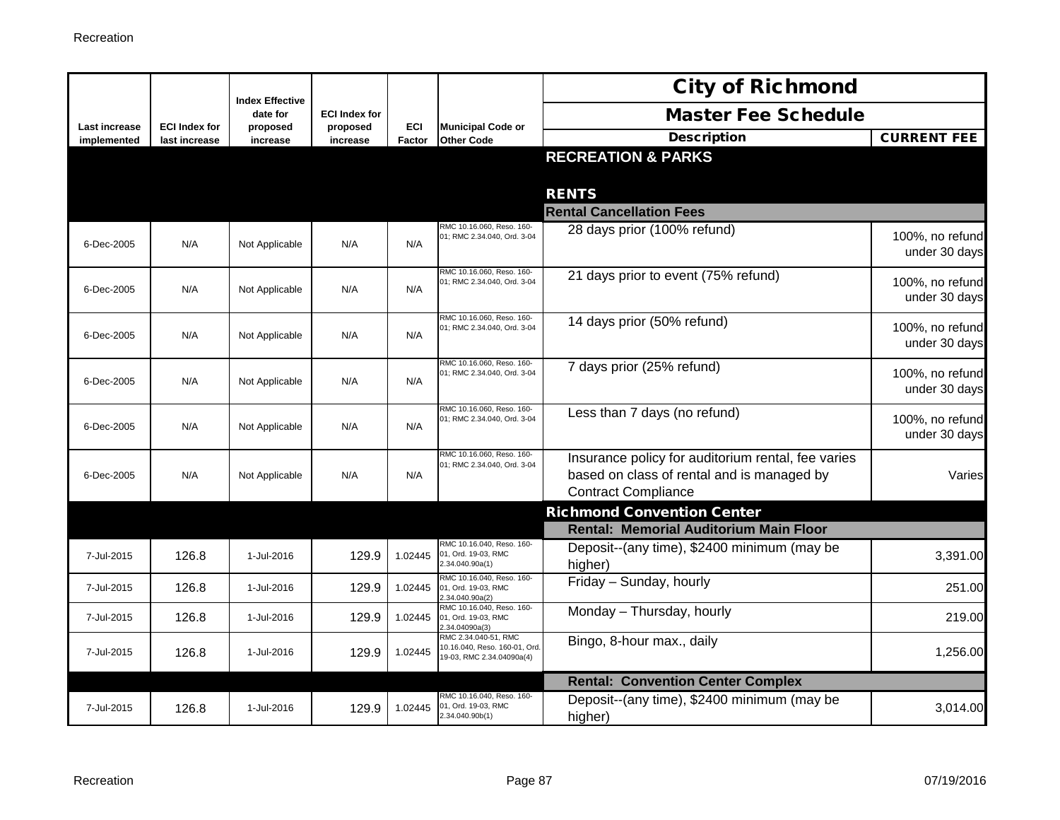|                              |                                       | <b>Index Effective</b> |                      |               |                                                                                    | <b>City of Richmond</b>                                                                          |                                  |
|------------------------------|---------------------------------------|------------------------|----------------------|---------------|------------------------------------------------------------------------------------|--------------------------------------------------------------------------------------------------|----------------------------------|
|                              |                                       | date for               | <b>ECI Index for</b> |               |                                                                                    | <b>Master Fee Schedule</b>                                                                       |                                  |
| Last increase<br>implemented | <b>ECI Index for</b><br>last increase | proposed<br>increase   | proposed<br>increase | ECI<br>Factor | <b>Municipal Code or</b><br><b>Other Code</b>                                      | <b>Description</b>                                                                               | <b>CURRENT FEE</b>               |
|                              |                                       |                        |                      |               |                                                                                    | <b>RECREATION &amp; PARKS</b>                                                                    |                                  |
|                              |                                       |                        |                      |               |                                                                                    |                                                                                                  |                                  |
|                              |                                       |                        |                      |               |                                                                                    | <b>RENTS</b><br><b>Rental Cancellation Fees</b>                                                  |                                  |
|                              |                                       |                        |                      |               | RMC 10.16.060, Reso. 160-                                                          |                                                                                                  |                                  |
| 6-Dec-2005                   | N/A                                   | Not Applicable         | N/A                  | N/A           | 01; RMC 2.34.040, Ord. 3-04                                                        | 28 days prior (100% refund)                                                                      | 100%, no refund<br>under 30 days |
| 6-Dec-2005                   | N/A                                   | Not Applicable         | N/A                  | N/A           | RMC 10.16.060, Reso. 160-<br>01; RMC 2.34.040, Ord. 3-04                           | 21 days prior to event (75% refund)                                                              | 100%, no refund<br>under 30 days |
|                              |                                       |                        |                      |               | RMC 10.16.060, Reso, 160-                                                          | 14 days prior (50% refund)                                                                       |                                  |
| 6-Dec-2005                   | N/A                                   | Not Applicable         | N/A                  | N/A           | 01; RMC 2.34.040, Ord. 3-04                                                        |                                                                                                  | 100%, no refund<br>under 30 days |
| 6-Dec-2005                   | N/A                                   | Not Applicable         | N/A                  | N/A           | RMC 10.16.060, Reso. 160-<br>01; RMC 2.34.040, Ord. 3-04                           | 7 days prior (25% refund)                                                                        | 100%, no refund                  |
|                              |                                       |                        |                      |               |                                                                                    |                                                                                                  | under 30 days                    |
| 6-Dec-2005                   | N/A                                   | Not Applicable         | N/A                  | N/A           | RMC 10.16.060, Reso. 160-<br>01; RMC 2.34.040, Ord. 3-04                           | Less than 7 days (no refund)                                                                     | 100%, no refund<br>under 30 days |
|                              | N/A                                   |                        | N/A                  | N/A           | RMC 10.16.060, Reso. 160-<br>01; RMC 2.34.040, Ord. 3-04                           | Insurance policy for auditorium rental, fee varies<br>based on class of rental and is managed by | Varies                           |
| 6-Dec-2005                   |                                       | Not Applicable         |                      |               |                                                                                    | <b>Contract Compliance</b>                                                                       |                                  |
|                              |                                       |                        |                      |               |                                                                                    | <b>Richmond Convention Center</b>                                                                |                                  |
|                              |                                       |                        |                      |               |                                                                                    | <b>Rental: Memorial Auditorium Main Floor</b>                                                    |                                  |
| 7-Jul-2015                   | 126.8                                 | 1-Jul-2016             | 129.9                | 1.02445       | RMC 10.16.040, Reso. 160-<br>01, Ord. 19-03, RMC<br>2.34.040.90a(1)                | Deposit--(any time), \$2400 minimum (may be<br>higher)                                           | 3,391.00                         |
| 7-Jul-2015                   | 126.8                                 | 1-Jul-2016             | 129.9                | 1.02445       | RMC 10.16.040, Reso. 160-<br>01, Ord. 19-03, RMC<br>2.34.040.90a(2)                | Friday - Sunday, hourly                                                                          | 251.00                           |
| 7-Jul-2015                   | 126.8                                 | 1-Jul-2016             | 129.9                | 1.02445       | RMC 10.16.040, Reso. 160-<br>01, Ord. 19-03, RMC<br>2.34.04090a(3)                 | Monday - Thursday, hourly                                                                        | 219.00                           |
| 7-Jul-2015                   | 126.8                                 | 1-Jul-2016             | 129.9                | 1.02445       | RMC 2.34.040-51, RMC<br>10.16.040, Reso. 160-01, Ord.<br>19-03, RMC 2.34.04090a(4) | Bingo, 8-hour max., daily                                                                        | 1,256.00                         |
|                              |                                       |                        |                      |               |                                                                                    | <b>Rental: Convention Center Complex</b>                                                         |                                  |
| 7-Jul-2015                   | 126.8                                 | 1-Jul-2016             | 129.9                | 1.02445       | RMC 10.16.040, Reso, 160-<br>01, Ord. 19-03, RMC                                   | Deposit--(any time), \$2400 minimum (may be                                                      | 3,014.00                         |
|                              |                                       |                        |                      |               | 2.34.040.90b(1)                                                                    | higher)                                                                                          |                                  |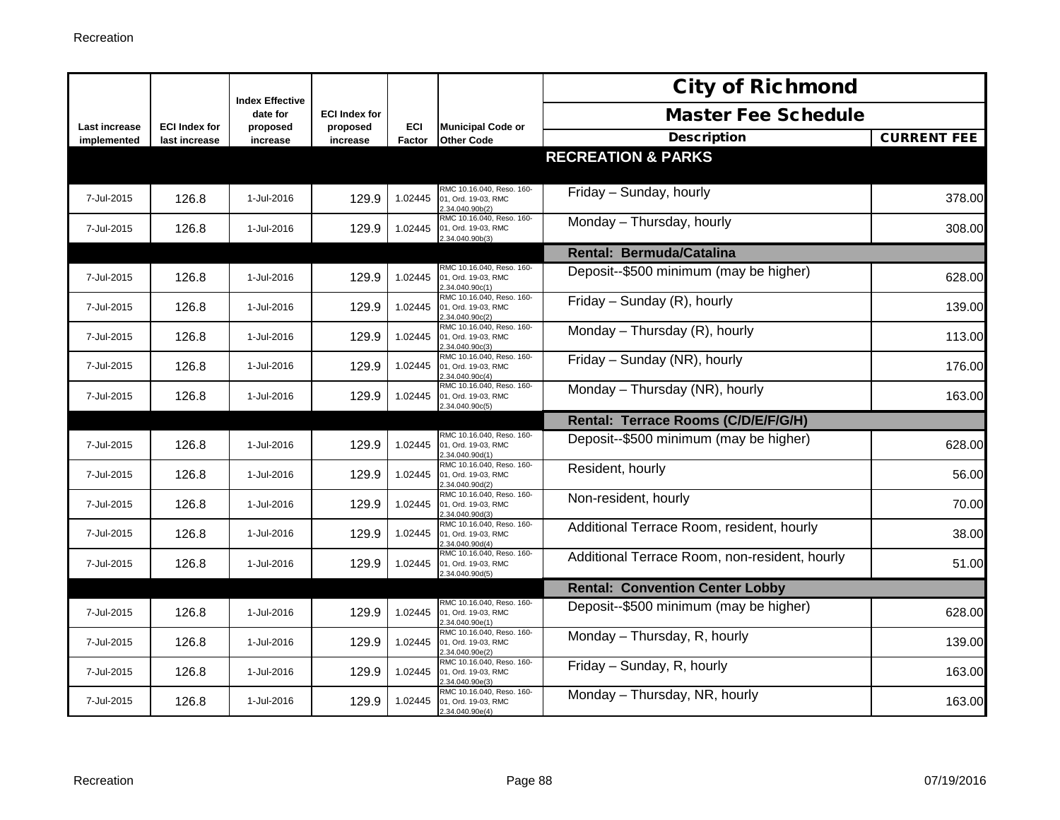|                              |                                       |                                    |                      |               |                                                                     | <b>City of Richmond</b>                       |                    |
|------------------------------|---------------------------------------|------------------------------------|----------------------|---------------|---------------------------------------------------------------------|-----------------------------------------------|--------------------|
|                              |                                       | <b>Index Effective</b><br>date for | <b>ECI Index for</b> |               |                                                                     | <b>Master Fee Schedule</b>                    |                    |
| Last increase<br>implemented | <b>ECI Index for</b><br>last increase | proposed<br>increase               | proposed<br>increase | ECI<br>Factor | <b>Municipal Code or</b><br><b>Other Code</b>                       | <b>Description</b>                            | <b>CURRENT FEE</b> |
|                              |                                       |                                    |                      |               |                                                                     | <b>RECREATION &amp; PARKS</b>                 |                    |
| 7-Jul-2015                   | 126.8                                 | 1-Jul-2016                         | 129.9                | 1.02445       | RMC 10.16.040, Reso. 160-<br>01, Ord. 19-03, RMC<br>2.34.040.90b(2) | Friday - Sunday, hourly                       | 378.00             |
| 7-Jul-2015                   | 126.8                                 | 1-Jul-2016                         | 129.9                | 1.02445       | RMC 10.16.040, Reso. 160-<br>01, Ord. 19-03, RMC<br>2.34.040.90b(3) | Monday - Thursday, hourly                     | 308.00             |
|                              |                                       |                                    |                      |               |                                                                     | Rental: Bermuda/Catalina                      |                    |
| 7-Jul-2015                   | 126.8                                 | 1-Jul-2016                         | 129.9                | 1.02445       | RMC 10.16.040, Reso. 160-<br>01. Ord. 19-03. RMC<br>2.34.040.90c(1) | Deposit--\$500 minimum (may be higher)        | 628.00             |
| 7-Jul-2015                   | 126.8                                 | 1-Jul-2016                         | 129.9                | 1.02445       | RMC 10.16.040, Reso. 160-<br>01, Ord. 19-03, RMC<br>2.34.040.90c(2) | Friday - Sunday (R), hourly                   | 139.00             |
| 7-Jul-2015                   | 126.8                                 | 1-Jul-2016                         | 129.9                | 1.02445       | RMC 10.16.040, Reso. 160-<br>01, Ord. 19-03, RMC<br>2.34.040.90c(3) | Monday - Thursday (R), hourly                 | 113.00             |
| 7-Jul-2015                   | 126.8                                 | 1-Jul-2016                         | 129.9                | 1.02445       | RMC 10.16.040, Reso. 160-<br>01, Ord. 19-03, RMC<br>2.34.040.90c(4) | Friday - Sunday (NR), hourly                  | 176.00             |
| 7-Jul-2015                   | 126.8                                 | 1-Jul-2016                         | 129.9                | 1.02445       | RMC 10.16.040, Reso. 160-<br>01, Ord. 19-03, RMC<br>2.34.040.90c(5) | Monday - Thursday (NR), hourly                | 163.00             |
|                              |                                       |                                    |                      |               |                                                                     | Rental: Terrace Rooms (C/D/E/F/G/H)           |                    |
| 7-Jul-2015                   | 126.8                                 | 1-Jul-2016                         | 129.9                | 1.02445       | RMC 10.16.040, Reso. 160-<br>01, Ord. 19-03, RMC<br>2.34.040.90d(1) | Deposit--\$500 minimum (may be higher)        | 628.00             |
| 7-Jul-2015                   | 126.8                                 | 1-Jul-2016                         | 129.9                | 1.02445       | RMC 10.16.040, Reso. 160-<br>01, Ord. 19-03, RMC<br>.34.040.90d(2)  | Resident, hourly                              | 56.00              |
| 7-Jul-2015                   | 126.8                                 | 1-Jul-2016                         | 129.9                | 1.02445       | RMC 10.16.040, Reso. 160-<br>01, Ord. 19-03, RMC<br>2.34.040.90d(3) | Non-resident, hourly                          | 70.00              |
| 7-Jul-2015                   | 126.8                                 | 1-Jul-2016                         | 129.9                | 1.02445       | RMC 10.16.040, Reso. 160-<br>01, Ord. 19-03, RMC<br>2.34.040.90d(4) | Additional Terrace Room, resident, hourly     | 38.00              |
| 7-Jul-2015                   | 126.8                                 | 1-Jul-2016                         | 129.9                | 1.02445       | RMC 10.16.040, Reso. 160-<br>01, Ord. 19-03, RMC<br>2.34.040.90d(5) | Additional Terrace Room, non-resident, hourly | 51.00              |
|                              |                                       |                                    |                      |               |                                                                     | <b>Rental: Convention Center Lobby</b>        |                    |
| 7-Jul-2015                   | 126.8                                 | 1-Jul-2016                         | 129.9                | 1.02445       | RMC 10.16.040, Reso. 160-<br>01, Ord. 19-03, RMC<br>2.34.040.90e(1) | Deposit--\$500 minimum (may be higher)        | 628.00             |
| 7-Jul-2015                   | 126.8                                 | 1-Jul-2016                         | 129.9                | 1.02445       | RMC 10.16.040, Reso. 160-<br>01, Ord. 19-03, RMC<br>2.34.040.90e(2) | Monday - Thursday, R, hourly                  | 139.00             |
| 7-Jul-2015                   | 126.8                                 | 1-Jul-2016                         | 129.9                | 1.02445       | RMC 10.16.040, Reso. 160-<br>01, Ord. 19-03, RMC<br>2.34.040.90e(3) | Friday - Sunday, R, hourly                    | 163.00             |
| 7-Jul-2015                   | 126.8                                 | 1-Jul-2016                         | 129.9                | 1.02445       | RMC 10.16.040, Reso. 160-<br>01, Ord. 19-03, RMC<br>2.34.040.90e(4) | Monday - Thursday, NR, hourly                 | 163.00             |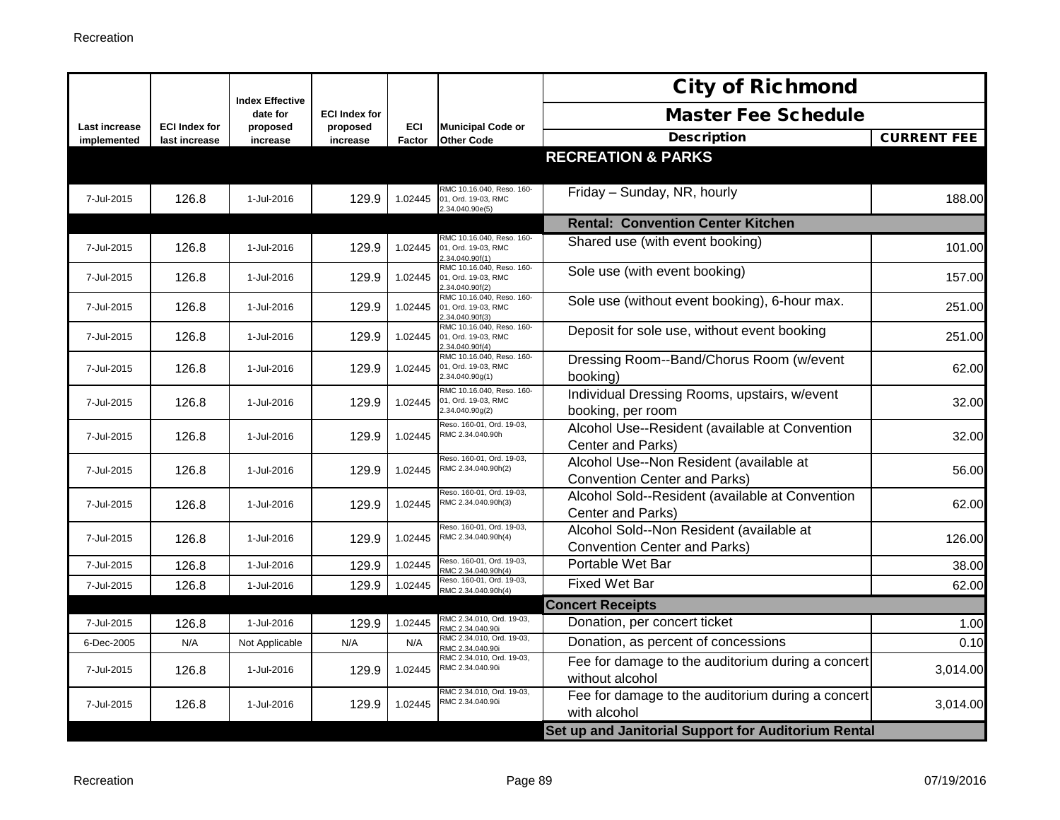|                              |                                       | <b>Index Effective</b> |                      |                      |                                                                     | <b>City of Richmond</b>                                                         |                    |
|------------------------------|---------------------------------------|------------------------|----------------------|----------------------|---------------------------------------------------------------------|---------------------------------------------------------------------------------|--------------------|
|                              |                                       | date for               | <b>ECI Index for</b> |                      |                                                                     | <b>Master Fee Schedule</b>                                                      |                    |
| Last increase<br>implemented | <b>ECI Index for</b><br>last increase | proposed<br>increase   | proposed<br>increase | <b>ECI</b><br>Factor | <b>Municipal Code or</b><br><b>Other Code</b>                       | <b>Description</b>                                                              | <b>CURRENT FEE</b> |
|                              |                                       |                        |                      |                      |                                                                     | <b>RECREATION &amp; PARKS</b>                                                   |                    |
| 7-Jul-2015                   | 126.8                                 | 1-Jul-2016             | 129.9                | 1.02445              | RMC 10.16.040, Reso. 160-<br>01, Ord. 19-03, RMC<br>2.34.040.90e(5) | Friday - Sunday, NR, hourly                                                     | 188.00             |
|                              |                                       |                        |                      |                      |                                                                     | <b>Rental: Convention Center Kitchen</b>                                        |                    |
| 7-Jul-2015                   | 126.8                                 | 1-Jul-2016             | 129.9                | 1.02445              | RMC 10.16.040, Reso. 160-<br>01, Ord. 19-03, RMC<br>2.34.040.90f(1) | Shared use (with event booking)                                                 | 101.00             |
| 7-Jul-2015                   | 126.8                                 | 1-Jul-2016             | 129.9                | 1.02445              | RMC 10.16.040, Reso. 160-<br>01, Ord. 19-03, RMC<br>2.34.040.90f(2) | Sole use (with event booking)                                                   | 157.00             |
| 7-Jul-2015                   | 126.8                                 | 1-Jul-2016             | 129.9                | 1.02445              | RMC 10.16.040, Reso. 160-<br>01, Ord. 19-03, RMC<br>2.34.040.90f(3) | Sole use (without event booking), 6-hour max.                                   | 251.00             |
| 7-Jul-2015                   | 126.8                                 | 1-Jul-2016             | 129.9                | 1.02445              | RMC 10.16.040, Reso. 160-<br>01, Ord. 19-03, RMC<br>.34.040.90f(4)  | Deposit for sole use, without event booking                                     | 251.00             |
| 7-Jul-2015                   | 126.8                                 | 1-Jul-2016             | 129.9                | 1.02445              | RMC 10.16.040, Reso. 160-<br>01, Ord. 19-03, RMC<br>2.34.040.90g(1) | Dressing Room--Band/Chorus Room (w/event<br>booking)                            | 62.00              |
| 7-Jul-2015                   | 126.8                                 | 1-Jul-2016             | 129.9                | 1.02445              | RMC 10.16.040, Reso. 160-<br>01, Ord. 19-03, RMC<br>2.34.040.90g(2) | Individual Dressing Rooms, upstairs, w/event<br>booking, per room               | 32.00              |
| 7-Jul-2015                   | 126.8                                 | 1-Jul-2016             | 129.9                | 1.02445              | Reso. 160-01, Ord. 19-03,<br>RMC 2.34.040.90h                       | Alcohol Use--Resident (available at Convention<br>Center and Parks)             | 32.00              |
| 7-Jul-2015                   | 126.8                                 | 1-Jul-2016             | 129.9                | 1.02445              | Reso. 160-01, Ord. 19-03,<br>RMC 2.34.040.90h(2)                    | Alcohol Use--Non Resident (available at<br><b>Convention Center and Parks)</b>  | 56.00              |
| 7-Jul-2015                   | 126.8                                 | 1-Jul-2016             | 129.9                | 1.02445              | Reso. 160-01, Ord. 19-03,<br>RMC 2.34.040.90h(3)                    | Alcohol Sold--Resident (available at Convention<br>Center and Parks)            | 62.00              |
| 7-Jul-2015                   | 126.8                                 | 1-Jul-2016             | 129.9                | 1.02445              | Reso. 160-01, Ord. 19-03,<br>RMC 2.34.040.90h(4)                    | Alcohol Sold--Non Resident (available at<br><b>Convention Center and Parks)</b> | 126.00             |
| 7-Jul-2015                   | 126.8                                 | 1-Jul-2016             | 129.9                | 1.02445              | Reso. 160-01, Ord. 19-03,<br>RMC 2.34.040.90h(4)                    | Portable Wet Bar                                                                | 38.00              |
| 7-Jul-2015                   | 126.8                                 | 1-Jul-2016             | 129.9                | 1.02445              | Reso. 160-01, Ord. 19-03,<br>RMC 2.34.040.90h(4)                    | <b>Fixed Wet Bar</b>                                                            | 62.00              |
|                              |                                       |                        |                      |                      |                                                                     | <b>Concert Receipts</b>                                                         |                    |
| 7-Jul-2015                   | 126.8                                 | 1-Jul-2016             | 129.9                | 1.02445              | RMC 2.34.010, Ord. 19-03,<br>RMC 2.34.040.90i                       | Donation, per concert ticket                                                    | 1.00               |
| 6-Dec-2005                   | N/A                                   | Not Applicable         | N/A                  | N/A                  | RMC 2.34.010, Ord. 19-03,<br>RMC 2.34.040.90i                       | Donation, as percent of concessions                                             | 0.10               |
| 7-Jul-2015                   | 126.8                                 | 1-Jul-2016             | 129.9                | 1.02445              | RMC 2.34.010, Ord. 19-03,<br>RMC 2.34.040.90i                       | Fee for damage to the auditorium during a concert<br>without alcohol            | 3,014.00           |
| 7-Jul-2015                   | 126.8                                 | 1-Jul-2016             | 129.9                | 1.02445              | RMC 2.34.010, Ord. 19-03,<br>RMC 2.34.040.90i                       | Fee for damage to the auditorium during a concert<br>with alcohol               | 3,014.00           |
|                              |                                       |                        |                      |                      |                                                                     | Set up and Janitorial Support for Auditorium Rental                             |                    |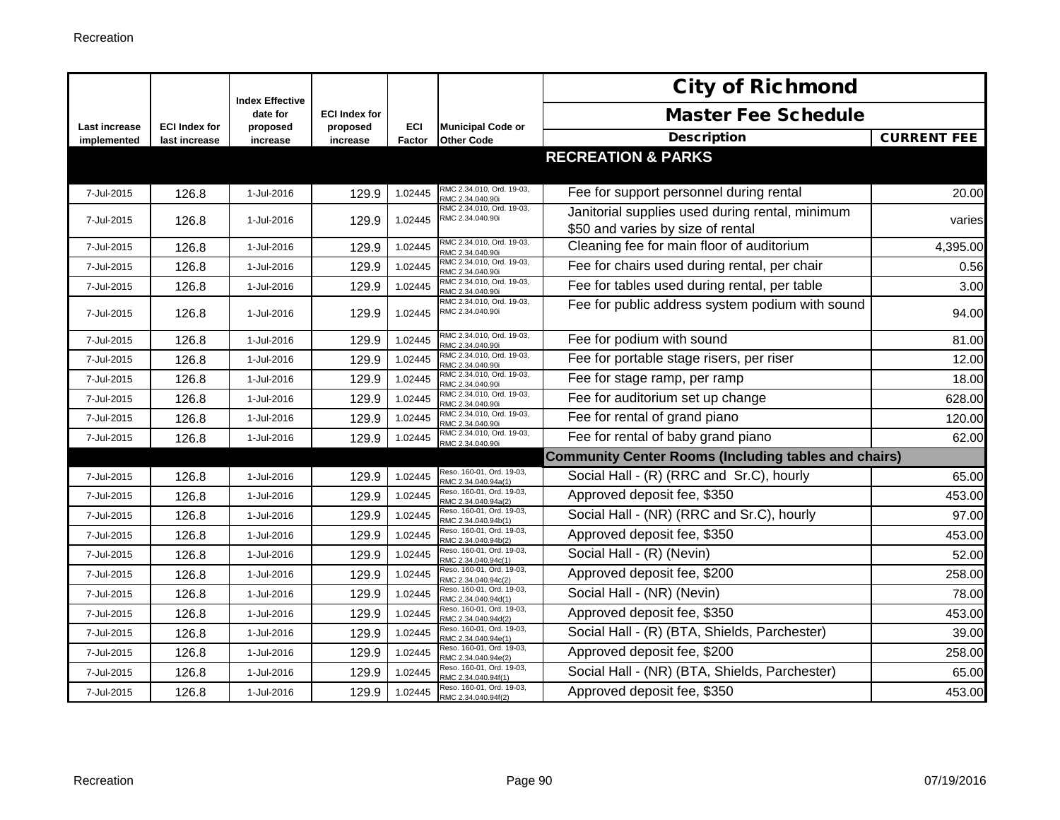|                              |                                       | <b>Index Effective</b> |                      |               |                                                  | <b>City of Richmond</b>                                                              |                    |
|------------------------------|---------------------------------------|------------------------|----------------------|---------------|--------------------------------------------------|--------------------------------------------------------------------------------------|--------------------|
|                              |                                       | date for               | <b>ECI Index for</b> |               |                                                  | <b>Master Fee Schedule</b>                                                           |                    |
| Last increase<br>implemented | <b>ECI Index for</b><br>last increase | proposed<br>increase   | proposed<br>increase | ECI<br>Factor | <b>Municipal Code or</b><br><b>Other Code</b>    | <b>Description</b>                                                                   | <b>CURRENT FEE</b> |
|                              |                                       |                        |                      |               |                                                  | <b>RECREATION &amp; PARKS</b>                                                        |                    |
| 7-Jul-2015                   | 126.8                                 | 1-Jul-2016             | 129.9                | 1.02445       | RMC 2.34.010, Ord. 19-03,<br>RMC 2.34.040.90i    | Fee for support personnel during rental                                              | 20.00              |
| 7-Jul-2015                   | 126.8                                 | 1-Jul-2016             | 129.9                | 1.02445       | RMC 2.34.010, Ord. 19-03,<br>RMC 2.34.040.90i    | Janitorial supplies used during rental, minimum<br>\$50 and varies by size of rental | varies             |
| 7-Jul-2015                   | 126.8                                 | 1-Jul-2016             | 129.9                | 1.02445       | RMC 2.34.010, Ord. 19-03,<br>RMC 2.34.040.90i    | Cleaning fee for main floor of auditorium                                            | 4,395.00           |
| 7-Jul-2015                   | 126.8                                 | 1-Jul-2016             | 129.9                | 1.02445       | RMC 2.34.010, Ord. 19-03,<br>RMC 2.34.040.90i    | Fee for chairs used during rental, per chair                                         | 0.56               |
| 7-Jul-2015                   | 126.8                                 | 1-Jul-2016             | 129.9                | 1.02445       | RMC 2.34.010, Ord. 19-03,<br>RMC 2.34.040.90i    | Fee for tables used during rental, per table                                         | 3.00               |
| 7-Jul-2015                   | 126.8                                 | 1-Jul-2016             | 129.9                | 1.02445       | RMC 2.34.010, Ord. 19-03,<br>RMC 2.34.040.90i    | Fee for public address system podium with sound                                      | 94.00              |
| 7-Jul-2015                   | 126.8                                 | 1-Jul-2016             | 129.9                | 1.02445       | RMC 2.34.010, Ord. 19-03,<br>RMC 2.34.040.90i    | Fee for podium with sound                                                            | 81.00              |
| 7-Jul-2015                   | 126.8                                 | 1-Jul-2016             | 129.9                | 1.02445       | RMC 2.34.010, Ord. 19-03,<br>RMC 2.34.040.90i    | Fee for portable stage risers, per riser                                             | 12.00              |
| 7-Jul-2015                   | 126.8                                 | 1-Jul-2016             | 129.9                | 1.02445       | RMC 2.34.010, Ord. 19-03,<br>RMC 2.34.040.90i    | Fee for stage ramp, per ramp                                                         | 18.00              |
| 7-Jul-2015                   | 126.8                                 | 1-Jul-2016             | 129.9                | 1.02445       | RMC 2.34.010, Ord. 19-03,<br>RMC 2.34.040.90i    | Fee for auditorium set up change                                                     | 628.00             |
| 7-Jul-2015                   | 126.8                                 | 1-Jul-2016             | 129.9                | 1.02445       | RMC 2.34.010, Ord. 19-03,<br>RMC 2.34.040.90i    | Fee for rental of grand piano                                                        | 120.00             |
| 7-Jul-2015                   | 126.8                                 | 1-Jul-2016             | 129.9                | 1.02445       | RMC 2.34.010, Ord. 19-03,<br>RMC 2.34.040.90i    | Fee for rental of baby grand piano                                                   | 62.00              |
|                              |                                       |                        |                      |               |                                                  | <b>Community Center Rooms (Including tables and chairs)</b>                          |                    |
| 7-Jul-2015                   | 126.8                                 | 1-Jul-2016             | 129.9                | 1.02445       | Reso. 160-01, Ord. 19-03,<br>RMC 2.34.040.94a(1) | Social Hall - (R) (RRC and Sr.C), hourly                                             | 65.00              |
| 7-Jul-2015                   | 126.8                                 | 1-Jul-2016             | 129.9                | 1.02445       | Reso. 160-01, Ord. 19-03,<br>RMC 2.34.040.94a(2) | Approved deposit fee, \$350                                                          | 453.00             |
| 7-Jul-2015                   | 126.8                                 | 1-Jul-2016             | 129.9                | 1.02445       | Reso. 160-01, Ord. 19-03,<br>RMC 2.34.040.94b(1) | Social Hall - (NR) (RRC and Sr.C), hourly                                            | 97.00              |
| 7-Jul-2015                   | 126.8                                 | 1-Jul-2016             | 129.9                | 1.02445       | Reso. 160-01, Ord. 19-03,<br>RMC 2.34.040.94b(2) | Approved deposit fee, \$350                                                          | 453.00             |
| 7-Jul-2015                   | 126.8                                 | 1-Jul-2016             | 129.9                | 1.02445       | Reso. 160-01, Ord. 19-03,<br>RMC 2.34.040.94c(1) | Social Hall - (R) (Nevin)                                                            | 52.00              |
| 7-Jul-2015                   | 126.8                                 | 1-Jul-2016             | 129.9                | 1.02445       | Reso. 160-01, Ord. 19-03,<br>RMC 2.34.040.94c(2) | Approved deposit fee, \$200                                                          | 258.00             |
| 7-Jul-2015                   | 126.8                                 | 1-Jul-2016             | 129.9                | 1.02445       | Reso. 160-01, Ord. 19-03,<br>RMC 2.34.040.94d(1) | Social Hall - (NR) (Nevin)                                                           | 78.00              |
| 7-Jul-2015                   | 126.8                                 | 1-Jul-2016             | 129.9                | 1.02445       | Reso. 160-01, Ord. 19-03,<br>RMC 2.34.040.94d(2) | Approved deposit fee, \$350                                                          | 453.00             |
| 7-Jul-2015                   | 126.8                                 | 1-Jul-2016             | 129.9                | 1.02445       | Reso. 160-01, Ord. 19-03,<br>RMC 2.34.040.94e(1) | Social Hall - (R) (BTA, Shields, Parchester)                                         | 39.00              |
| 7-Jul-2015                   | 126.8                                 | 1-Jul-2016             | 129.9                | 1.02445       | Reso. 160-01, Ord. 19-03,<br>RMC 2.34.040.94e(2) | Approved deposit fee, \$200                                                          | 258.00             |
| 7-Jul-2015                   | 126.8                                 | 1-Jul-2016             | 129.9                | 1.02445       | Reso. 160-01, Ord. 19-03,<br>RMC 2.34.040.94f(1) | Social Hall - (NR) (BTA, Shields, Parchester)                                        | 65.00              |
| 7-Jul-2015                   | 126.8                                 | 1-Jul-2016             | 129.9                | 1.02445       | Reso. 160-01, Ord. 19-03,<br>RMC 2.34.040.94f(2) | Approved deposit fee, \$350                                                          | 453.00             |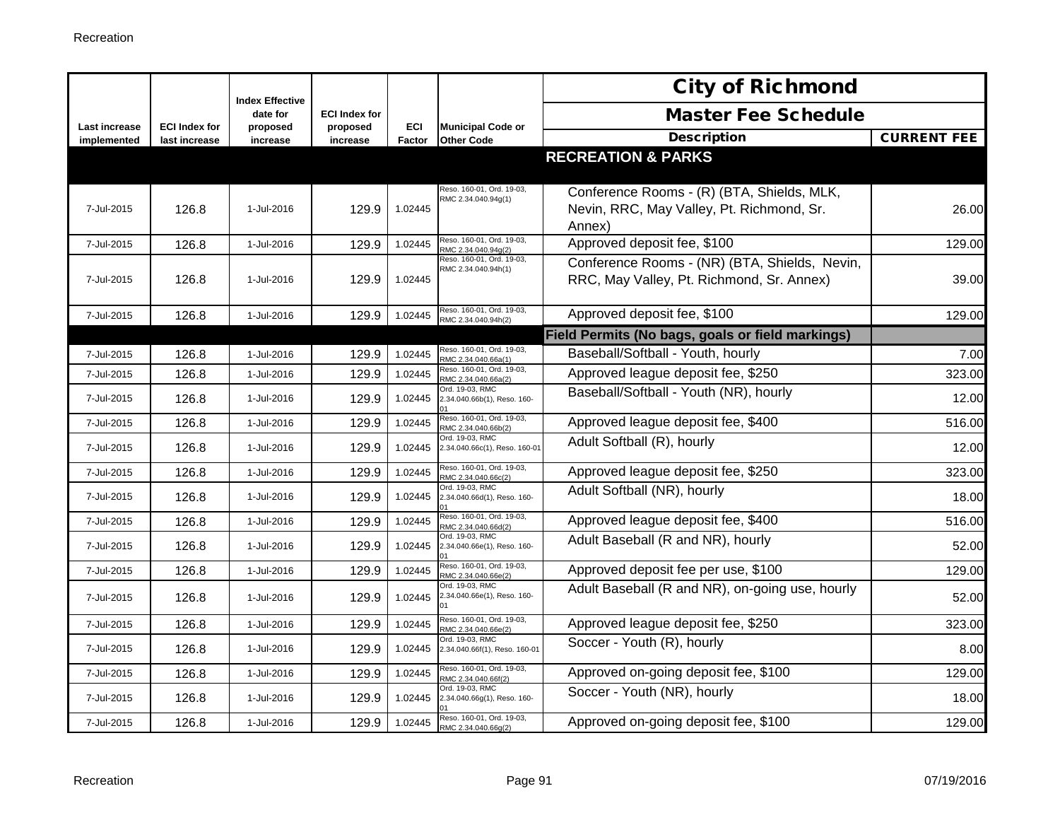|                                     |                                       | <b>Index Effective</b> |                      |               |                                                  | <b>City of Richmond</b>                                                                           |                    |
|-------------------------------------|---------------------------------------|------------------------|----------------------|---------------|--------------------------------------------------|---------------------------------------------------------------------------------------------------|--------------------|
|                                     |                                       | date for               | <b>ECI Index for</b> |               |                                                  | <b>Master Fee Schedule</b>                                                                        |                    |
| <b>Last increase</b><br>implemented | <b>ECI Index for</b><br>last increase | proposed<br>increase   | proposed<br>increase | ECI<br>Factor | <b>Municipal Code or</b><br><b>Other Code</b>    | <b>Description</b>                                                                                | <b>CURRENT FEE</b> |
|                                     |                                       |                        |                      |               |                                                  | <b>RECREATION &amp; PARKS</b>                                                                     |                    |
| 7-Jul-2015                          | 126.8                                 | 1-Jul-2016             | 129.9                | 1.02445       | Reso. 160-01, Ord. 19-03,<br>RMC 2.34.040.94g(1) | Conference Rooms - (R) (BTA, Shields, MLK,<br>Nevin, RRC, May Valley, Pt. Richmond, Sr.<br>Annex) | 26.00              |
| 7-Jul-2015                          | 126.8                                 | 1-Jul-2016             | 129.9                | 1.02445       | Reso. 160-01, Ord. 19-03,<br>RMC 2.34.040.94g(2) | Approved deposit fee, \$100                                                                       | 129.00             |
| 7-Jul-2015                          | 126.8                                 | 1-Jul-2016             | 129.9                | 1.02445       | Reso. 160-01, Ord. 19-03,<br>RMC 2.34.040.94h(1) | Conference Rooms - (NR) (BTA, Shields, Nevin,<br>RRC, May Valley, Pt. Richmond, Sr. Annex)        | 39.00              |
| 7-Jul-2015                          | 126.8                                 | 1-Jul-2016             | 129.9                | 1.02445       | Reso. 160-01, Ord. 19-03,<br>RMC 2.34.040.94h(2) | Approved deposit fee, \$100                                                                       | 129.00             |
|                                     |                                       |                        |                      |               |                                                  | Field Permits (No bags, goals or field markings)                                                  |                    |
| 7-Jul-2015                          | 126.8                                 | 1-Jul-2016             | 129.9                | 1.02445       | Reso. 160-01, Ord. 19-03,<br>RMC 2.34.040.66a(1) | Baseball/Softball - Youth, hourly                                                                 | 7.00               |
| 7-Jul-2015                          | 126.8                                 | 1-Jul-2016             | 129.9                | 1.02445       | Reso. 160-01, Ord. 19-03,<br>RMC 2.34.040.66a(2) | Approved league deposit fee, \$250                                                                | 323.00             |
| 7-Jul-2015                          | 126.8                                 | 1-Jul-2016             | 129.9                | 1.02445       | Ord. 19-03, RMC<br>2.34.040.66b(1), Reso. 160-   | Baseball/Softball - Youth (NR), hourly                                                            | 12.00              |
| 7-Jul-2015                          | 126.8                                 | 1-Jul-2016             | 129.9                | 1.02445       | Reso. 160-01, Ord. 19-03,<br>RMC 2.34.040.66b(2) | Approved league deposit fee, \$400                                                                | 516.00             |
| 7-Jul-2015                          | 126.8                                 | 1-Jul-2016             | 129.9                | 1.02445       | Ord. 19-03, RMC<br>2.34.040.66c(1), Reso. 160-01 | Adult Softball (R), hourly                                                                        | 12.00              |
| 7-Jul-2015                          | 126.8                                 | 1-Jul-2016             | 129.9                | 1.02445       | Reso. 160-01, Ord. 19-03,<br>RMC 2.34.040.66c(2) | Approved league deposit fee, \$250                                                                | 323.00             |
| 7-Jul-2015                          | 126.8                                 | 1-Jul-2016             | 129.9                | 1.02445       | Ord. 19-03, RMC<br>2.34.040.66d(1), Reso. 160-   | Adult Softball (NR), hourly                                                                       | 18.00              |
| 7-Jul-2015                          | 126.8                                 | 1-Jul-2016             | 129.9                | 1.02445       | Reso. 160-01, Ord. 19-03,<br>RMC 2.34.040.66d(2) | Approved league deposit fee, \$400                                                                | 516.00             |
| 7-Jul-2015                          | 126.8                                 | 1-Jul-2016             | 129.9                | 1.02445       | Ord. 19-03, RMC<br>2.34.040.66e(1), Reso. 160-   | Adult Baseball (R and NR), hourly                                                                 | 52.00              |
| 7-Jul-2015                          | 126.8                                 | 1-Jul-2016             | 129.9                | 1.02445       | Reso. 160-01, Ord. 19-03,<br>RMC 2.34.040.66e(2) | Approved deposit fee per use, \$100                                                               | 129.00             |
| 7-Jul-2015                          | 126.8                                 | 1-Jul-2016             | 129.9                | 1.02445       | Ord. 19-03, RMC<br>2.34.040.66e(1), Reso. 160-   | Adult Baseball (R and NR), on-going use, hourly                                                   | 52.00              |
| 7-Jul-2015                          | 126.8                                 | 1-Jul-2016             | 129.9                | 1.02445       | Reso. 160-01, Ord. 19-03,<br>RMC 2.34.040.66e(2) | Approved league deposit fee, \$250                                                                | 323.00             |
| 7-Jul-2015                          | 126.8                                 | 1-Jul-2016             | 129.9                | 1.02445       | Ord. 19-03. RMC<br>2.34.040.66f(1), Reso. 160-01 | Soccer - Youth (R), hourly                                                                        | 8.00               |
| 7-Jul-2015                          | 126.8                                 | 1-Jul-2016             | 129.9                | 1.02445       | Reso. 160-01, Ord. 19-03,<br>RMC 2.34.040.66f(2) | Approved on-going deposit fee, \$100                                                              | 129.00             |
| 7-Jul-2015                          | 126.8                                 | 1-Jul-2016             | 129.9                | 1.02445       | Ord. 19-03, RMC<br>2.34.040.66g(1), Reso. 160-   | Soccer - Youth (NR), hourly                                                                       | 18.00              |
| 7-Jul-2015                          | 126.8                                 | 1-Jul-2016             | 129.9                | 1.02445       | Reso. 160-01, Ord. 19-03,<br>RMC 2.34.040.66q(2) | Approved on-going deposit fee, \$100                                                              | 129.00             |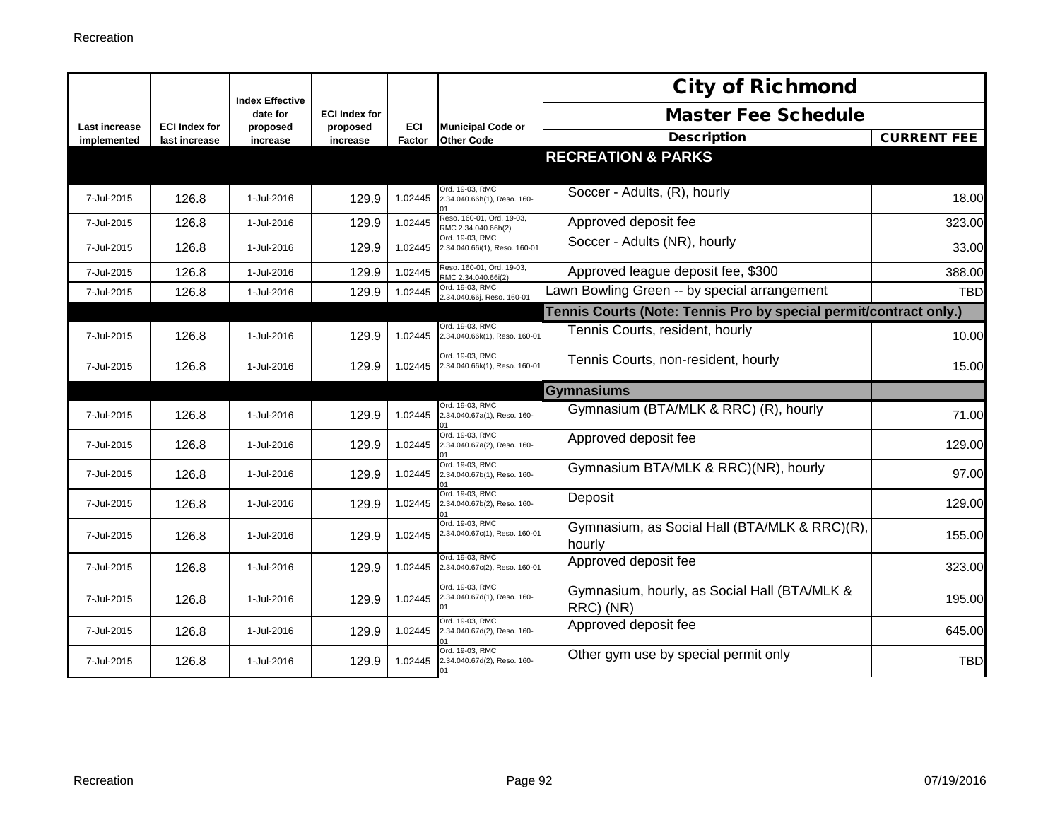|                              |                                       | <b>Index Effective</b> |                      |            |                                                                     | <b>City of Richmond</b>                                           |                    |
|------------------------------|---------------------------------------|------------------------|----------------------|------------|---------------------------------------------------------------------|-------------------------------------------------------------------|--------------------|
|                              |                                       | date for               | <b>ECI Index for</b> | <b>ECI</b> | <b>Municipal Code or</b>                                            | <b>Master Fee Schedule</b>                                        |                    |
| Last increase<br>implemented | <b>ECI Index for</b><br>last increase | proposed<br>increase   | proposed<br>increase | Factor     | <b>Other Code</b>                                                   | <b>Description</b>                                                | <b>CURRENT FEE</b> |
|                              |                                       |                        |                      |            |                                                                     | <b>RECREATION &amp; PARKS</b>                                     |                    |
| 7-Jul-2015                   | 126.8                                 | 1-Jul-2016             | 129.9                | 1.02445    | Ord. 19-03, RMC<br>2.34.040.66h(1), Reso. 160-                      | Soccer - Adults, (R), hourly                                      | 18.00              |
| 7-Jul-2015                   | 126.8                                 | 1-Jul-2016             | 129.9                | 1.02445    | Reso. 160-01, Ord. 19-03,<br>RMC 2.34.040.66h(2)                    | Approved deposit fee                                              | 323.00             |
| 7-Jul-2015                   | 126.8                                 | 1-Jul-2016             | 129.9                | 1.02445    | Ord. 19-03. RMC<br>2.34.040.66i(1), Reso. 160-01                    | Soccer - Adults (NR), hourly                                      | 33.00              |
| 7-Jul-2015                   | 126.8                                 | 1-Jul-2016             | 129.9                | 1.02445    | Reso. 160-01, Ord. 19-03,<br>RMC 2.34.040.66i(2)                    | Approved league deposit fee, \$300                                | 388.00             |
| 7-Jul-2015                   | 126.8                                 | 1-Jul-2016             | 129.9                | 1.02445    | Ord. 19-03, RMC<br>2.34.040.66j, Reso. 160-01                       | Lawn Bowling Green -- by special arrangement                      | <b>TBD</b>         |
|                              |                                       |                        |                      |            |                                                                     | Tennis Courts (Note: Tennis Pro by special permit/contract only.) |                    |
| 7-Jul-2015                   | 126.8                                 | 1-Jul-2016             | 129.9                | 1.02445    | Ord. 19-03, RMC<br>2.34.040.66k(1), Reso. 160-01                    | Tennis Courts, resident, hourly                                   | 10.00              |
| 7-Jul-2015                   | 126.8                                 | 1-Jul-2016             | 129.9                | 1.02445    | Ord. 19-03. RMC<br>2.34.040.66k(1), Reso. 160-01                    | Tennis Courts, non-resident, hourly                               | 15.00              |
|                              |                                       |                        |                      |            |                                                                     | <b>Gymnasiums</b>                                                 |                    |
| 7-Jul-2015                   | 126.8                                 | 1-Jul-2016             | 129.9                | 1.02445    | Ord. 19-03. RMC<br>2.34.040.67a(1), Reso. 160-                      | Gymnasium (BTA/MLK & RRC) (R), hourly                             | 71.00              |
| 7-Jul-2015                   | 126.8                                 | 1-Jul-2016             | 129.9                | 1.02445    | Ord. 19-03. RMC<br>2.34.040.67a(2), Reso. 160-                      | Approved deposit fee                                              | 129.00             |
| 7-Jul-2015                   | 126.8                                 | 1-Jul-2016             | 129.9                | 1.02445    | Ord. 19-03, RMC<br>2.34.040.67b(1), Reso. 160-                      | Gymnasium BTA/MLK & RRC)(NR), hourly                              | 97.00              |
| 7-Jul-2015                   | 126.8                                 | 1-Jul-2016             | 129.9                | 1.02445    | Ord. 19-03. RMC<br>2.34.040.67b(2), Reso. 160-                      | Deposit                                                           | 129.00             |
| 7-Jul-2015                   | 126.8                                 | 1-Jul-2016             | 129.9                | 1.02445    | Ord. 19-03, RMC<br>2.34.040.67c(1), Reso. 160-01                    | Gymnasium, as Social Hall (BTA/MLK & RRC)(R),<br>hourly           | 155.00             |
| 7-Jul-2015                   | 126.8                                 | 1-Jul-2016             | 129.9                | 1.02445    | Ord. 19-03. RMC<br>2.34.040.67c(2), Reso. 160-01                    | Approved deposit fee                                              | 323.00             |
| 7-Jul-2015                   | 126.8                                 | 1-Jul-2016             | 129.9                | 1.02445    | Ord. 19-03, RMC<br>2.34.040.67d(1), Reso. 160-                      | Gymnasium, hourly, as Social Hall (BTA/MLK &<br>RRC) (NR)         | 195.00             |
| 7-Jul-2015                   | 126.8                                 | 1-Jul-2016             | 129.9                | 1.02445    | Ord. 19-03. RMC<br>2.34.040.67d(2), Reso. 160-                      | Approved deposit fee                                              | 645.00             |
| 7-Jul-2015                   | 126.8                                 | 1-Jul-2016             | 129.9                | 1.02445    | Ord. 19-03. RMC<br>2.34.040.67d(2), Reso. 160-<br>$\bigcap_{i=1}^n$ | Other gym use by special permit only                              | <b>TBD</b>         |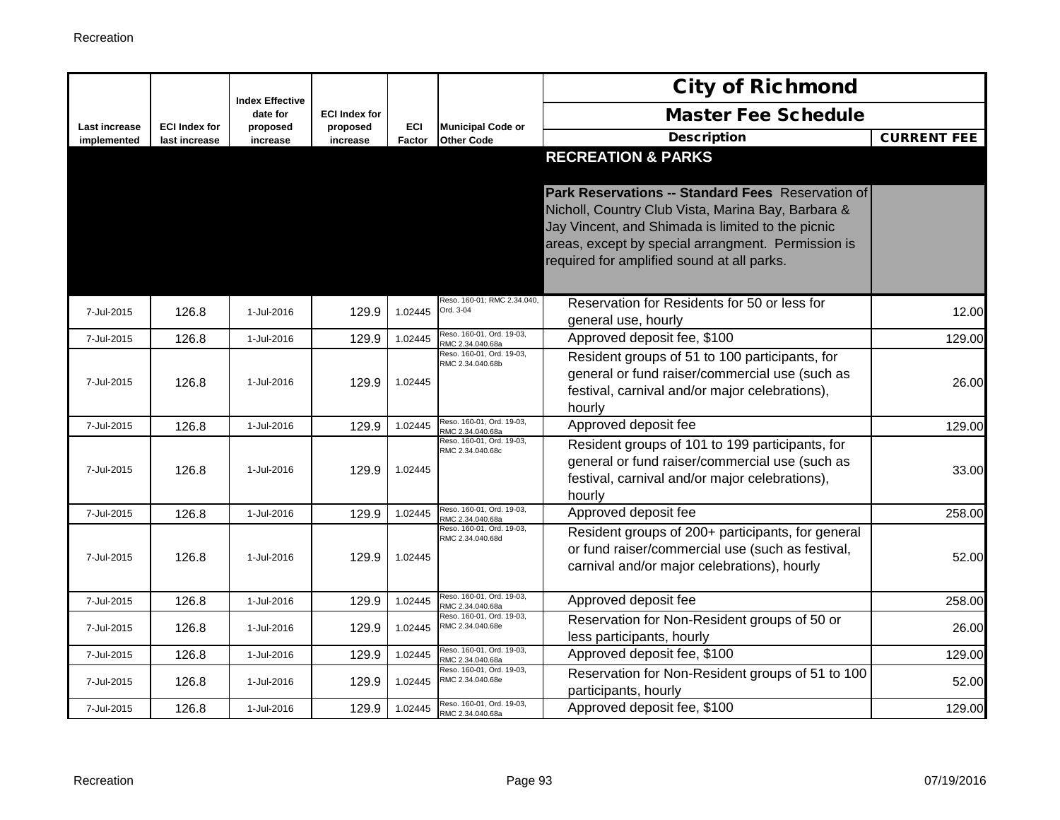|                                     |                                       | <b>Index Effective</b> |                      |               |                                               | <b>City of Richmond</b>                                                                                                                                                                                                                                          |                    |
|-------------------------------------|---------------------------------------|------------------------|----------------------|---------------|-----------------------------------------------|------------------------------------------------------------------------------------------------------------------------------------------------------------------------------------------------------------------------------------------------------------------|--------------------|
|                                     |                                       | date for               | <b>ECI Index for</b> |               |                                               | <b>Master Fee Schedule</b>                                                                                                                                                                                                                                       |                    |
| <b>Last increase</b><br>implemented | <b>ECI Index for</b><br>last increase | proposed<br>increase   | proposed<br>increase | ECI<br>Factor | <b>Municipal Code or</b><br><b>Other Code</b> | <b>Description</b>                                                                                                                                                                                                                                               | <b>CURRENT FEE</b> |
|                                     |                                       |                        |                      |               |                                               | <b>RECREATION &amp; PARKS</b>                                                                                                                                                                                                                                    |                    |
|                                     |                                       |                        |                      |               |                                               | Park Reservations -- Standard Fees Reservation of<br>Nicholl, Country Club Vista, Marina Bay, Barbara &<br>Jay Vincent, and Shimada is limited to the picnic<br>areas, except by special arrangment. Permission is<br>required for amplified sound at all parks. |                    |
| 7-Jul-2015                          | 126.8                                 | 1-Jul-2016             | 129.9                | 1.02445       | Reso. 160-01; RMC 2.34.040,<br>Ord. 3-04      | Reservation for Residents for 50 or less for<br>general use, hourly                                                                                                                                                                                              | 12.00              |
| 7-Jul-2015                          | 126.8                                 | 1-Jul-2016             | 129.9                | 1.02445       | Reso. 160-01, Ord. 19-03,<br>RMC 2.34.040.68a | Approved deposit fee, \$100                                                                                                                                                                                                                                      | 129.00             |
| 7-Jul-2015                          | 126.8                                 | 1-Jul-2016             | 129.9                | 1.02445       | Reso. 160-01, Ord. 19-03,<br>RMC 2.34.040.68b | Resident groups of 51 to 100 participants, for<br>general or fund raiser/commercial use (such as<br>festival, carnival and/or major celebrations),<br>hourly                                                                                                     | 26.00              |
| 7-Jul-2015                          | 126.8                                 | 1-Jul-2016             | 129.9                | 1.02445       | Reso. 160-01, Ord. 19-03,<br>RMC 2.34.040.68a | Approved deposit fee                                                                                                                                                                                                                                             | 129.00             |
| 7-Jul-2015                          | 126.8                                 | 1-Jul-2016             | 129.9                | 1.02445       | Reso. 160-01, Ord. 19-03,<br>RMC 2.34.040.68c | Resident groups of 101 to 199 participants, for<br>general or fund raiser/commercial use (such as<br>festival, carnival and/or major celebrations),<br>hourly                                                                                                    | 33.00              |
| 7-Jul-2015                          | 126.8                                 | 1-Jul-2016             | 129.9                | 1.02445       | Reso. 160-01, Ord. 19-03,<br>RMC 2.34.040.68a | Approved deposit fee                                                                                                                                                                                                                                             | 258.00             |
| 7-Jul-2015                          | 126.8                                 | 1-Jul-2016             | 129.9                | 1.02445       | Reso. 160-01, Ord. 19-03,<br>RMC 2.34.040.68d | Resident groups of 200+ participants, for general<br>or fund raiser/commercial use (such as festival,<br>carnival and/or major celebrations), hourly                                                                                                             | 52.00              |
| 7-Jul-2015                          | 126.8                                 | 1-Jul-2016             | 129.9                | 1.02445       | Reso. 160-01, Ord. 19-03,<br>RMC 2.34.040.68a | Approved deposit fee                                                                                                                                                                                                                                             | 258.00             |
| 7-Jul-2015                          | 126.8                                 | 1-Jul-2016             | 129.9                | 1.02445       | Reso. 160-01, Ord. 19-03,<br>RMC 2.34.040.68e | Reservation for Non-Resident groups of 50 or<br>less participants, hourly                                                                                                                                                                                        | 26.00              |
| 7-Jul-2015                          | 126.8                                 | 1-Jul-2016             | 129.9                | 1.02445       | Reso. 160-01, Ord. 19-03,<br>RMC 2.34.040.68a | Approved deposit fee, \$100                                                                                                                                                                                                                                      | 129.00             |
| 7-Jul-2015                          | 126.8                                 | 1-Jul-2016             | 129.9                | 1.02445       | Reso. 160-01, Ord. 19-03,<br>RMC 2.34.040.68e | Reservation for Non-Resident groups of 51 to 100<br>participants, hourly                                                                                                                                                                                         | 52.00              |
| 7-Jul-2015                          | 126.8                                 | 1-Jul-2016             | 129.9                | 1.02445       | Reso. 160-01, Ord. 19-03,<br>RMC 2.34.040.68a | Approved deposit fee, \$100                                                                                                                                                                                                                                      | 129.00             |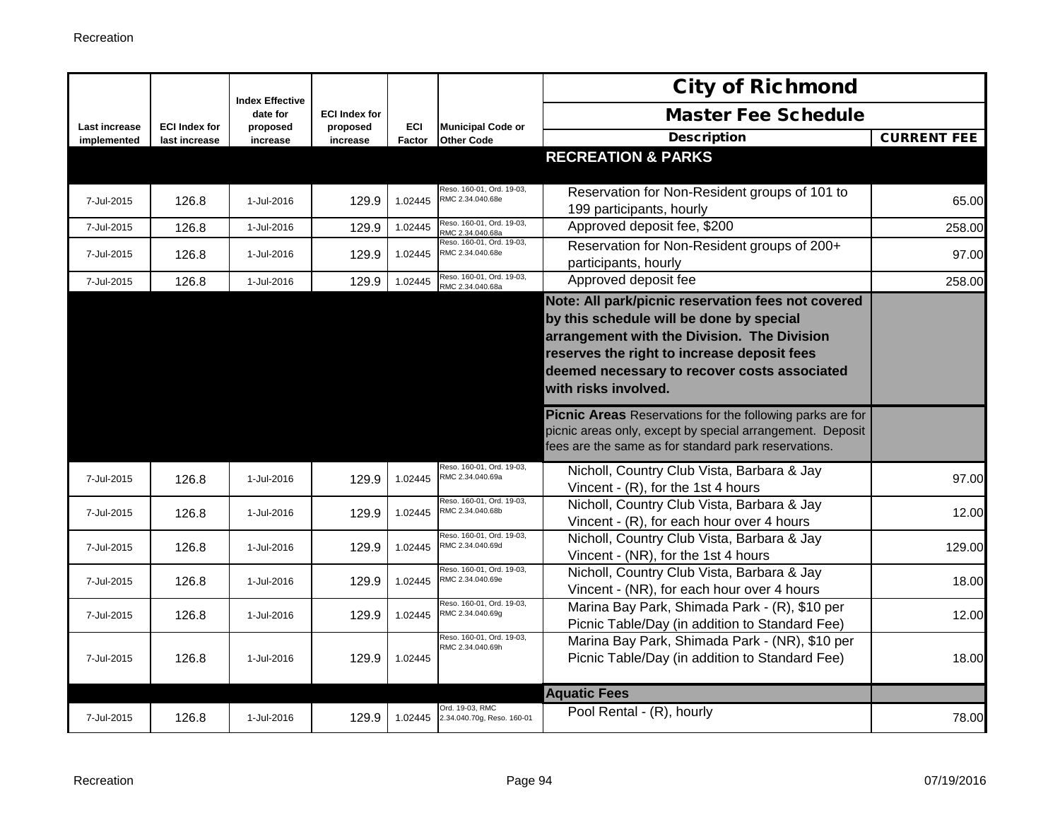|                              |                                       | <b>Index Effective</b> |                      |                      |                                               | <b>City of Richmond</b>                                                                                                                                                                                                                                              |                    |
|------------------------------|---------------------------------------|------------------------|----------------------|----------------------|-----------------------------------------------|----------------------------------------------------------------------------------------------------------------------------------------------------------------------------------------------------------------------------------------------------------------------|--------------------|
|                              |                                       | date for               | <b>ECI Index for</b> |                      |                                               | <b>Master Fee Schedule</b>                                                                                                                                                                                                                                           |                    |
| Last increase<br>implemented | <b>ECI Index for</b><br>last increase | proposed<br>increase   | proposed<br>increase | <b>ECI</b><br>Factor | <b>Municipal Code or</b><br><b>Other Code</b> | <b>Description</b>                                                                                                                                                                                                                                                   | <b>CURRENT FEE</b> |
|                              |                                       |                        |                      |                      |                                               | <b>RECREATION &amp; PARKS</b>                                                                                                                                                                                                                                        |                    |
| 7-Jul-2015                   | 126.8                                 | 1-Jul-2016             | 129.9                | 1.02445              | Reso. 160-01, Ord. 19-03,<br>RMC 2.34.040.68e | Reservation for Non-Resident groups of 101 to<br>199 participants, hourly                                                                                                                                                                                            | 65.00              |
| 7-Jul-2015                   | 126.8                                 | 1-Jul-2016             | 129.9                | 1.02445              | Reso. 160-01, Ord. 19-03,<br>RMC 2.34.040.68a | Approved deposit fee, \$200                                                                                                                                                                                                                                          | 258.00             |
| 7-Jul-2015                   | 126.8                                 | 1-Jul-2016             | 129.9                | 1.02445              | Reso. 160-01, Ord. 19-03,<br>RMC 2.34.040.68e | Reservation for Non-Resident groups of 200+<br>participants, hourly                                                                                                                                                                                                  | 97.00              |
| 7-Jul-2015                   | 126.8                                 | 1-Jul-2016             | 129.9                | 1.02445              | Reso. 160-01, Ord. 19-03,<br>RMC 2.34.040.68a | Approved deposit fee                                                                                                                                                                                                                                                 | 258.00             |
|                              |                                       |                        |                      |                      |                                               | Note: All park/picnic reservation fees not covered<br>by this schedule will be done by special<br>arrangement with the Division. The Division<br>reserves the right to increase deposit fees<br>deemed necessary to recover costs associated<br>with risks involved. |                    |
|                              |                                       |                        |                      |                      |                                               | <b>Picnic Areas</b> Reservations for the following parks are for<br>picnic areas only, except by special arrangement. Deposit<br>fees are the same as for standard park reservations.                                                                                |                    |
| 7-Jul-2015                   | 126.8                                 | 1-Jul-2016             | 129.9                | 1.02445              | Reso. 160-01, Ord. 19-03,<br>RMC 2.34.040.69a | Nicholl, Country Club Vista, Barbara & Jay<br>Vincent - (R), for the 1st 4 hours                                                                                                                                                                                     | 97.00              |
| 7-Jul-2015                   | 126.8                                 | 1-Jul-2016             | 129.9                | 1.02445              | Reso. 160-01, Ord. 19-03,<br>RMC 2.34.040.68b | Nicholl, Country Club Vista, Barbara & Jay<br>Vincent - (R), for each hour over 4 hours                                                                                                                                                                              | 12.00              |
| 7-Jul-2015                   | 126.8                                 | 1-Jul-2016             | 129.9                | 1.02445              | Reso, 160-01, Ord, 19-03.<br>RMC 2.34.040.69d | Nicholl, Country Club Vista, Barbara & Jay<br>Vincent - (NR), for the 1st 4 hours                                                                                                                                                                                    | 129.00             |
| 7-Jul-2015                   | 126.8                                 | 1-Jul-2016             | 129.9                | 1.02445              | Reso. 160-01, Ord. 19-03,<br>RMC 2.34.040.69e | Nicholl, Country Club Vista, Barbara & Jay<br>Vincent - (NR), for each hour over 4 hours                                                                                                                                                                             | 18.00              |
| 7-Jul-2015                   | 126.8                                 | 1-Jul-2016             | 129.9                | 1.02445              | Reso. 160-01, Ord. 19-03,<br>RMC 2.34.040.69g | Marina Bay Park, Shimada Park - (R), \$10 per<br>Picnic Table/Day (in addition to Standard Fee)                                                                                                                                                                      | 12.00              |
| 7-Jul-2015                   | 126.8                                 | 1-Jul-2016             | 129.9                | 1.02445              | Reso. 160-01, Ord. 19-03,<br>RMC 2.34.040.69h | Marina Bay Park, Shimada Park - (NR), \$10 per<br>Picnic Table/Day (in addition to Standard Fee)                                                                                                                                                                     | 18.00              |
|                              |                                       |                        |                      |                      |                                               | <b>Aquatic Fees</b>                                                                                                                                                                                                                                                  |                    |
| 7-Jul-2015                   | 126.8                                 | 1-Jul-2016             | 129.9                | 1.02445              | Ord. 19-03, RMC<br>2.34.040.70g, Reso. 160-01 | Pool Rental - (R), hourly                                                                                                                                                                                                                                            | 78.00              |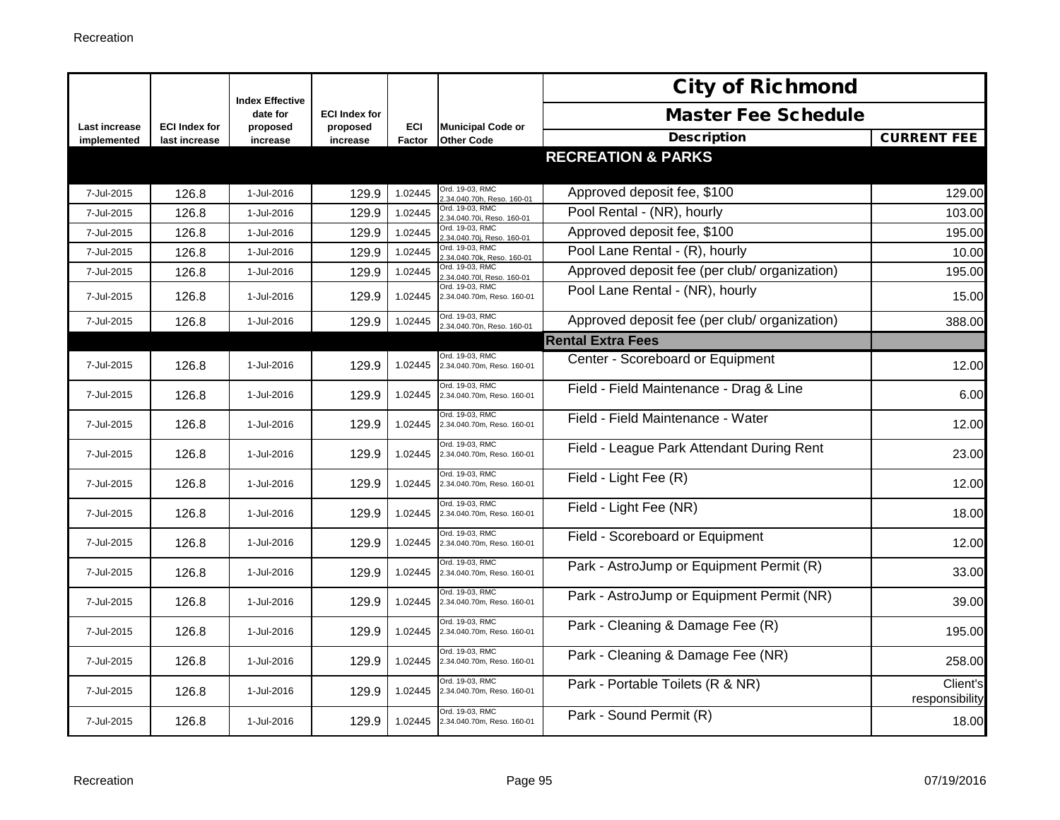|                              |                                       | <b>Index Effective</b> |                      |               |                                               | <b>City of Richmond</b>                       |                            |
|------------------------------|---------------------------------------|------------------------|----------------------|---------------|-----------------------------------------------|-----------------------------------------------|----------------------------|
|                              |                                       | date for               | <b>ECI Index for</b> |               |                                               | <b>Master Fee Schedule</b>                    |                            |
| Last increase<br>implemented | <b>ECI Index for</b><br>last increase | proposed<br>increase   | proposed<br>increase | ECI<br>Factor | <b>Municipal Code or</b><br><b>Other Code</b> | <b>Description</b>                            | <b>CURRENT FEE</b>         |
|                              |                                       |                        |                      |               |                                               | <b>RECREATION &amp; PARKS</b>                 |                            |
| 7-Jul-2015                   | 126.8                                 | 1-Jul-2016             | 129.9                | 1.02445       | Ord. 19-03, RMC<br>.34.040.70h, Reso. 160-01  | Approved deposit fee, \$100                   | 129.00                     |
| 7-Jul-2015                   | 126.8                                 | 1-Jul-2016             | 129.9                | 1.02445       | Ord. 19-03, RMC<br>.34.040.70i, Reso. 160-01  | Pool Rental - (NR), hourly                    | 103.00                     |
| 7-Jul-2015                   | 126.8                                 | 1-Jul-2016             | 129.9                | 1.02445       | Ord. 19-03, RMC<br>34.040.70i, Reso, 160-01   | Approved deposit fee, \$100                   | 195.00                     |
| 7-Jul-2015                   | 126.8                                 | 1-Jul-2016             | 129.9                | 1.02445       | Ord. 19-03, RMC<br>.34.040.70k. Reso. 160-01  | Pool Lane Rental - (R), hourly                | 10.00                      |
| 7-Jul-2015                   | 126.8                                 | 1-Jul-2016             | 129.9                | 1.02445       | Ord. 19-03, RMC<br>34.040.70l, Reso. 160-01   | Approved deposit fee (per club/ organization) | 195.00                     |
| 7-Jul-2015                   | 126.8                                 | 1-Jul-2016             | 129.9                | 1.02445       | Ord. 19-03. RMC<br>2.34.040.70m, Reso. 160-01 | Pool Lane Rental - (NR), hourly               | 15.00                      |
| 7-Jul-2015                   | 126.8                                 | 1-Jul-2016             | 129.9                | 1.02445       | Ord. 19-03, RMC<br>.34.040.70n, Reso. 160-01  | Approved deposit fee (per club/ organization) | 388.00                     |
|                              |                                       |                        |                      |               |                                               | <b>Rental Extra Fees</b>                      |                            |
| 7-Jul-2015                   | 126.8                                 | 1-Jul-2016             | 129.9                | 1.02445       | Ord. 19-03, RMC<br>2.34.040.70m, Reso. 160-01 | Center - Scoreboard or Equipment              | 12.00                      |
| 7-Jul-2015                   | 126.8                                 | 1-Jul-2016             | 129.9                | 1.02445       | Ord. 19-03, RMC<br>2.34.040.70m, Reso. 160-01 | Field - Field Maintenance - Drag & Line       | 6.00                       |
| 7-Jul-2015                   | 126.8                                 | 1-Jul-2016             | 129.9                | 1.02445       | Ord. 19-03, RMC<br>2.34.040.70m, Reso. 160-01 | Field - Field Maintenance - Water             | 12.00                      |
| 7-Jul-2015                   | 126.8                                 | 1-Jul-2016             | 129.9                | 1.02445       | Ord. 19-03, RMC<br>2.34.040.70m, Reso. 160-01 | Field - League Park Attendant During Rent     | 23.00                      |
| 7-Jul-2015                   | 126.8                                 | 1-Jul-2016             | 129.9                | 1.02445       | Ord. 19-03, RMC<br>2.34.040.70m, Reso. 160-01 | Field - Light Fee (R)                         | 12.00                      |
| 7-Jul-2015                   | 126.8                                 | 1-Jul-2016             | 129.9                | 1.02445       | Ord. 19-03. RMC<br>2.34.040.70m, Reso. 160-01 | Field - Light Fee (NR)                        | 18.00                      |
| 7-Jul-2015                   | 126.8                                 | 1-Jul-2016             | 129.9                | 1.02445       | Ord. 19-03, RMC<br>2.34.040.70m, Reso. 160-01 | Field - Scoreboard or Equipment               | 12.00                      |
| 7-Jul-2015                   | 126.8                                 | 1-Jul-2016             | 129.9                | 1.02445       | Ord. 19-03, RMC<br>2.34.040.70m, Reso. 160-01 | Park - AstroJump or Equipment Permit (R)      | 33.00                      |
| 7-Jul-2015                   | 126.8                                 | 1-Jul-2016             | 129.9                | 1.02445       | Ord. 19-03, RMC<br>2.34.040.70m, Reso. 160-01 | Park - AstroJump or Equipment Permit (NR)     | 39.00                      |
| 7-Jul-2015                   | 126.8                                 | 1-Jul-2016             | 129.9                | 1.02445       | Ord. 19-03, RMC<br>2.34.040.70m, Reso. 160-01 | Park - Cleaning & Damage Fee (R)              | 195.00                     |
| 7-Jul-2015                   | 126.8                                 | 1-Jul-2016             | 129.9                | 1.02445       | Ord. 19-03, RMC<br>2.34.040.70m, Reso. 160-01 | Park - Cleaning & Damage Fee (NR)             | 258.00                     |
| 7-Jul-2015                   | 126.8                                 | 1-Jul-2016             | 129.9                | 1.02445       | Ord. 19-03, RMC<br>2.34.040.70m, Reso. 160-01 | Park - Portable Toilets (R & NR)              | Client's<br>responsibility |
| 7-Jul-2015                   | 126.8                                 | 1-Jul-2016             | 129.9                | 1.02445       | Ord. 19-03, RMC<br>2.34.040.70m, Reso. 160-01 | Park - Sound Permit (R)                       | 18.00                      |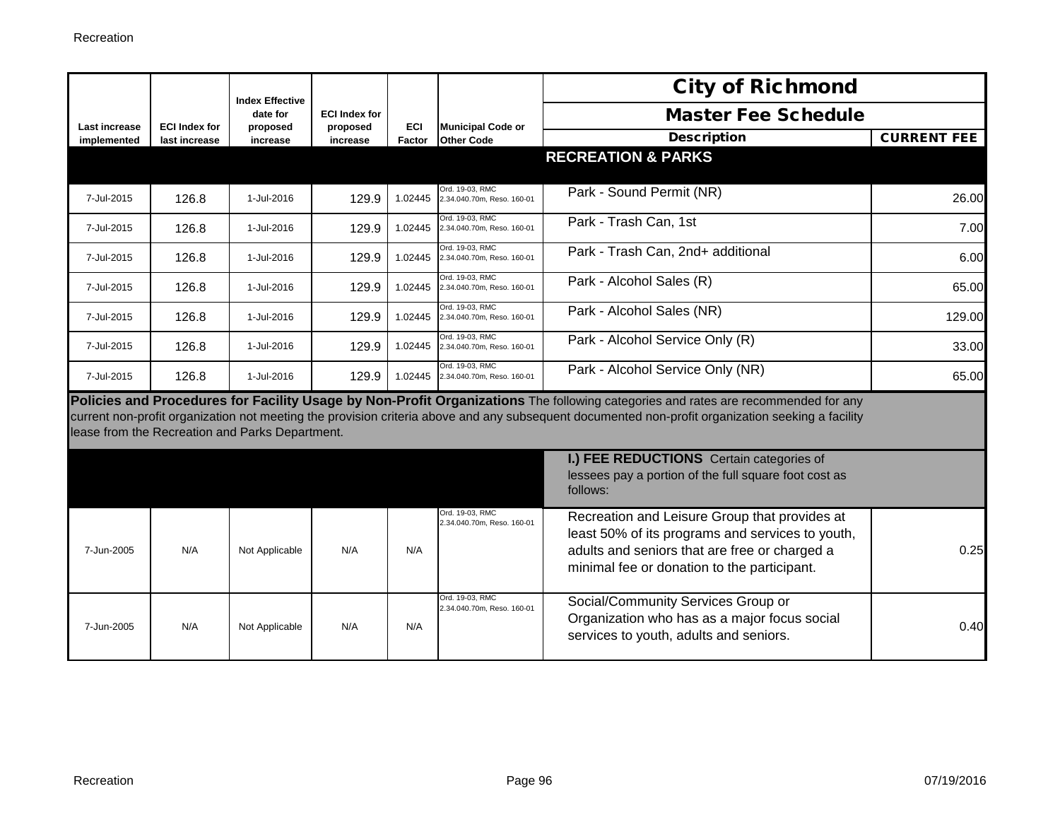|               |                      | <b>Index Effective</b>                          |                                  |         |                                               | <b>City of Richmond</b>                                                                                                                                                                                                                                                                |                    |
|---------------|----------------------|-------------------------------------------------|----------------------------------|---------|-----------------------------------------------|----------------------------------------------------------------------------------------------------------------------------------------------------------------------------------------------------------------------------------------------------------------------------------------|--------------------|
| Last increase | <b>ECI Index for</b> | date for<br>proposed                            | <b>ECI Index for</b><br>proposed | ECI     | <b>Municipal Code or</b>                      | <b>Master Fee Schedule</b>                                                                                                                                                                                                                                                             |                    |
| implemented   | last increase        | increase                                        | increase                         | Factor  | <b>Other Code</b>                             | <b>Description</b>                                                                                                                                                                                                                                                                     | <b>CURRENT FEE</b> |
|               |                      |                                                 |                                  |         |                                               | <b>RECREATION &amp; PARKS</b>                                                                                                                                                                                                                                                          |                    |
| 7-Jul-2015    | 126.8                | 1-Jul-2016                                      | 129.9                            | 1.02445 | Ord. 19-03, RMC<br>2.34.040.70m, Reso, 160-01 | Park - Sound Permit (NR)                                                                                                                                                                                                                                                               | 26.00              |
| 7-Jul-2015    | 126.8                | 1-Jul-2016                                      | 129.9                            | 1.02445 | Ord. 19-03, RMC<br>2.34.040.70m. Reso. 160-01 | Park - Trash Can, 1st                                                                                                                                                                                                                                                                  | 7.00               |
| 7-Jul-2015    | 126.8                | 1-Jul-2016                                      | 129.9                            | 1.02445 | Ord. 19-03, RMC<br>2.34.040.70m, Reso. 160-01 | Park - Trash Can, 2nd+ additional                                                                                                                                                                                                                                                      | 6.00               |
| 7-Jul-2015    | 126.8                | 1-Jul-2016                                      | 129.9                            | 1.02445 | Ord. 19-03, RMC<br>2.34.040.70m, Reso, 160-01 | Park - Alcohol Sales (R)                                                                                                                                                                                                                                                               | 65.00              |
| 7-Jul-2015    | 126.8                | 1-Jul-2016                                      | 129.9                            | 1.02445 | Ord. 19-03, RMC<br>2.34.040.70m, Reso. 160-01 | Park - Alcohol Sales (NR)                                                                                                                                                                                                                                                              | 129.00             |
| 7-Jul-2015    | 126.8                | 1-Jul-2016                                      | 129.9                            | 1.02445 | Ord. 19-03, RMC<br>2.34.040.70m, Reso. 160-01 | Park - Alcohol Service Only (R)                                                                                                                                                                                                                                                        | 33.00              |
| 7-Jul-2015    | 126.8                | 1-Jul-2016                                      | 129.9                            | 1.02445 | Ord. 19-03, RMC<br>2.34.040.70m, Reso. 160-01 | Park - Alcohol Service Only (NR)                                                                                                                                                                                                                                                       | 65.00              |
|               |                      | lease from the Recreation and Parks Department. |                                  |         |                                               | Policies and Procedures for Facility Usage by Non-Profit Organizations The following categories and rates are recommended for any<br>current non-profit organization not meeting the provision criteria above and any subsequent documented non-profit organization seeking a facility |                    |
|               |                      |                                                 |                                  |         |                                               | I.) FEE REDUCTIONS Certain categories of<br>lessees pay a portion of the full square foot cost as<br>follows:                                                                                                                                                                          |                    |
| 7-Jun-2005    | N/A                  | Not Applicable                                  | N/A                              | N/A     | Ord. 19-03, RMC<br>2.34.040.70m, Reso. 160-01 | Recreation and Leisure Group that provides at<br>least 50% of its programs and services to youth,<br>adults and seniors that are free or charged a<br>minimal fee or donation to the participant.                                                                                      | 0.25               |
| 7-Jun-2005    | N/A                  | Not Applicable                                  | N/A                              | N/A     | Ord. 19-03. RMC<br>2.34.040.70m, Reso. 160-01 | Social/Community Services Group or<br>Organization who has as a major focus social<br>services to youth, adults and seniors.                                                                                                                                                           | 0.40               |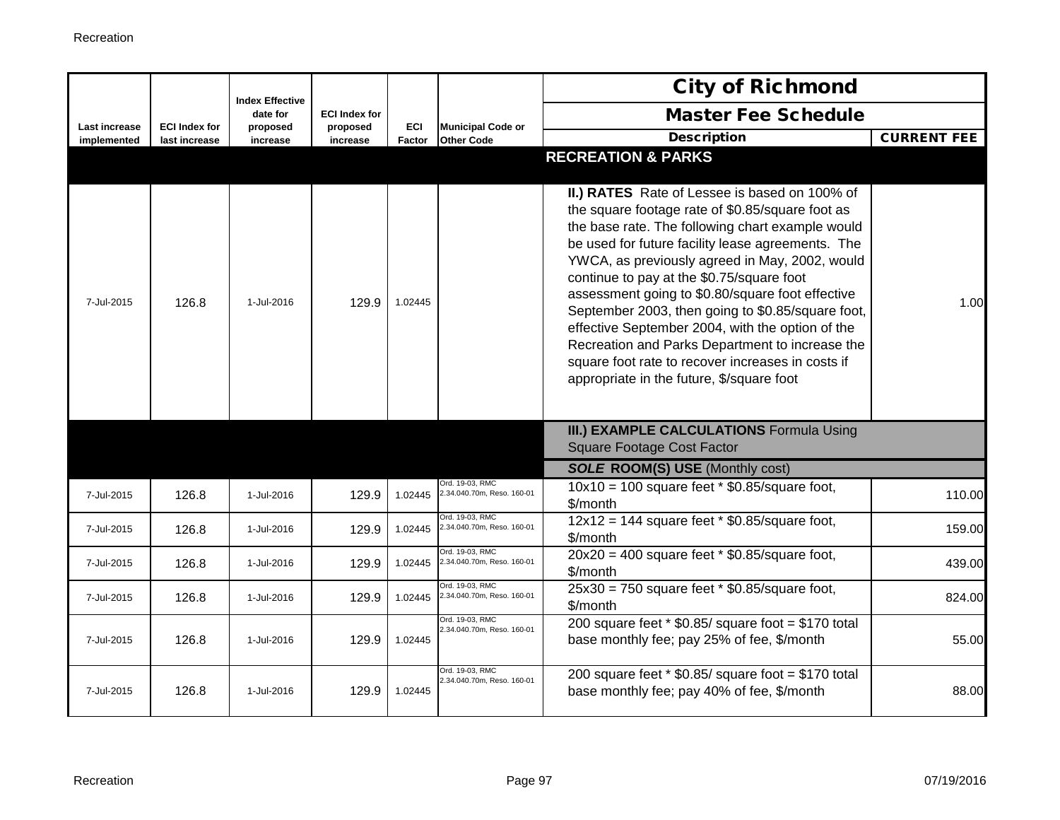|                              |                                       | <b>Index Effective</b> |                      |               |                                               | <b>City of Richmond</b>                                                                                                                                                                                                                                                                                                                                                                                                                                                                                                                                                                                                     |                    |
|------------------------------|---------------------------------------|------------------------|----------------------|---------------|-----------------------------------------------|-----------------------------------------------------------------------------------------------------------------------------------------------------------------------------------------------------------------------------------------------------------------------------------------------------------------------------------------------------------------------------------------------------------------------------------------------------------------------------------------------------------------------------------------------------------------------------------------------------------------------------|--------------------|
|                              |                                       | date for               | <b>ECI Index for</b> |               |                                               | <b>Master Fee Schedule</b>                                                                                                                                                                                                                                                                                                                                                                                                                                                                                                                                                                                                  |                    |
| Last increase<br>implemented | <b>ECI Index for</b><br>last increase | proposed<br>increase   | proposed<br>increase | ECI<br>Factor | <b>Municipal Code or</b><br><b>Other Code</b> | <b>Description</b>                                                                                                                                                                                                                                                                                                                                                                                                                                                                                                                                                                                                          | <b>CURRENT FEE</b> |
|                              |                                       |                        |                      |               |                                               | <b>RECREATION &amp; PARKS</b>                                                                                                                                                                                                                                                                                                                                                                                                                                                                                                                                                                                               |                    |
| 7-Jul-2015                   | 126.8                                 | 1-Jul-2016             | 129.9                | 1.02445       |                                               | II.) RATES Rate of Lessee is based on 100% of<br>the square footage rate of \$0.85/square foot as<br>the base rate. The following chart example would<br>be used for future facility lease agreements. The<br>YWCA, as previously agreed in May, 2002, would<br>continue to pay at the \$0.75/square foot<br>assessment going to \$0.80/square foot effective<br>September 2003, then going to \$0.85/square foot,<br>effective September 2004, with the option of the<br>Recreation and Parks Department to increase the<br>square foot rate to recover increases in costs if<br>appropriate in the future, \$/square foot | 1.00               |
|                              |                                       |                        |                      |               |                                               | III.) EXAMPLE CALCULATIONS Formula Using<br><b>Square Footage Cost Factor</b>                                                                                                                                                                                                                                                                                                                                                                                                                                                                                                                                               |                    |
|                              |                                       |                        |                      |               |                                               | <b>SOLE ROOM(S) USE (Monthly cost)</b>                                                                                                                                                                                                                                                                                                                                                                                                                                                                                                                                                                                      |                    |
| 7-Jul-2015                   | 126.8                                 | 1-Jul-2016             | 129.9                | 1.02445       | Ord. 19-03. RMC<br>2.34.040.70m, Reso. 160-01 | $10x10 = 100$ square feet $*$ \$0.85/square foot,<br>\$/month                                                                                                                                                                                                                                                                                                                                                                                                                                                                                                                                                               | 110.00             |
| 7-Jul-2015                   | 126.8                                 | 1-Jul-2016             | 129.9                | 1.02445       | Ord. 19-03, RMC<br>2.34.040.70m, Reso. 160-01 | $12x12 = 144$ square feet * \$0.85/square foot,<br>\$/month                                                                                                                                                                                                                                                                                                                                                                                                                                                                                                                                                                 | 159.00             |
| 7-Jul-2015                   | 126.8                                 | 1-Jul-2016             | 129.9                | 1.02445       | Ord. 19-03, RMC<br>2.34.040.70m, Reso. 160-01 | $20x20 = 400$ square feet * \$0.85/square foot,<br>\$/month                                                                                                                                                                                                                                                                                                                                                                                                                                                                                                                                                                 | 439.00             |
| 7-Jul-2015                   | 126.8                                 | 1-Jul-2016             | 129.9                | 1.02445       | Ord. 19-03. RMC<br>2.34.040.70m, Reso. 160-01 | $25x30 = 750$ square feet * \$0.85/square foot,<br>\$/month                                                                                                                                                                                                                                                                                                                                                                                                                                                                                                                                                                 | 824.00             |
| 7-Jul-2015                   | 126.8                                 | 1-Jul-2016             | 129.9                | 1.02445       | Ord. 19-03. RMC<br>2.34.040.70m, Reso. 160-01 | 200 square feet $*$ \$0.85/ square foot = \$170 total<br>base monthly fee; pay 25% of fee, \$/month                                                                                                                                                                                                                                                                                                                                                                                                                                                                                                                         | 55.00              |
| 7-Jul-2015                   | 126.8                                 | 1-Jul-2016             | 129.9                | 1.02445       | Ord. 19-03, RMC<br>2.34.040.70m, Reso. 160-01 | 200 square feet $*$ \$0.85/ square foot = \$170 total<br>base monthly fee; pay 40% of fee, \$/month                                                                                                                                                                                                                                                                                                                                                                                                                                                                                                                         | 88.00              |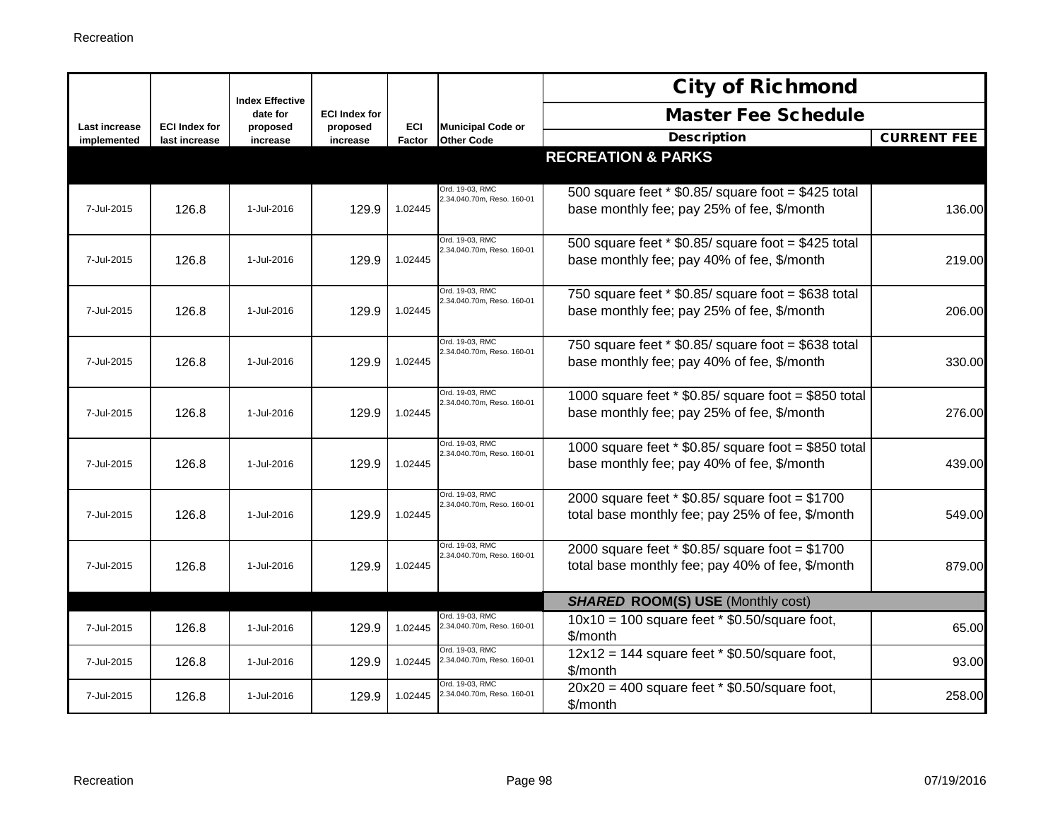|                              |                                       | <b>Index Effective</b> |                      |               |                                               | <b>City of Richmond</b>                                                                               |                    |
|------------------------------|---------------------------------------|------------------------|----------------------|---------------|-----------------------------------------------|-------------------------------------------------------------------------------------------------------|--------------------|
|                              |                                       | date for               | <b>ECI Index for</b> |               |                                               | <b>Master Fee Schedule</b>                                                                            |                    |
| Last increase<br>implemented | <b>ECI Index for</b><br>last increase | proposed<br>increase   | proposed<br>increase | ECI<br>Factor | <b>Municipal Code or</b><br><b>Other Code</b> | <b>Description</b>                                                                                    | <b>CURRENT FEE</b> |
|                              |                                       |                        |                      |               |                                               | <b>RECREATION &amp; PARKS</b>                                                                         |                    |
| 7-Jul-2015                   | 126.8                                 | 1-Jul-2016             | 129.9                | 1.02445       | Ord. 19-03. RMC<br>2.34.040.70m, Reso. 160-01 | 500 square feet $*$ \$0.85/ square foot = \$425 total<br>base monthly fee; pay 25% of fee, \$/month   | 136.00             |
| 7-Jul-2015                   | 126.8                                 | 1-Jul-2016             | 129.9                | 1.02445       | Ord. 19-03, RMC<br>2.34.040.70m, Reso. 160-01 | 500 square feet $*$ \$0.85/ square foot = \$425 total<br>base monthly fee; pay 40% of fee, \$/month   | 219.00             |
| 7-Jul-2015                   | 126.8                                 | 1-Jul-2016             | 129.9                | 1.02445       | Ord. 19-03, RMC<br>2.34.040.70m, Reso. 160-01 | 750 square feet $*$ \$0.85/ square foot = \$638 total<br>base monthly fee; pay 25% of fee, \$/month   | 206.00             |
| 7-Jul-2015                   | 126.8                                 | 1-Jul-2016             | 129.9                | 1.02445       | Ord. 19-03, RMC<br>2.34.040.70m, Reso. 160-01 | 750 square feet $*$ \$0.85/ square foot = \$638 total<br>base monthly fee; pay 40% of fee, \$/month   | 330.00             |
| 7-Jul-2015                   | 126.8                                 | 1-Jul-2016             | 129.9                | 1.02445       | Ord. 19-03, RMC<br>2.34.040.70m, Reso. 160-01 | 1000 square feet $*$ \$0.85/ square foot = \$850 total<br>base monthly fee; pay 25% of fee, \$/month  | 276.00             |
| 7-Jul-2015                   | 126.8                                 | 1-Jul-2016             | 129.9                | 1.02445       | Ord. 19-03. RMC<br>2.34.040.70m, Reso. 160-01 | 1000 square feet $*$ \$0.85/ square foot = \$850 total<br>base monthly fee; pay 40% of fee, \$/month  | 439.00             |
| 7-Jul-2015                   | 126.8                                 | 1-Jul-2016             | 129.9                | 1.02445       | Ord. 19-03, RMC<br>2.34.040.70m, Reso. 160-01 | 2000 square feet $*$ \$0.85/ square foot = \$1700<br>total base monthly fee; pay 25% of fee, \$/month | 549.00             |
| 7-Jul-2015                   | 126.8                                 | 1-Jul-2016             | 129.9                | 1.02445       | Ord. 19-03, RMC<br>2.34.040.70m, Reso. 160-01 | 2000 square feet $*$ \$0.85/ square foot = \$1700<br>total base monthly fee; pay 40% of fee, \$/month | 879.00             |
|                              |                                       |                        |                      |               |                                               | <b>SHARED ROOM(S) USE (Monthly cost)</b>                                                              |                    |
| 7-Jul-2015                   | 126.8                                 | 1-Jul-2016             | 129.9                | 1.02445       | Ord. 19-03, RMC<br>2.34.040.70m, Reso. 160-01 | $10x10 = 100$ square feet $*$ \$0.50/square foot,<br>\$/month                                         | 65.00              |
| 7-Jul-2015                   | 126.8                                 | 1-Jul-2016             | 129.9                | 1.02445       | Ord. 19-03. RMC<br>2.34.040.70m, Reso. 160-01 | $12x12 = 144$ square feet * \$0.50/square foot,<br>\$/month                                           | 93.00              |
| 7-Jul-2015                   | 126.8                                 | 1-Jul-2016             | 129.9                | 1.02445       | Ord. 19-03, RMC<br>2.34.040.70m, Reso. 160-01 | $20x20 = 400$ square feet * \$0.50/square foot,<br>\$/month                                           | 258.00             |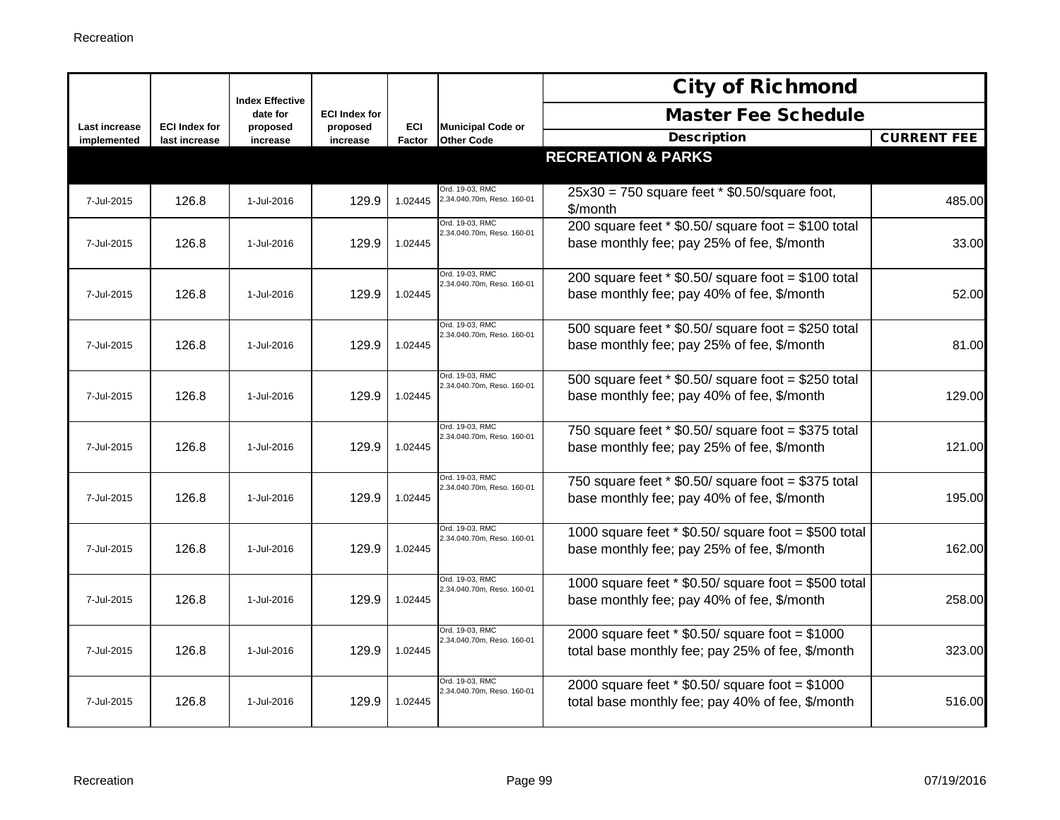|                              |                                       | <b>Index Effective</b> |                      |               |                                               | <b>City of Richmond</b>                                                                               |                    |
|------------------------------|---------------------------------------|------------------------|----------------------|---------------|-----------------------------------------------|-------------------------------------------------------------------------------------------------------|--------------------|
|                              |                                       | date for               | <b>ECI Index for</b> |               |                                               | <b>Master Fee Schedule</b>                                                                            |                    |
| Last increase<br>implemented | <b>ECI Index for</b><br>last increase | proposed<br>increase   | proposed<br>increase | ECI<br>Factor | <b>Municipal Code or</b><br><b>Other Code</b> | <b>Description</b>                                                                                    | <b>CURRENT FEE</b> |
|                              |                                       |                        |                      |               |                                               | <b>RECREATION &amp; PARKS</b>                                                                         |                    |
| 7-Jul-2015                   | 126.8                                 | 1-Jul-2016             | 129.9                | 1.02445       | Ord. 19-03, RMC<br>2.34.040.70m, Reso. 160-01 | $25x30 = 750$ square feet $*$ \$0.50/square foot,<br>\$/month                                         | 485.00             |
| 7-Jul-2015                   | 126.8                                 | 1-Jul-2016             | 129.9                | 1.02445       | Ord. 19-03. RMC<br>2.34.040.70m, Reso. 160-01 | 200 square feet $*$ \$0.50/ square foot = \$100 total<br>base monthly fee; pay 25% of fee, \$/month   | 33.00              |
| 7-Jul-2015                   | 126.8                                 | 1-Jul-2016             | 129.9                | 1.02445       | Ord. 19-03, RMC<br>2.34.040.70m, Reso. 160-01 | 200 square feet $*$ \$0.50/ square foot = \$100 total<br>base monthly fee; pay 40% of fee, \$/month   | 52.00              |
| 7-Jul-2015                   | 126.8                                 | 1-Jul-2016             | 129.9                | 1.02445       | Ord. 19-03, RMC<br>2.34.040.70m, Reso. 160-01 | 500 square feet $*$ \$0.50/ square foot = \$250 total<br>base monthly fee; pay 25% of fee, \$/month   | 81.00              |
| 7-Jul-2015                   | 126.8                                 | 1-Jul-2016             | 129.9                | 1.02445       | Ord. 19-03, RMC<br>2.34.040.70m, Reso. 160-01 | 500 square feet $*$ \$0.50/ square foot = \$250 total<br>base monthly fee; pay 40% of fee, \$/month   | 129.00             |
| 7-Jul-2015                   | 126.8                                 | 1-Jul-2016             | 129.9                | 1.02445       | Ord. 19-03, RMC<br>2.34.040.70m, Reso. 160-01 | 750 square feet $*$ \$0.50/ square foot = \$375 total<br>base monthly fee; pay 25% of fee, \$/month   | 121.00             |
| 7-Jul-2015                   | 126.8                                 | 1-Jul-2016             | 129.9                | 1.02445       | Ord. 19-03, RMC<br>2.34.040.70m, Reso. 160-01 | 750 square feet $*$ \$0.50/ square foot = \$375 total<br>base monthly fee; pay 40% of fee, \$/month   | 195.00             |
| 7-Jul-2015                   | 126.8                                 | 1-Jul-2016             | 129.9                | 1.02445       | Ord. 19-03, RMC<br>2.34.040.70m, Reso. 160-01 | 1000 square feet $*$ \$0.50/ square foot = \$500 total<br>base monthly fee; pay 25% of fee, \$/month  | 162.00             |
| 7-Jul-2015                   | 126.8                                 | 1-Jul-2016             | 129.9                | 1.02445       | Ord. 19-03. RMC<br>2.34.040.70m, Reso. 160-01 | 1000 square feet $*$ \$0.50/ square foot = \$500 total<br>base monthly fee; pay 40% of fee, \$/month  | 258.00             |
| 7-Jul-2015                   | 126.8                                 | 1-Jul-2016             | 129.9                | 1.02445       | Ord. 19-03, RMC<br>2.34.040.70m, Reso. 160-01 | 2000 square feet $*$ \$0.50/ square foot = \$1000<br>total base monthly fee; pay 25% of fee, \$/month | 323.00             |
| 7-Jul-2015                   | 126.8                                 | 1-Jul-2016             | 129.9                | 1.02445       | Ord. 19-03, RMC<br>2.34.040.70m, Reso. 160-01 | 2000 square feet $*$ \$0.50/ square foot = \$1000<br>total base monthly fee; pay 40% of fee, \$/month | 516.00             |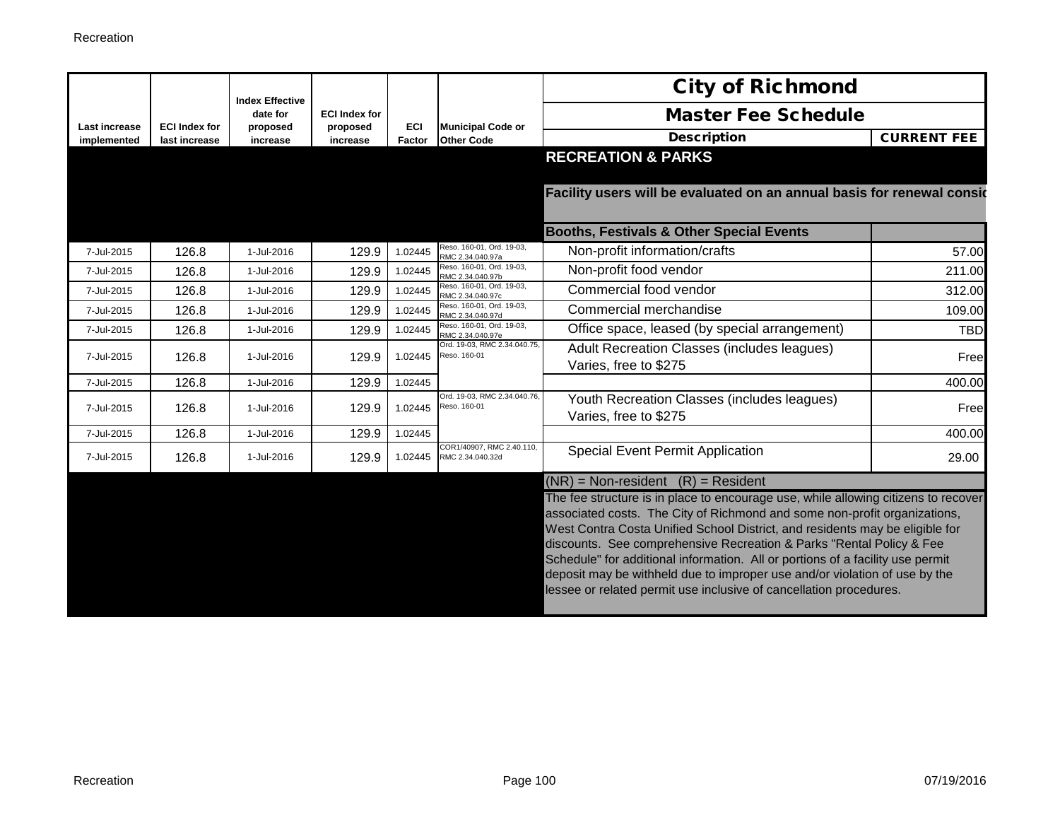|                                     |                                       | <b>Index Effective</b> |                      |               |                                               | <b>City of Richmond</b>                                                                                                                                                                                                                                                                                                                                                                                                                                                                                                                                       |                    |
|-------------------------------------|---------------------------------------|------------------------|----------------------|---------------|-----------------------------------------------|---------------------------------------------------------------------------------------------------------------------------------------------------------------------------------------------------------------------------------------------------------------------------------------------------------------------------------------------------------------------------------------------------------------------------------------------------------------------------------------------------------------------------------------------------------------|--------------------|
|                                     |                                       | date for               | <b>ECI Index for</b> |               |                                               | <b>Master Fee Schedule</b>                                                                                                                                                                                                                                                                                                                                                                                                                                                                                                                                    |                    |
| <b>Last increase</b><br>implemented | <b>ECI Index for</b><br>last increase | proposed<br>increase   | proposed<br>increase | ECI<br>Factor | <b>Municipal Code or</b><br><b>Other Code</b> | <b>Description</b>                                                                                                                                                                                                                                                                                                                                                                                                                                                                                                                                            | <b>CURRENT FEE</b> |
|                                     |                                       |                        |                      |               |                                               | <b>RECREATION &amp; PARKS</b>                                                                                                                                                                                                                                                                                                                                                                                                                                                                                                                                 |                    |
|                                     |                                       |                        |                      |               |                                               | Facility users will be evaluated on an annual basis for renewal consic                                                                                                                                                                                                                                                                                                                                                                                                                                                                                        |                    |
|                                     |                                       |                        |                      |               |                                               | <b>Booths, Festivals &amp; Other Special Events</b>                                                                                                                                                                                                                                                                                                                                                                                                                                                                                                           |                    |
| 7-Jul-2015                          | 126.8                                 | 1-Jul-2016             | 129.9                | 1.02445       | Reso, 160-01, Ord, 19-03,<br>RMC 2.34.040.97a | Non-profit information/crafts                                                                                                                                                                                                                                                                                                                                                                                                                                                                                                                                 | 57.00              |
| 7-Jul-2015                          | 126.8                                 | 1-Jul-2016             | 129.9                | 1.02445       | Reso. 160-01, Ord. 19-03,<br>RMC 2.34.040.97b | Non-profit food vendor                                                                                                                                                                                                                                                                                                                                                                                                                                                                                                                                        | 211.00             |
| 7-Jul-2015                          | 126.8                                 | 1-Jul-2016             | 129.9                | 1.02445       | Reso. 160-01, Ord. 19-03,<br>RMC 2.34.040.97c | Commercial food vendor                                                                                                                                                                                                                                                                                                                                                                                                                                                                                                                                        | 312.00             |
| 7-Jul-2015                          | 126.8                                 | 1-Jul-2016             | 129.9                | 1.02445       | Reso. 160-01, Ord. 19-03,<br>RMC 2.34.040.97d | Commercial merchandise                                                                                                                                                                                                                                                                                                                                                                                                                                                                                                                                        | 109.00             |
| 7-Jul-2015                          | 126.8                                 | 1-Jul-2016             | 129.9                | 1.02445       | Reso. 160-01, Ord. 19-03,<br>RMC 2.34.040.97e | Office space, leased (by special arrangement)                                                                                                                                                                                                                                                                                                                                                                                                                                                                                                                 | <b>TBD</b>         |
| 7-Jul-2015                          | 126.8                                 | 1-Jul-2016             | 129.9                | 1.02445       | Ord. 19-03, RMC 2.34.040.75<br>Reso. 160-01   | Adult Recreation Classes (includes leagues)<br>Varies, free to \$275                                                                                                                                                                                                                                                                                                                                                                                                                                                                                          | Free               |
| 7-Jul-2015                          | 126.8                                 | 1-Jul-2016             | 129.9                | 1.02445       |                                               |                                                                                                                                                                                                                                                                                                                                                                                                                                                                                                                                                               | 400.00             |
| 7-Jul-2015                          | 126.8                                 | 1-Jul-2016             | 129.9                | 1.02445       | Ord. 19-03, RMC 2.34.040.76,<br>Reso. 160-01  | Youth Recreation Classes (includes leagues)<br>Varies, free to \$275                                                                                                                                                                                                                                                                                                                                                                                                                                                                                          | Free               |
| 7-Jul-2015                          | 126.8                                 | 1-Jul-2016             | 129.9                | 1.02445       |                                               |                                                                                                                                                                                                                                                                                                                                                                                                                                                                                                                                                               | 400.00             |
| 7-Jul-2015                          | 126.8                                 | 1-Jul-2016             | 129.9                | 1.02445       | COR1/40907, RMC 2.40.110,<br>RMC 2.34.040.32d | <b>Special Event Permit Application</b>                                                                                                                                                                                                                                                                                                                                                                                                                                                                                                                       | 29.00              |
|                                     |                                       |                        |                      |               |                                               | $(NR)$ = Non-resident $(R)$ = Resident                                                                                                                                                                                                                                                                                                                                                                                                                                                                                                                        |                    |
|                                     |                                       |                        |                      |               |                                               | The fee structure is in place to encourage use, while allowing citizens to recover<br>associated costs. The City of Richmond and some non-profit organizations,<br>West Contra Costa Unified School District, and residents may be eligible for<br>discounts. See comprehensive Recreation & Parks "Rental Policy & Fee<br>Schedule" for additional information. All or portions of a facility use permit<br>deposit may be withheld due to improper use and/or violation of use by the<br>lessee or related permit use inclusive of cancellation procedures. |                    |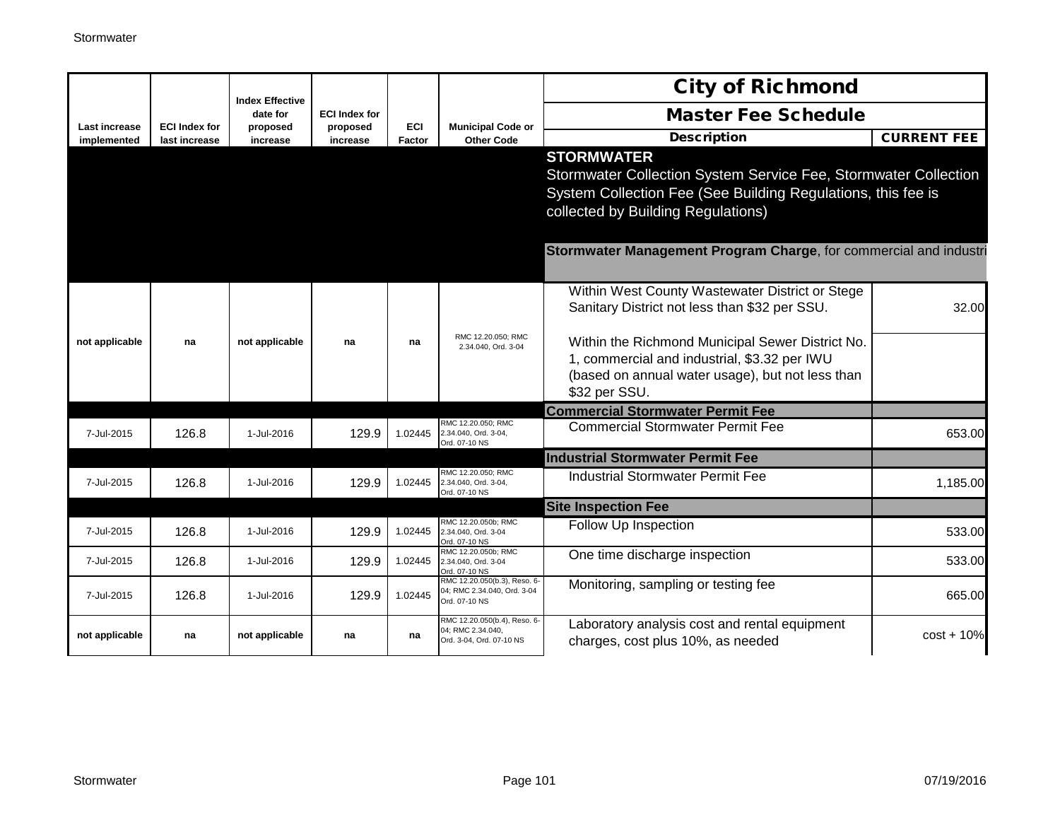|                              |                                       | <b>Index Effective</b> |                      |                      |                                                                               | <b>City of Richmond</b>                                                                                                                                                                    |                    |
|------------------------------|---------------------------------------|------------------------|----------------------|----------------------|-------------------------------------------------------------------------------|--------------------------------------------------------------------------------------------------------------------------------------------------------------------------------------------|--------------------|
|                              |                                       | date for               | <b>ECI Index for</b> |                      |                                                                               | <b>Master Fee Schedule</b>                                                                                                                                                                 |                    |
| Last increase<br>implemented | <b>ECI Index for</b><br>last increase | proposed<br>increase   | proposed<br>increase | <b>ECI</b><br>Factor | <b>Municipal Code or</b><br><b>Other Code</b>                                 | <b>Description</b>                                                                                                                                                                         | <b>CURRENT FEE</b> |
|                              |                                       |                        |                      |                      |                                                                               | <b>STORMWATER</b><br>Stormwater Collection System Service Fee, Stormwater Collection<br>System Collection Fee (See Building Regulations, this fee is<br>collected by Building Regulations) |                    |
|                              |                                       |                        |                      |                      |                                                                               | Stormwater Management Program Charge, for commercial and industri                                                                                                                          |                    |
| not applicable               | na                                    | not applicable         | na                   | na                   | RMC 12.20.050; RMC                                                            | Within West County Wastewater District or Stege<br>Sanitary District not less than \$32 per SSU.<br>Within the Richmond Municipal Sewer District No.                                       | 32.00              |
|                              |                                       |                        |                      |                      | 2.34.040, Ord. 3-04                                                           | 1, commercial and industrial, \$3.32 per IWU<br>(based on annual water usage), but not less than<br>\$32 per SSU.                                                                          |                    |
|                              |                                       |                        |                      |                      |                                                                               | <b>Commercial Stormwater Permit Fee</b>                                                                                                                                                    |                    |
| 7-Jul-2015                   | 126.8                                 | 1-Jul-2016             | 129.9                | 1.02445              | RMC 12.20.050; RMC<br>2.34.040, Ord. 3-04,<br>Ord. 07-10 NS                   | <b>Commercial Stormwater Permit Fee</b>                                                                                                                                                    | 653.00             |
|                              |                                       |                        |                      |                      |                                                                               | <b>Industrial Stormwater Permit Fee</b>                                                                                                                                                    |                    |
| 7-Jul-2015                   | 126.8                                 | 1-Jul-2016             | 129.9                | 1.02445              | RMC 12.20.050; RMC<br>2.34.040, Ord. 3-04,<br>Ord. 07-10 NS                   | <b>Industrial Stormwater Permit Fee</b>                                                                                                                                                    | 1,185.00           |
|                              |                                       |                        |                      |                      |                                                                               | <b>Site Inspection Fee</b>                                                                                                                                                                 |                    |
| 7-Jul-2015                   | 126.8                                 | 1-Jul-2016             | 129.9                | 1.02445              | RMC 12.20.050b; RMC<br>2.34.040, Ord. 3-04<br>Ord. 07-10 NS                   | Follow Up Inspection                                                                                                                                                                       | 533.00             |
| 7-Jul-2015                   | 126.8                                 | 1-Jul-2016             | 129.9                | 1.02445              | RMC 12.20.050b: RMC<br>2.34.040, Ord. 3-04<br>Ord. 07-10 NS                   | One time discharge inspection                                                                                                                                                              | 533.00             |
| 7-Jul-2015                   | 126.8                                 | 1-Jul-2016             | 129.9                | 1.02445              | RMC 12.20.050(b.3), Reso. 6-<br>04; RMC 2.34.040, Ord. 3-04<br>Ord. 07-10 NS  | Monitoring, sampling or testing fee                                                                                                                                                        | 665.00             |
| not applicable               | na                                    | not applicable         | na                   | na                   | RMC 12.20.050(b.4), Reso. 6-<br>04; RMC 2.34.040,<br>Ord. 3-04, Ord. 07-10 NS | Laboratory analysis cost and rental equipment<br>charges, cost plus 10%, as needed                                                                                                         | $cost + 10%$       |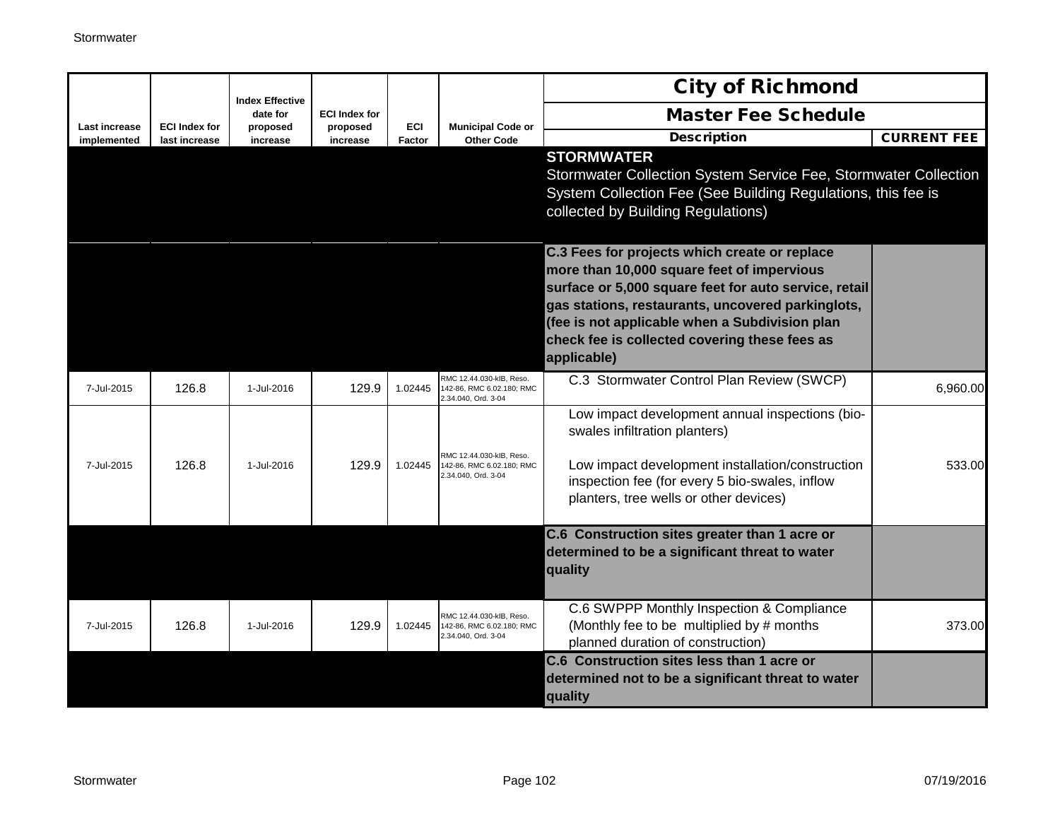|                              |                                       |                                    |                      |               |                                                                              | <b>City of Richmond</b>                                                                                                                                               |                    |
|------------------------------|---------------------------------------|------------------------------------|----------------------|---------------|------------------------------------------------------------------------------|-----------------------------------------------------------------------------------------------------------------------------------------------------------------------|--------------------|
|                              |                                       | <b>Index Effective</b><br>date for | <b>ECI Index for</b> |               |                                                                              | <b>Master Fee Schedule</b>                                                                                                                                            |                    |
| Last increase<br>implemented | <b>ECI Index for</b><br>last increase | proposed<br>increase               | proposed<br>increase | ECI<br>Factor | <b>Municipal Code or</b><br><b>Other Code</b>                                | <b>Description</b>                                                                                                                                                    | <b>CURRENT FEE</b> |
|                              |                                       |                                    |                      |               |                                                                              | <b>STORMWATER</b>                                                                                                                                                     |                    |
|                              |                                       |                                    |                      |               |                                                                              | Stormwater Collection System Service Fee, Stormwater Collection<br>System Collection Fee (See Building Regulations, this fee is<br>collected by Building Regulations) |                    |
|                              |                                       |                                    |                      |               |                                                                              |                                                                                                                                                                       |                    |
|                              |                                       |                                    |                      |               |                                                                              | C.3 Fees for projects which create or replace<br>more than 10,000 square feet of impervious                                                                           |                    |
|                              |                                       |                                    |                      |               |                                                                              | surface or 5,000 square feet for auto service, retail                                                                                                                 |                    |
|                              |                                       |                                    |                      |               |                                                                              | gas stations, restaurants, uncovered parkinglots,                                                                                                                     |                    |
|                              |                                       |                                    |                      |               |                                                                              | (fee is not applicable when a Subdivision plan<br>check fee is collected covering these fees as                                                                       |                    |
|                              |                                       |                                    |                      |               |                                                                              | applicable)                                                                                                                                                           |                    |
| 7-Jul-2015                   | 126.8                                 | 1-Jul-2016                         | 129.9                | 1.02445       | RMC 12.44.030-kIB. Reso.<br>142-86, RMC 6.02.180; RMC<br>2.34.040, Ord. 3-04 | C.3 Stormwater Control Plan Review (SWCP)                                                                                                                             | 6,960.00           |
|                              |                                       |                                    |                      |               |                                                                              | Low impact development annual inspections (bio-<br>swales infiltration planters)                                                                                      |                    |
| 7-Jul-2015                   | 126.8                                 | 1-Jul-2016                         | 129.9                | 1.02445       | RMC 12.44.030-kIB, Reso.<br>142-86, RMC 6.02.180; RMC<br>2.34.040, Ord. 3-04 | Low impact development installation/construction                                                                                                                      | 533.00             |
|                              |                                       |                                    |                      |               |                                                                              | inspection fee (for every 5 bio-swales, inflow<br>planters, tree wells or other devices)                                                                              |                    |
|                              |                                       |                                    |                      |               |                                                                              | C.6 Construction sites greater than 1 acre or                                                                                                                         |                    |
|                              |                                       |                                    |                      |               |                                                                              | determined to be a significant threat to water                                                                                                                        |                    |
|                              |                                       |                                    |                      |               |                                                                              | quality                                                                                                                                                               |                    |
|                              |                                       |                                    |                      |               | RMC 12.44.030-kIB, Reso.                                                     | C.6 SWPPP Monthly Inspection & Compliance                                                                                                                             |                    |
| 7-Jul-2015                   | 126.8                                 | 1-Jul-2016                         | 129.9                | 1.02445       | 142-86. RMC 6.02.180: RMC<br>2.34.040, Ord. 3-04                             | (Monthly fee to be multiplied by # months<br>planned duration of construction)                                                                                        | 373.00             |
|                              |                                       |                                    |                      |               |                                                                              | C.6 Construction sites less than 1 acre or                                                                                                                            |                    |
|                              |                                       |                                    |                      |               |                                                                              | determined not to be a significant threat to water<br>quality                                                                                                         |                    |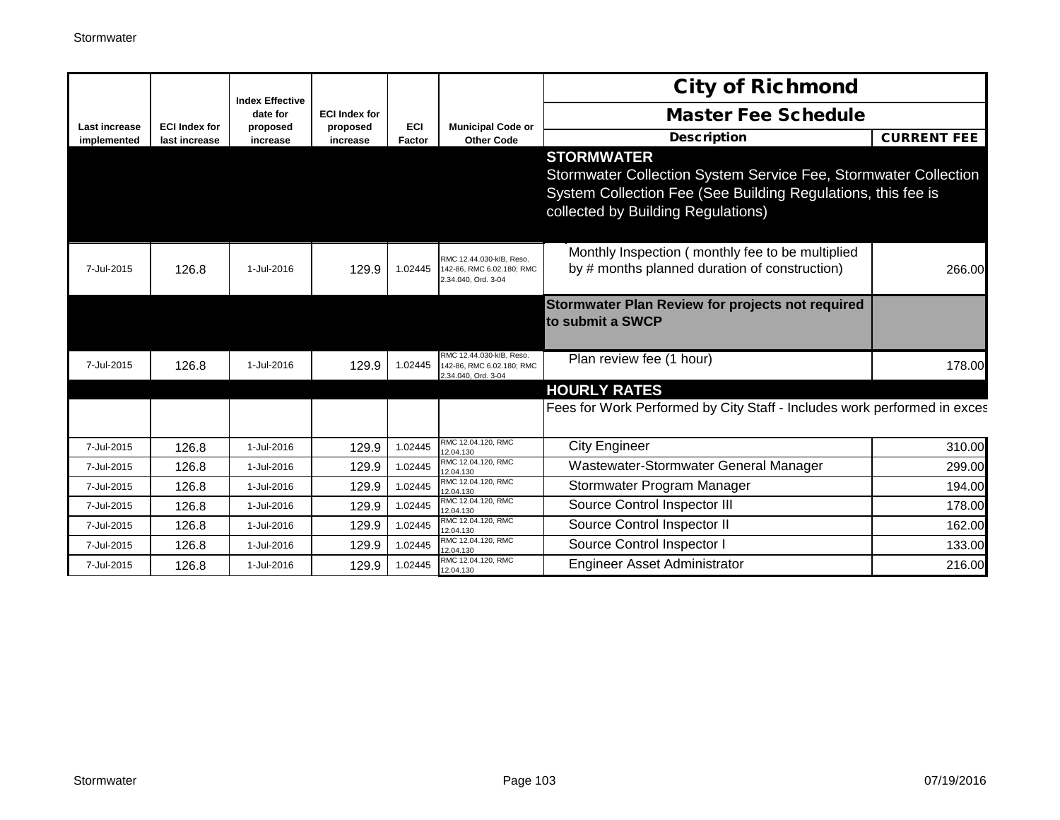|                              |                                       | <b>Index Effective</b> |                      |                      |                                                                              | <b>City of Richmond</b>                                                                                                                                                                    |                    |
|------------------------------|---------------------------------------|------------------------|----------------------|----------------------|------------------------------------------------------------------------------|--------------------------------------------------------------------------------------------------------------------------------------------------------------------------------------------|--------------------|
|                              |                                       | date for               | <b>ECI Index for</b> |                      |                                                                              | <b>Master Fee Schedule</b>                                                                                                                                                                 |                    |
| Last increase<br>implemented | <b>ECI Index for</b><br>last increase | proposed<br>increase   | proposed<br>increase | <b>ECI</b><br>Factor | <b>Municipal Code or</b><br><b>Other Code</b>                                | <b>Description</b>                                                                                                                                                                         | <b>CURRENT FEE</b> |
|                              |                                       |                        |                      |                      |                                                                              | <b>STORMWATER</b><br>Stormwater Collection System Service Fee, Stormwater Collection<br>System Collection Fee (See Building Regulations, this fee is<br>collected by Building Regulations) |                    |
| 7-Jul-2015                   | 126.8                                 | 1-Jul-2016             | 129.9                | 1.02445              | RMC 12.44.030-kIB, Reso.<br>142-86, RMC 6.02.180; RMC<br>2.34.040, Ord. 3-04 | Monthly Inspection (monthly fee to be multiplied<br>by # months planned duration of construction)                                                                                          | 266.00             |
|                              |                                       |                        |                      |                      |                                                                              | Stormwater Plan Review for projects not required<br>to submit a SWCP                                                                                                                       |                    |
| 7-Jul-2015                   | 126.8                                 | 1-Jul-2016             | 129.9                | 1.02445              | RMC 12.44.030-kIB. Reso.<br>142-86, RMC 6.02.180; RMC<br>2.34.040, Ord. 3-04 | Plan review fee (1 hour)                                                                                                                                                                   | 178.00             |
|                              |                                       |                        |                      |                      |                                                                              | <b>HOURLY RATES</b>                                                                                                                                                                        |                    |
|                              |                                       |                        |                      |                      |                                                                              | Fees for Work Performed by City Staff - Includes work performed in exces                                                                                                                   |                    |
| 7-Jul-2015                   | 126.8                                 | 1-Jul-2016             | 129.9                | 1.02445              | RMC 12.04.120, RMC<br>12.04.130                                              | <b>City Engineer</b>                                                                                                                                                                       | 310.00             |
| 7-Jul-2015                   | 126.8                                 | 1-Jul-2016             | 129.9                | 1.02445              | RMC 12.04.120, RMC<br>12.04.130                                              | Wastewater-Stormwater General Manager                                                                                                                                                      | 299.00             |
| 7-Jul-2015                   | 126.8                                 | 1-Jul-2016             | 129.9                | 1.02445              | RMC 12.04.120. RMC<br>12.04.130                                              | Stormwater Program Manager                                                                                                                                                                 | 194.00             |
| 7-Jul-2015                   | 126.8                                 | 1-Jul-2016             | 129.9                | 1.02445              | RMC 12.04.120, RMC<br>12.04.130                                              | Source Control Inspector III                                                                                                                                                               | 178.00             |
| 7-Jul-2015                   | 126.8                                 | 1-Jul-2016             | 129.9                | 1.02445              | RMC 12.04.120, RMC<br>12.04.130                                              | Source Control Inspector II                                                                                                                                                                | 162.00             |
| 7-Jul-2015                   | 126.8                                 | 1-Jul-2016             | 129.9                | 1.02445              | RMC 12.04.120, RMC<br>12.04.130                                              | Source Control Inspector I                                                                                                                                                                 | 133.00             |
| 7-Jul-2015                   | 126.8                                 | 1-Jul-2016             | 129.9                | 1.02445              | RMC 12.04.120, RMC<br>12.04.130                                              | <b>Engineer Asset Administrator</b>                                                                                                                                                        | 216.00             |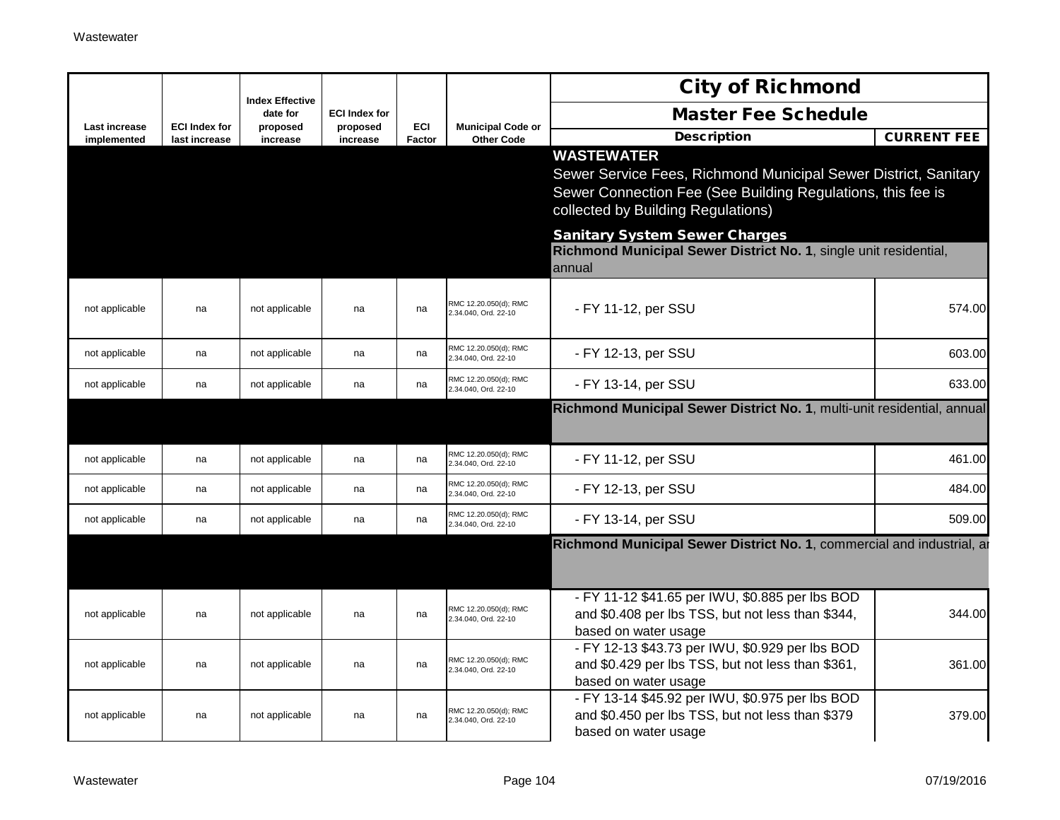|                              |                                       |                                    |                      |                      |                                               | <b>City of Richmond</b>                                                                                                                                                                   |                    |
|------------------------------|---------------------------------------|------------------------------------|----------------------|----------------------|-----------------------------------------------|-------------------------------------------------------------------------------------------------------------------------------------------------------------------------------------------|--------------------|
|                              |                                       | <b>Index Effective</b><br>date for | <b>ECI Index for</b> |                      |                                               | <b>Master Fee Schedule</b>                                                                                                                                                                |                    |
| Last increase<br>implemented | <b>ECI Index for</b><br>last increase | proposed<br>increase               | proposed<br>increase | <b>ECI</b><br>Factor | <b>Municipal Code or</b><br><b>Other Code</b> | <b>Description</b>                                                                                                                                                                        | <b>CURRENT FEE</b> |
|                              |                                       |                                    |                      |                      |                                               | <b>WASTEWATER</b><br>Sewer Service Fees, Richmond Municipal Sewer District, Sanitary<br>Sewer Connection Fee (See Building Regulations, this fee is<br>collected by Building Regulations) |                    |
|                              |                                       |                                    |                      |                      |                                               | <b>Sanitary System Sewer Charges</b><br>Richmond Municipal Sewer District No. 1, single unit residential,<br>annual                                                                       |                    |
| not applicable               | na                                    | not applicable                     | na                   | na                   | RMC 12.20.050(d); RMC<br>2.34.040, Ord. 22-10 | - FY 11-12, per SSU                                                                                                                                                                       | 574.00             |
| not applicable               | na                                    | not applicable                     | na                   | na                   | RMC 12.20.050(d); RMC<br>2.34.040, Ord. 22-10 | - FY 12-13, per SSU                                                                                                                                                                       | 603.00             |
| not applicable               | na                                    | not applicable                     | na                   | na                   | RMC 12.20.050(d); RMC<br>2.34.040, Ord. 22-10 | - FY 13-14, per SSU                                                                                                                                                                       | 633.00             |
|                              |                                       |                                    |                      |                      |                                               | Richmond Municipal Sewer District No. 1, multi-unit residential, annual                                                                                                                   |                    |
| not applicable               | na                                    | not applicable                     | na                   | na                   | RMC 12.20.050(d): RMC<br>2.34.040, Ord. 22-10 | - FY 11-12, per SSU                                                                                                                                                                       | 461.00             |
| not applicable               | na                                    | not applicable                     | na                   | na                   | RMC 12.20.050(d); RMC<br>2.34.040, Ord. 22-10 | - FY 12-13, per SSU                                                                                                                                                                       | 484.00             |
| not applicable               | na                                    | not applicable                     | na                   | na                   | RMC 12.20.050(d); RMC<br>.34.040, Ord. 22-10  | - FY 13-14, per SSU                                                                                                                                                                       | 509.00             |
|                              |                                       |                                    |                      |                      |                                               | Richmond Municipal Sewer District No. 1, commercial and industrial, an                                                                                                                    |                    |
| not applicable               | na                                    | not applicable                     | na                   | na                   | RMC 12.20.050(d); RMC<br>2.34.040, Ord. 22-10 | - FY 11-12 \$41.65 per IWU, \$0.885 per lbs BOD<br>and \$0.408 per lbs TSS, but not less than \$344,<br>based on water usage                                                              | 344.00             |
| not applicable               | na                                    | not applicable                     | na                   | na                   | RMC 12.20.050(d); RMC<br>2.34.040, Ord. 22-10 | - FY 12-13 \$43.73 per IWU, \$0.929 per lbs BOD<br>and \$0.429 per lbs TSS, but not less than \$361,<br>based on water usage                                                              | 361.00             |
| not applicable               | na                                    | not applicable                     | na                   | na                   | RMC 12.20.050(d); RMC<br>2.34.040, Ord. 22-10 | - FY 13-14 \$45.92 per IWU, \$0.975 per lbs BOD<br>and \$0.450 per lbs TSS, but not less than \$379<br>based on water usage                                                               | 379.00             |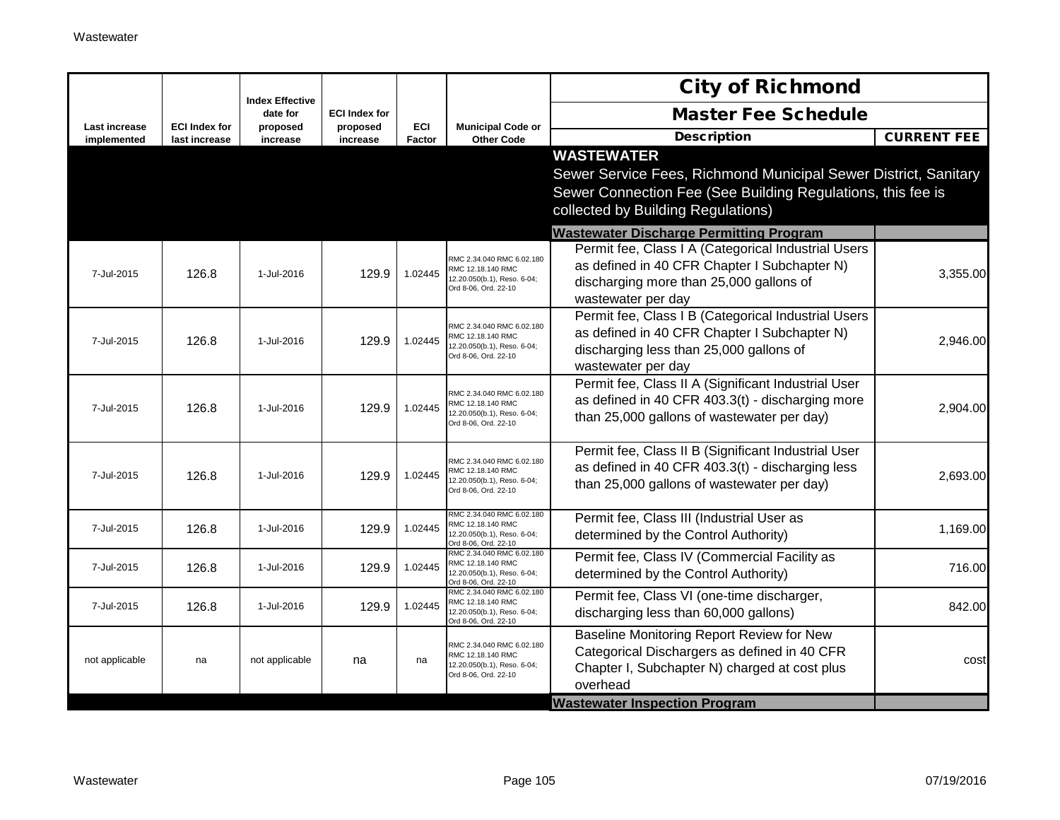|                                     |                                       | <b>Index Effective</b> |                      |               |                                                                                                       | <b>City of Richmond</b>                                                                                                                                                                   |                    |
|-------------------------------------|---------------------------------------|------------------------|----------------------|---------------|-------------------------------------------------------------------------------------------------------|-------------------------------------------------------------------------------------------------------------------------------------------------------------------------------------------|--------------------|
|                                     |                                       | date for               | <b>ECI Index for</b> |               |                                                                                                       | <b>Master Fee Schedule</b>                                                                                                                                                                |                    |
| <b>Last increase</b><br>implemented | <b>ECI Index for</b><br>last increase | proposed<br>increase   | proposed<br>increase | ECI<br>Factor | <b>Municipal Code or</b><br><b>Other Code</b>                                                         | <b>Description</b>                                                                                                                                                                        | <b>CURRENT FEE</b> |
|                                     |                                       |                        |                      |               |                                                                                                       | <b>WASTEWATER</b><br>Sewer Service Fees, Richmond Municipal Sewer District, Sanitary<br>Sewer Connection Fee (See Building Regulations, this fee is<br>collected by Building Regulations) |                    |
|                                     |                                       |                        |                      |               |                                                                                                       | <b>Wastewater Discharge Permitting Program</b>                                                                                                                                            |                    |
| 7-Jul-2015                          | 126.8                                 | 1-Jul-2016             | 129.9                | 1.02445       | RMC 2.34.040 RMC 6.02.180<br>RMC 12.18.140 RMC<br>12.20.050(b.1), Reso. 6-04;<br>Ord 8-06, Ord. 22-10 | Permit fee, Class I A (Categorical Industrial Users<br>as defined in 40 CFR Chapter I Subchapter N)<br>discharging more than 25,000 gallons of<br>wastewater per day                      | 3,355.00           |
| 7-Jul-2015                          | 126.8                                 | 1-Jul-2016             | 129.9                | 1.02445       | RMC 2.34.040 RMC 6.02.180<br>RMC 12.18.140 RMC<br>12.20.050(b.1), Reso. 6-04;<br>Ord 8-06, Ord. 22-10 | Permit fee, Class I B (Categorical Industrial Users<br>as defined in 40 CFR Chapter I Subchapter N)<br>discharging less than 25,000 gallons of<br>wastewater per day                      | 2,946.00           |
| 7-Jul-2015                          | 126.8                                 | 1-Jul-2016             | 129.9                | 1.02445       | RMC 2.34.040 RMC 6.02.180<br>RMC 12.18.140 RMC<br>12.20.050(b.1), Reso. 6-04;<br>Ord 8-06, Ord. 22-10 | Permit fee, Class II A (Significant Industrial User<br>as defined in 40 CFR 403.3(t) - discharging more<br>than 25,000 gallons of wastewater per day)                                     | 2,904.00           |
| 7-Jul-2015                          | 126.8                                 | 1-Jul-2016             | 129.9                | 1.02445       | RMC 2.34.040 RMC 6.02.180<br>RMC 12.18.140 RMC<br>2.20.050(b.1), Reso. 6-04;<br>Ord 8-06, Ord. 22-10  | Permit fee, Class II B (Significant Industrial User<br>as defined in 40 CFR 403.3(t) - discharging less<br>than 25,000 gallons of wastewater per day)                                     | 2,693.00           |
| 7-Jul-2015                          | 126.8                                 | 1-Jul-2016             | 129.9                | 1.02445       | RMC 2.34.040 RMC 6.02.180<br>RMC 12.18.140 RMC<br>12.20.050(b.1), Reso. 6-04;<br>Ord 8-06, Ord. 22-10 | Permit fee, Class III (Industrial User as<br>determined by the Control Authority)                                                                                                         | 1,169.00           |
| 7-Jul-2015                          | 126.8                                 | 1-Jul-2016             | 129.9                | 1.02445       | RMC 2.34.040 RMC 6.02.180<br>RMC 12.18.140 RMC<br>12.20.050(b.1), Reso. 6-04;<br>Ord 8-06, Ord, 22-10 | Permit fee, Class IV (Commercial Facility as<br>determined by the Control Authority)                                                                                                      | 716.00             |
| 7-Jul-2015                          | 126.8                                 | 1-Jul-2016             | 129.9                | 1.02445       | RMC 2.34.040 RMC 6.02.180<br>RMC 12.18.140 RMC<br>12.20.050(b.1), Reso. 6-04;<br>Ord 8-06, Ord. 22-10 | Permit fee, Class VI (one-time discharger,<br>discharging less than 60,000 gallons)                                                                                                       | 842.00             |
| not applicable                      | na                                    | not applicable         | na                   | na            | RMC 2.34.040 RMC 6.02.180<br>RMC 12.18.140 RMC<br>12.20.050(b.1), Reso. 6-04;<br>Ord 8-06, Ord. 22-10 | Baseline Monitoring Report Review for New<br>Categorical Dischargers as defined in 40 CFR<br>Chapter I, Subchapter N) charged at cost plus<br>overhead                                    | cost               |
|                                     |                                       |                        |                      |               |                                                                                                       | <b>Wastewater Inspection Program</b>                                                                                                                                                      |                    |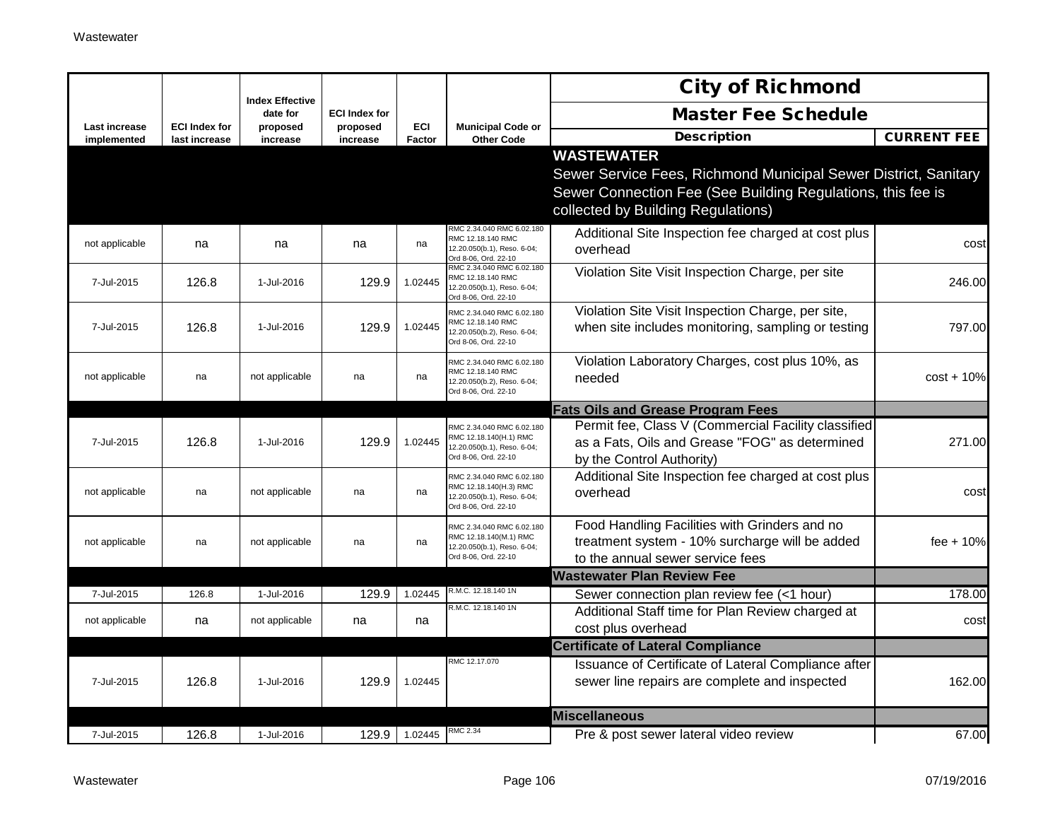|                                     |                                       |                                    |                      |               |                                                                                                            | <b>City of Richmond</b>                                                                                                                                                                   |                    |
|-------------------------------------|---------------------------------------|------------------------------------|----------------------|---------------|------------------------------------------------------------------------------------------------------------|-------------------------------------------------------------------------------------------------------------------------------------------------------------------------------------------|--------------------|
|                                     |                                       | <b>Index Effective</b><br>date for | <b>ECI Index for</b> |               |                                                                                                            | <b>Master Fee Schedule</b>                                                                                                                                                                |                    |
| <b>Last increase</b><br>implemented | <b>ECI Index for</b><br>last increase | proposed<br>increase               | proposed<br>increase | ECI<br>Factor | <b>Municipal Code or</b><br><b>Other Code</b>                                                              | <b>Description</b>                                                                                                                                                                        | <b>CURRENT FEE</b> |
|                                     |                                       |                                    |                      |               |                                                                                                            | <b>WASTEWATER</b><br>Sewer Service Fees, Richmond Municipal Sewer District, Sanitary<br>Sewer Connection Fee (See Building Regulations, this fee is<br>collected by Building Regulations) |                    |
| not applicable                      | na                                    | na                                 | na                   | na            | RMC 2.34.040 RMC 6.02.180<br>RMC 12.18.140 RMC<br>12.20.050(b.1), Reso. 6-04;<br>Ord 8-06, Ord. 22-10      | Additional Site Inspection fee charged at cost plus<br>overhead                                                                                                                           | cost               |
| 7-Jul-2015                          | 126.8                                 | 1-Jul-2016                         | 129.9                | 1.02445       | RMC 2.34.040 RMC 6.02.180<br>RMC 12.18.140 RMC<br>12.20.050(b.1), Reso. 6-04;<br>Ord 8-06, Ord. 22-10      | Violation Site Visit Inspection Charge, per site                                                                                                                                          | 246.00             |
| 7-Jul-2015                          | 126.8                                 | 1-Jul-2016                         | 129.9                | 1.02445       | RMC 2.34.040 RMC 6.02.180<br>RMC 12.18.140 RMC<br>12.20.050(b.2), Reso. 6-04;<br>Ord 8-06, Ord. 22-10      | Violation Site Visit Inspection Charge, per site,<br>when site includes monitoring, sampling or testing                                                                                   | 797.00             |
| not applicable                      | na                                    | not applicable                     | na                   | na            | RMC 2.34.040 RMC 6.02.180<br>RMC 12.18.140 RMC<br>12.20.050(b.2), Reso. 6-04;<br>Ord 8-06, Ord. 22-10      | Violation Laboratory Charges, cost plus 10%, as<br>needed                                                                                                                                 | $cost + 10%$       |
|                                     |                                       |                                    |                      |               |                                                                                                            | <b>Fats Oils and Grease Program Fees</b>                                                                                                                                                  |                    |
| 7-Jul-2015                          | 126.8                                 | 1-Jul-2016                         | 129.9                | 1.02445       | RMC 2.34.040 RMC 6.02.180<br>RMC 12.18.140(H.1) RMC<br>12.20.050(b.1), Reso. 6-04;<br>Ord 8-06, Ord. 22-10 | Permit fee, Class V (Commercial Facility classified<br>as a Fats, Oils and Grease "FOG" as determined<br>by the Control Authority)                                                        | 271.00             |
| not applicable                      | na                                    | not applicable                     | na                   | na            | RMC 2.34.040 RMC 6.02.180<br>RMC 12.18.140(H.3) RMC<br>12.20.050(b.1), Reso. 6-04;<br>Ord 8-06, Ord. 22-10 | Additional Site Inspection fee charged at cost plus<br>overhead                                                                                                                           | cost               |
| not applicable                      | na                                    | not applicable                     | na                   | na            | RMC 2.34.040 RMC 6.02.180<br>RMC 12.18.140(M.1) RMC<br>12.20.050(b.1), Reso. 6-04;<br>Ord 8-06, Ord. 22-10 | Food Handling Facilities with Grinders and no<br>treatment system - 10% surcharge will be added<br>to the annual sewer service fees                                                       | $fee + 10%$        |
|                                     |                                       |                                    |                      |               |                                                                                                            | <b>Wastewater Plan Review Fee</b>                                                                                                                                                         |                    |
| 7-Jul-2015                          | 126.8                                 | 1-Jul-2016                         | 129.9                | 1.02445       | R.M.C. 12.18.140 1N                                                                                        | Sewer connection plan review fee (<1 hour)                                                                                                                                                | 178.00             |
| not applicable                      | na                                    | not applicable                     | na                   | na            | R.M.C. 12.18.140 1N                                                                                        | Additional Staff time for Plan Review charged at<br>cost plus overhead                                                                                                                    | cost               |
|                                     |                                       |                                    |                      |               |                                                                                                            | <b>Certificate of Lateral Compliance</b>                                                                                                                                                  |                    |
| 7-Jul-2015                          | 126.8                                 | 1-Jul-2016                         | 129.9                | 1.02445       | RMC 12.17.070                                                                                              | Issuance of Certificate of Lateral Compliance after<br>sewer line repairs are complete and inspected                                                                                      | 162.00             |
|                                     |                                       |                                    |                      |               |                                                                                                            | <b>Miscellaneous</b>                                                                                                                                                                      |                    |
| 7-Jul-2015                          | 126.8                                 | 1-Jul-2016                         | 129.9                | 1.02445       | RMC 2.34                                                                                                   | Pre & post sewer lateral video review                                                                                                                                                     | 67.00              |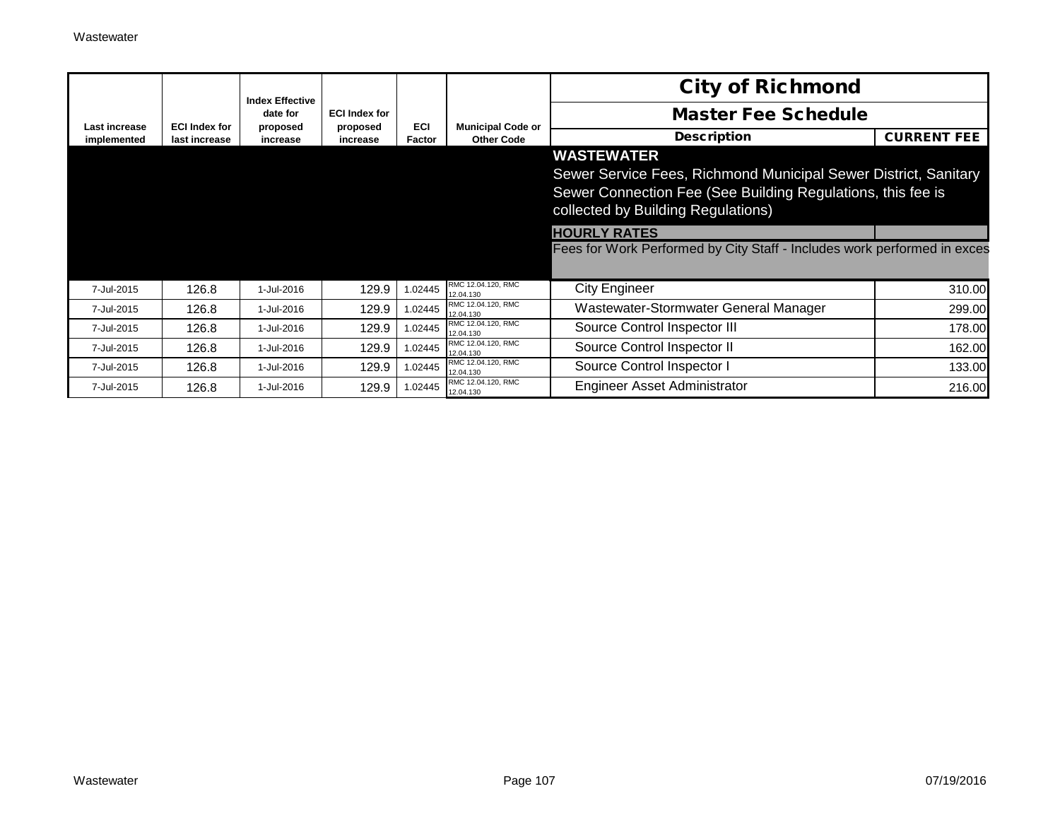|               |                      | <b>Index Effective</b> |                      |            |                                               | <b>City of Richmond</b>                                                                                                                                                                   |                    |
|---------------|----------------------|------------------------|----------------------|------------|-----------------------------------------------|-------------------------------------------------------------------------------------------------------------------------------------------------------------------------------------------|--------------------|
| Last increase | <b>ECI Index for</b> | date for               | <b>ECI Index for</b> | <b>ECI</b> |                                               | <b>Master Fee Schedule</b>                                                                                                                                                                |                    |
| implemented   | last increase        | proposed<br>increase   | proposed<br>increase | Factor     | <b>Municipal Code or</b><br><b>Other Code</b> | <b>Description</b>                                                                                                                                                                        | <b>CURRENT FEE</b> |
|               |                      |                        |                      |            |                                               | <b>WASTEWATER</b><br>Sewer Service Fees, Richmond Municipal Sewer District, Sanitary<br>Sewer Connection Fee (See Building Regulations, this fee is<br>collected by Building Regulations) |                    |
|               |                      |                        |                      |            |                                               | <b>HOURLY RATES</b>                                                                                                                                                                       |                    |
|               |                      |                        |                      |            |                                               | Fees for Work Performed by City Staff - Includes work performed in exces                                                                                                                  |                    |
| 7-Jul-2015    | 126.8                | 1-Jul-2016             | 129.9                | 1.02445    | RMC 12.04.120, RMC<br>12.04.130               | <b>City Engineer</b>                                                                                                                                                                      | 310.00             |
| 7-Jul-2015    | 126.8                | 1-Jul-2016             | 129.9                | .02445     | RMC 12.04.120, RMC<br>12.04.130               | Wastewater-Stormwater General Manager                                                                                                                                                     | 299.00             |
| 7-Jul-2015    | 126.8                | 1-Jul-2016             | 129.9                | 1.02445    | RMC 12.04.120, RMC<br>12.04.130               | Source Control Inspector III                                                                                                                                                              | 178.00             |
| 7-Jul-2015    | 126.8                | 1-Jul-2016             | 129.9                | 1.02445    | RMC 12.04.120, RMC<br>12.04.130               | Source Control Inspector II                                                                                                                                                               | 162.00             |
| 7-Jul-2015    | 126.8                | 1-Jul-2016             | 129.9                | 1.02445    | RMC 12.04.120, RMC<br>12.04.130               | Source Control Inspector I                                                                                                                                                                | 133.00             |
| 7-Jul-2015    | 126.8                | 1-Jul-2016             | 129.9                | 1.02445    | RMC 12.04.120, RMC<br>12.04.130               | <b>Engineer Asset Administrator</b>                                                                                                                                                       | 216.00             |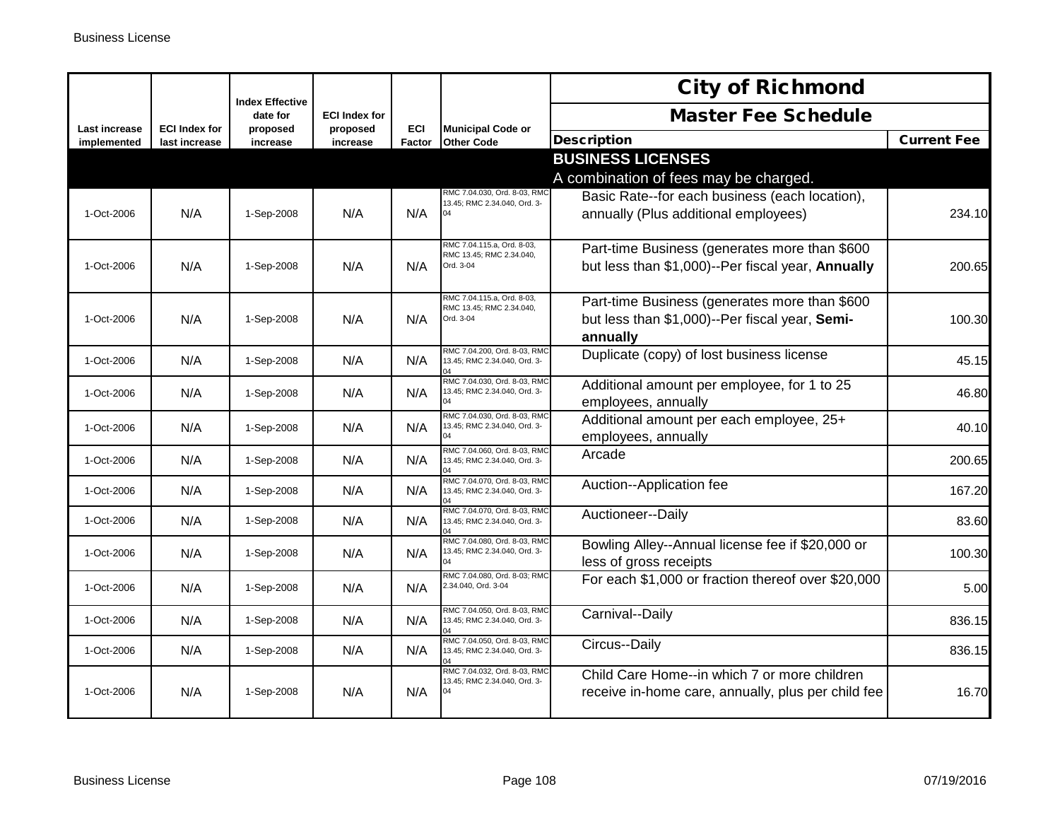|                              |                                       | <b>Index Effective</b> |                      |            |                                                                                | <b>City of Richmond</b>                                                                                     |                    |
|------------------------------|---------------------------------------|------------------------|----------------------|------------|--------------------------------------------------------------------------------|-------------------------------------------------------------------------------------------------------------|--------------------|
|                              |                                       | date for               | <b>ECI Index for</b> | <b>ECI</b> |                                                                                | <b>Master Fee Schedule</b>                                                                                  |                    |
| Last increase<br>implemented | <b>ECI Index for</b><br>last increase | proposed<br>increase   | proposed<br>increase | Factor     | <b>Municipal Code or</b><br><b>Other Code</b>                                  | <b>Description</b>                                                                                          | <b>Current Fee</b> |
|                              |                                       |                        |                      |            |                                                                                | <b>BUSINESS LICENSES</b>                                                                                    |                    |
|                              |                                       |                        |                      |            |                                                                                | A combination of fees may be charged.                                                                       |                    |
| 1-Oct-2006                   | N/A                                   | 1-Sep-2008             | N/A                  | N/A        | RMC 7.04.030, Ord. 8-03, RMC<br>13.45; RMC 2.34.040, Ord. 3-<br>04             | Basic Rate--for each business (each location),<br>annually (Plus additional employees)                      | 234.10             |
| 1-Oct-2006                   | N/A                                   | 1-Sep-2008             | N/A                  | N/A        | RMC 7.04.115.a, Ord. 8-03,<br>RMC 13.45; RMC 2.34.040,<br>Ord. 3-04            | Part-time Business (generates more than \$600<br>but less than \$1,000)--Per fiscal year, Annually          | 200.65             |
| 1-Oct-2006                   | N/A                                   | 1-Sep-2008             | N/A                  | N/A        | RMC 7.04.115.a, Ord. 8-03,<br>RMC 13.45: RMC 2.34.040.<br>Ord. 3-04            | Part-time Business (generates more than \$600<br>but less than \$1,000)--Per fiscal year, Semi-<br>annually | 100.30             |
| 1-Oct-2006                   | N/A                                   | 1-Sep-2008             | N/A                  | N/A        | RMC 7.04.200, Ord. 8-03, RMC<br>13.45; RMC 2.34.040, Ord. 3-                   | Duplicate (copy) of lost business license                                                                   | 45.15              |
| 1-Oct-2006                   | N/A                                   | 1-Sep-2008             | N/A                  | N/A        | RMC 7.04.030, Ord. 8-03, RMC<br>13.45; RMC 2.34.040, Ord. 3-<br>04             | Additional amount per employee, for 1 to 25<br>employees, annually                                          | 46.80              |
| 1-Oct-2006                   | N/A                                   | 1-Sep-2008             | N/A                  | N/A        | RMC 7.04.030, Ord. 8-03, RMC<br>13.45; RMC 2.34.040, Ord. 3-<br>04             | Additional amount per each employee, 25+<br>employees, annually                                             | 40.10              |
| 1-Oct-2006                   | N/A                                   | 1-Sep-2008             | N/A                  | N/A        | RMC 7.04.060, Ord. 8-03, RMC<br>13.45; RMC 2.34.040, Ord. 3-<br>$\overline{a}$ | Arcade                                                                                                      | 200.65             |
| 1-Oct-2006                   | N/A                                   | 1-Sep-2008             | N/A                  | N/A        | RMC 7.04.070, Ord. 8-03, RMC<br>13.45; RMC 2.34.040, Ord. 3-                   | Auction--Application fee                                                                                    | 167.20             |
| 1-Oct-2006                   | N/A                                   | 1-Sep-2008             | N/A                  | N/A        | RMC 7.04.070, Ord. 8-03, RMC<br>13.45; RMC 2.34.040, Ord. 3-                   | Auctioneer--Daily                                                                                           | 83.60              |
| 1-Oct-2006                   | N/A                                   | 1-Sep-2008             | N/A                  | N/A        | RMC 7.04.080, Ord. 8-03, RMC<br>13.45; RMC 2.34.040, Ord. 3-                   | Bowling Alley--Annual license fee if \$20,000 or<br>less of gross receipts                                  | 100.30             |
| 1-Oct-2006                   | N/A                                   | 1-Sep-2008             | N/A                  | N/A        | RMC 7.04.080, Ord. 8-03; RMC<br>2.34.040, Ord. 3-04                            | For each \$1,000 or fraction thereof over \$20,000                                                          | 5.00               |
| 1-Oct-2006                   | N/A                                   | 1-Sep-2008             | N/A                  | N/A        | RMC 7.04.050, Ord. 8-03, RMC<br>13.45; RMC 2.34.040, Ord. 3-                   | Carnival--Daily                                                                                             | 836.15             |
| 1-Oct-2006                   | N/A                                   | 1-Sep-2008             | N/A                  | N/A        | RMC 7.04.050, Ord. 8-03, RMC<br>13.45; RMC 2.34.040, Ord. 3-                   | Circus--Daily                                                                                               | 836.15             |
| 1-Oct-2006                   | N/A                                   | 1-Sep-2008             | N/A                  | N/A        | RMC 7.04.032, Ord. 8-03, RMC<br>13.45; RMC 2.34.040, Ord. 3-                   | Child Care Home--in which 7 or more children<br>receive in-home care, annually, plus per child fee          | 16.70              |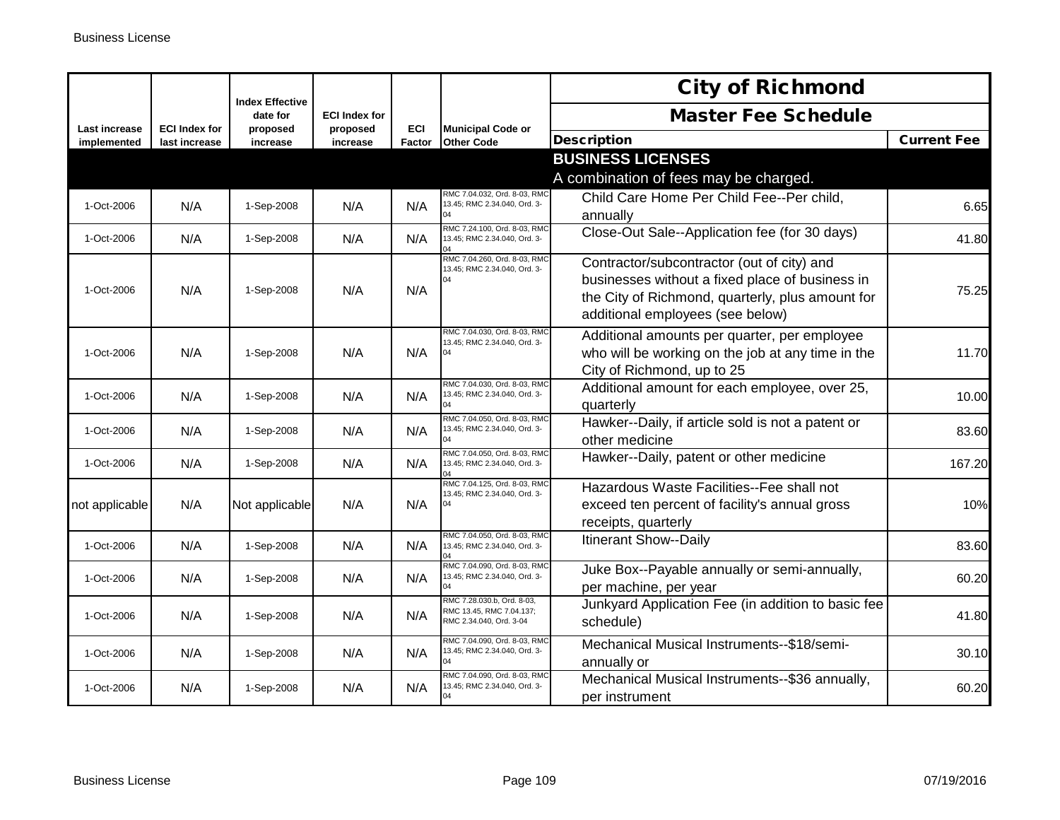|                              |                                       |                                    |                      |                      |                                                                                   | <b>City of Richmond</b>                                                                                                                                                               |                    |
|------------------------------|---------------------------------------|------------------------------------|----------------------|----------------------|-----------------------------------------------------------------------------------|---------------------------------------------------------------------------------------------------------------------------------------------------------------------------------------|--------------------|
|                              |                                       | <b>Index Effective</b><br>date for | <b>ECI Index for</b> |                      |                                                                                   | <b>Master Fee Schedule</b>                                                                                                                                                            |                    |
| Last increase<br>implemented | <b>ECI Index for</b><br>last increase | proposed<br>increase               | proposed<br>increase | <b>ECI</b><br>Factor | <b>Municipal Code or</b><br><b>Other Code</b>                                     | <b>Description</b>                                                                                                                                                                    | <b>Current Fee</b> |
|                              |                                       |                                    |                      |                      |                                                                                   | <b>BUSINESS LICENSES</b>                                                                                                                                                              |                    |
|                              |                                       |                                    |                      |                      |                                                                                   | A combination of fees may be charged.                                                                                                                                                 |                    |
| 1-Oct-2006                   | N/A                                   | 1-Sep-2008                         | N/A                  | N/A                  | RMC 7.04.032, Ord. 8-03, RMC<br>13.45; RMC 2.34.040, Ord. 3-<br>$\Omega$          | Child Care Home Per Child Fee--Per child,<br>annually                                                                                                                                 | 6.65               |
| 1-Oct-2006                   | N/A                                   | 1-Sep-2008                         | N/A                  | N/A                  | RMC 7.24.100, Ord. 8-03, RMO<br>13.45; RMC 2.34.040, Ord. 3-                      | Close-Out Sale--Application fee (for 30 days)                                                                                                                                         | 41.80              |
| 1-Oct-2006                   | N/A                                   | 1-Sep-2008                         | N/A                  | N/A                  | RMC 7.04.260, Ord. 8-03, RMC<br>13.45; RMC 2.34.040, Ord. 3-                      | Contractor/subcontractor (out of city) and<br>businesses without a fixed place of business in<br>the City of Richmond, quarterly, plus amount for<br>additional employees (see below) | 75.25              |
| 1-Oct-2006                   | N/A                                   | 1-Sep-2008                         | N/A                  | N/A                  | RMC 7.04.030, Ord. 8-03, RMC<br>13.45; RMC 2.34.040, Ord. 3-                      | Additional amounts per quarter, per employee<br>who will be working on the job at any time in the<br>City of Richmond, up to 25                                                       | 11.70              |
| 1-Oct-2006                   | N/A                                   | 1-Sep-2008                         | N/A                  | N/A                  | RMC 7.04.030, Ord. 8-03, RMC<br>13.45; RMC 2.34.040, Ord. 3-                      | Additional amount for each employee, over 25,<br>quarterly                                                                                                                            | 10.00              |
| 1-Oct-2006                   | N/A                                   | 1-Sep-2008                         | N/A                  | N/A                  | RMC 7.04.050, Ord, 8-03, RMC<br>13.45; RMC 2.34.040, Ord. 3-                      | Hawker--Daily, if article sold is not a patent or<br>other medicine                                                                                                                   | 83.60              |
| 1-Oct-2006                   | N/A                                   | 1-Sep-2008                         | N/A                  | N/A                  | RMC 7.04.050, Ord. 8-03, RMC<br>13.45; RMC 2.34.040, Ord. 3-<br>$\overline{14}$   | Hawker--Daily, patent or other medicine                                                                                                                                               | 167.20             |
| not applicable               | N/A                                   | Not applicable                     | N/A                  | N/A                  | RMC 7.04.125, Ord. 8-03, RMO<br>13.45; RMC 2.34.040, Ord. 3-<br>04                | Hazardous Waste Facilities--Fee shall not<br>exceed ten percent of facility's annual gross<br>receipts, quarterly                                                                     | 10%                |
| 1-Oct-2006                   | N/A                                   | 1-Sep-2008                         | N/A                  | N/A                  | RMC 7.04.050, Ord. 8-03, RMC<br>13.45; RMC 2.34.040, Ord. 3-                      | Itinerant Show--Daily                                                                                                                                                                 | 83.60              |
| 1-Oct-2006                   | N/A                                   | 1-Sep-2008                         | N/A                  | N/A                  | RMC 7.04.090, Ord. 8-03, RMC<br>13.45; RMC 2.34.040, Ord. 3-                      | Juke Box--Payable annually or semi-annually,<br>per machine, per year                                                                                                                 | 60.20              |
| 1-Oct-2006                   | N/A                                   | 1-Sep-2008                         | N/A                  | N/A                  | RMC 7.28.030.b, Ord. 8-03,<br>RMC 13.45, RMC 7.04.137;<br>RMC 2.34.040, Ord. 3-04 | Junkyard Application Fee (in addition to basic fee<br>schedule)                                                                                                                       | 41.80              |
| 1-Oct-2006                   | N/A                                   | 1-Sep-2008                         | N/A                  | N/A                  | RMC 7.04.090, Ord. 8-03, RMC<br>13.45; RMC 2.34.040, Ord. 3-<br>04                | Mechanical Musical Instruments--\$18/semi-<br>annually or                                                                                                                             | 30.10              |
| 1-Oct-2006                   | N/A                                   | 1-Sep-2008                         | N/A                  | N/A                  | RMC 7.04.090, Ord. 8-03, RMC<br>13.45; RMC 2.34.040, Ord. 3-                      | Mechanical Musical Instruments--\$36 annually,<br>per instrument                                                                                                                      | 60.20              |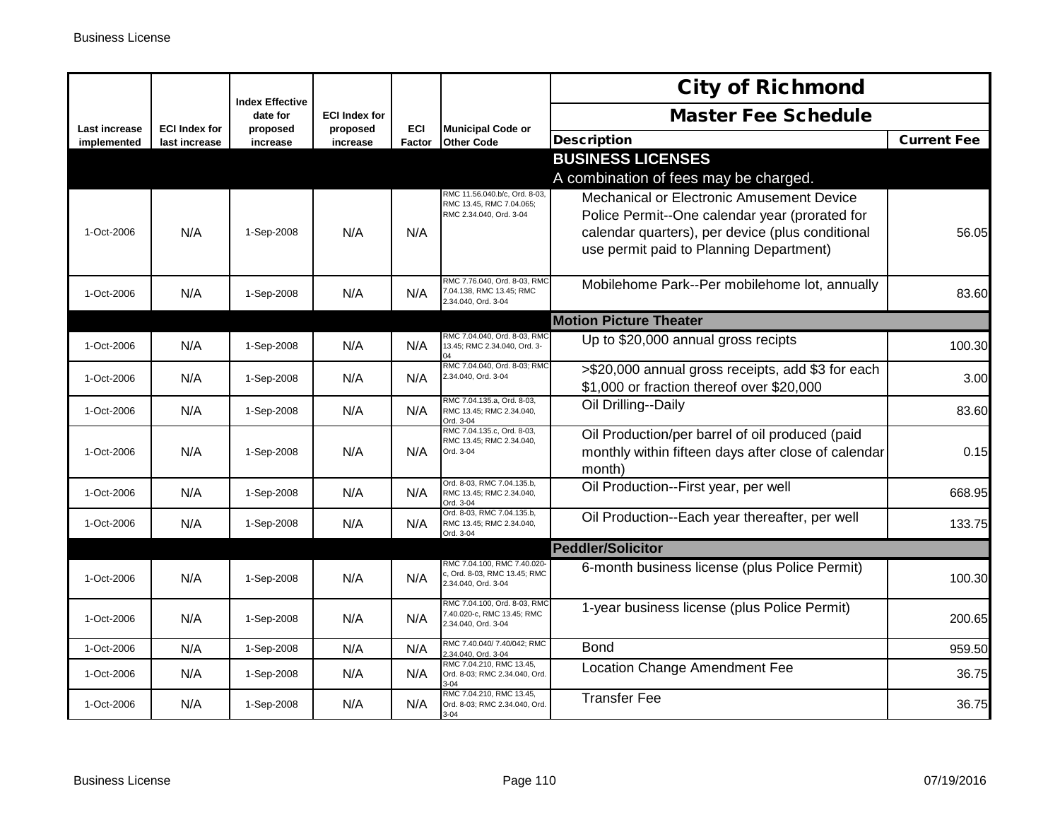|                              |                                       | <b>Index Effective</b> |                      |               |                                                                                    | <b>City of Richmond</b>                                       |                    |  |
|------------------------------|---------------------------------------|------------------------|----------------------|---------------|------------------------------------------------------------------------------------|---------------------------------------------------------------|--------------------|--|
|                              |                                       | date for               | <b>ECI Index for</b> |               |                                                                                    | <b>Master Fee Schedule</b>                                    |                    |  |
| Last increase<br>implemented | <b>ECI Index for</b><br>last increase | proposed<br>increase   | proposed<br>increase | ECI<br>Factor | <b>Municipal Code or</b><br><b>Other Code</b>                                      | <b>Description</b>                                            | <b>Current Fee</b> |  |
|                              |                                       |                        |                      |               |                                                                                    | <b>BUSINESS LICENSES</b>                                      |                    |  |
|                              |                                       |                        |                      |               |                                                                                    | A combination of fees may be charged.                         |                    |  |
|                              |                                       |                        |                      |               | RMC 11.56.040.b/c, Ord. 8-03,<br>RMC 13.45, RMC 7.04.065;                          | Mechanical or Electronic Amusement Device                     |                    |  |
|                              |                                       |                        |                      |               | RMC 2.34.040, Ord. 3-04                                                            | Police Permit--One calendar year (prorated for                |                    |  |
| 1-Oct-2006                   | N/A                                   | 1-Sep-2008             | N/A                  | N/A           |                                                                                    | calendar quarters), per device (plus conditional              | 56.05              |  |
|                              |                                       |                        |                      |               |                                                                                    | use permit paid to Planning Department)                       |                    |  |
|                              |                                       |                        |                      |               | RMC 7.76.040, Ord. 8-03, RMC                                                       | Mobilehome Park--Per mobilehome lot, annually                 |                    |  |
| 1-Oct-2006                   | N/A                                   | 1-Sep-2008             | N/A                  | N/A           | 7.04.138, RMC 13.45; RMC<br>2.34.040, Ord. 3-04                                    |                                                               | 83.60              |  |
|                              |                                       |                        |                      |               |                                                                                    | <b>Motion Picture Theater</b>                                 |                    |  |
| 1-Oct-2006                   | N/A                                   | 1-Sep-2008             | N/A                  | N/A           | RMC 7.04.040, Ord. 8-03, RMC<br>13.45; RMC 2.34.040, Ord. 3-                       | Up to \$20,000 annual gross recipts                           | 100.30             |  |
| 1-Oct-2006                   | N/A                                   | 1-Sep-2008             | N/A                  | N/A           | RMC 7.04.040, Ord. 8-03; RMC<br>2.34.040, Ord. 3-04                                | >\$20,000 annual gross receipts, add \$3 for each             | 3.00               |  |
|                              |                                       |                        |                      |               |                                                                                    | \$1,000 or fraction thereof over \$20,000                     |                    |  |
| 1-Oct-2006                   | N/A                                   | 1-Sep-2008             | N/A                  | N/A           | RMC 7.04.135.a, Ord. 8-03,<br>RMC 13.45; RMC 2.34.040,<br>Ord. 3-04                | Oil Drilling--Daily                                           | 83.60              |  |
|                              |                                       |                        |                      |               | RMC 7.04.135.c, Ord. 8-03,<br>RMC 13.45; RMC 2.34.040,                             | Oil Production/per barrel of oil produced (paid               |                    |  |
| 1-Oct-2006                   | N/A                                   | 1-Sep-2008             | N/A                  | N/A           | Ord. 3-04                                                                          | monthly within fifteen days after close of calendar<br>month) | 0.15               |  |
| 1-Oct-2006                   | N/A                                   | 1-Sep-2008             | N/A                  | N/A           | Ord. 8-03, RMC 7.04.135.b,<br>RMC 13.45; RMC 2.34.040,<br>Ord. 3-04                | Oil Production--First year, per well                          | 668.95             |  |
| 1-Oct-2006                   | N/A                                   | 1-Sep-2008             | N/A                  | N/A           | Ord. 8-03, RMC 7.04.135.b,<br>RMC 13.45; RMC 2.34.040,<br>Ord. 3-04                | Oil Production--Each year thereafter, per well                | 133.75             |  |
|                              | <b>Peddler/Solicitor</b>              |                        |                      |               |                                                                                    |                                                               |                    |  |
| 1-Oct-2006                   | N/A                                   | 1-Sep-2008             | N/A                  | N/A           | RMC 7.04.100, RMC 7.40.020-<br>c, Ord. 8-03, RMC 13.45; RMC<br>2.34.040, Ord. 3-04 | 6-month business license (plus Police Permit)                 | 100.30             |  |
| 1-Oct-2006                   | N/A                                   | 1-Sep-2008             | N/A                  | N/A           | RMC 7.04.100, Ord. 8-03, RMC<br>7.40.020-c, RMC 13.45; RMC<br>2.34.040, Ord. 3-04  | 1-year business license (plus Police Permit)                  | 200.65             |  |
| 1-Oct-2006                   | N/A                                   | 1-Sep-2008             | N/A                  | N/A           | RMC 7.40.040/ 7.40/042; RMC<br>2.34.040, Ord. 3-04                                 | <b>Bond</b>                                                   | 959.50             |  |
| 1-Oct-2006                   | N/A                                   | 1-Sep-2008             | N/A                  | N/A           | RMC 7.04.210, RMC 13.45,<br>Ord. 8-03; RMC 2.34.040, Ord.                          | <b>Location Change Amendment Fee</b>                          | 36.75              |  |
|                              |                                       |                        |                      |               | $3-04$<br>RMC 7.04.210, RMC 13.45,                                                 |                                                               |                    |  |
| 1-Oct-2006                   | N/A                                   | 1-Sep-2008             | N/A                  | N/A           | Ord. 8-03: RMC 2.34.040. Ord.<br>$3-04$                                            | <b>Transfer Fee</b>                                           | 36.75              |  |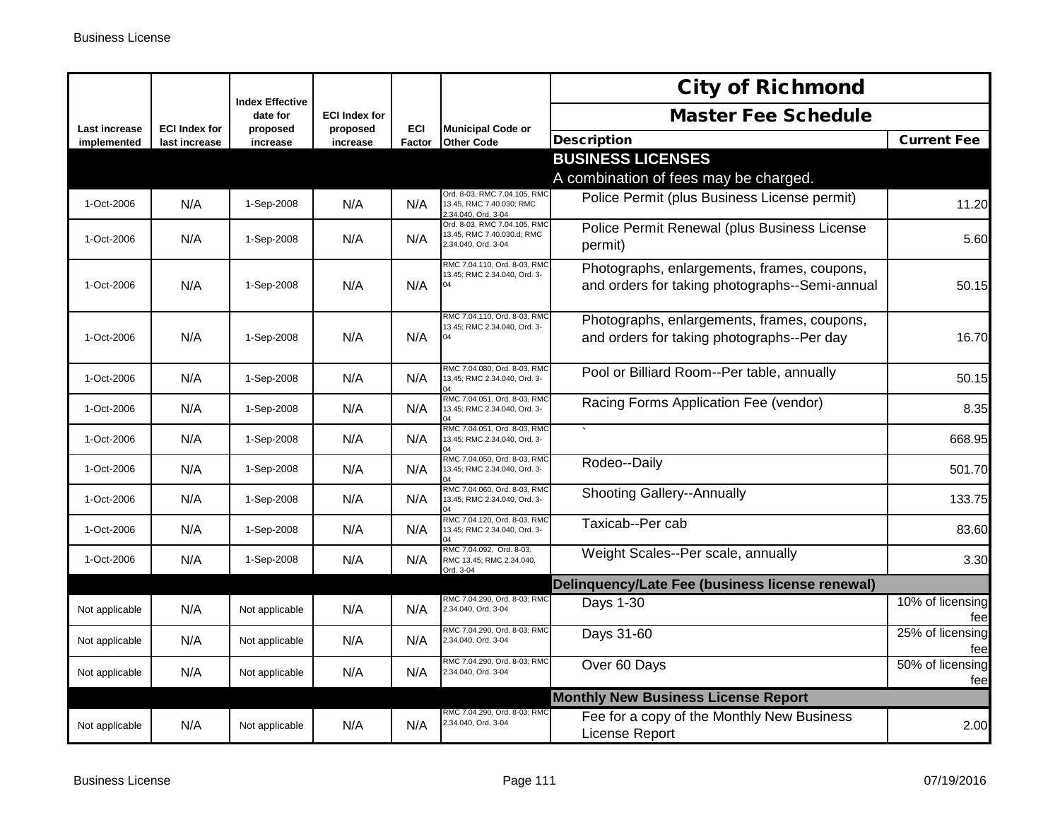|                              |                                       |                                    |                      |               |                                                                                   | <b>City of Richmond</b>                                                                       |                         |
|------------------------------|---------------------------------------|------------------------------------|----------------------|---------------|-----------------------------------------------------------------------------------|-----------------------------------------------------------------------------------------------|-------------------------|
|                              |                                       | <b>Index Effective</b><br>date for | <b>ECI Index for</b> |               |                                                                                   | <b>Master Fee Schedule</b>                                                                    |                         |
| Last increase<br>implemented | <b>ECI Index for</b><br>last increase | proposed<br>increase               | proposed<br>increase | ECI<br>Factor | <b>Municipal Code or</b><br><b>Other Code</b>                                     | <b>Description</b>                                                                            | <b>Current Fee</b>      |
|                              |                                       |                                    |                      |               |                                                                                   | <b>BUSINESS LICENSES</b><br>A combination of fees may be charged.                             |                         |
| 1-Oct-2006                   | N/A                                   | 1-Sep-2008                         | N/A                  | N/A           | Ord. 8-03, RMC 7.04.105, RMC<br>13.45, RMC 7.40.030: RMC<br>2.34.040, Ord. 3-04   | Police Permit (plus Business License permit)                                                  | 11.20                   |
| 1-Oct-2006                   | N/A                                   | 1-Sep-2008                         | N/A                  | N/A           | Ord. 8-03, RMC 7.04.105, RMC<br>13.45, RMC 7.40.030.d; RMC<br>2.34.040, Ord. 3-04 | Police Permit Renewal (plus Business License<br>permit)                                       | 5.60                    |
| 1-Oct-2006                   | N/A                                   | 1-Sep-2008                         | N/A                  | N/A           | RMC 7.04.110, Ord. 8-03, RMC<br>13.45; RMC 2.34.040, Ord. 3-                      | Photographs, enlargements, frames, coupons,<br>and orders for taking photographs--Semi-annual | 50.15                   |
| 1-Oct-2006                   | N/A                                   | 1-Sep-2008                         | N/A                  | N/A           | RMC 7.04.110, Ord. 8-03, RMC<br>13.45; RMC 2.34.040, Ord. 3-<br>04                | Photographs, enlargements, frames, coupons,<br>and orders for taking photographs--Per day     | 16.70                   |
| 1-Oct-2006                   | N/A                                   | 1-Sep-2008                         | N/A                  | N/A           | RMC 7.04.080, Ord. 8-03, RMC<br>13.45; RMC 2.34.040, Ord. 3-<br>14                | Pool or Billiard Room--Per table, annually                                                    | 50.15                   |
| 1-Oct-2006                   | N/A                                   | 1-Sep-2008                         | N/A                  | N/A           | RMC 7.04.051, Ord. 8-03, RMC<br>13.45; RMC 2.34.040, Ord. 3-<br>04                | Racing Forms Application Fee (vendor)                                                         | 8.35                    |
| 1-Oct-2006                   | N/A                                   | 1-Sep-2008                         | N/A                  | N/A           | RMC 7.04.051, Ord. 8-03, RMC<br>13.45; RMC 2.34.040, Ord. 3-                      |                                                                                               | 668.95                  |
| 1-Oct-2006                   | N/A                                   | 1-Sep-2008                         | N/A                  | N/A           | RMC 7.04.050, Ord. 8-03, RMC<br>13.45: RMC 2.34.040. Ord. 3-                      | Rodeo--Daily                                                                                  | 501.70                  |
| 1-Oct-2006                   | N/A                                   | 1-Sep-2008                         | N/A                  | N/A           | RMC 7.04.060, Ord. 8-03, RMC<br>13.45; RMC 2.34.040, Ord. 3-                      | <b>Shooting Gallery--Annually</b>                                                             | 133.75                  |
| 1-Oct-2006                   | N/A                                   | 1-Sep-2008                         | N/A                  | N/A           | RMC 7.04.120, Ord. 8-03, RMC<br>13.45; RMC 2.34.040, Ord. 3-                      | Taxicab--Per cab                                                                              | 83.60                   |
| 1-Oct-2006                   | N/A                                   | 1-Sep-2008                         | N/A                  | N/A           | RMC 7.04.092, Ord. 8-03.<br>RMC 13.45; RMC 2.34.040,<br>Ord. 3-04                 | Weight Scales--Per scale, annually                                                            | 3.30                    |
|                              |                                       |                                    |                      |               |                                                                                   | Delinquency/Late Fee (business license renewal)                                               |                         |
| Not applicable               | N/A                                   | Not applicable                     | N/A                  | N/A           | RMC 7.04.290, Ord. 8-03; RMC<br>2.34.040, Ord. 3-04                               | Days 1-30                                                                                     | 10% of licensing<br>fee |
| Not applicable               | N/A                                   | Not applicable                     | N/A                  | N/A           | RMC 7.04.290, Ord. 8-03; RMC<br>2.34.040, Ord. 3-04                               | Days 31-60                                                                                    | 25% of licensing<br>fee |
| Not applicable               | N/A                                   | Not applicable                     | N/A                  | N/A           | RMC 7.04.290, Ord. 8-03; RMC<br>2.34.040, Ord. 3-04                               | Over 60 Days                                                                                  | 50% of licensing<br>fee |
|                              |                                       |                                    |                      |               |                                                                                   | <b>Monthly New Business License Report</b>                                                    |                         |
| Not applicable               | N/A                                   | Not applicable                     | N/A                  | N/A           | RMC 7.04.290, Ord. 8-03; RMC<br>2.34.040, Ord. 3-04                               | Fee for a copy of the Monthly New Business<br><b>License Report</b>                           | 2.00                    |